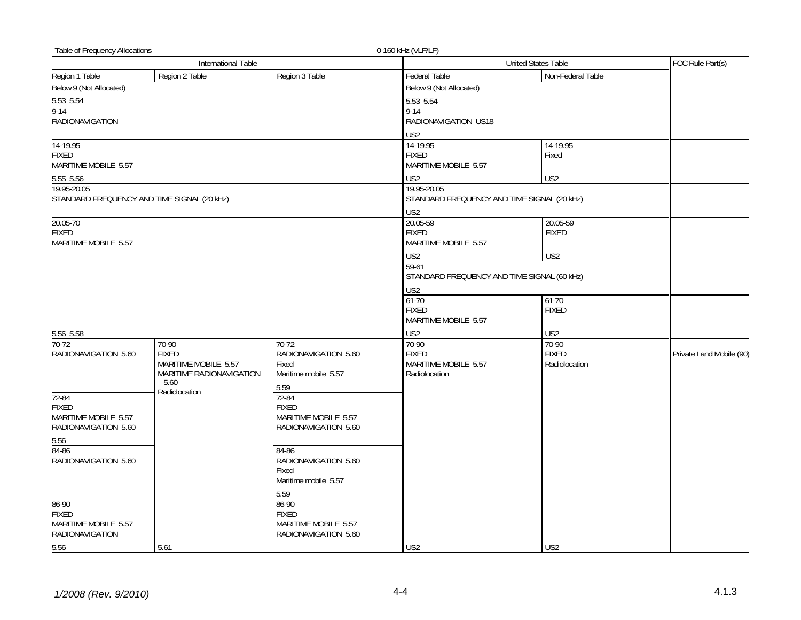| <b>Table of Frequency Allocations</b>                                         |                                                                                   |                                                                        | 0-160 kHz (VLF/LF)                                             |                                        |                          |
|-------------------------------------------------------------------------------|-----------------------------------------------------------------------------------|------------------------------------------------------------------------|----------------------------------------------------------------|----------------------------------------|--------------------------|
|                                                                               | International Table                                                               |                                                                        | United States Table<br>FCC Rule Part(s)                        |                                        |                          |
| Region 1 Table                                                                | Region 2 Table                                                                    | Region 3 Table                                                         | Federal Table                                                  | Non-Federal Table                      |                          |
| Below 9 (Not Allocated)                                                       |                                                                                   |                                                                        | Below 9 (Not Allocated)                                        |                                        |                          |
| 5.53 5.54                                                                     |                                                                                   |                                                                        | 5.53 5.54                                                      |                                        |                          |
| $9 - 14$<br><b>RADIONAVIGATION</b>                                            |                                                                                   |                                                                        | $9 - 14$<br>RADIONAVIGATION US18<br>US2                        |                                        |                          |
| 14-19.95<br><b>FIXED</b>                                                      |                                                                                   |                                                                        | 14-19.95<br><b>FIXED</b>                                       | 14-19.95<br>Fixed                      |                          |
| MARITIME MOBILE 5.57                                                          |                                                                                   |                                                                        | MARITIME MOBILE 5.57                                           |                                        |                          |
| 5.55 5.56                                                                     |                                                                                   |                                                                        | US <sub>2</sub>                                                | US2                                    |                          |
| 19.95-20.05                                                                   |                                                                                   |                                                                        | 19.95-20.05                                                    |                                        |                          |
| STANDARD FREQUENCY AND TIME SIGNAL (20 kHz)                                   |                                                                                   |                                                                        | STANDARD FREQUENCY AND TIME SIGNAL (20 kHz)                    |                                        |                          |
|                                                                               |                                                                                   |                                                                        | US <sub>2</sub>                                                |                                        |                          |
| 20.05-70<br><b>FIXED</b><br>MARITIME MOBILE 5.57                              |                                                                                   |                                                                        | 20.05-59<br><b>FIXED</b><br>MARITIME MOBILE 5.57               | 20.05-59<br><b>FIXED</b>               |                          |
|                                                                               |                                                                                   |                                                                        | US <sub>2</sub>                                                | US <sub>2</sub>                        |                          |
|                                                                               |                                                                                   |                                                                        | 59-61<br>STANDARD FREQUENCY AND TIME SIGNAL (60 kHz)           |                                        |                          |
|                                                                               |                                                                                   |                                                                        | US2                                                            |                                        |                          |
|                                                                               |                                                                                   |                                                                        | $61 - 70$<br><b>FIXED</b><br>MARITIME MOBILE 5.57              | $61-70$<br><b>FIXED</b>                |                          |
| 5.56 5.58                                                                     |                                                                                   |                                                                        | US <sub>2</sub>                                                | US2                                    |                          |
| $70-72$<br>RADIONAVIGATION 5.60                                               | 70-90<br><b>FIXED</b><br>MARITIME MOBILE 5.57<br>MARITIME RADIONAVIGATION<br>5.60 | 70-72<br>RADIONAVIGATION 5.60<br>Fixed<br>Maritime mobile 5.57<br>5.59 | 70-90<br><b>FIXED</b><br>MARITIME MOBILE 5.57<br>Radiolocation | 70-90<br><b>FIXED</b><br>Radiolocation | Private Land Mobile (90) |
| 72-84<br><b>FIXED</b><br>MARITIME MOBILE 5.57<br>RADIONAVIGATION 5.60<br>5.56 | Radiolocation                                                                     | 72-84<br><b>FIXED</b><br>MARITIME MOBILE 5.57<br>RADIONAVIGATION 5.60  |                                                                |                                        |                          |
| 84-86<br>RADIONAVIGATION 5.60                                                 |                                                                                   | 84-86<br>RADIONAVIGATION 5.60<br>Fixed<br>Maritime mobile 5.57<br>5.59 |                                                                |                                        |                          |
| 86-90<br><b>FIXED</b><br>MARITIME MOBILE 5.57<br>RADIONAVIGATION              |                                                                                   | 86-90<br><b>FIXED</b><br>MARITIME MOBILE 5.57<br>RADIONAVIGATION 5.60  |                                                                |                                        |                          |
| 5.56                                                                          | 5.61                                                                              |                                                                        | US <sub>2</sub>                                                | US <sub>2</sub>                        |                          |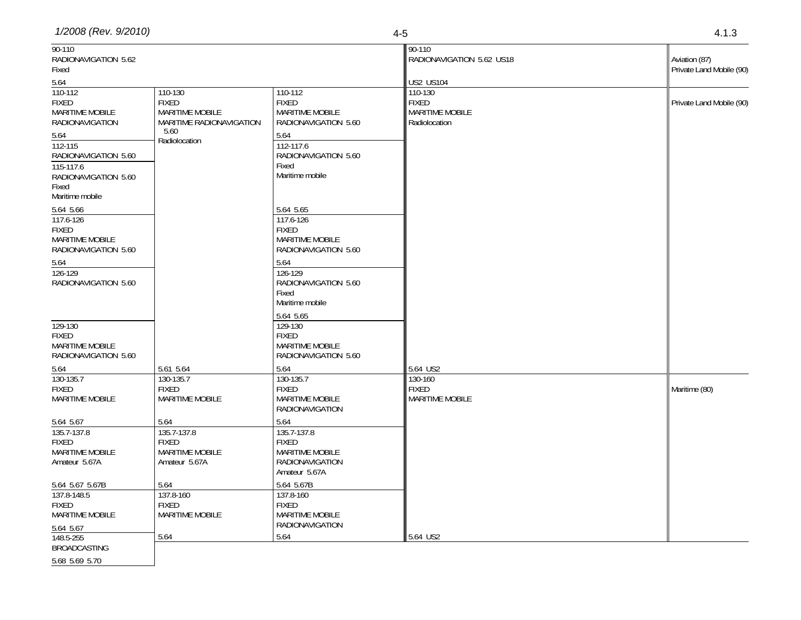| 90-110<br>RADIONAVIGATION 5.62<br>Fixed                                                                                                                     |                                                                                                 |                                                                                                                                                                 | 90-110<br>RADIONAVIGATION 5.62 US18                         | Aviation (87)<br>Private Land Mobile (90) |
|-------------------------------------------------------------------------------------------------------------------------------------------------------------|-------------------------------------------------------------------------------------------------|-----------------------------------------------------------------------------------------------------------------------------------------------------------------|-------------------------------------------------------------|-------------------------------------------|
| 5.64                                                                                                                                                        |                                                                                                 |                                                                                                                                                                 | <b>US2 US104</b>                                            |                                           |
| 110-112<br><b>FIXED</b><br><b>MARITIME MOBILE</b><br><b>RADIONAVIGATION</b><br>5.64<br>112-115<br>RADIONAVIGATION 5.60<br>115-117.6<br>RADIONAVIGATION 5.60 | 110-130<br><b>FIXED</b><br>MARITIME MOBILE<br>MARITIME RADIONAVIGATION<br>5.60<br>Radiolocation | 110-112<br><b>FIXED</b><br><b>MARITIME MOBILE</b><br>RADIONAVIGATION 5.60<br>5.64<br>112-117.6<br>RADIONAVIGATION 5.60<br>Fixed<br>Maritime mobile              | 110-130<br><b>FIXED</b><br>MARITIME MOBILE<br>Radiolocation | Private Land Mobile (90)                  |
| Fixed<br>Maritime mobile                                                                                                                                    |                                                                                                 |                                                                                                                                                                 |                                                             |                                           |
| 5.64 5.66<br>117.6-126<br><b>FIXED</b><br>MARITIME MOBILE<br>RADIONAVIGATION 5.60<br>5.64<br>126-129<br>RADIONAVIGATION 5.60                                |                                                                                                 | 5.64 5.65<br>117.6-126<br><b>FIXED</b><br><b>MARITIME MOBILE</b><br>RADIONAVIGATION 5.60<br>5.64<br>126-129<br>RADIONAVIGATION 5.60<br>Fixed<br>Maritime mobile |                                                             |                                           |
| 129-130<br><b>FIXED</b><br><b>MARITIME MOBILE</b><br>RADIONAVIGATION 5.60                                                                                   |                                                                                                 | 5.64 5.65<br>129-130<br><b>FIXED</b><br><b>MARITIME MOBILE</b><br>RADIONAVIGATION 5.60                                                                          |                                                             |                                           |
| 5.64                                                                                                                                                        | 5.61 5.64                                                                                       | 5.64                                                                                                                                                            | 5.64 US2                                                    |                                           |
| 130-135.7<br><b>FIXED</b><br>MARITIME MOBILE                                                                                                                | 130-135.7<br><b>FIXED</b><br>MARITIME MOBILE                                                    | 130-135.7<br><b>FIXED</b><br><b>MARITIME MOBILE</b><br><b>RADIONAVIGATION</b>                                                                                   | 130-160<br><b>FIXED</b><br><b>MARITIME MOBILE</b>           | Maritime (80)                             |
| 5.64 5.67<br>135.7-137.8<br><b>FIXED</b><br><b>MARITIME MOBILE</b><br>Amateur 5.67A                                                                         | 5.64<br>135.7-137.8<br><b>FIXED</b><br>MARITIME MOBILE<br>Amateur 5.67A                         | 5.64<br>135.7-137.8<br><b>FIXED</b><br><b>MARITIME MOBILE</b><br><b>RADIONAVIGATION</b><br>Amateur 5.67A                                                        |                                                             |                                           |
| 5.64 5.67 5.67B<br>137.8-148.5<br><b>FIXED</b><br><b>MARITIME MOBILE</b><br>5.64 5.67                                                                       | 5.64<br>137.8-160<br><b>FIXED</b><br>MARITIME MOBILE                                            | 5.64 5.67B<br>137.8-160<br><b>FIXED</b><br><b>MARITIME MOBILE</b><br><b>RADIONAVIGATION</b>                                                                     |                                                             |                                           |
| 148.5-255<br><b>BROADCASTING</b>                                                                                                                            | 5.64                                                                                            | 5.64                                                                                                                                                            | 5.64 US2                                                    |                                           |
| 5.68 5.69 5.70                                                                                                                                              |                                                                                                 |                                                                                                                                                                 |                                                             |                                           |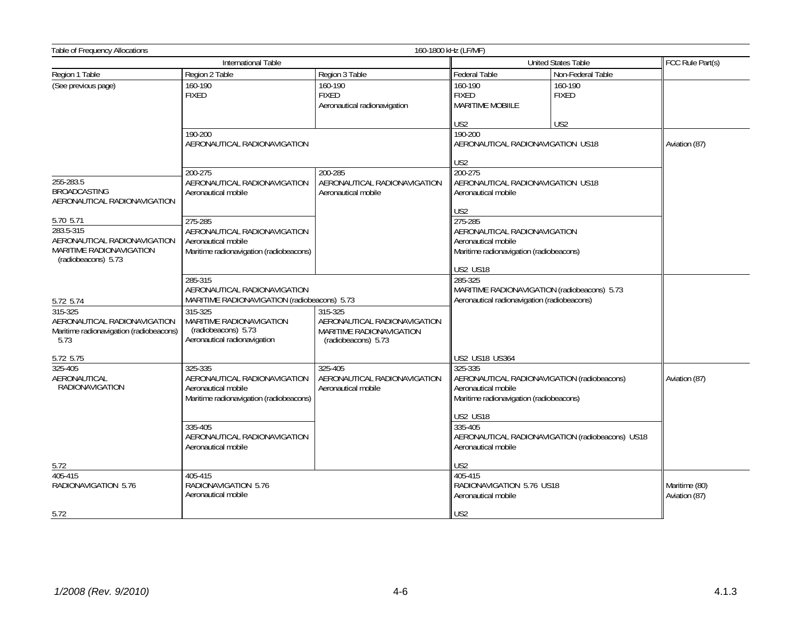| <b>Table of Frequency Allocations</b>                                                        |                                                                                                           | 160-1800 kHz (LF/MF)                                                                       |                                                                                                                          |                                                  |                                |
|----------------------------------------------------------------------------------------------|-----------------------------------------------------------------------------------------------------------|--------------------------------------------------------------------------------------------|--------------------------------------------------------------------------------------------------------------------------|--------------------------------------------------|--------------------------------|
|                                                                                              | International Table                                                                                       |                                                                                            | United States Table                                                                                                      |                                                  | FCC Rule Part(s)               |
| Region 1 Table                                                                               | Region 2 Table                                                                                            | Region 3 Table                                                                             | Federal Table                                                                                                            | Non-Federal Table                                |                                |
| (See previous page)                                                                          | 160-190<br><b>FIXED</b>                                                                                   | 160-190<br><b>FIXED</b><br>Aeronautical radionavigation                                    | 160-190<br><b>FIXED</b><br><b>MARITIME MOBIILE</b><br>US <sub>2</sub>                                                    | 160-190<br><b>FIXED</b>                          |                                |
|                                                                                              | 190-200<br>AERONAUTICAL RADIONAVIGATION                                                                   |                                                                                            | 190-200<br>AERONAUTICAL RADIONAVIGATION US18<br>US <sub>2</sub>                                                          | US <sub>2</sub>                                  | Aviation (87)                  |
| 255-283.5<br><b>BROADCASTING</b><br>AERONAUTICAL RADIONAVIGATION<br>5.70 5.71                | 200-275<br>AERONAUTICAL RADIONAVIGATION<br>Aeronautical mobile<br>275-285                                 | 200-285<br>AERONAUTICAL RADIONAVIGATION<br>Aeronautical mobile                             | 200-275<br>AERONAUTICAL RADIONAVIGATION US18<br>Aeronautical mobile<br>US2<br>275-285                                    |                                                  |                                |
| 283.5-315<br>AERONAUTICAL RADIONAVIGATION<br>MARITIME RADIONAVIGATION<br>(radiobeacons) 5.73 | AERONAUTICAL RADIONAVIGATION<br>Aeronautical mobile<br>Maritime radionavigation (radiobeacons)            |                                                                                            | AERONAUTICAL RADIONAVIGATION<br>Aeronautical mobile<br>Maritime radionavigation (radiobeacons)<br><b>US2 US18</b>        |                                                  |                                |
| 5.72 5.74                                                                                    | 285-315<br>AERONAUTICAL RADIONAVIGATION<br>MARITIME RADIONAVIGATION (radiobeacons) 5.73                   |                                                                                            | 285-325<br>MARITIME RADIONAVIGATION (radiobeacons) 5.73<br>Aeronautical radionavigation (radiobeacons)                   |                                                  |                                |
| 315-325<br>AERONAUTICAL RADIONAVIGATION<br>Maritime radionavigation (radiobeacons)<br>5.73   | 315-325<br>MARITIME RADIONAVIGATION<br>(radiobeacons) 5.73<br>Aeronautical radionavigation                | 315-325<br>AERONAUTICAL RADIONAVIGATION<br>MARITIME RADIONAVIGATION<br>(radiobeacons) 5.73 |                                                                                                                          |                                                  |                                |
| 5.72 5.75                                                                                    |                                                                                                           |                                                                                            | US2 US18 US364                                                                                                           |                                                  |                                |
| 325-405<br>AERONAUTICAL<br><b>RADIONAVIGATION</b>                                            | 325-335<br>AERONAUTICAL RADIONAVIGATION<br>Aeronautical mobile<br>Maritime radionavigation (radiobeacons) | 325-405<br>AERONAUTICAL RADIONAVIGATION<br>Aeronautical mobile                             | 325-335<br>AERONAUTICAL RADIONAVIGATION (radiobeacons)<br>Aeronautical mobile<br>Maritime radionavigation (radiobeacons) |                                                  | Aviation (87)                  |
|                                                                                              | 335-405<br>AERONAUTICAL RADIONAVIGATION<br>Aeronautical mobile                                            |                                                                                            | <b>US2 US18</b><br>335-405<br>Aeronautical mobile                                                                        | AERONAUTICAL RADIONAVIGATION (radiobeacons) US18 |                                |
| 5.72                                                                                         |                                                                                                           |                                                                                            | US <sub>2</sub>                                                                                                          |                                                  |                                |
| 405-415<br>RADIONAVIGATION 5.76                                                              | 405-415<br>RADIONAVIGATION 5.76<br>Aeronautical mobile                                                    |                                                                                            | 405-415<br>RADIONAVIGATION 5.76 US18<br>Aeronautical mobile                                                              |                                                  | Maritime (80)<br>Aviation (87) |
| 5.72                                                                                         |                                                                                                           |                                                                                            | US2                                                                                                                      |                                                  |                                |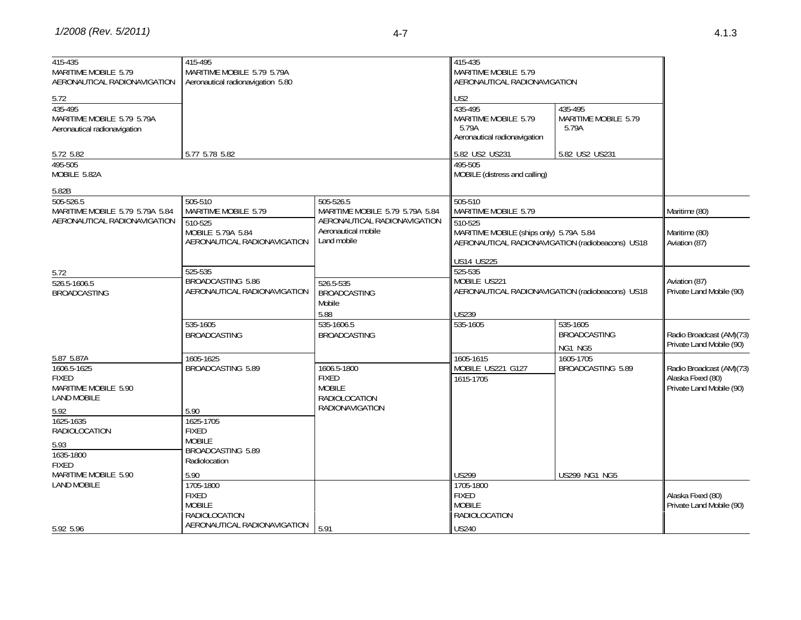| 4.1. | n<br>Ĵ |
|------|--------|
|      |        |

| 415-435<br>MARITIME MOBILE 5.79<br>AERONAUTICAL RADIONAVIGATION                   | 415-495<br>MARITIME MOBILE 5.79 5.79A<br>Aeronautical radionavigation 5.80 |                                                                                                | 415-435<br>MARITIME MOBILE 5.79<br>AERONAUTICAL RADIONAVIGATION                             |                                                  |                                                                           |
|-----------------------------------------------------------------------------------|----------------------------------------------------------------------------|------------------------------------------------------------------------------------------------|---------------------------------------------------------------------------------------------|--------------------------------------------------|---------------------------------------------------------------------------|
| 5.72<br>435-495<br>MARITIME MOBILE 5.79 5.79A<br>Aeronautical radionavigation     |                                                                            |                                                                                                | US <sub>2</sub><br>435-495<br>MARITIME MOBILE 5.79<br>5.79A<br>Aeronautical radionavigation | 435-495<br>MARITIME MOBILE 5.79<br>5.79A         |                                                                           |
| 5.72 5.82                                                                         | 5.77 5.78 5.82                                                             |                                                                                                | 5.82 US2 US231                                                                              | 5.82 US2 US231                                   |                                                                           |
| 495-505<br>MOBILE 5.82A                                                           |                                                                            |                                                                                                | 495-505<br>MOBILE (distress and calling)                                                    |                                                  |                                                                           |
| 5.82B                                                                             |                                                                            |                                                                                                |                                                                                             |                                                  |                                                                           |
| $505 - 526.5$<br>MARITIME MOBILE 5.79 5.79A 5.84                                  | 505-510<br>MARITIME MOBILE 5.79                                            | 505-526.5<br>MARITIME MOBILE 5.79 5.79A 5.84                                                   | 505-510<br>MARITIME MOBILE 5.79                                                             |                                                  | Maritime (80)                                                             |
| AERONAUTICAL RADIONAVIGATION                                                      | 510-525<br>MOBILE 5.79A 5.84<br>AERONAUTICAL RADIONAVIGATION               | AERONAUTICAL RADIONAVIGATION<br>Aeronautical mobile<br>Land mobile                             | 510-525<br>MARITIME MOBILE (ships only) 5.79A 5.84                                          | AERONAUTICAL RADIONAVIGATION (radiobeacons) US18 | Maritime (80)<br>Aviation (87)                                            |
| 5.72                                                                              | 525-535                                                                    |                                                                                                | US14 US225<br>525-535                                                                       |                                                  |                                                                           |
| 526.5-1606.5<br><b>BROADCASTING</b>                                               | BROADCASTING 5.86<br>AERONAUTICAL RADIONAVIGATION                          | 526.5-535<br><b>BROADCASTING</b><br>Mobile                                                     | MOBILE US221                                                                                | AERONAUTICAL RADIONAVIGATION (radiobeacons) US18 | Aviation (87)<br>Private Land Mobile (90)                                 |
|                                                                                   |                                                                            | 5.88                                                                                           | <b>US239</b>                                                                                |                                                  |                                                                           |
|                                                                                   | 535-1605<br><b>BROADCASTING</b>                                            | 535-1606.5<br><b>BROADCASTING</b>                                                              | 535-1605                                                                                    | 535-1605<br><b>BROADCASTING</b><br>NG1 NG5       | Radio Broadcast (AM)(73)<br>Private Land Mobile (90)                      |
| 5.87 5.87A                                                                        | 1605-1625                                                                  |                                                                                                | 1605-1615                                                                                   | 1605-1705                                        |                                                                           |
| 1606.5-1625<br><b>FIXED</b><br>MARITIME MOBILE 5.90<br><b>LAND MOBILE</b><br>5.92 | BROADCASTING 5.89<br>5.90                                                  | 1606.5-1800<br><b>FIXED</b><br><b>MOBILE</b><br><b>RADIOLOCATION</b><br><b>RADIONAVIGATION</b> | MOBILE US221 G127<br>$1615 - 1705$                                                          | BROADCASTING 5.89                                | Radio Broadcast (AM)(73)<br>Alaska Fixed (80)<br>Private Land Mobile (90) |
| 1625-1635<br><b>RADIOLOCATION</b>                                                 | 1625-1705<br><b>FIXED</b>                                                  |                                                                                                |                                                                                             |                                                  |                                                                           |
| 5.93<br>1635-1800<br><b>FIXED</b>                                                 | <b>MOBILE</b><br>BROADCASTING 5.89<br>Radiolocation                        |                                                                                                |                                                                                             |                                                  |                                                                           |
| MARITIME MOBILE 5.90                                                              | 5.90                                                                       |                                                                                                | US299                                                                                       | <b>US299 NG1 NG5</b>                             |                                                                           |
| <b>LAND MOBILE</b>                                                                | 1705-1800<br><b>FIXED</b><br><b>MOBILE</b><br>RADIOLOCATION                |                                                                                                | 1705-1800<br><b>FIXED</b><br><b>MOBILE</b><br>RADIOLOCATION                                 |                                                  | Alaska Fixed (80)<br>Private Land Mobile (90)                             |
| 5.92 5.96                                                                         | AERONAUTICAL RADIONAVIGATION                                               | 5.91                                                                                           | <b>US240</b>                                                                                |                                                  |                                                                           |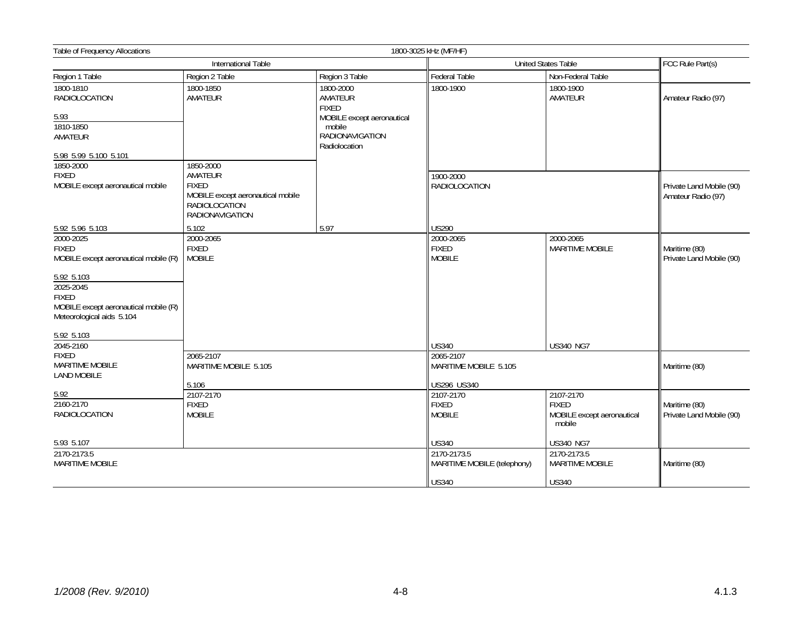| Table of Frequency Allocations                                                                  |                                                                                                                             |                                                   | 1800-3025 kHz (MF/HF)                      |                                       |                                                |
|-------------------------------------------------------------------------------------------------|-----------------------------------------------------------------------------------------------------------------------------|---------------------------------------------------|--------------------------------------------|---------------------------------------|------------------------------------------------|
|                                                                                                 | International Table                                                                                                         |                                                   | <b>United States Table</b>                 |                                       | FCC Rule Part(s)                               |
| Region 1 Table                                                                                  | Region 2 Table                                                                                                              | Region 3 Table                                    | Federal Table                              | Non-Federal Table                     |                                                |
| 1800-1810<br>RADIOLOCATION                                                                      | 1800-1850<br>AMATEUR                                                                                                        | 1800-2000<br>AMATEUR<br><b>FIXED</b>              | 1800-1900                                  | 1800-1900<br>AMATEUR                  | Amateur Radio (97)                             |
| 5.93                                                                                            |                                                                                                                             | MOBILE except aeronautical                        |                                            |                                       |                                                |
| 1810-1850<br>AMATEUR                                                                            |                                                                                                                             | mobile<br><b>RADIONAVIGATION</b><br>Radiolocation |                                            |                                       |                                                |
| 5.98 5.99 5.100 5.101                                                                           |                                                                                                                             |                                                   |                                            |                                       |                                                |
| 1850-2000<br><b>FIXED</b><br>MOBILE except aeronautical mobile                                  | 1850-2000<br>AMATEUR<br><b>FIXED</b><br>MOBILE except aeronautical mobile<br><b>RADIOLOCATION</b><br><b>RADIONAVIGATION</b> |                                                   | 1900-2000<br><b>RADIOLOCATION</b>          |                                       | Private Land Mobile (90)<br>Amateur Radio (97) |
| 5.92 5.96 5.103                                                                                 | 5.102                                                                                                                       | 5.97                                              | US290                                      |                                       |                                                |
| 2000-2025<br><b>FIXED</b><br>MOBILE except aeronautical mobile (R)                              | 2000-2065<br><b>FIXED</b><br><b>MOBILE</b>                                                                                  |                                                   | 2000-2065<br><b>FIXED</b><br><b>MOBILE</b> | 2000-2065<br><b>MARITIME MOBILE</b>   | Maritime (80)<br>Private Land Mobile (90)      |
| 5.92 5.103                                                                                      |                                                                                                                             |                                                   |                                            |                                       |                                                |
| 2025-2045<br><b>FIXED</b><br>MOBILE except aeronautical mobile (R)<br>Meteorological aids 5.104 |                                                                                                                             |                                                   |                                            |                                       |                                                |
| 5.92 5.103                                                                                      |                                                                                                                             |                                                   |                                            |                                       |                                                |
| 2045-2160                                                                                       |                                                                                                                             |                                                   | US340                                      | <b>US340 NG7</b>                      |                                                |
| <b>FIXED</b><br>MARITIME MOBILE<br><b>LAND MOBILE</b>                                           | 2065-2107<br>MARITIME MOBILE 5.105                                                                                          |                                                   | 2065-2107<br>MARITIME MOBILE 5.105         |                                       | Maritime (80)                                  |
|                                                                                                 | 5.106                                                                                                                       |                                                   | US296 US340                                |                                       |                                                |
| 5.92<br>2160-2170                                                                               | 2107-2170<br><b>FIXED</b>                                                                                                   |                                                   | 2107-2170<br><b>FIXED</b>                  | 2107-2170<br><b>FIXED</b>             | Maritime (80)                                  |
| <b>RADIOLOCATION</b>                                                                            | <b>MOBILE</b>                                                                                                               |                                                   | <b>MOBILE</b>                              | MOBILE except aeronautical<br>mobile  | Private Land Mobile (90)                       |
| 5.93 5.107                                                                                      |                                                                                                                             |                                                   | US340                                      | <b>US340 NG7</b>                      |                                                |
| 2170-2173.5<br><b>MARITIME MOBILE</b>                                                           |                                                                                                                             |                                                   | 2170-2173.5<br>MARITIME MOBILE (telephony) | 2170-2173.5<br><b>MARITIME MOBILE</b> | Maritime (80)                                  |
|                                                                                                 |                                                                                                                             |                                                   | <b>US340</b>                               | <b>US340</b>                          |                                                |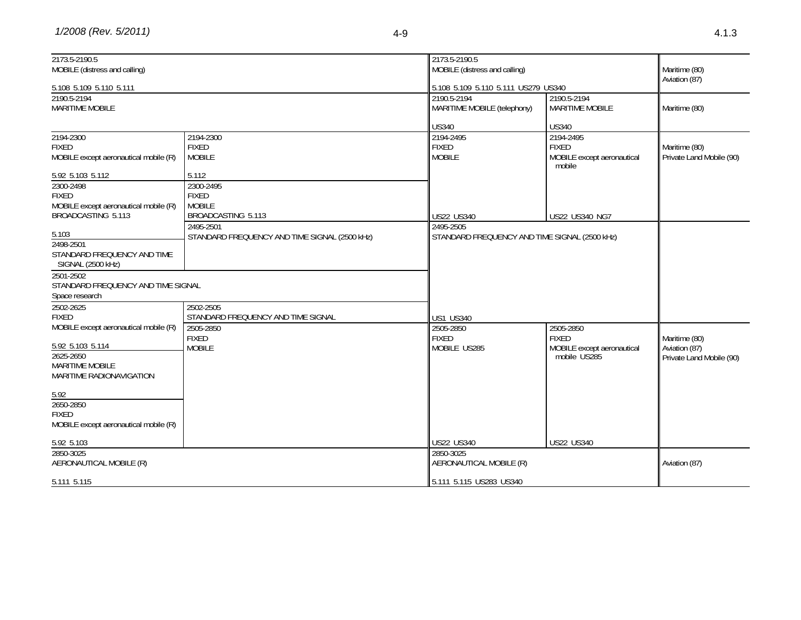| 2173.5-2190.5                                    |                                               | 2173.5-2190.5                                 |                                      |                          |  |
|--------------------------------------------------|-----------------------------------------------|-----------------------------------------------|--------------------------------------|--------------------------|--|
| MOBILE (distress and calling)                    |                                               | MOBILE (distress and calling)                 |                                      |                          |  |
| 5.108 5.109 5.110 5.111                          |                                               | 5.108 5.109 5.110 5.111 US279 US340           |                                      | Aviation (87)            |  |
| 2190.5-2194                                      |                                               | 2190.5-2194                                   | 2190.5-2194                          |                          |  |
| <b>MARITIME MOBILE</b>                           |                                               | MARITIME MOBILE (telephony)                   | <b>MARITIME MOBILE</b>               | Maritime (80)            |  |
|                                                  |                                               |                                               |                                      |                          |  |
|                                                  |                                               | <b>US340</b>                                  | <b>US340</b>                         |                          |  |
| 2194-2300                                        | 2194-2300                                     | 2194-2495                                     | 2194-2495                            |                          |  |
| <b>FIXED</b>                                     | <b>FIXED</b>                                  | <b>FIXED</b>                                  | <b>FIXED</b>                         | Maritime (80)            |  |
| MOBILE except aeronautical mobile (R)            | <b>MOBILE</b>                                 | <b>MOBILE</b>                                 | MOBILE except aeronautical<br>mobile | Private Land Mobile (90) |  |
| 5.92 5.103 5.112                                 | 5.112                                         |                                               |                                      |                          |  |
| 2300-2498                                        | 2300-2495                                     |                                               |                                      |                          |  |
| <b>FIXED</b>                                     | <b>FIXED</b>                                  |                                               |                                      |                          |  |
| MOBILE except aeronautical mobile (R)            | <b>MOBILE</b>                                 |                                               |                                      |                          |  |
| BROADCASTING 5.113                               | BROADCASTING 5.113                            | <b>US22 US340</b>                             | <b>US22 US340 NG7</b>                |                          |  |
|                                                  | 2495-2501                                     | 2495-2505                                     |                                      |                          |  |
| 5.103                                            | STANDARD FREQUENCY AND TIME SIGNAL (2500 kHz) | STANDARD FREQUENCY AND TIME SIGNAL (2500 kHz) |                                      |                          |  |
| 2498-2501                                        |                                               |                                               |                                      |                          |  |
| STANDARD FREQUENCY AND TIME<br>SIGNAL (2500 kHz) |                                               |                                               |                                      |                          |  |
| 2501-2502                                        |                                               |                                               |                                      |                          |  |
| STANDARD FREQUENCY AND TIME SIGNAL               |                                               |                                               |                                      |                          |  |
| Space research                                   |                                               |                                               |                                      |                          |  |
| 2502-2625                                        | 2502-2505                                     |                                               |                                      |                          |  |
| <b>FIXED</b>                                     | STANDARD FREQUENCY AND TIME SIGNAL            | <b>US1 US340</b>                              |                                      |                          |  |
| MOBILE except aeronautical mobile (R)            | 2505-2850                                     | 2505-2850                                     | 2505-2850                            |                          |  |
|                                                  | <b>FIXED</b>                                  | <b>FIXED</b>                                  | <b>FIXED</b>                         | Maritime (80)            |  |
| 5.92 5.103 5.114                                 | <b>MOBILE</b>                                 | MOBILE US285                                  | MOBILE except aeronautical           | Aviation (87)            |  |
| 2625-2650                                        |                                               |                                               | mobile US285                         | Private Land Mobile (90) |  |
| MARITIME MOBILE                                  |                                               |                                               |                                      |                          |  |
| MARITIME RADIONAVIGATION                         |                                               |                                               |                                      |                          |  |
|                                                  |                                               |                                               |                                      |                          |  |
| 5.92                                             |                                               |                                               |                                      |                          |  |
| 2650-2850                                        |                                               |                                               |                                      |                          |  |
| <b>FIXED</b>                                     |                                               |                                               |                                      |                          |  |
| MOBILE except aeronautical mobile (R)            |                                               |                                               |                                      |                          |  |
|                                                  |                                               |                                               |                                      |                          |  |
| 5.92 5.103                                       |                                               | <b>US22 US340</b>                             | <b>US22 US340</b>                    |                          |  |
| 2850-3025                                        |                                               | 2850-3025                                     |                                      |                          |  |
| AERONAUTICAL MOBILE (R)                          |                                               | AERONAUTICAL MOBILE (R)                       |                                      | Aviation (87)            |  |
|                                                  |                                               |                                               |                                      |                          |  |
| 5.111 5.115                                      |                                               | 5.111 5.115 US283 US340                       |                                      |                          |  |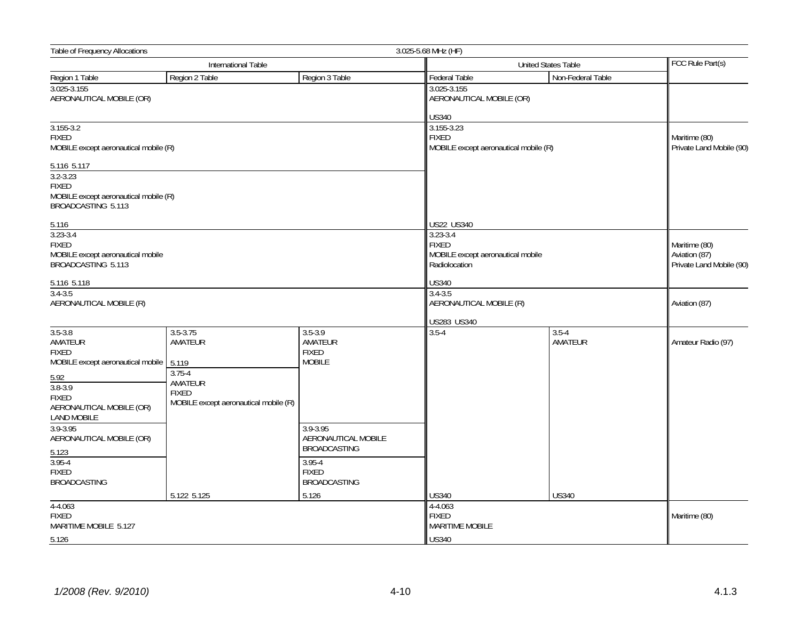| Table of Frequency Allocations                                                                                                                                       |                                                                                                                    |                                                                                      | 3.025-5.68 MHz (HF)                                                                              |                      |                                                            |
|----------------------------------------------------------------------------------------------------------------------------------------------------------------------|--------------------------------------------------------------------------------------------------------------------|--------------------------------------------------------------------------------------|--------------------------------------------------------------------------------------------------|----------------------|------------------------------------------------------------|
|                                                                                                                                                                      | International Table                                                                                                |                                                                                      | United States Table                                                                              |                      | FCC Rule Part(s)                                           |
| Region 1 Table                                                                                                                                                       | Region 2 Table                                                                                                     | Region 3 Table                                                                       | Federal Table                                                                                    | Non-Federal Table    |                                                            |
| 3.025-3.155<br>AERONAUTICAL MOBILE (OR)                                                                                                                              |                                                                                                                    |                                                                                      | 3.025-3.155<br>AERONAUTICAL MOBILE (OR)                                                          |                      |                                                            |
| $3.155 - 3.2$<br><b>FIXED</b><br>MOBILE except aeronautical mobile (R)                                                                                               |                                                                                                                    |                                                                                      | <b>US340</b><br>3.155-3.23<br><b>FIXED</b><br>MOBILE except aeronautical mobile (R)              |                      | Maritime (80)<br>Private Land Mobile (90)                  |
| 5.116 5.117<br>$3.2 - 3.23$<br><b>FIXED</b><br>MOBILE except aeronautical mobile (R)<br>BROADCASTING 5.113                                                           |                                                                                                                    |                                                                                      |                                                                                                  |                      |                                                            |
| 5.116<br>$3.23 - 3.4$<br><b>FIXED</b><br>MOBILE except aeronautical mobile<br>BROADCASTING 5.113                                                                     |                                                                                                                    |                                                                                      | US22 US340<br>$3.23 - 3.4$<br><b>FIXED</b><br>MOBILE except aeronautical mobile<br>Radiolocation |                      | Maritime (80)<br>Aviation (87)<br>Private Land Mobile (90) |
| 5.116 5.118                                                                                                                                                          |                                                                                                                    |                                                                                      | <b>US340</b>                                                                                     |                      |                                                            |
| $3.4 - 3.5$<br>AERONAUTICAL MOBILE (R)                                                                                                                               |                                                                                                                    |                                                                                      | $3.4 - 3.5$<br>AERONAUTICAL MOBILE (R)                                                           |                      | Aviation (87)                                              |
|                                                                                                                                                                      |                                                                                                                    |                                                                                      | US283 US340                                                                                      |                      |                                                            |
| $3.5 - 3.8$<br>AMATEUR<br><b>FIXED</b><br>MOBILE except aeronautical mobile<br>5.92<br>$3.8 - 3.9$<br><b>FIXED</b><br>AERONAUTICAL MOBILE (OR)<br><b>LAND MOBILE</b> | $3.5 - 3.75$<br>AMATEUR<br>5.119<br>$3.75 - 4$<br>AMATEUR<br><b>FIXED</b><br>MOBILE except aeronautical mobile (R) | $3.5 - 3.9$<br>AMATEUR<br><b>FIXED</b><br><b>MOBILE</b>                              | $3.5 - 4$                                                                                        | $3.5 - 4$<br>AMATEUR | Amateur Radio (97)                                         |
| 3.9-3.95<br>AERONAUTICAL MOBILE (OR)<br>5.123<br>$3.95 - 4$<br><b>FIXED</b>                                                                                          |                                                                                                                    | 3.9-3.95<br>AERONAUTICAL MOBILE<br><b>BROADCASTING</b><br>$3.95 - 4$<br><b>FIXED</b> |                                                                                                  |                      |                                                            |
| <b>BROADCASTING</b>                                                                                                                                                  |                                                                                                                    | <b>BROADCASTING</b>                                                                  |                                                                                                  |                      |                                                            |
|                                                                                                                                                                      | 5.122 5.125                                                                                                        | 5.126                                                                                | <b>US340</b>                                                                                     | <b>US340</b>         |                                                            |
| $4 - 4.063$<br><b>FIXED</b><br>MARITIME MOBILE 5.127                                                                                                                 |                                                                                                                    |                                                                                      | $4 - 4.063$<br><b>FIXED</b><br><b>MARITIME MOBILE</b>                                            |                      | Maritime (80)                                              |
| 5.126                                                                                                                                                                |                                                                                                                    |                                                                                      | <b>US340</b>                                                                                     |                      |                                                            |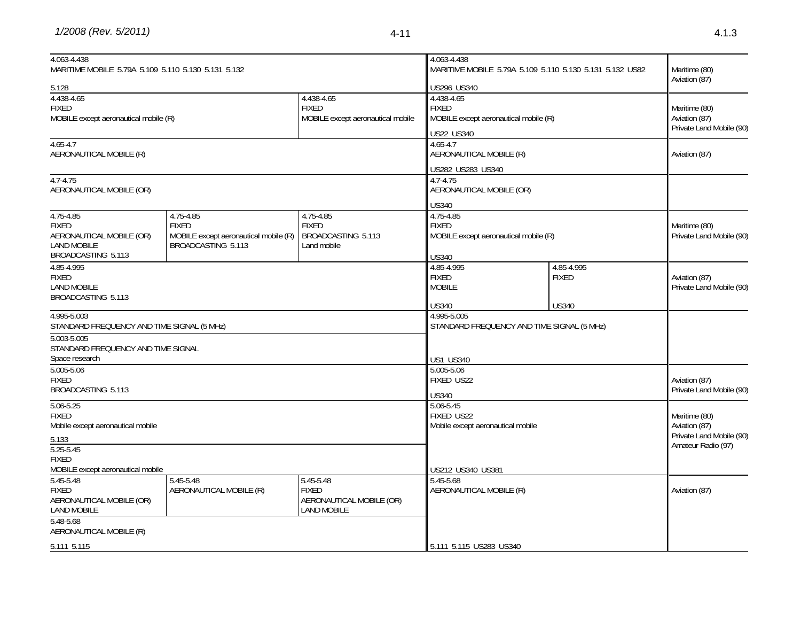*1/2008 (Rev. 5/2011)* 4-11

| 4.063-4.438                                                                                       | MARITIME MOBILE 5.79A 5.109 5.110 5.130 5.131 5.132                                      |                                                                             |                                                                                                    | 4.063-4.438<br>MARITIME MOBILE 5.79A 5.109 5.110 5.130 5.131 5.132 US82 |                                                                                  |
|---------------------------------------------------------------------------------------------------|------------------------------------------------------------------------------------------|-----------------------------------------------------------------------------|----------------------------------------------------------------------------------------------------|-------------------------------------------------------------------------|----------------------------------------------------------------------------------|
| 5.128                                                                                             |                                                                                          |                                                                             | US296 US340                                                                                        |                                                                         | Aviation (87)                                                                    |
| 4.438-4.65<br><b>FIXED</b><br>MOBILE except aeronautical mobile (R)                               |                                                                                          | 4.438-4.65<br><b>FIXED</b><br>MOBILE except aeronautical mobile             | 4.438-4.65<br><b>FIXED</b><br>MOBILE except aeronautical mobile (R)<br>US22 US340                  |                                                                         | Maritime (80)<br>Aviation (87)<br>Private Land Mobile (90)                       |
| $4.65 - 4.7$<br>AERONAUTICAL MOBILE (R)                                                           |                                                                                          |                                                                             | $4.65 - 4.7$<br>AERONAUTICAL MOBILE (R)                                                            |                                                                         | Aviation (87)                                                                    |
| $4.7 - 4.75$<br>AERONAUTICAL MOBILE (OR)                                                          |                                                                                          |                                                                             | US282 US283 US340<br>$4.7 - 4.75$<br>AERONAUTICAL MOBILE (OR)                                      |                                                                         |                                                                                  |
| 4.75-4.85<br><b>FIXED</b><br>AERONAUTICAL MOBILE (OR)<br><b>LAND MOBILE</b><br>BROADCASTING 5.113 | 4.75-4.85<br><b>FIXED</b><br>MOBILE except aeronautical mobile (R)<br>BROADCASTING 5.113 | 4.75-4.85<br><b>FIXED</b><br>BROADCASTING 5.113<br>Land mobile              | <b>US340</b><br>4.75-4.85<br><b>FIXED</b><br>MOBILE except aeronautical mobile (R)<br><b>US340</b> |                                                                         | Maritime (80)<br>Private Land Mobile (90)                                        |
| 4.85-4.995<br><b>FIXED</b><br><b>LAND MOBILE</b><br>BROADCASTING 5.113                            |                                                                                          |                                                                             | 4.85-4.995<br><b>FIXED</b><br><b>MOBILE</b>                                                        | 4.85-4.995<br><b>FIXED</b>                                              | Aviation (87)<br>Private Land Mobile (90)                                        |
| 4.995-5.003<br>STANDARD FREQUENCY AND TIME SIGNAL (5 MHz)                                         |                                                                                          |                                                                             | <b>US340</b><br>4.995-5.005<br>STANDARD FREQUENCY AND TIME SIGNAL (5 MHz)                          | <b>US340</b>                                                            |                                                                                  |
| 5.003-5.005<br>STANDARD FREQUENCY AND TIME SIGNAL<br>Space research                               |                                                                                          |                                                                             | <b>US1 US340</b>                                                                                   |                                                                         |                                                                                  |
| 5.005-5.06<br><b>FIXED</b><br>BROADCASTING 5.113                                                  |                                                                                          |                                                                             | 5.005-5.06<br>FIXED US22<br><b>US340</b>                                                           |                                                                         | Aviation (87)<br>Private Land Mobile (90)                                        |
| $5.06 - 5.25$<br><b>FIXED</b><br>Mobile except aeronautical mobile<br>5.133<br>$5.25 - 5.45$      |                                                                                          |                                                                             | $5.06 - 5.45$<br>FIXED US22<br>Mobile except aeronautical mobile                                   |                                                                         | Maritime (80)<br>Aviation (87)<br>Private Land Mobile (90)<br>Amateur Radio (97) |
| <b>FIXED</b><br>MOBILE except aeronautical mobile                                                 |                                                                                          |                                                                             | US212 US340 US381                                                                                  |                                                                         |                                                                                  |
| 5.45-5.48<br><b>FIXED</b><br>AERONAUTICAL MOBILE (OR)<br><b>LAND MOBILE</b>                       | 5.45-5.48<br>AERONAUTICAL MOBILE (R)                                                     | 5.45-5.48<br><b>FIXED</b><br>AERONAUTICAL MOBILE (OR)<br><b>LAND MOBILE</b> | 5.45-5.68<br>AERONAUTICAL MOBILE (R)                                                               |                                                                         | Aviation (87)                                                                    |
| 5.48-5.68<br>AERONAUTICAL MOBILE (R)<br>5.111 5.115                                               |                                                                                          |                                                                             | 5.111 5.115 US283 US340                                                                            |                                                                         |                                                                                  |
|                                                                                                   |                                                                                          |                                                                             |                                                                                                    |                                                                         |                                                                                  |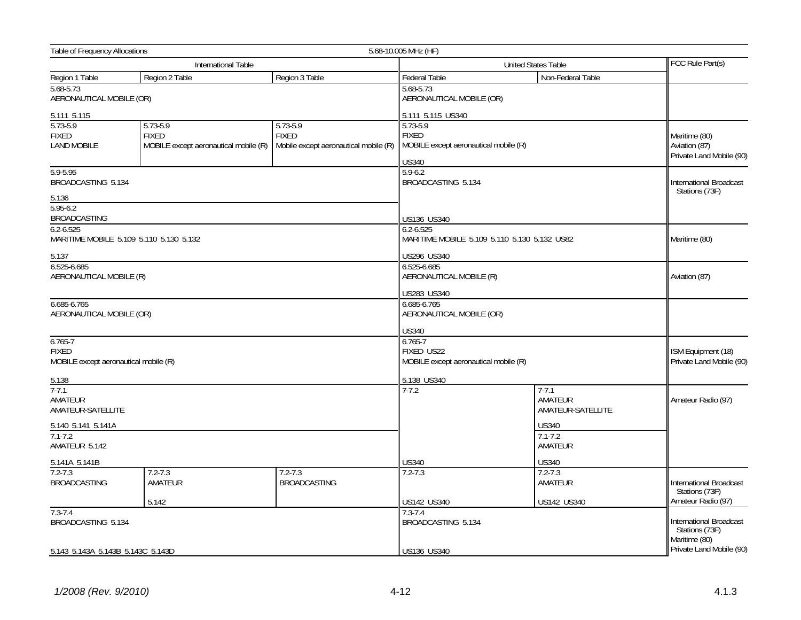| <b>Table of Frequency Allocations</b>                                |                                                                   |                                                                       | 5.68-10.005 MHz (HF)                                                              |                                                  |                                                            |  |
|----------------------------------------------------------------------|-------------------------------------------------------------------|-----------------------------------------------------------------------|-----------------------------------------------------------------------------------|--------------------------------------------------|------------------------------------------------------------|--|
|                                                                      | International Table                                               |                                                                       |                                                                                   | FCC Rule Part(s)                                 |                                                            |  |
| Region 1 Table                                                       | Region 2 Table                                                    | Region 3 Table                                                        | Federal Table                                                                     | Non-Federal Table                                |                                                            |  |
| 5.68-5.73<br>AERONAUTICAL MOBILE (OR)                                |                                                                   |                                                                       | 5.68-5.73<br>AERONAUTICAL MOBILE (OR)                                             |                                                  |                                                            |  |
| 5.111 5.115                                                          |                                                                   |                                                                       | 5.111 5.115 US340                                                                 |                                                  |                                                            |  |
| $5.73 - 5.9$<br><b>FIXED</b><br><b>LAND MOBILE</b>                   | 5.73-5.9<br><b>FIXED</b><br>MOBILE except aeronautical mobile (R) | $5.73 - 5.9$<br><b>FIXED</b><br>Mobile except aeronautical mobile (R) | 5.73-5.9<br><b>FIXED</b><br>MOBILE except aeronautical mobile (R)<br><b>US340</b> |                                                  | Maritime (80)<br>Aviation (87)<br>Private Land Mobile (90) |  |
| 5.9-5.95<br>BROADCASTING 5.134<br>5.136                              |                                                                   |                                                                       | $5.9 - 6.2$<br>BROADCASTING 5.134                                                 | <b>International Broadcast</b><br>Stations (73F) |                                                            |  |
| $5.95 - 6.2$<br><b>BROADCASTING</b><br>$6.2 - 6.525$                 |                                                                   |                                                                       | US136 US340<br>$6.2 - 6.525$                                                      |                                                  |                                                            |  |
| MARITIME MOBILE 5.109 5.110 5.130 5.132<br>5.137                     |                                                                   |                                                                       | US296 US340                                                                       | MARITIME MOBILE 5.109 5.110 5.130 5.132 US82     | Maritime (80)                                              |  |
| $6.525 - 6.685$<br>AERONAUTICAL MOBILE (R)                           |                                                                   |                                                                       | 6.525-6.685<br>AERONAUTICAL MOBILE (R)<br>US283 US340                             | Aviation (87)                                    |                                                            |  |
| 6.685-6.765<br>AERONAUTICAL MOBILE (OR)                              |                                                                   |                                                                       | 6.685-6.765<br>AERONAUTICAL MOBILE (OR)                                           |                                                  |                                                            |  |
|                                                                      |                                                                   |                                                                       | <b>US340</b>                                                                      |                                                  |                                                            |  |
| $6.765 - 7$<br><b>FIXED</b><br>MOBILE except aeronautical mobile (R) |                                                                   |                                                                       | $6.765 - 7$<br>FIXED US22<br>MOBILE except aeronautical mobile (R)                | ISM Equipment (18)<br>Private Land Mobile (90)   |                                                            |  |
| 5.138                                                                |                                                                   |                                                                       | 5.138 US340                                                                       |                                                  |                                                            |  |
| $7 - 7.1$<br>AMATEUR<br>AMATEUR-SATELLITE                            |                                                                   |                                                                       | $7-7.2$                                                                           | $7 - 7.1$<br>AMATEUR<br>AMATEUR-SATELLITE        | Amateur Radio (97)                                         |  |
| 5.140 5.141 5.141A<br>$7.1 - 7.2$<br>AMATEUR 5.142                   |                                                                   |                                                                       |                                                                                   | <b>US340</b><br>$7.1 - 7.2$<br>AMATEUR           |                                                            |  |
| 5.141A 5.141B                                                        |                                                                   |                                                                       | <b>US340</b>                                                                      | <b>US340</b>                                     |                                                            |  |
| $7.2 - 7.3$<br><b>BROADCASTING</b>                                   | $7.2 - 7.3$<br>AMATEUR                                            | $7.2 - 7.3$<br><b>BROADCASTING</b>                                    | $7.2 - 7.3$                                                                       | $7.2 - 7.3$<br>AMATEUR                           | <b>International Broadcast</b><br>Stations (73F)           |  |
|                                                                      | 5.142                                                             |                                                                       | US142 US340                                                                       | US142 US340                                      | Amateur Radio (97)                                         |  |
| $7.3 - 7.4$<br>BROADCASTING 5.134                                    |                                                                   |                                                                       | $7.3 - 7.4$<br>BROADCASTING 5.134                                                 |                                                  | International Broadcast<br>Stations (73F)<br>Maritime (80) |  |
| 5.143 5.143A 5.143B 5.143C 5.143D                                    |                                                                   |                                                                       | US136 US340                                                                       |                                                  | Private Land Mobile (90)                                   |  |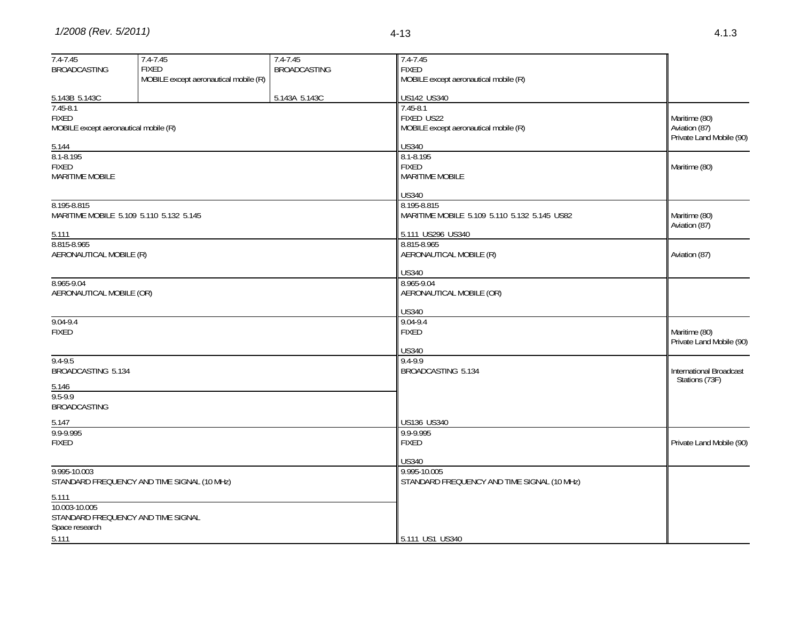| $7.4 - 7.45$                          | $7.4 - 7.45$                                          | 7.4-7.45            | $7.4 - 7.45$                                          |                                           |
|---------------------------------------|-------------------------------------------------------|---------------------|-------------------------------------------------------|-------------------------------------------|
| <b>BROADCASTING</b>                   | <b>FIXED</b><br>MOBILE except aeronautical mobile (R) | <b>BROADCASTING</b> | <b>FIXED</b><br>MOBILE except aeronautical mobile (R) |                                           |
|                                       |                                                       |                     |                                                       |                                           |
| 5.143B 5.143C                         |                                                       | 5.143A 5.143C       | US142 US340                                           |                                           |
| $7.45 - 8.1$                          |                                                       |                     | $7.45 - 8.1$                                          |                                           |
| <b>FIXED</b>                          |                                                       |                     | FIXED US22                                            | Maritime (80)                             |
| MOBILE except aeronautical mobile (R) |                                                       |                     | MOBILE except aeronautical mobile (R)                 | Aviation (87)<br>Private Land Mobile (90) |
| 5.144                                 |                                                       |                     | <b>US340</b>                                          |                                           |
| $8.1 - 8.195$                         |                                                       |                     | 8.1-8.195                                             |                                           |
| <b>FIXED</b>                          |                                                       |                     | <b>FIXED</b>                                          | Maritime (80)                             |
| <b>MARITIME MOBILE</b>                |                                                       |                     | <b>MARITIME MOBILE</b>                                |                                           |
|                                       |                                                       |                     | <b>US340</b>                                          |                                           |
| 8.195-8.815                           |                                                       |                     | 8.195-8.815                                           |                                           |
|                                       | MARITIME MOBILE 5.109 5.110 5.132 5.145               |                     | MARITIME MOBILE 5.109 5.110 5.132 5.145 US82          | Maritime (80)                             |
| 5.111                                 |                                                       |                     | 5.111 US296 US340                                     | Aviation (87)                             |
| 8.815-8.965                           |                                                       |                     | 8.815-8.965                                           |                                           |
| AERONAUTICAL MOBILE (R)               |                                                       |                     | AERONAUTICAL MOBILE (R)                               | Aviation (87)                             |
|                                       |                                                       |                     | <b>US340</b>                                          |                                           |
| 8.965-9.04                            |                                                       |                     | 8.965-9.04                                            |                                           |
| AERONAUTICAL MOBILE (OR)              |                                                       |                     | AERONAUTICAL MOBILE (OR)                              |                                           |
|                                       |                                                       |                     |                                                       |                                           |
|                                       |                                                       |                     | <b>US340</b>                                          |                                           |
| $9.04 - 9.4$<br><b>FIXED</b>          |                                                       |                     | $9.04 - 9.4$<br><b>FIXED</b>                          | Maritime (80)                             |
|                                       |                                                       |                     |                                                       | Private Land Mobile (90)                  |
|                                       |                                                       |                     | <b>US340</b>                                          |                                           |
| 9.4-9.5                               |                                                       |                     | 9.4-9.9                                               |                                           |
| BROADCASTING 5.134                    |                                                       |                     | BROADCASTING 5.134                                    | International Broadcast                   |
| 5.146                                 |                                                       |                     |                                                       | Stations (73F)                            |
| 9.5-9.9                               |                                                       |                     |                                                       |                                           |
| <b>BROADCASTING</b>                   |                                                       |                     |                                                       |                                           |
| 5.147                                 |                                                       |                     | US136 US340                                           |                                           |
| 9.9-9.995                             |                                                       |                     | 9.9-9.995                                             |                                           |
| <b>FIXED</b>                          |                                                       |                     | <b>FIXED</b>                                          | Private Land Mobile (90)                  |
|                                       |                                                       |                     | US340                                                 |                                           |
| 9.995-10.003                          |                                                       |                     | 9.995-10.005                                          |                                           |
|                                       | STANDARD FREQUENCY AND TIME SIGNAL (10 MHz)           |                     | STANDARD FREQUENCY AND TIME SIGNAL (10 MHz)           |                                           |
| 5.111                                 |                                                       |                     |                                                       |                                           |
| 10.003-10.005                         |                                                       |                     |                                                       |                                           |
|                                       | STANDARD FREQUENCY AND TIME SIGNAL                    |                     |                                                       |                                           |
| Space research                        |                                                       |                     |                                                       |                                           |
| 5.111                                 |                                                       |                     | 5.111 US1 US340                                       |                                           |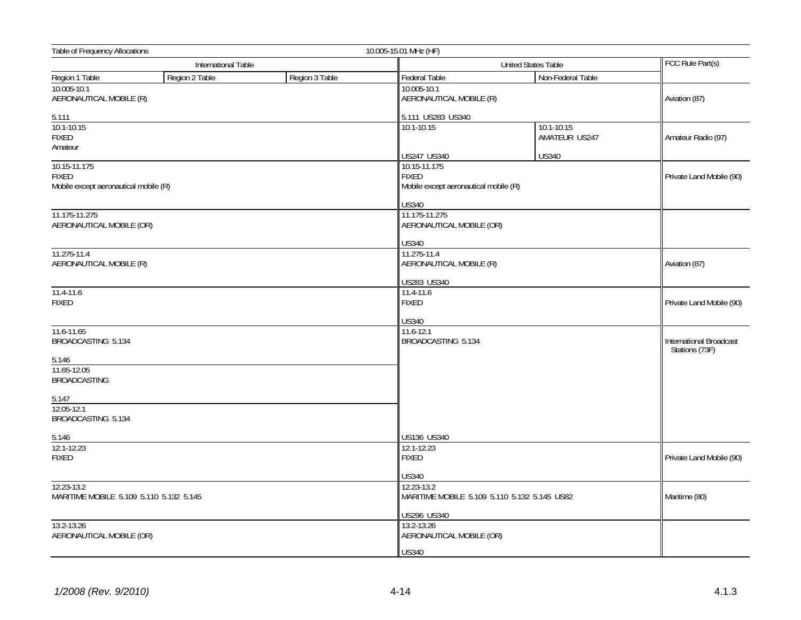| Table of Frequency Allocations<br>10.005-15.01 MHz (HF)               |                     |                |                                                                       |                                              |                                           |
|-----------------------------------------------------------------------|---------------------|----------------|-----------------------------------------------------------------------|----------------------------------------------|-------------------------------------------|
|                                                                       | International Table |                |                                                                       | United States Table                          |                                           |
| Region 1 Table                                                        | Region 2 Table      | Region 3 Table | Federal Table                                                         | Non-Federal Table                            |                                           |
| 10.005-10.1<br>AERONAUTICAL MOBILE (R)                                |                     |                | 10.005-10.1<br>AERONAUTICAL MOBILE (R)                                |                                              | Aviation (87)                             |
| 5.111                                                                 |                     |                | 5.111 US283 US340                                                     |                                              |                                           |
| 10.1-10.15<br><b>FIXED</b><br>Amateur                                 |                     |                | 10.1-10.15                                                            | 10.1-10.15<br>AMATEUR US247                  | Amateur Radio (97)                        |
|                                                                       |                     |                | US247 US340                                                           | <b>US340</b>                                 |                                           |
| 10.15-11.175<br><b>FIXED</b><br>Mobile except aeronautical mobile (R) |                     |                | 10.15-11.175<br><b>FIXED</b><br>Mobile except aeronautical mobile (R) |                                              | Private Land Mobile (90)                  |
|                                                                       |                     |                | US340                                                                 |                                              |                                           |
| 11.175-11.275<br>AERONAUTICAL MOBILE (OR)                             |                     |                | 11.175-11.275<br>AERONAUTICAL MOBILE (OR)                             |                                              |                                           |
|                                                                       |                     |                | <b>US340</b>                                                          |                                              |                                           |
| 11.275-11.4<br>AERONAUTICAL MOBILE (R)                                |                     |                | 11.275-11.4<br>AERONAUTICAL MOBILE (R)                                |                                              | Aviation (87)                             |
|                                                                       |                     |                | US283 US340                                                           |                                              |                                           |
| $11.4 - 11.6$<br><b>FIXED</b>                                         |                     |                | 11.4-11.6<br><b>FIXED</b>                                             |                                              | Private Land Mobile (90)                  |
|                                                                       |                     |                | US340                                                                 |                                              |                                           |
| 11.6-11.65<br>BROADCASTING 5.134                                      |                     |                | 11.6-12.1<br>BROADCASTING 5.134                                       |                                              | International Broadcast<br>Stations (73F) |
| 5.146                                                                 |                     |                |                                                                       |                                              |                                           |
| 11.65-12.05<br><b>BROADCASTING</b>                                    |                     |                |                                                                       |                                              |                                           |
| 5.147                                                                 |                     |                |                                                                       |                                              |                                           |
| 12.05-12.1<br>BROADCASTING 5.134                                      |                     |                |                                                                       |                                              |                                           |
| 5.146                                                                 |                     |                | US136 US340                                                           |                                              |                                           |
| 12.1-12.23<br><b>FIXED</b>                                            |                     |                | 12.1-12.23<br><b>FIXED</b>                                            |                                              | Private Land Mobile (90)                  |
|                                                                       |                     |                | US340                                                                 |                                              |                                           |
| 12.23-13.2<br>MARITIME MOBILE 5.109 5.110 5.132 5.145                 |                     |                | 12.23-13.2                                                            | MARITIME MOBILE 5.109 5.110 5.132 5.145 US82 | Maritime (80)                             |
|                                                                       |                     |                | US296 US340                                                           |                                              |                                           |
| 13.2-13.26<br>AERONAUTICAL MOBILE (OR)                                |                     |                | 13.2-13.26<br>AERONAUTICAL MOBILE (OR)                                |                                              |                                           |
|                                                                       |                     |                | <b>US340</b>                                                          |                                              |                                           |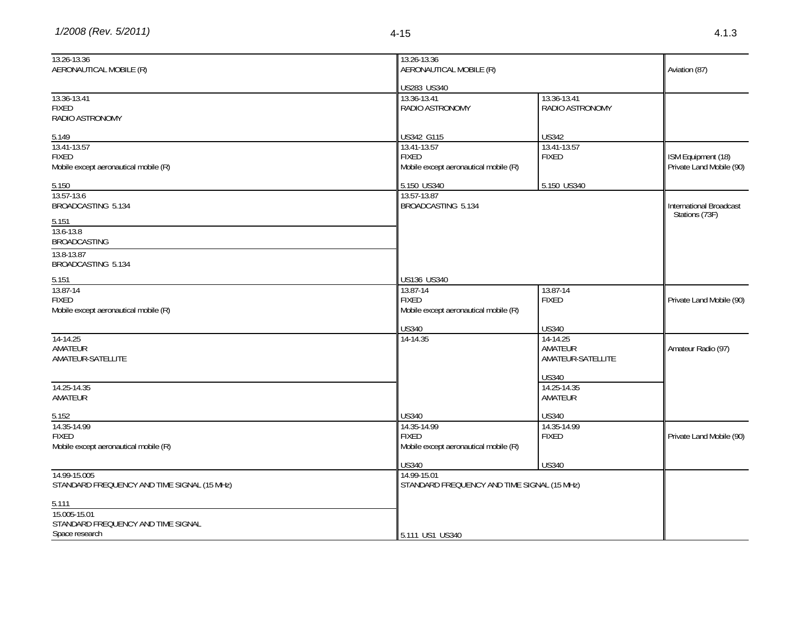| 13.26-13.36                                 | 13.26-13.36                                 |                             |                          |
|---------------------------------------------|---------------------------------------------|-----------------------------|--------------------------|
| AERONAUTICAL MOBILE (R)                     | AERONAUTICAL MOBILE (R)                     |                             | Aviation (87)            |
|                                             | US283 US340                                 |                             |                          |
| 13.36-13.41                                 | 13.36-13.41                                 | 13.36-13.41                 |                          |
| <b>FIXED</b>                                | RADIO ASTRONOMY                             | RADIO ASTRONOMY             |                          |
| RADIO ASTRONOMY                             |                                             |                             |                          |
|                                             |                                             |                             |                          |
| 5.149                                       | US342 G115                                  | <b>US342</b>                |                          |
| 13.41-13.57                                 | 13.41-13.57                                 | 13.41-13.57                 |                          |
| <b>FIXED</b>                                | <b>FIXED</b>                                | <b>FIXED</b>                | ISM Equipment (18)       |
| Mobile except aeronautical mobile (R)       | Mobile except aeronautical mobile (R)       |                             | Private Land Mobile (90) |
| 5.150                                       | 5.150 US340                                 | 5.150 US340                 |                          |
| 13.57-13.6                                  | 13.57-13.87                                 |                             |                          |
| BROADCASTING 5.134                          | BROADCASTING 5.134                          |                             | International Broadcast  |
| 5.151                                       |                                             |                             | Stations (73F)           |
| 13.6-13.8                                   |                                             |                             |                          |
| <b>BROADCASTING</b>                         |                                             |                             |                          |
| 13.8-13.87                                  |                                             |                             |                          |
| BROADCASTING 5.134                          |                                             |                             |                          |
|                                             |                                             |                             |                          |
| 5.151                                       | US136 US340                                 |                             |                          |
| 13.87-14                                    | 13.87-14                                    | 13.87-14                    |                          |
| <b>FIXED</b>                                | <b>FIXED</b>                                | <b>FIXED</b>                | Private Land Mobile (90) |
| Mobile except aeronautical mobile (R)       | Mobile except aeronautical mobile (R)       |                             |                          |
|                                             | <b>US340</b>                                | <b>US340</b>                |                          |
| 14-14.25                                    | 14-14.35                                    | 14-14.25                    |                          |
| AMATEUR                                     |                                             | AMATEUR                     | Amateur Radio (97)       |
| AMATEUR-SATELLITE                           |                                             | AMATEUR-SATELLITE           |                          |
|                                             |                                             |                             |                          |
|                                             |                                             | <b>US340</b><br>14.25-14.35 |                          |
| 14.25-14.35<br>AMATEUR                      |                                             | AMATEUR                     |                          |
|                                             |                                             |                             |                          |
| 5.152                                       | <b>US340</b>                                | <b>US340</b>                |                          |
| 14.35-14.99                                 | 14.35-14.99                                 | 14.35-14.99                 |                          |
| <b>FIXED</b>                                | <b>FIXED</b>                                | <b>FIXED</b>                | Private Land Mobile (90) |
| Mobile except aeronautical mobile (R)       | Mobile except aeronautical mobile (R)       |                             |                          |
|                                             | <b>US340</b>                                | <b>US340</b>                |                          |
| 14.99-15.005                                | 14.99-15.01                                 |                             |                          |
| STANDARD FREQUENCY AND TIME SIGNAL (15 MHz) | STANDARD FREQUENCY AND TIME SIGNAL (15 MHz) |                             |                          |
| 5.111                                       |                                             |                             |                          |
| 15.005-15.01                                |                                             |                             |                          |
| STANDARD FREQUENCY AND TIME SIGNAL          |                                             |                             |                          |
| Space research                              | 5.111 US1 US340                             |                             |                          |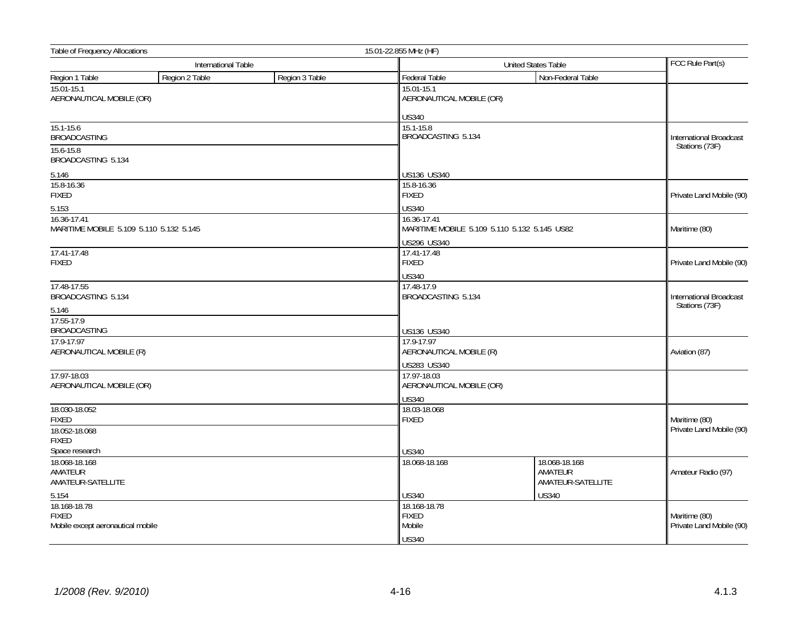| Table of Frequency Allocations                         | 15.01-22.855 MHz (HF) |                |                                         |                                               |                                           |  |
|--------------------------------------------------------|-----------------------|----------------|-----------------------------------------|-----------------------------------------------|-------------------------------------------|--|
|                                                        | International Table   |                | <b>United States Table</b>              |                                               | FCC Rule Part(s)                          |  |
| Region 1 Table                                         | Region 2 Table        | Region 3 Table | Federal Table                           | Non-Federal Table                             |                                           |  |
| 15.01-15.1<br>AERONAUTICAL MOBILE (OR)                 |                       |                | 15.01-15.1<br>AERONAUTICAL MOBILE (OR)  |                                               |                                           |  |
|                                                        |                       |                | <b>US340</b>                            |                                               |                                           |  |
| $15.1 - 15.6$<br><b>BROADCASTING</b>                   |                       |                |                                         | 15.1-15.8<br>BROADCASTING 5.134               |                                           |  |
| 15.6-15.8<br>BROADCASTING 5.134                        |                       |                |                                         |                                               | Stations (73F)                            |  |
| 5.146                                                  |                       |                | US136 US340                             |                                               |                                           |  |
| 15.8-16.36<br><b>FIXED</b>                             |                       |                | 15.8-16.36<br><b>FIXED</b>              |                                               | Private Land Mobile (90)                  |  |
| 5.153                                                  |                       |                | <b>US340</b>                            |                                               |                                           |  |
| 16.36-17.41<br>MARITIME MOBILE 5.109 5.110 5.132 5.145 |                       |                | 16.36-17.41                             | MARITIME MOBILE 5.109 5.110 5.132 5.145 US82  | Maritime (80)                             |  |
|                                                        |                       |                | <b>US296 US340</b>                      |                                               |                                           |  |
| 17.41-17.48<br><b>FIXED</b>                            |                       |                | 17.41-17.48<br><b>FIXED</b>             |                                               | Private Land Mobile (90)                  |  |
|                                                        |                       |                | <b>US340</b>                            |                                               |                                           |  |
| 17.48-17.55<br>BROADCASTING 5.134                      |                       |                | 17.48-17.9<br>BROADCASTING 5.134        |                                               | International Broadcast<br>Stations (73F) |  |
| 5.146                                                  |                       |                |                                         |                                               |                                           |  |
| 17.55-17.9<br><b>BROADCASTING</b>                      |                       |                | US136 US340                             |                                               |                                           |  |
| 17.9-17.97<br>AERONAUTICAL MOBILE (R)                  |                       |                | 17.9-17.97<br>AERONAUTICAL MOBILE (R)   | Aviation (87)                                 |                                           |  |
|                                                        |                       |                | US283 US340                             |                                               |                                           |  |
| 17.97-18.03<br>AERONAUTICAL MOBILE (OR)                |                       |                | 17.97-18.03<br>AERONAUTICAL MOBILE (OR) |                                               |                                           |  |
|                                                        |                       |                | <b>US340</b>                            |                                               |                                           |  |
| 18.030-18.052<br><b>FIXED</b>                          |                       |                | 18.03-18.068<br><b>FIXED</b>            |                                               | Maritime (80)                             |  |
| 18.052-18.068<br><b>FIXED</b>                          |                       |                |                                         |                                               | Private Land Mobile (90)                  |  |
| Space research                                         |                       |                | <b>US340</b>                            |                                               |                                           |  |
| 18.068-18.168<br>AMATEUR<br>AMATEUR-SATELLITE          |                       |                | 18.068-18.168                           | 18.068-18.168<br>AMATEUR<br>AMATEUR-SATELLITE | Amateur Radio (97)                        |  |
| 5.154                                                  |                       |                | <b>US340</b>                            | <b>US340</b>                                  |                                           |  |
| 18.168-18.78                                           |                       |                | 18.168-18.78                            |                                               |                                           |  |
| <b>FIXED</b>                                           |                       |                | <b>FIXED</b>                            |                                               | Maritime (80)                             |  |
| Mobile except aeronautical mobile                      |                       |                | Mobile                                  |                                               | Private Land Mobile (90)                  |  |
|                                                        |                       |                | <b>US340</b>                            |                                               |                                           |  |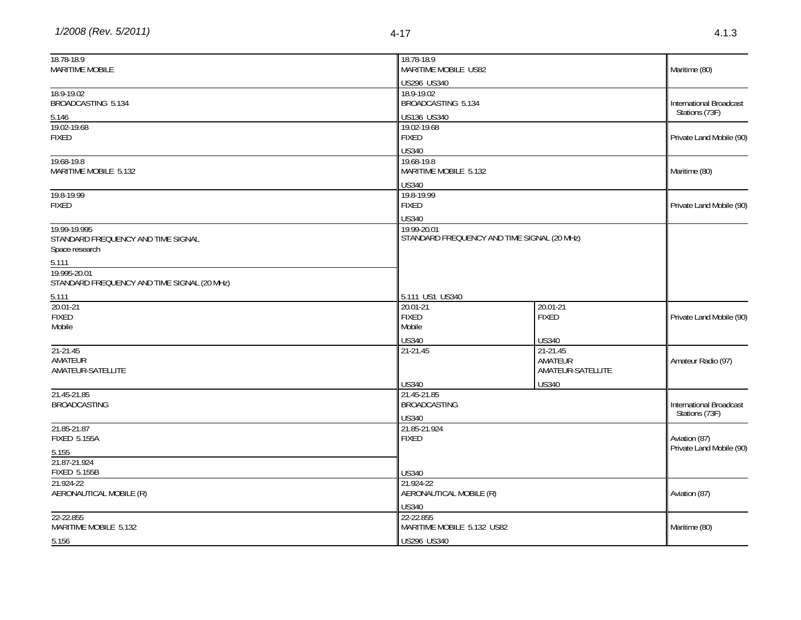| 18.78-18.9<br><b>MARITIME MOBILE</b>                                 | 18.78-18.9<br>MARITIME MOBILE US82            |                                                             | Maritime (80)                                    |  |
|----------------------------------------------------------------------|-----------------------------------------------|-------------------------------------------------------------|--------------------------------------------------|--|
|                                                                      | US296 US340                                   |                                                             |                                                  |  |
| 18.9-19.02<br>BROADCASTING 5.134                                     | 18.9-19.02<br>BROADCASTING 5.134              |                                                             | International Broadcast                          |  |
| 5.146                                                                | US136 US340                                   |                                                             | Stations (73F)                                   |  |
| 19.02-19.68<br><b>FIXED</b>                                          | 19.02-19.68<br><b>FIXED</b>                   |                                                             |                                                  |  |
| 19.68-19.8<br>MARITIME MOBILE 5.132                                  | 19.68-19.8<br>MARITIME MOBILE 5.132           | <b>US340</b>                                                |                                                  |  |
|                                                                      | <b>US340</b>                                  |                                                             |                                                  |  |
| 19.8-19.99<br><b>FIXED</b>                                           | 19.8-19.99<br><b>FIXED</b>                    |                                                             | Private Land Mobile (90)                         |  |
| 19.99-19.995<br>STANDARD FREQUENCY AND TIME SIGNAL<br>Space research | 19.99-20.01                                   | <b>US340</b><br>STANDARD FREQUENCY AND TIME SIGNAL (20 MHz) |                                                  |  |
| 5.111<br>19.995-20.01<br>STANDARD FREQUENCY AND TIME SIGNAL (20 MHZ) |                                               |                                                             |                                                  |  |
| 5.111                                                                | 5.111 US1 US340                               |                                                             |                                                  |  |
| $20.01 - 21$<br><b>FIXED</b><br>Mobile                               | 20.01-21<br><b>FIXED</b><br>Mobile            | 20.01-21<br><b>FIXED</b>                                    | Private Land Mobile (90)                         |  |
|                                                                      | <b>US340</b>                                  | <b>US340</b>                                                |                                                  |  |
| $21-21.45$<br>AMATEUR<br>AMATEUR-SATELLITE                           | 21-21.45                                      | 21-21.45<br>AMATEUR<br>AMATEUR-SATELLITE                    | Amateur Radio (97)                               |  |
| 21.45-21.85                                                          | <b>US340</b><br>21.45-21.85                   | <b>US340</b>                                                |                                                  |  |
| <b>BROADCASTING</b>                                                  | <b>BROADCASTING</b><br><b>US340</b>           |                                                             | <b>International Broadcast</b><br>Stations (73F) |  |
| 21.85-21.87<br><b>FIXED 5.155A</b>                                   | 21.85-21.924<br><b>FIXED</b>                  |                                                             |                                                  |  |
| 5.155                                                                |                                               |                                                             | Private Land Mobile (90)                         |  |
| 21.87-21.924<br><b>FIXED 5.155B</b>                                  | <b>US340</b>                                  |                                                             |                                                  |  |
| 21.924-22<br>AERONAUTICAL MOBILE (R)                                 | 21.924-22<br>AERONAUTICAL MOBILE (R)<br>US340 |                                                             | Aviation (87)                                    |  |
| 22-22.855<br>MARITIME MOBILE 5.132                                   | 22-22.855<br>MARITIME MOBILE 5.132 US82       |                                                             | Maritime (80)                                    |  |
| 5.156                                                                | US296 US340                                   |                                                             |                                                  |  |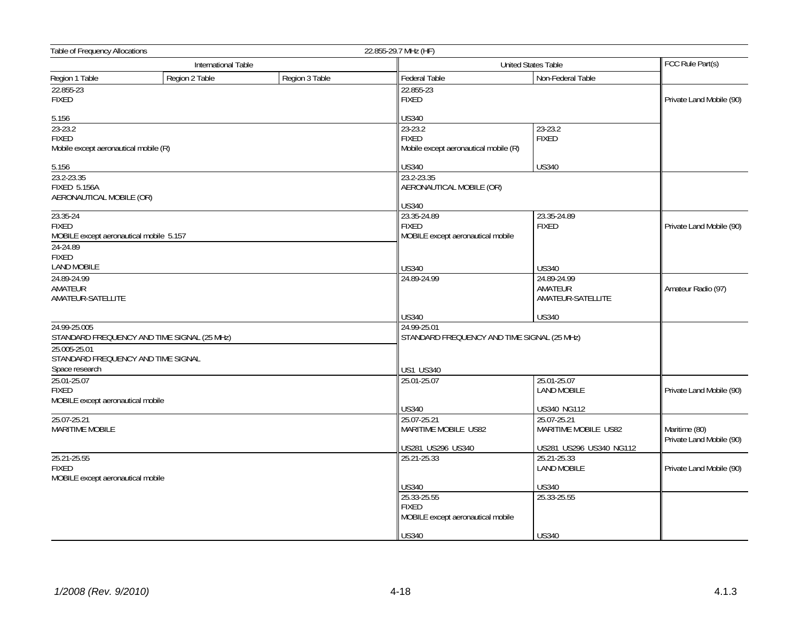|                                                                                 | Table of Frequency Allocations<br>22.855-29.7 MHz (HF) |                |                                                                  |                                             |                                           |
|---------------------------------------------------------------------------------|--------------------------------------------------------|----------------|------------------------------------------------------------------|---------------------------------------------|-------------------------------------------|
|                                                                                 | International Table                                    |                |                                                                  | United States Table                         | FCC Rule Part(s)                          |
| Region 1 Table                                                                  | Region 2 Table                                         | Region 3 Table | Federal Table                                                    | Non-Federal Table                           |                                           |
| 22.855-23<br><b>FIXED</b>                                                       |                                                        |                | 22.855-23<br>FIXED                                               |                                             | Private Land Mobile (90)                  |
| 5.156                                                                           |                                                        |                | US340                                                            |                                             |                                           |
| $23 - 23.2$<br><b>FIXED</b><br>Mobile except aeronautical mobile (R)            |                                                        |                | 23-23.2<br><b>FIXED</b><br>Mobile except aeronautical mobile (R) | 23-23.2<br><b>FIXED</b>                     |                                           |
| 5.156                                                                           |                                                        |                | US340                                                            | <b>US340</b>                                |                                           |
| 23.2-23.35<br><b>FIXED 5.156A</b><br>AERONAUTICAL MOBILE (OR)                   |                                                        |                | 23.2-23.35<br>AERONAUTICAL MOBILE (OR)<br>US340                  |                                             |                                           |
| 23.35-24<br><b>FIXED</b><br>MOBILE except aeronautical mobile 5.157<br>24-24.89 |                                                        |                | 23.35-24.89<br><b>FIXED</b><br>MOBILE except aeronautical mobile | 23.35-24.89<br><b>FIXED</b>                 | Private Land Mobile (90)                  |
| <b>FIXED</b><br><b>LAND MOBILE</b>                                              |                                                        |                | US340                                                            | <b>US340</b>                                |                                           |
| 24.89-24.99<br>AMATEUR<br>AMATEUR-SATELLITE                                     |                                                        |                | 24.89-24.99                                                      | 24.89-24.99<br>AMATEUR<br>AMATEUR-SATELLITE | Amateur Radio (97)                        |
|                                                                                 |                                                        |                | <b>US340</b>                                                     | <b>US340</b>                                |                                           |
| 24.99-25.005<br>25.005-25.01<br>STANDARD FREQUENCY AND TIME SIGNAL              | STANDARD FREQUENCY AND TIME SIGNAL (25 MHz)            |                | 24.99-25.01<br>STANDARD FREQUENCY AND TIME SIGNAL (25 MHz)       |                                             |                                           |
| Space research<br>25.01-25.07                                                   |                                                        |                | US1 US340<br>25.01-25.07                                         | 25.01-25.07                                 |                                           |
| <b>FIXED</b><br>MOBILE except aeronautical mobile                               |                                                        |                |                                                                  | <b>LAND MOBILE</b>                          | Private Land Mobile (90)                  |
|                                                                                 |                                                        |                | <b>US340</b>                                                     | <b>US340 NG112</b>                          |                                           |
| 25.07-25.21<br>MARITIME MOBILE                                                  |                                                        |                | 25.07-25.21<br>MARITIME MOBILE US82                              | 25.07-25.21<br>MARITIME MOBILE US82         | Maritime (80)<br>Private Land Mobile (90) |
|                                                                                 |                                                        |                | US281 US296 US340                                                | US281 US296 US340 NG112                     |                                           |
| 25.21-25.55<br><b>FIXED</b><br>MOBILE except aeronautical mobile                |                                                        |                | 25.21-25.33                                                      | 25.21-25.33<br><b>LAND MOBILE</b>           | Private Land Mobile (90)                  |
|                                                                                 |                                                        |                | <b>US340</b>                                                     | <b>US340</b>                                |                                           |
|                                                                                 |                                                        |                | 25.33-25.55<br><b>FIXED</b><br>MOBILE except aeronautical mobile | 25.33-25.55                                 |                                           |
|                                                                                 |                                                        |                | <b>US340</b>                                                     | <b>US340</b>                                |                                           |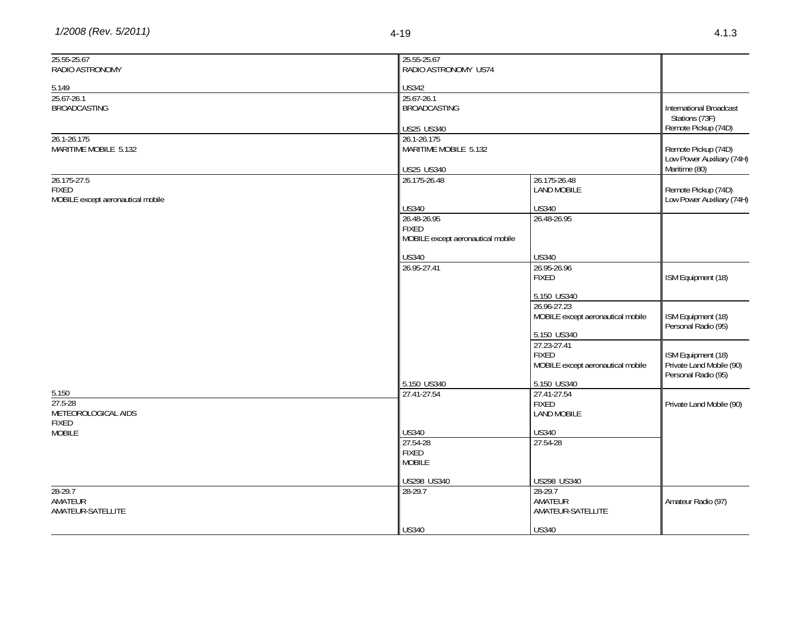| 25.55-25.67                       | 25.55-25.67                       |                                    |                                |
|-----------------------------------|-----------------------------------|------------------------------------|--------------------------------|
| RADIO ASTRONOMY                   | RADIO ASTRONOMY US74              |                                    |                                |
|                                   |                                   |                                    |                                |
| 5.149                             | <b>US342</b>                      |                                    |                                |
| 25.67-26.1                        | 25.67-26.1                        |                                    |                                |
| <b>BROADCASTING</b>               | <b>BROADCASTING</b>               |                                    | <b>International Broadcast</b> |
|                                   |                                   |                                    | Stations (73F)                 |
|                                   | <b>US25 US340</b>                 |                                    | Remote Pickup (74D)            |
| 26.1-26.175                       | 26.1-26.175                       |                                    |                                |
| MARITIME MOBILE 5.132             | MARITIME MOBILE 5.132             |                                    | Remote Pickup (74D)            |
|                                   |                                   |                                    | Low Power Auxiliary (74H)      |
|                                   | <b>US25 US340</b>                 |                                    | Maritime (80)                  |
| 26.175-27.5<br><b>FIXED</b>       | 26.175-26.48                      | 26.175-26.48<br><b>LAND MOBILE</b> | Remote Pickup (74D)            |
| MOBILE except aeronautical mobile |                                   |                                    | Low Power Auxiliary (74H)      |
|                                   | <b>US340</b>                      | <b>US340</b>                       |                                |
|                                   | 26.48-26.95                       | 26.48-26.95                        |                                |
|                                   | <b>FIXED</b>                      |                                    |                                |
|                                   | MOBILE except aeronautical mobile |                                    |                                |
|                                   |                                   |                                    |                                |
|                                   | US340                             | <b>US340</b>                       |                                |
|                                   | 26.95-27.41                       | 26.95-26.96                        |                                |
|                                   |                                   | <b>FIXED</b>                       | ISM Equipment (18)             |
|                                   |                                   | 5.150 US340                        |                                |
|                                   |                                   | 26.96-27.23                        |                                |
|                                   |                                   | MOBILE except aeronautical mobile  | ISM Equipment (18)             |
|                                   |                                   |                                    | Personal Radio (95)            |
|                                   |                                   | 5.150 US340                        |                                |
|                                   |                                   | 27.23-27.41                        |                                |
|                                   |                                   | <b>FIXED</b>                       | ISM Equipment (18)             |
|                                   |                                   | MOBILE except aeronautical mobile  | Private Land Mobile (90)       |
|                                   |                                   |                                    | Personal Radio (95)            |
|                                   | 5.150 US340                       | 5.150 US340                        |                                |
| 5.150<br>27.5-28                  | 27.41-27.54                       | 27.41-27.54                        |                                |
| METEOROLOGICAL AIDS               |                                   | <b>FIXED</b><br><b>LAND MOBILE</b> | Private Land Mobile (90)       |
| <b>FIXED</b>                      |                                   |                                    |                                |
| <b>MOBILE</b>                     | <b>US340</b>                      | <b>US340</b>                       |                                |
|                                   | 27.54-28                          | 27.54-28                           |                                |
|                                   | <b>FIXED</b>                      |                                    |                                |
|                                   | <b>MOBILE</b>                     |                                    |                                |
|                                   |                                   |                                    |                                |
|                                   | US298 US340                       | US298 US340                        |                                |
| $28-29.7$                         | 28-29.7                           | 28-29.7                            |                                |
| AMATEUR                           |                                   | AMATEUR                            | Amateur Radio (97)             |
| AMATEUR-SATELLITE                 |                                   | AMATEUR-SATELLITE                  |                                |
|                                   | <b>US340</b>                      | <b>US340</b>                       |                                |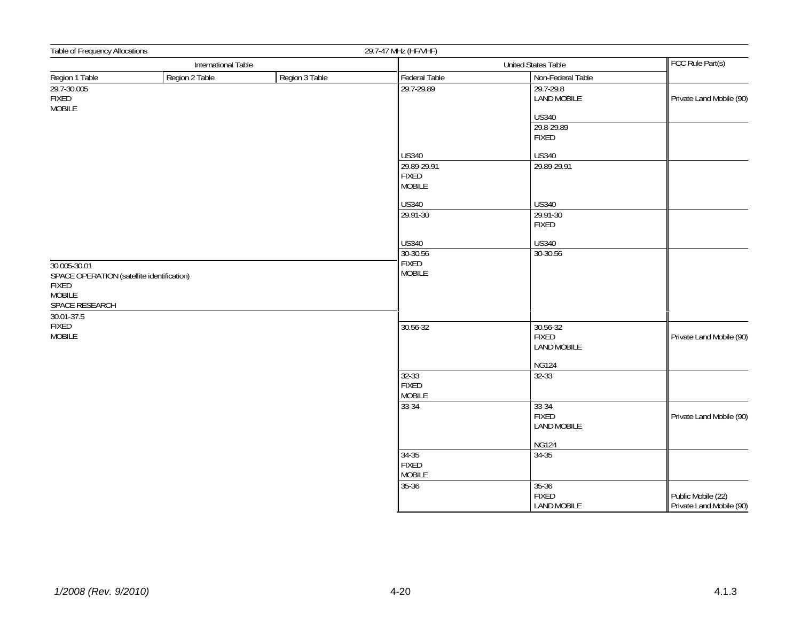| Table of Frequency Allocations                                                                         |                     | 29.7-47 MHz (HF/VHF) |                                              |                                                 |                                                |
|--------------------------------------------------------------------------------------------------------|---------------------|----------------------|----------------------------------------------|-------------------------------------------------|------------------------------------------------|
|                                                                                                        | International Table |                      | <b>United States Table</b>                   |                                                 | FCC Rule Part(s)                               |
| Region 1 Table                                                                                         | Region 2 Table      | Region 3 Table       | Federal Table                                | Non-Federal Table                               |                                                |
| 29.7-30.005<br><b>FIXED</b><br>MOBILE                                                                  |                     |                      | 29.7-29.89                                   | 29.7-29.8<br><b>LAND MOBILE</b>                 | Private Land Mobile (90)                       |
|                                                                                                        |                     |                      |                                              | <b>US340</b>                                    |                                                |
|                                                                                                        |                     |                      |                                              | 29.8-29.89<br><b>FIXED</b>                      |                                                |
|                                                                                                        |                     |                      | <b>US340</b>                                 | <b>US340</b>                                    |                                                |
|                                                                                                        |                     |                      | 29.89-29.91<br><b>FIXED</b><br><b>MOBILE</b> | 29.89-29.91                                     |                                                |
|                                                                                                        |                     |                      | <b>US340</b>                                 | <b>US340</b>                                    |                                                |
|                                                                                                        |                     |                      | 29.91-30                                     | 29.91-30<br>FIXED                               |                                                |
|                                                                                                        |                     |                      | <b>US340</b>                                 | <b>US340</b>                                    |                                                |
|                                                                                                        |                     |                      | 30-30.56                                     | 30-30.56                                        |                                                |
| 30.005-30.01<br>SPACE OPERATION (satellite identification)<br>FIXED<br><b>MOBILE</b><br>SPACE RESEARCH |                     |                      | <b>FIXED</b><br><b>MOBILE</b>                |                                                 |                                                |
| 30.01-37.5<br>FIXED<br><b>MOBILE</b>                                                                   |                     |                      | 30.56-32                                     | 30.56-32<br><b>FIXED</b><br><b>LAND MOBILE</b>  | Private Land Mobile (90)                       |
|                                                                                                        |                     |                      |                                              | <b>NG124</b>                                    |                                                |
|                                                                                                        |                     |                      | 32-33<br><b>FIXED</b><br><b>MOBILE</b>       | 32-33                                           |                                                |
|                                                                                                        |                     |                      | 33-34                                        | $33 - 34$<br><b>FIXED</b><br><b>LAND MOBILE</b> | Private Land Mobile (90)                       |
|                                                                                                        |                     |                      |                                              | <b>NG124</b>                                    |                                                |
|                                                                                                        |                     |                      | 34-35<br><b>FIXED</b><br><b>MOBILE</b>       | 34-35                                           |                                                |
|                                                                                                        |                     |                      | $35 - 36$                                    | $35 - 36$<br><b>FIXED</b><br><b>LAND MOBILE</b> | Public Mobile (22)<br>Private Land Mobile (90) |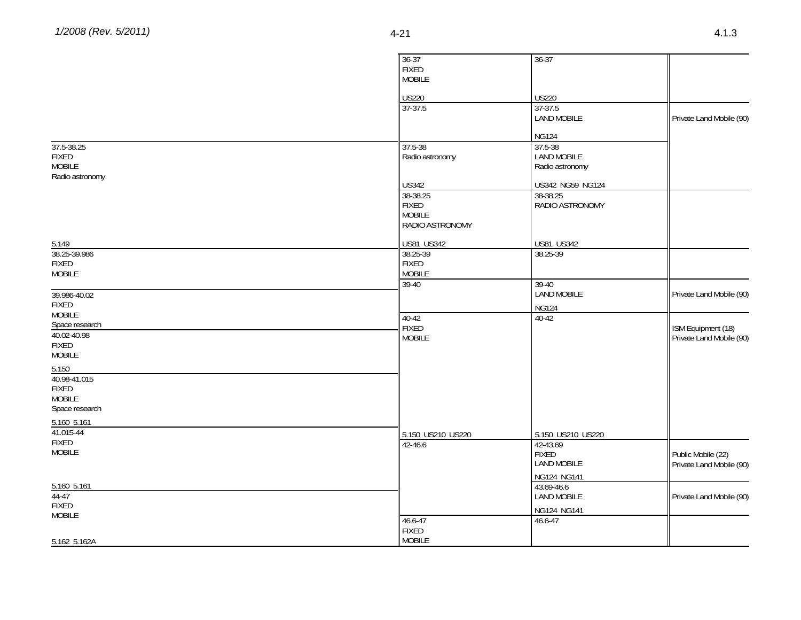|                       | $36 - 37$         | $36 - 37$          |                          |
|-----------------------|-------------------|--------------------|--------------------------|
|                       | <b>FIXED</b>      |                    |                          |
|                       | <b>MOBILE</b>     |                    |                          |
|                       | <b>US220</b>      | <b>US220</b>       |                          |
|                       | $37 - 37.5$       | 37-37.5            |                          |
|                       |                   | <b>LAND MOBILE</b> | Private Land Mobile (90) |
|                       |                   |                    |                          |
|                       |                   | <b>NG124</b>       |                          |
| 37.5-38.25            | 37.5-38           | 37.5-38            |                          |
| <b>FIXED</b>          | Radio astronomy   | <b>LAND MOBILE</b> |                          |
| MOBILE                |                   | Radio astronomy    |                          |
| Radio astronomy       | <b>US342</b>      | US342 NG59 NG124   |                          |
|                       | 38-38.25          | 38-38.25           |                          |
|                       | <b>FIXED</b>      | RADIO ASTRONOMY    |                          |
|                       | <b>MOBILE</b>     |                    |                          |
|                       | RADIO ASTRONOMY   |                    |                          |
| 5.149                 | US81 US342        | <b>US81 US342</b>  |                          |
| 38.25-39.986          | 38.25-39          | 38.25-39           |                          |
| <b>FIXED</b>          | FIXED             |                    |                          |
| <b>MOBILE</b>         | <b>MOBILE</b>     |                    |                          |
|                       | 39-40             | $39-40$            |                          |
| 39.986-40.02          |                   | <b>LAND MOBILE</b> | Private Land Mobile (90) |
| FIXED                 |                   | <b>NG124</b>       |                          |
| MOBILE                | 40-42             | $40-42$            |                          |
| Space research        | <b>FIXED</b>      |                    | ISM Equipment (18)       |
| 40.02-40.98           | <b>MOBILE</b>     |                    | Private Land Mobile (90) |
| <b>FIXED</b>          |                   |                    |                          |
| <b>MOBILE</b>         |                   |                    |                          |
| 5.150<br>40.98-41.015 |                   |                    |                          |
| <b>FIXED</b>          |                   |                    |                          |
| <b>MOBILE</b>         |                   |                    |                          |
| Space research        |                   |                    |                          |
| 5.160 5.161           |                   |                    |                          |
| 41.015-44             | 5.150 US210 US220 | 5.150 US210 US220  |                          |
| <b>FIXED</b>          | 42-46.6           | 42-43.69           |                          |
| <b>MOBILE</b>         |                   | <b>FIXED</b>       | Public Mobile (22)       |
|                       |                   | <b>LAND MOBILE</b> | Private Land Mobile (90) |
|                       |                   | NG124 NG141        |                          |
| 5.160 5.161           |                   | 43.69-46.6         |                          |
| 44-47                 |                   | LAND MOBILE        | Private Land Mobile (90) |
| <b>FIXED</b>          |                   | NG124 NG141        |                          |
| <b>MOBILE</b>         | 46.6-47           | 46.6-47            |                          |
|                       | <b>FIXED</b>      |                    |                          |
| 5.162 5.162A          | <b>MOBILE</b>     |                    |                          |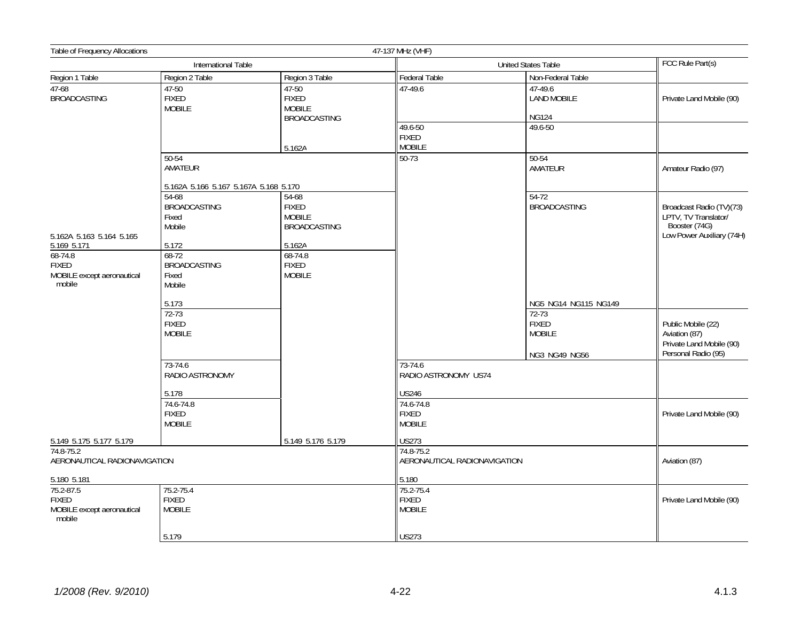| Table of Frequency Allocations                                                   |                                                            |                                                               | 47-137 MHz (VHF)                                           |                                                           |                                                                                                |
|----------------------------------------------------------------------------------|------------------------------------------------------------|---------------------------------------------------------------|------------------------------------------------------------|-----------------------------------------------------------|------------------------------------------------------------------------------------------------|
|                                                                                  | International Table                                        |                                                               |                                                            | <b>United States Table</b>                                | FCC Rule Part(s)                                                                               |
| Region 1 Table                                                                   | Region 2 Table                                             | Region 3 Table                                                | Federal Table                                              | Non-Federal Table                                         |                                                                                                |
| $47-68$<br><b>BROADCASTING</b>                                                   | 47-50<br><b>FIXED</b><br><b>MOBILE</b>                     | 47-50<br><b>FIXED</b><br><b>MOBILE</b><br><b>BROADCASTING</b> | 47-49.6                                                    | 47-49.6<br><b>LAND MOBILE</b><br><b>NG124</b>             | Private Land Mobile (90)                                                                       |
|                                                                                  |                                                            | 5.162A                                                        | 49.6-50<br><b>FIXED</b><br><b>MOBILE</b>                   | 49.6-50                                                   |                                                                                                |
|                                                                                  | 50-54<br>AMATEUR                                           |                                                               | $50 - 73$                                                  | 50-54<br>AMATEUR                                          | Amateur Radio (97)                                                                             |
|                                                                                  | 5.162A 5.166 5.167 5.167A 5.168 5.170                      |                                                               |                                                            |                                                           |                                                                                                |
| 5.162A 5.163 5.164 5.165                                                         | 54-68<br><b>BROADCASTING</b><br>Fixed<br>Mobile            | 54-68<br><b>FIXED</b><br><b>MOBILE</b><br><b>BROADCASTING</b> |                                                            | $54-72$<br><b>BROADCASTING</b>                            | Broadcast Radio (TV)(73)<br>LPTV, TV Translator/<br>Booster (74G)<br>Low Power Auxiliary (74H) |
| $5.169$ 5.171<br>68-74.8<br><b>FIXED</b><br>MOBILE except aeronautical<br>mobile | 5.172<br>$68-72$<br><b>BROADCASTING</b><br>Fixed<br>Mobile | 5.162A<br>68-74.8<br><b>FIXED</b><br><b>MOBILE</b>            |                                                            |                                                           |                                                                                                |
|                                                                                  | 5.173                                                      |                                                               |                                                            | NG5 NG14 NG115 NG149                                      |                                                                                                |
|                                                                                  | $72-73$<br><b>FIXED</b><br><b>MOBILE</b>                   |                                                               |                                                            | $72-73$<br><b>FIXED</b><br><b>MOBILE</b><br>NG3 NG49 NG56 | Public Mobile (22)<br>Aviation (87)<br>Private Land Mobile (90)<br>Personal Radio (95)         |
|                                                                                  | 73-74.6<br>RADIO ASTRONOMY                                 |                                                               | 73-74.6<br>RADIO ASTRONOMY US74                            |                                                           |                                                                                                |
|                                                                                  | 5.178<br>74.6-74.8<br><b>FIXED</b><br><b>MOBILE</b>        |                                                               | <b>US246</b><br>74.6-74.8<br><b>FIXED</b><br><b>MOBILE</b> |                                                           | Private Land Mobile (90)                                                                       |
| 5.149 5.175 5.177 5.179                                                          |                                                            | 5.149 5.176 5.179                                             | <b>US273</b>                                               |                                                           |                                                                                                |
| 74.8-75.2<br>AERONAUTICAL RADIONAVIGATION                                        |                                                            |                                                               | 74.8-75.2<br>AERONAUTICAL RADIONAVIGATION                  |                                                           | Aviation (87)                                                                                  |
| 5.180 5.181                                                                      |                                                            |                                                               | 5.180                                                      |                                                           |                                                                                                |
| 75.2-87.5<br><b>FIXED</b><br>MOBILE except aeronautical<br>mobile                | 75.2-75.4<br><b>FIXED</b><br><b>MOBILE</b>                 |                                                               | 75.2-75.4<br><b>FIXED</b><br><b>MOBILE</b>                 |                                                           | Private Land Mobile (90)                                                                       |
|                                                                                  | 5.179                                                      |                                                               | <b>US273</b>                                               |                                                           |                                                                                                |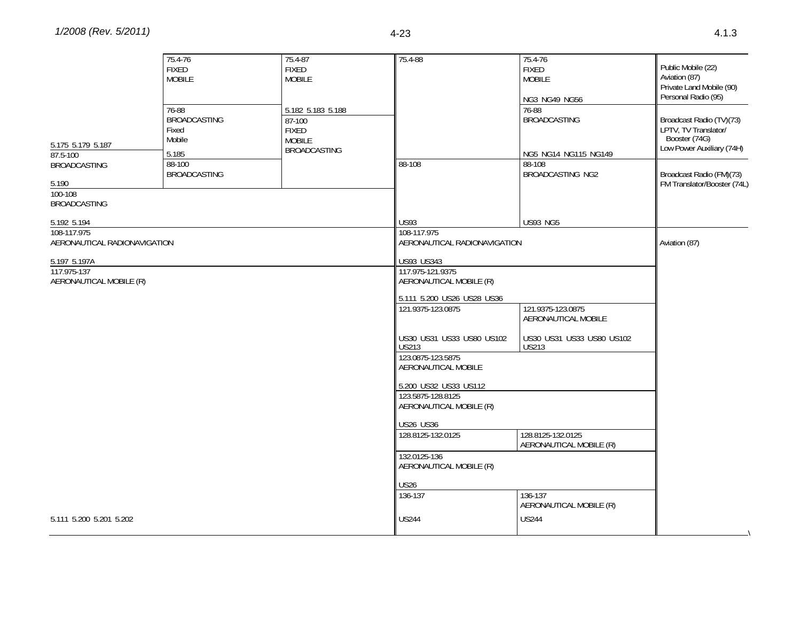| 5.175 5.179 5.187<br>87.5-100<br><b>BROADCASTING</b><br>5.190<br>100-108<br><b>BROADCASTING</b> | 75.4-76<br><b>FIXED</b><br><b>MOBILE</b><br>76-88<br><b>BROADCASTING</b><br>Fixed<br>Mobile<br>5.185<br>88-100<br><b>BROADCASTING</b> | 75.4-87<br><b>FIXED</b><br><b>MOBILE</b><br>5.182 5.183 5.188<br>87-100<br><b>FIXED</b><br><b>MOBILE</b><br><b>BROADCASTING</b> | 75.4-88<br>88-108                            | 75.4-76<br><b>FIXED</b><br><b>MOBILE</b><br>NG3 NG49 NG56<br>76-88<br><b>BROADCASTING</b><br>NG5 NG14 NG115 NG149<br>88-108<br>BROADCASTING NG2 | Public Mobile (22)<br>Aviation (87)<br>Private Land Mobile (90)<br>Personal Radio (95)<br>Broadcast Radio (TV)(73)<br>LPTV, TV Translator/<br>Booster (74G)<br>Low Power Auxiliary (74H)<br>Broadcast Radio (FM)(73)<br>FM Translator/Booster (74L) |
|-------------------------------------------------------------------------------------------------|---------------------------------------------------------------------------------------------------------------------------------------|---------------------------------------------------------------------------------------------------------------------------------|----------------------------------------------|-------------------------------------------------------------------------------------------------------------------------------------------------|-----------------------------------------------------------------------------------------------------------------------------------------------------------------------------------------------------------------------------------------------------|
|                                                                                                 |                                                                                                                                       |                                                                                                                                 |                                              |                                                                                                                                                 |                                                                                                                                                                                                                                                     |
| 5.192 5.194<br>108-117.975                                                                      |                                                                                                                                       |                                                                                                                                 | <b>US93</b><br>108-117.975                   | <b>US93 NG5</b>                                                                                                                                 |                                                                                                                                                                                                                                                     |
| AERONAUTICAL RADIONAVIGATION                                                                    |                                                                                                                                       |                                                                                                                                 | AERONAUTICAL RADIONAVIGATION                 |                                                                                                                                                 | Aviation (87)                                                                                                                                                                                                                                       |
| 5.197 5.197A                                                                                    |                                                                                                                                       |                                                                                                                                 | <b>US93 US343</b>                            |                                                                                                                                                 |                                                                                                                                                                                                                                                     |
| 117.975-137<br>AERONAUTICAL MOBILE (R)                                                          |                                                                                                                                       |                                                                                                                                 | 117.975-121.9375<br>AERONAUTICAL MOBILE (R)  |                                                                                                                                                 |                                                                                                                                                                                                                                                     |
|                                                                                                 |                                                                                                                                       |                                                                                                                                 | 5.111 5.200 US26 US28 US36                   |                                                                                                                                                 |                                                                                                                                                                                                                                                     |
|                                                                                                 |                                                                                                                                       |                                                                                                                                 | 121.9375-123.0875                            | 121.9375-123.0875<br>AERONAUTICAL MOBILE                                                                                                        |                                                                                                                                                                                                                                                     |
|                                                                                                 |                                                                                                                                       |                                                                                                                                 | US30 US31 US33 US80 US102<br><b>US213</b>    | US30 US31 US33 US80 US102<br><b>US213</b>                                                                                                       |                                                                                                                                                                                                                                                     |
|                                                                                                 |                                                                                                                                       |                                                                                                                                 | 123.0875-123.5875<br>AERONAUTICAL MOBILE     |                                                                                                                                                 |                                                                                                                                                                                                                                                     |
|                                                                                                 |                                                                                                                                       |                                                                                                                                 | 5.200 US32 US33 US112                        |                                                                                                                                                 |                                                                                                                                                                                                                                                     |
|                                                                                                 |                                                                                                                                       |                                                                                                                                 | 123.5875-128.8125<br>AERONAUTICAL MOBILE (R) |                                                                                                                                                 |                                                                                                                                                                                                                                                     |
|                                                                                                 |                                                                                                                                       |                                                                                                                                 | <b>US26 US36</b>                             |                                                                                                                                                 |                                                                                                                                                                                                                                                     |
|                                                                                                 |                                                                                                                                       |                                                                                                                                 | 128.8125-132.0125                            | 128.8125-132.0125<br>AERONAUTICAL MOBILE (R)                                                                                                    |                                                                                                                                                                                                                                                     |
|                                                                                                 |                                                                                                                                       |                                                                                                                                 | 132.0125-136<br>AERONAUTICAL MOBILE (R)      |                                                                                                                                                 |                                                                                                                                                                                                                                                     |
|                                                                                                 |                                                                                                                                       |                                                                                                                                 | <b>US26</b>                                  |                                                                                                                                                 |                                                                                                                                                                                                                                                     |
|                                                                                                 |                                                                                                                                       |                                                                                                                                 | 136-137                                      | 136-137<br>AERONAUTICAL MOBILE (R)                                                                                                              |                                                                                                                                                                                                                                                     |
| 5.111 5.200 5.201 5.202                                                                         |                                                                                                                                       |                                                                                                                                 | <b>US244</b>                                 | <b>US244</b>                                                                                                                                    |                                                                                                                                                                                                                                                     |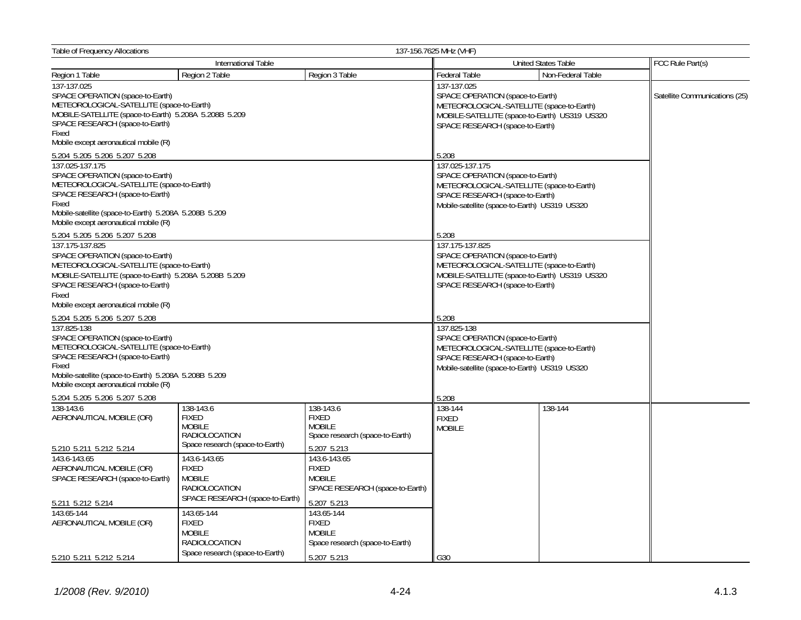| 137-156.7625 MHz (VHF)<br>Table of Frequency Allocations                                                                                                                                                                                       |                                                                                          |                                                                                 |                                                                                                                                                                                           |                   |                               |
|------------------------------------------------------------------------------------------------------------------------------------------------------------------------------------------------------------------------------------------------|------------------------------------------------------------------------------------------|---------------------------------------------------------------------------------|-------------------------------------------------------------------------------------------------------------------------------------------------------------------------------------------|-------------------|-------------------------------|
|                                                                                                                                                                                                                                                | International Table                                                                      |                                                                                 | United States Table                                                                                                                                                                       |                   | FCC Rule Part(s)              |
| Region 1 Table                                                                                                                                                                                                                                 | Region 2 Table                                                                           | Region 3 Table                                                                  | <b>Federal Table</b>                                                                                                                                                                      | Non-Federal Table |                               |
| 137-137.025<br>SPACE OPERATION (space-to-Earth)<br>METEOROLOGICAL-SATELLITE (space-to-Earth)<br>MOBILE-SATELLITE (space-to-Earth) 5.208A 5.208B 5.209<br>SPACE RESEARCH (space-to-Earth)<br>Fixed<br>Mobile except aeronautical mobile (R)     |                                                                                          |                                                                                 | 137-137.025<br>SPACE OPERATION (space-to-Earth)<br>METEOROLOGICAL-SATELLITE (space-to-Earth)<br>MOBILE-SATELLITE (space-to-Earth) US319 US320<br>SPACE RESEARCH (space-to-Earth)          |                   | Satellite Communications (25) |
| 5.204 5.205 5.206 5.207 5.208                                                                                                                                                                                                                  |                                                                                          |                                                                                 | 5.208                                                                                                                                                                                     |                   |                               |
| 137.025-137.175<br>SPACE OPERATION (space-to-Earth)<br>METEOROLOGICAL-SATELLITE (space-to-Earth)<br>SPACE RESEARCH (space-to-Earth)<br>Fixed<br>Mobile-satellite (space-to-Earth) 5.208A 5.208B 5.209<br>Mobile except aeronautical mobile (R) |                                                                                          |                                                                                 | 137.025-137.175<br>SPACE OPERATION (space-to-Earth)<br>METEOROLOGICAL-SATELLITE (space-to-Earth)<br>SPACE RESEARCH (space-to-Earth)<br>Mobile-satellite (space-to-Earth) US319 US320      |                   |                               |
| 5.204 5.205 5.206 5.207 5.208                                                                                                                                                                                                                  |                                                                                          |                                                                                 | 5.208                                                                                                                                                                                     |                   |                               |
| 137.175-137.825<br>SPACE OPERATION (space-to-Earth)<br>METEOROLOGICAL-SATELLITE (space-to-Earth)<br>MOBILE-SATELLITE (space-to-Earth) 5.208A 5.208B 5.209<br>SPACE RESEARCH (space-to-Earth)<br>Fixed<br>Mobile except aeronautical mobile (R) |                                                                                          |                                                                                 | 137.175-137.825<br>SPACE OPERATION (space-to-Earth)<br>METEOROLOGICAL-SATELLITE (space-to-Earth)<br>MOBILE-SATELLITE (space-to-Earth) US319 US320<br>SPACE RESEARCH (space-to-Earth)      |                   |                               |
| 5.204 5.205 5.206 5.207 5.208                                                                                                                                                                                                                  |                                                                                          |                                                                                 | 5.208                                                                                                                                                                                     |                   |                               |
| 137.825-138<br>SPACE OPERATION (space-to-Earth)<br>METEOROLOGICAL-SATELLITE (space-to-Earth)<br>SPACE RESEARCH (space-to-Earth)<br>Fixed<br>Mobile-satellite (space-to-Earth) 5.208A 5.208B 5.209<br>Mobile except aeronautical mobile (R)     |                                                                                          |                                                                                 | 137.825-138<br>SPACE OPERATION (space-to-Earth)<br>METEOROLOGICAL-SATELLITE (space-to-Earth)<br>SPACE RESEARCH (space-to-Earth)<br>Mobile-satellite (space-to-Earth) US319 US320<br>5.208 |                   |                               |
| 5.204 5.205 5.206 5.207 5.208<br>138-143.6                                                                                                                                                                                                     | 138-143.6                                                                                | 138-143.6                                                                       | 138-144                                                                                                                                                                                   | 138-144           |                               |
| AERONAUTICAL MOBILE (OR)<br>5.210 5.211 5.212 5.214                                                                                                                                                                                            | <b>FIXED</b><br><b>MOBILE</b><br>RADIOLOCATION<br>Space research (space-to-Earth)        | <b>FIXED</b><br><b>MOBILE</b><br>Space research (space-to-Earth)<br>5.207 5.213 | <b>FIXED</b><br><b>MOBILE</b>                                                                                                                                                             |                   |                               |
| 143.6-143.65                                                                                                                                                                                                                                   | 143.6-143.65                                                                             | 143.6-143.65                                                                    |                                                                                                                                                                                           |                   |                               |
| AERONAUTICAL MOBILE (OR)<br>SPACE RESEARCH (space-to-Earth)<br>5.211 5.212 5.214                                                                                                                                                               | <b>FIXED</b><br><b>MOBILE</b><br><b>RADIOLOCATION</b><br>SPACE RESEARCH (space-to-Earth) | <b>FIXED</b><br><b>MOBILE</b><br>SPACE RESEARCH (space-to-Earth)<br>5.207 5.213 |                                                                                                                                                                                           |                   |                               |
| 143.65-144                                                                                                                                                                                                                                     | 143.65-144                                                                               | 143.65-144                                                                      |                                                                                                                                                                                           |                   |                               |
| AERONAUTICAL MOBILE (OR)                                                                                                                                                                                                                       | <b>FIXED</b><br><b>MOBILE</b><br>RADIOLOCATION                                           | <b>FIXED</b><br><b>MOBILE</b><br>Space research (space-to-Earth)                |                                                                                                                                                                                           |                   |                               |
| 5.210 5.211 5.212 5.214                                                                                                                                                                                                                        | Space research (space-to-Earth)                                                          | 5.207 5.213                                                                     | G30                                                                                                                                                                                       |                   |                               |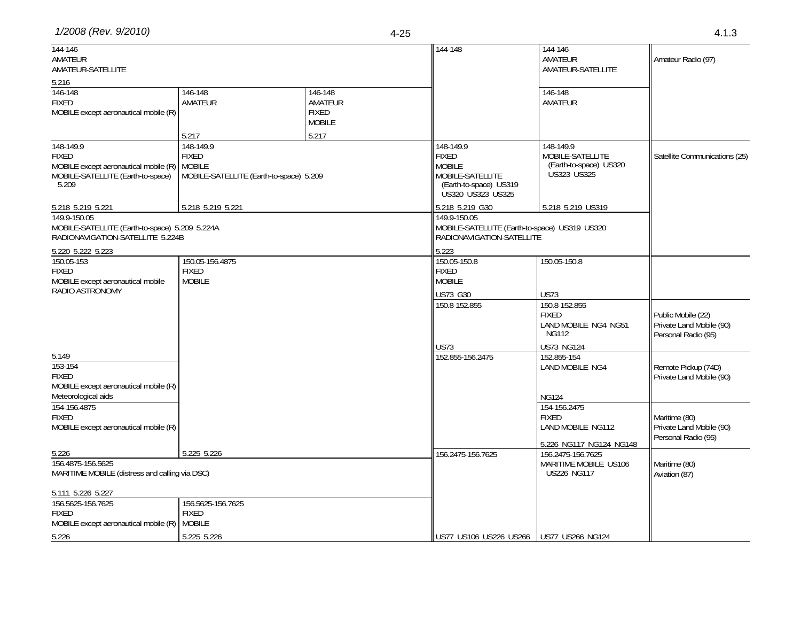| 1/2008 (Rev. 9/2010)<br>$\sim$<br>4-25 | ن انت |
|----------------------------------------|-------|
|----------------------------------------|-------|

|  | ×<br>۰, |
|--|---------|
|  |         |

| 144-146<br>AMATEUR<br>AMATEUR-SATELLITE                                                                                 |                                                                                                |                                                     | 144-148                                                                                                       | 144-146<br>AMATEUR<br>AMATEUR-SATELLITE                                                      | Amateur Radio (97)                                                    |
|-------------------------------------------------------------------------------------------------------------------------|------------------------------------------------------------------------------------------------|-----------------------------------------------------|---------------------------------------------------------------------------------------------------------------|----------------------------------------------------------------------------------------------|-----------------------------------------------------------------------|
| 5.216<br>146-148<br><b>FIXED</b><br>MOBILE except aeronautical mobile (R)                                               | 146-148<br>AMATEUR                                                                             | 146-148<br>AMATEUR<br><b>FIXED</b><br><b>MOBILE</b> |                                                                                                               | 146-148<br>AMATEUR                                                                           |                                                                       |
| 148-149.9<br><b>FIXED</b><br>MOBILE except aeronautical mobile (R)<br>MOBILE-SATELLITE (Earth-to-space)<br>5.209        | 5.217<br>148-149.9<br><b>FIXED</b><br><b>MOBILE</b><br>MOBILE-SATELLITE (Earth-to-space) 5.209 | 5.217                                               | 148-149.9<br><b>FIXED</b><br><b>MOBILE</b><br>MOBILE-SATELLITE<br>(Earth-to-space) US319<br>US320 US323 US325 | 148-149.9<br>MOBILE-SATELLITE<br>(Earth-to-space) US320<br><b>US323 US325</b>                | Satellite Communications (25)                                         |
| 5.218 5.219 5.221<br>149.9-150.05<br>MOBILE-SATELLITE (Earth-to-space) 5.209 5.224A<br>RADIONAVIGATION-SATELLITE 5.224B | 5.218 5.219 5.221                                                                              |                                                     | 5.218 5.219 G30<br>149.9-150.05<br>MOBILE-SATELLITE (Earth-to-space) US319 US320<br>RADIONAVIGATION-SATELLITE | 5.218 5.219 US319                                                                            |                                                                       |
| 5.220 5.222 5.223<br>150.05-153<br><b>FIXED</b><br>MOBILE except aeronautical mobile<br>RADIO ASTRONOMY                 | 150.05-156.4875<br><b>FIXED</b><br><b>MOBILE</b>                                               |                                                     | 5.223<br>150.05-150.8<br><b>FIXED</b><br><b>MOBILE</b>                                                        | 150.05-150.8                                                                                 |                                                                       |
|                                                                                                                         |                                                                                                |                                                     | US73 G30<br>150.8-152.855                                                                                     | <b>US73</b><br>150.8-152.855<br><b>FIXED</b><br>LAND MOBILE NG4 NG51<br><b>NG112</b>         | Public Mobile (22)<br>Private Land Mobile (90)<br>Personal Radio (95) |
| 5.149<br>153-154<br><b>FIXED</b><br>MOBILE except aeronautical mobile (R)                                               |                                                                                                |                                                     | <b>US73</b><br>152.855-156.2475                                                                               | <b>US73 NG124</b><br>152.855-154<br>LAND MOBILE NG4                                          | Remote Pickup (74D)<br>Private Land Mobile (90)                       |
| Meteorological aids<br>154-156.4875<br><b>FIXED</b><br>MOBILE except aeronautical mobile (R)                            |                                                                                                |                                                     |                                                                                                               | <b>NG124</b><br>154-156.2475<br><b>FIXED</b><br>LAND MOBILE NG112<br>5.226 NG117 NG124 NG148 | Maritime (80)<br>Private Land Mobile (90)<br>Personal Radio (95)      |
| 5.226<br>156.4875-156.5625<br>MARITIME MOBILE (distress and calling via DSC)                                            | 5.225 5.226                                                                                    |                                                     | 156.2475-156.7625                                                                                             | 156.2475-156.7625<br>MARITIME MOBILE US106<br><b>US226 NG117</b>                             | Maritime (80)<br>Aviation (87)                                        |
| 5.111 5.226 5.227<br>156.5625-156.7625<br><b>FIXED</b><br>MOBILE except aeronautical mobile (R) MOBILE                  | 156.5625-156.7625<br><b>FIXED</b>                                                              |                                                     |                                                                                                               |                                                                                              |                                                                       |
| 5.226                                                                                                                   | 5.225 5.226                                                                                    |                                                     | US77 US106 US226 US266 US77 US266 NG124                                                                       |                                                                                              |                                                                       |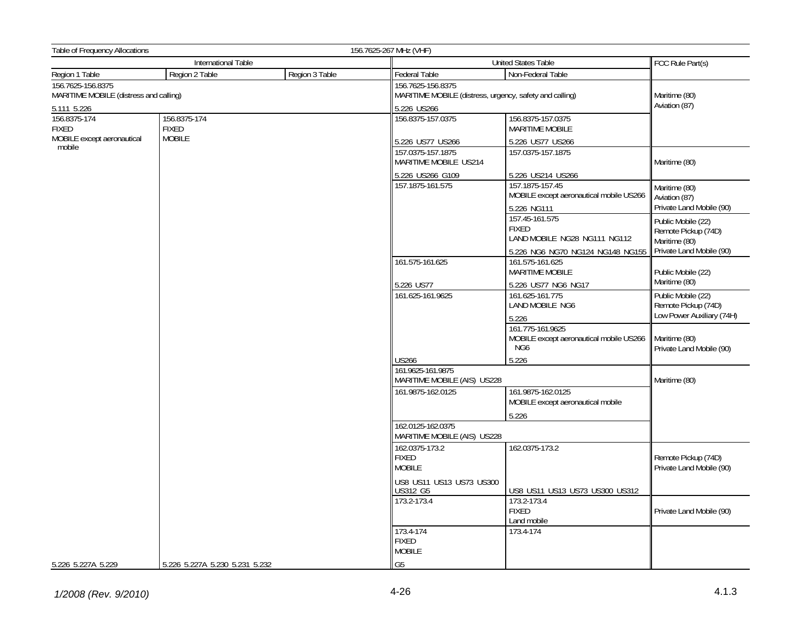| Table of Frequency Allocations                              |                                |                | 156.7625-267 MHz (VHF)                           |                                                                    |                                                            |  |
|-------------------------------------------------------------|--------------------------------|----------------|--------------------------------------------------|--------------------------------------------------------------------|------------------------------------------------------------|--|
| International Table                                         |                                |                |                                                  | United States Table                                                | FCC Rule Part(s)                                           |  |
| Region 1 Table                                              | Region 2 Table                 | Region 3 Table | Federal Table                                    | Non-Federal Table                                                  |                                                            |  |
| 156.7625-156.8375<br>MARITIME MOBILE (distress and calling) |                                |                | 156.7625-156.8375                                | MARITIME MOBILE (distress, urgency, safety and calling)            |                                                            |  |
| 5.111 5.226                                                 |                                |                | 5.226 US266                                      | Aviation (87)                                                      |                                                            |  |
| 156.8375-174<br><b>FIXED</b>                                | 156.8375-174<br><b>FIXED</b>   |                | 156.8375-157.0375                                | 156.8375-157.0375<br><b>MARITIME MOBILE</b>                        |                                                            |  |
| MOBILE except aeronautical<br>mobile                        | <b>MOBILE</b>                  |                | 5.226 US77 US266                                 | 5.226 US77 US266                                                   |                                                            |  |
|                                                             |                                |                | 157.0375-157.1875<br>MARITIME MOBILE US214       | 157.0375-157.1875                                                  | Maritime (80)                                              |  |
|                                                             |                                |                | 5.226 US266 G109                                 | 5.226 US214 US266                                                  |                                                            |  |
|                                                             |                                |                | 157.1875-161.575                                 | 157.1875-157.45<br>MOBILE except aeronautical mobile US266         | Maritime (80)<br>Aviation (87)                             |  |
|                                                             |                                |                |                                                  | 5.226 NG111                                                        | Private Land Mobile (90)                                   |  |
|                                                             |                                |                |                                                  | 157.45-161.575<br><b>FIXED</b><br>LAND MOBILE NG28 NG111 NG112     | Public Mobile (22)<br>Remote Pickup (74D)<br>Maritime (80) |  |
|                                                             |                                |                |                                                  | 5.226 NG6 NG70 NG124 NG148 NG155                                   | Private Land Mobile (90)                                   |  |
|                                                             |                                |                | 161.575-161.625                                  | 161.575-161.625<br>MARITIME MOBILE                                 | Public Mobile (22)                                         |  |
|                                                             |                                |                | 5.226 US77                                       | 5.226 US77 NG6 NG17                                                | Maritime (80)                                              |  |
|                                                             |                                |                | 161.625-161.9625                                 | 161.625-161.775<br>LAND MOBILE NG6                                 | Public Mobile (22)<br>Remote Pickup (74D)                  |  |
|                                                             |                                |                |                                                  | 5.226                                                              | Low Power Auxiliary (74H)                                  |  |
|                                                             |                                |                |                                                  | 161.775-161.9625<br>MOBILE except aeronautical mobile US266<br>NG6 | Maritime (80)<br>Private Land Mobile (90)                  |  |
|                                                             |                                |                | <b>US266</b>                                     | 5.226                                                              |                                                            |  |
|                                                             |                                |                | 161.9625-161.9875                                | MARITIME MOBILE (AIS) US228                                        |                                                            |  |
|                                                             |                                |                | 161.9875-162.0125                                | 161.9875-162.0125<br>MOBILE except aeronautical mobile             |                                                            |  |
|                                                             |                                |                |                                                  | 5.226                                                              |                                                            |  |
|                                                             |                                |                | 162.0125-162.0375<br>MARITIME MOBILE (AIS) US228 |                                                                    |                                                            |  |
|                                                             |                                |                | 162.0375-173.2<br><b>FIXED</b><br><b>MOBILE</b>  | 162.0375-173.2                                                     | Remote Pickup (74D)<br>Private Land Mobile (90)            |  |
|                                                             |                                |                | US8 US11 US13 US73 US300<br>US312 G5             | US8 US11 US13 US73 US300 US312                                     |                                                            |  |
|                                                             |                                |                | 173.2-173.4                                      | 173.2-173.4<br><b>FIXED</b><br>Land mobile                         | Private Land Mobile (90)                                   |  |
|                                                             |                                |                | 173.4-174<br><b>FIXED</b>                        | 173.4-174                                                          |                                                            |  |
|                                                             |                                |                | <b>MOBILE</b>                                    |                                                                    |                                                            |  |
| 5.226 5.227A 5.229                                          | 5.226 5.227A 5.230 5.231 5.232 |                | G <sub>5</sub>                                   |                                                                    |                                                            |  |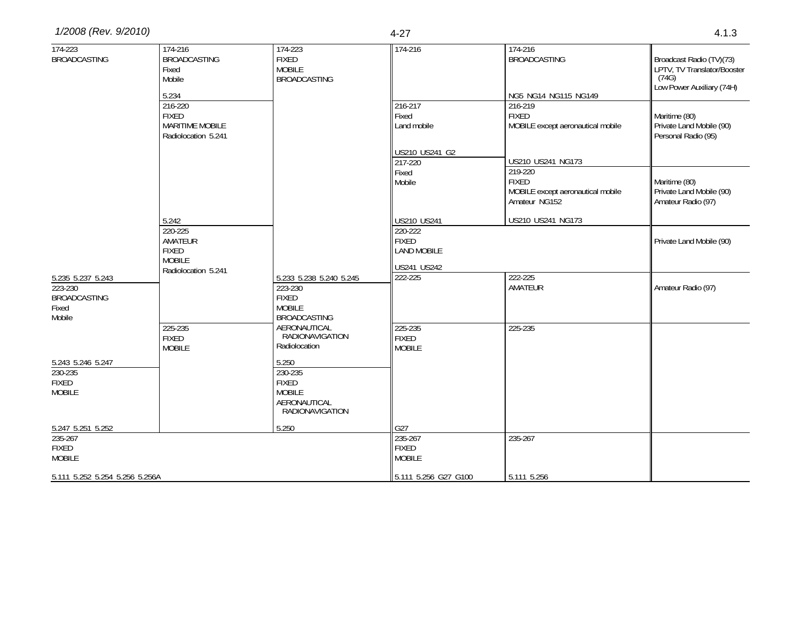| 1/2008 (Rev. 9/2010) | 4-Z | ن ان |
|----------------------|-----|------|
|                      |     |      |

| 174-223<br><b>BROADCASTING</b>                                  | 174-216<br><b>BROADCASTING</b><br>Fixed<br>Mobile<br>5.234                 | 174-223<br><b>FIXED</b><br><b>MOBILE</b><br><b>BROADCASTING</b>                             | 174-216                                                      | 174-216<br><b>BROADCASTING</b><br>NG5 NG14 NG115 NG149                        | Broadcast Radio (TV)(73)<br>LPTV, TV Translator/Booster<br>(74G)<br>Low Power Auxiliary (74H) |
|-----------------------------------------------------------------|----------------------------------------------------------------------------|---------------------------------------------------------------------------------------------|--------------------------------------------------------------|-------------------------------------------------------------------------------|-----------------------------------------------------------------------------------------------|
|                                                                 | 216-220<br><b>FIXED</b><br><b>MARITIME MOBILE</b><br>Radiolocation 5.241   |                                                                                             | 216-217<br>Fixed<br>Land mobile                              | 216-219<br><b>FIXED</b><br>MOBILE except aeronautical mobile                  | Maritime (80)<br>Private Land Mobile (90)<br>Personal Radio (95)                              |
|                                                                 |                                                                            |                                                                                             | US210 US241 G2<br>217-220                                    | US210 US241 NG173                                                             |                                                                                               |
|                                                                 |                                                                            |                                                                                             | Fixed<br>Mobile                                              | 219-220<br><b>FIXED</b><br>MOBILE except aeronautical mobile<br>Amateur NG152 | Maritime (80)<br>Private Land Mobile (90)<br>Amateur Radio (97)                               |
|                                                                 | 5.242                                                                      |                                                                                             | US210 US241                                                  | US210 US241 NG173                                                             |                                                                                               |
|                                                                 | 220-225<br>AMATEUR<br><b>FIXED</b><br><b>MOBILE</b><br>Radiolocation 5.241 |                                                                                             | 220-222<br><b>FIXED</b><br><b>LAND MOBILE</b><br>US241 US242 |                                                                               | Private Land Mobile (90)                                                                      |
| 5.235 5.237 5.243<br>223-230<br>BROADCASTING<br>Fixed<br>Mobile |                                                                            | 5.233 5.238 5.240 5.245<br>223-230<br><b>FIXED</b><br><b>MOBILE</b><br><b>BROADCASTING</b>  | 222-225                                                      | 222-225<br>AMATEUR                                                            | Amateur Radio (97)                                                                            |
|                                                                 | 225-235<br><b>FIXED</b><br><b>MOBILE</b>                                   | AERONAUTICAL<br>RADIONAVIGATION<br>Radiolocation                                            | 225-235<br><b>FIXED</b><br><b>MOBILE</b>                     | 225-235                                                                       |                                                                                               |
| 5.243 5.246 5.247<br>230-235<br>FIXED<br><b>MOBILE</b>          |                                                                            | 5.250<br>230-235<br><b>FIXED</b><br><b>MOBILE</b><br>AERONAUTICAL<br><b>RADIONAVIGATION</b> |                                                              |                                                                               |                                                                                               |
| 5.247 5.251 5.252                                               |                                                                            | 5.250                                                                                       | G27                                                          |                                                                               |                                                                                               |
| 235-267<br>FIXED<br><b>MOBILE</b>                               |                                                                            |                                                                                             | 235-267<br><b>FIXED</b><br><b>MOBILE</b>                     | 235-267                                                                       |                                                                                               |
| 5.111 5.252 5.254 5.256 5.256A                                  |                                                                            |                                                                                             | 5.111 5.256 G27 G100                                         | 5.111 5.256                                                                   |                                                                                               |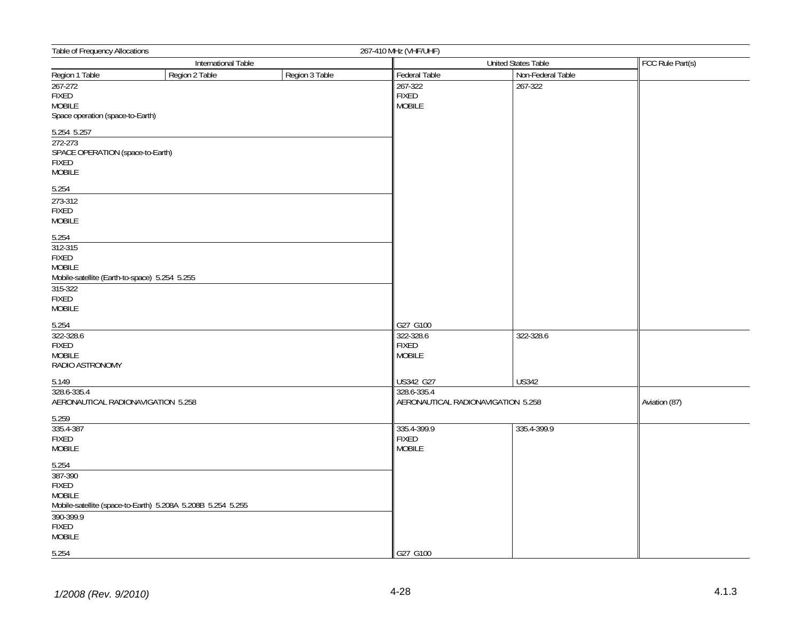| Table of Frequency Allocations<br>267-410 MHz (VHF/UHF)                                             |                                                             |                |                                                        |                   |               |
|-----------------------------------------------------------------------------------------------------|-------------------------------------------------------------|----------------|--------------------------------------------------------|-------------------|---------------|
| <b>International Table</b>                                                                          |                                                             |                | <b>United States Table</b>                             |                   |               |
| Region 1 Table                                                                                      | Region 2 Table                                              | Region 3 Table | <b>Federal Table</b>                                   | Non-Federal Table |               |
| $267 - 272$<br>FIXED<br><b>MOBILE</b><br>Space operation (space-to-Earth)                           |                                                             |                | 267-322<br><b>FIXED</b><br><b>MOBILE</b>               | 267-322           |               |
| 5.254 5.257                                                                                         |                                                             |                |                                                        |                   |               |
| 272-273<br>SPACE OPERATION (space-to-Earth)<br>FIXED<br><b>MOBILE</b>                               |                                                             |                |                                                        |                   |               |
| 5.254                                                                                               |                                                             |                |                                                        |                   |               |
| 273-312<br><b>FIXED</b><br><b>MOBILE</b>                                                            |                                                             |                |                                                        |                   |               |
| 5.254<br>$312 - 315$<br>FIXED<br>MOBILE<br>Mobile-satellite (Earth-to-space) 5.254 5.255<br>315-322 |                                                             |                |                                                        |                   |               |
| FIXED<br><b>MOBILE</b>                                                                              |                                                             |                |                                                        |                   |               |
| 5.254<br>322-328.6<br>FIXED<br><b>MOBILE</b><br>RADIO ASTRONOMY                                     |                                                             |                | G27 G100<br>322-328.6<br><b>FIXED</b><br><b>MOBILE</b> | 322-328.6         |               |
| 5.149                                                                                               |                                                             |                | US342 G27                                              | <b>US342</b>      |               |
| 328.6-335.4<br>AERONAUTICAL RADIONAVIGATION 5.258                                                   |                                                             |                | 328.6-335.4<br>AERONAUTICAL RADIONAVIGATION 5.258      |                   | Aviation (87) |
| 5.259<br>335.4-387<br>FIXED<br><b>MOBILE</b>                                                        |                                                             |                | 335.4-399.9<br><b>FIXED</b><br><b>MOBILE</b>           | 335.4-399.9       |               |
| $\frac{5.254}{387-390}$<br>FIXED<br><b>MOBILE</b><br>390-399.9<br>FIXED<br><b>MOBILE</b>            | Mobile-satellite (space-to-Earth) 5.208A 5.208B 5.254 5.255 |                |                                                        |                   |               |
| 5.254                                                                                               |                                                             |                | G27 G100                                               |                   |               |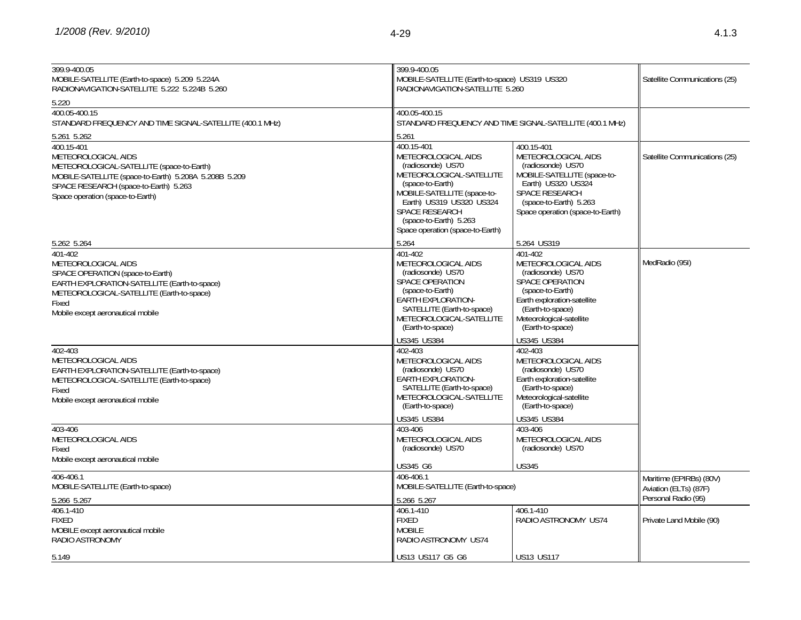| 399.9-400.05<br>MOBILE-SATELLITE (Earth-to-space) 5.209 5.224A<br>RADIONAVIGATION-SATELLITE 5.222 5.224B 5.260                                                                                                       | 399.9-400.05                                                                                                                                                                                                                                      | MOBILE-SATELLITE (Earth-to-space) US319 US320<br>RADIONAVIGATION-SATELLITE 5.260                                                                                                              |                                                  |  |
|----------------------------------------------------------------------------------------------------------------------------------------------------------------------------------------------------------------------|---------------------------------------------------------------------------------------------------------------------------------------------------------------------------------------------------------------------------------------------------|-----------------------------------------------------------------------------------------------------------------------------------------------------------------------------------------------|--------------------------------------------------|--|
| 5.220                                                                                                                                                                                                                |                                                                                                                                                                                                                                                   |                                                                                                                                                                                               |                                                  |  |
| 400.05-400.15<br>STANDARD FREQUENCY AND TIME SIGNAL-SATELLITE (400.1 MHz)                                                                                                                                            | 400.05-400.15                                                                                                                                                                                                                                     | STANDARD FREQUENCY AND TIME SIGNAL-SATELLITE (400.1 MHz)                                                                                                                                      |                                                  |  |
| 5.261 5.262                                                                                                                                                                                                          | 5.261                                                                                                                                                                                                                                             |                                                                                                                                                                                               |                                                  |  |
| 400.15-401<br>METEOROLOGICAL AIDS<br>METEOROLOGICAL-SATELLITE (space-to-Earth)<br>MOBILE-SATELLITE (space-to-Earth) 5.208A 5.208B 5.209<br>SPACE RESEARCH (space-to-Earth) 5.263<br>Space operation (space-to-Earth) | 400.15-401<br>METEOROLOGICAL AIDS<br>(radiosonde) US70<br>METEOROLOGICAL-SATELLITE<br>(space-to-Earth)<br>MOBILE-SATELLITE (space-to-<br>Earth) US319 US320 US324<br>SPACE RESEARCH<br>(space-to-Earth) 5.263<br>Space operation (space-to-Earth) | 400.15-401<br>METEOROLOGICAL AIDS<br>(radiosonde) US70<br>MOBILE-SATELLITE (space-to-<br>Earth) US320 US324<br>SPACE RESEARCH<br>(space-to-Earth) 5.263<br>Space operation (space-to-Earth)   | Satellite Communications (25)                    |  |
| 5.262 5.264                                                                                                                                                                                                          | 5.264                                                                                                                                                                                                                                             | 5.264 US319                                                                                                                                                                                   |                                                  |  |
| 401-402<br>METEOROLOGICAL AIDS<br>SPACE OPERATION (space-to-Earth)<br>EARTH EXPLORATION-SATELLITE (Earth-to-space)<br>METEOROLOGICAL-SATELLITE (Earth-to-space)<br>Fixed<br>Mobile except aeronautical mobile        | 401-402<br>METEOROLOGICAL AIDS<br>(radiosonde) US70<br>SPACE OPERATION<br>(space-to-Earth)<br>EARTH EXPLORATION-<br>SATELLITE (Earth-to-space)<br>METEOROLOGICAL-SATELLITE<br>(Earth-to-space)                                                    | 401-402<br>METEOROLOGICAL AIDS<br>(radiosonde) US70<br>SPACE OPERATION<br>(space-to-Earth)<br>Earth exploration-satellite<br>(Earth-to-space)<br>Meteorological-satellite<br>(Earth-to-space) | MedRadio (95I)                                   |  |
|                                                                                                                                                                                                                      | US345 US384                                                                                                                                                                                                                                       | US345 US384                                                                                                                                                                                   |                                                  |  |
| 402-403<br>METEOROLOGICAL AIDS<br>EARTH EXPLORATION-SATELLITE (Earth-to-space)<br>METEOROLOGICAL-SATELLITE (Earth-to-space)<br>Fixed<br>Mobile except aeronautical mobile                                            | 402-403<br>METEOROLOGICAL AIDS<br>(radiosonde) US70<br>EARTH EXPLORATION-<br>SATELLITE (Earth-to-space)<br>METEOROLOGICAL-SATELLITE<br>(Earth-to-space)                                                                                           | 402-403<br>METEOROLOGICAL AIDS<br>(radiosonde) US70<br>Earth exploration-satellite<br>(Earth-to-space)<br>Meteorological-satellite<br>(Earth-to-space)                                        |                                                  |  |
|                                                                                                                                                                                                                      | US345 US384                                                                                                                                                                                                                                       | US345 US384                                                                                                                                                                                   |                                                  |  |
| 403-406<br>METEOROLOGICAL AIDS<br>Fixed                                                                                                                                                                              | 403-406<br>METEOROLOGICAL AIDS<br>(radiosonde) US70                                                                                                                                                                                               | 403-406<br>METEOROLOGICAL AIDS<br>(radiosonde) US70                                                                                                                                           |                                                  |  |
| Mobile except aeronautical mobile                                                                                                                                                                                    | US345 G6                                                                                                                                                                                                                                          | <b>US345</b>                                                                                                                                                                                  |                                                  |  |
| 406-406.1<br>MOBILE-SATELLITE (Earth-to-space)                                                                                                                                                                       | 406-406.1<br>MOBILE-SATELLITE (Earth-to-space)                                                                                                                                                                                                    |                                                                                                                                                                                               | Maritime (EPIRBs) (80V)<br>Aviation (ELTs) (87F) |  |
| 5.266 5.267                                                                                                                                                                                                          | 5.266 5.267                                                                                                                                                                                                                                       |                                                                                                                                                                                               | Personal Radio (95)                              |  |
| 406.1-410<br><b>FIXED</b><br>MOBILE except aeronautical mobile<br>RADIO ASTRONOMY                                                                                                                                    | 406.1-410<br><b>FIXED</b><br><b>MOBILE</b><br>RADIO ASTRONOMY US74                                                                                                                                                                                | 406.1-410<br>RADIO ASTRONOMY US74                                                                                                                                                             | Private Land Mobile (90)                         |  |
| 5.149                                                                                                                                                                                                                | US13 US117 G5 G6                                                                                                                                                                                                                                  | <b>US13 US117</b>                                                                                                                                                                             |                                                  |  |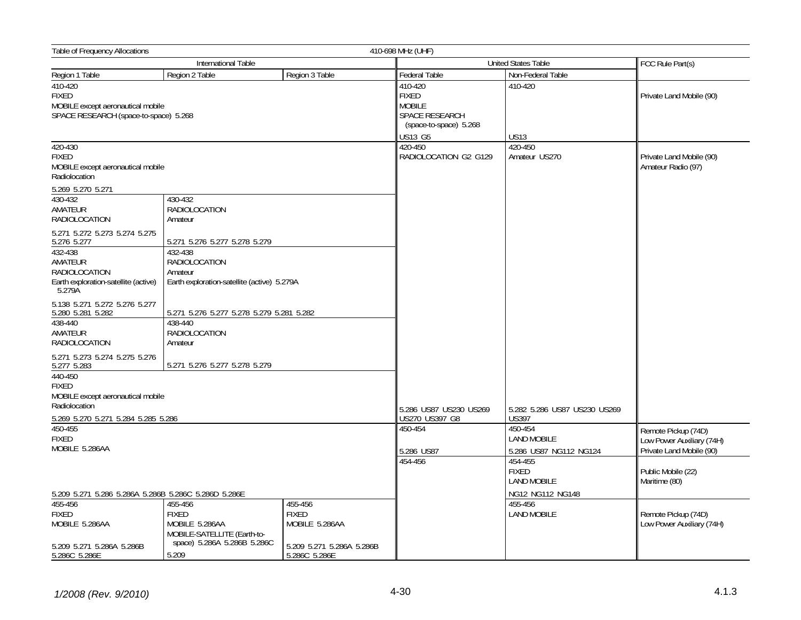| <b>Table of Frequency Allocations</b>                                                                 |                                                                                                         |                                                                                               | 410-698 MHz (UHF)                        |                                                                   |                                                  |
|-------------------------------------------------------------------------------------------------------|---------------------------------------------------------------------------------------------------------|-----------------------------------------------------------------------------------------------|------------------------------------------|-------------------------------------------------------------------|--------------------------------------------------|
|                                                                                                       | International Table                                                                                     |                                                                                               | <b>United States Table</b>               | FCC Rule Part(s)                                                  |                                                  |
| Region 1 Table                                                                                        | Region 2 Table                                                                                          | Region 3 Table                                                                                | Federal Table                            | Non-Federal Table                                                 |                                                  |
| 410-420<br><b>FIXED</b><br>MOBILE except aeronautical mobile<br>SPACE RESEARCH (space-to-space) 5.268 |                                                                                                         | $410-420$<br><b>FIXED</b><br><b>MOBILE</b><br><b>SPACE RESEARCH</b><br>(space-to-space) 5.268 | 410-420                                  | Private Land Mobile (90)                                          |                                                  |
|                                                                                                       |                                                                                                         |                                                                                               | US13 G5<br>420-450                       | <b>US13</b><br>420-450                                            |                                                  |
| 420-430<br><b>FIXED</b><br>MOBILE except aeronautical mobile<br>Radiolocation                         |                                                                                                         |                                                                                               | RADIOLOCATION G2 G129                    | Amateur US270                                                     | Private Land Mobile (90)<br>Amateur Radio (97)   |
| 5.269 5.270 5.271<br>430-432                                                                          | 430-432                                                                                                 |                                                                                               |                                          |                                                                   |                                                  |
| AMATEUR<br>RADIOLOCATION                                                                              | <b>RADIOLOCATION</b><br>Amateur                                                                         |                                                                                               |                                          |                                                                   |                                                  |
| 5.271 5.272 5.273 5.274 5.275<br>5.276 5.277                                                          | 5.271 5.276 5.277 5.278 5.279                                                                           |                                                                                               |                                          |                                                                   |                                                  |
| 432-438<br>AMATEUR<br><b>RADIOLOCATION</b><br>Earth exploration-satellite (active)<br>5.279A          | 432-438<br><b>RADIOLOCATION</b><br>Amateur<br>Earth exploration-satellite (active) 5.279A               |                                                                                               |                                          |                                                                   |                                                  |
| 5.138 5.271 5.272 5.276 5.277<br>5.280 5.281 5.282                                                    | 5.271 5.276 5.277 5.278 5.279 5.281 5.282                                                               |                                                                                               |                                          |                                                                   |                                                  |
| 438-440<br>AMATEUR<br><b>RADIOLOCATION</b>                                                            | 438-440<br>RADIOLOCATION<br>Amateur                                                                     |                                                                                               |                                          |                                                                   |                                                  |
| 5.271 5.273 5.274 5.275 5.276<br>5.277 5.283                                                          | 5.271 5.276 5.277 5.278 5.279                                                                           |                                                                                               |                                          |                                                                   |                                                  |
| 440-450<br><b>FIXED</b><br>MOBILE except aeronautical mobile                                          |                                                                                                         |                                                                                               |                                          |                                                                   |                                                  |
| Radiolocation<br>5.269 5.270 5.271 5.284 5.285 5.286                                                  |                                                                                                         |                                                                                               | 5.286 US87 US230 US269<br>US270 US397 G8 | 5.282 5.286 US87 US230 US269<br><b>US397</b>                      |                                                  |
| 450-455<br><b>FIXED</b>                                                                               |                                                                                                         |                                                                                               | 450-454                                  | 450-454<br><b>LAND MOBILE</b>                                     | Remote Pickup (74D)<br>Low Power Auxiliary (74H) |
| MOBILE 5.286AA                                                                                        |                                                                                                         |                                                                                               | 5.286 US87                               | 5.286 US87 NG112 NG124                                            | Private Land Mobile (90)                         |
| 5.209 5.271 5.286 5.286A 5.286B 5.286C 5.286D 5.286E                                                  |                                                                                                         |                                                                                               | 454-456                                  | 454-455<br><b>FIXED</b><br><b>LAND MOBILE</b><br>NG12 NG112 NG148 | Public Mobile (22)<br>Maritime (80)              |
| 455-456<br><b>FIXED</b><br>MOBILE 5.286AA<br>5.209 5.271 5.286A 5.286B                                | 455-456<br><b>FIXED</b><br>MOBILE 5.286AA<br>MOBILE-SATELLITE (Earth-to-<br>space) 5.286A 5.286B 5.286C | 455-456<br><b>FIXED</b><br>MOBILE 5.286AA<br>5.209 5.271 5.286A 5.286B                        |                                          | 455-456<br><b>LAND MOBILE</b>                                     | Remote Pickup (74D)<br>Low Power Auxiliary (74H) |
| 5.286C 5.286E                                                                                         | 5.209                                                                                                   | 5.286C 5.286E                                                                                 |                                          |                                                                   |                                                  |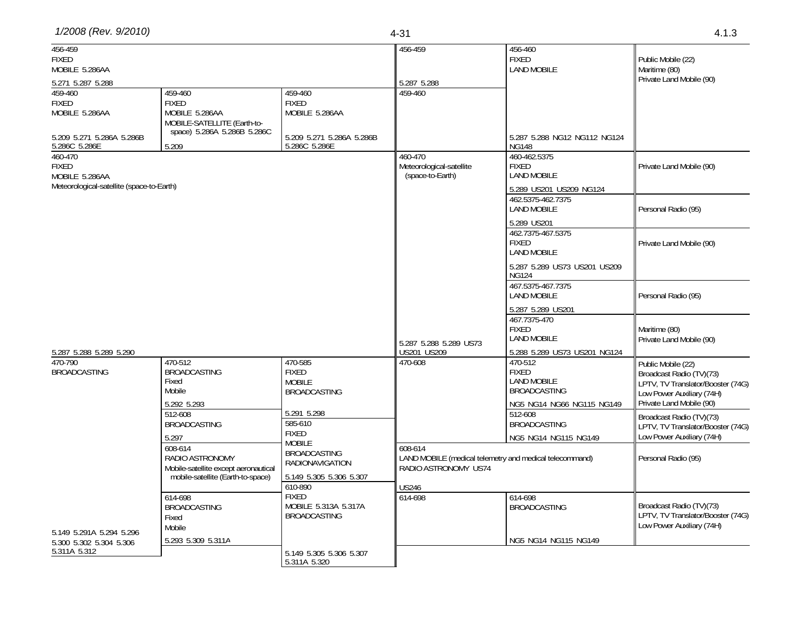| 1/2008 (Rev. 9/2010) | 4 - K | ن ان |
|----------------------|-------|------|
|                      |       |      |

| 456-459                                   |                                                                           |                               | 456-459                                                 | 456-460                                      |                                   |
|-------------------------------------------|---------------------------------------------------------------------------|-------------------------------|---------------------------------------------------------|----------------------------------------------|-----------------------------------|
| <b>FIXED</b>                              |                                                                           |                               |                                                         | <b>FIXED</b>                                 | Public Mobile (22)                |
| MOBILE 5.286AA                            |                                                                           |                               |                                                         | <b>LAND MOBILE</b>                           | Maritime (80)                     |
| 5.271 5.287 5.288                         |                                                                           |                               | 5.287 5.288                                             |                                              | Private Land Mobile (90)          |
| 459-460                                   | 459-460                                                                   | 459-460                       | 459-460                                                 |                                              |                                   |
| <b>FIXED</b>                              | <b>FIXED</b>                                                              | <b>FIXED</b>                  |                                                         |                                              |                                   |
| MOBILE 5.286AA                            | MOBILE 5.286AA                                                            | MOBILE 5.286AA                |                                                         |                                              |                                   |
|                                           | MOBILE-SATELLITE (Earth-to-                                               |                               |                                                         |                                              |                                   |
| 5.209 5.271 5.286A 5.286B                 | space) 5.286A 5.286B 5.286C                                               | 5.209 5.271 5.286A 5.286B     |                                                         | 5.287 5.288 NG12 NG112 NG124                 |                                   |
| 5.286C 5.286E                             | 5.209                                                                     | 5.286C 5.286E                 |                                                         | <b>NG148</b>                                 |                                   |
| 460-470                                   |                                                                           |                               | 460-470                                                 | 460-462.5375                                 |                                   |
| <b>FIXED</b>                              |                                                                           |                               | Meteorological-satellite                                | <b>FIXED</b>                                 | Private Land Mobile (90)          |
| MOBILE 5.286AA                            |                                                                           |                               | (space-to-Earth)                                        | <b>LAND MOBILE</b>                           |                                   |
| Meteorological-satellite (space-to-Earth) |                                                                           |                               |                                                         | 5.289 US201 US209 NG124                      |                                   |
|                                           |                                                                           |                               |                                                         | 462.5375-462.7375                            |                                   |
|                                           |                                                                           |                               |                                                         | <b>LAND MOBILE</b>                           | Personal Radio (95)               |
|                                           |                                                                           |                               |                                                         | 5.289 US201                                  |                                   |
|                                           |                                                                           |                               |                                                         | 462.7375-467.5375                            |                                   |
|                                           |                                                                           |                               |                                                         | <b>FIXED</b>                                 | Private Land Mobile (90)          |
|                                           |                                                                           |                               |                                                         | <b>LAND MOBILE</b>                           |                                   |
|                                           |                                                                           |                               |                                                         |                                              |                                   |
|                                           |                                                                           |                               |                                                         | 5.287 5.289 US73 US201 US209<br><b>NG124</b> |                                   |
|                                           |                                                                           |                               |                                                         | 467.5375-467.7375                            |                                   |
|                                           |                                                                           |                               |                                                         | <b>LAND MOBILE</b>                           | Personal Radio (95)               |
|                                           |                                                                           |                               |                                                         |                                              |                                   |
|                                           |                                                                           |                               |                                                         | 5.287 5.289 US201                            |                                   |
|                                           |                                                                           |                               |                                                         | 467.7375-470<br><b>FIXED</b>                 |                                   |
|                                           |                                                                           |                               |                                                         | <b>LAND MOBILE</b>                           | Maritime (80)                     |
|                                           |                                                                           |                               | 5.287 5.288 5.289 US73                                  |                                              | Private Land Mobile (90)          |
| 5.287 5.288 5.289 5.290                   |                                                                           |                               | US201 US209                                             | 5.288 5.289 US73 US201 NG124                 |                                   |
| 470-790                                   | 470-512                                                                   | 470-585                       | 470-608                                                 | 470-512                                      | Public Mobile (22)                |
| <b>BROADCASTING</b>                       | <b>BROADCASTING</b><br>Fixed                                              | <b>FIXED</b><br><b>MOBILE</b> |                                                         | <b>FIXED</b><br><b>LAND MOBILE</b>           | Broadcast Radio (TV)(73)          |
|                                           | Mobile                                                                    | <b>BROADCASTING</b>           |                                                         | <b>BROADCASTING</b>                          | LPTV, TV Translator/Booster (74G) |
|                                           |                                                                           |                               |                                                         |                                              | Low Power Auxiliary (74H)         |
|                                           | 5.292 5.293                                                               | 5.291 5.298                   |                                                         | NG5 NG14 NG66 NG115 NG149                    | Private Land Mobile (90)          |
|                                           | 512-608                                                                   | 585-610                       |                                                         | 512-608                                      | Broadcast Radio (TV)(73)          |
|                                           | <b>BROADCASTING</b>                                                       | <b>FIXED</b>                  |                                                         | <b>BROADCASTING</b>                          | LPTV, TV Translator/Booster (74G) |
|                                           | 5.297                                                                     | <b>MOBILE</b>                 |                                                         | NG5 NG14 NG115 NG149                         | Low Power Auxiliary (74H)         |
|                                           | 608-614                                                                   | <b>BROADCASTING</b>           | 608-614                                                 |                                              |                                   |
|                                           | RADIO ASTRONOMY                                                           | <b>RADIONAVIGATION</b>        | LAND MOBILE (medical telemetry and medical telecommand) |                                              | Personal Radio (95)               |
|                                           | Mobile-satellite except aeronautical<br>mobile-satellite (Earth-to-space) | 5.149 5.305 5.306 5.307       | RADIO ASTRONOMY US74                                    |                                              |                                   |
|                                           |                                                                           | 610-890                       |                                                         |                                              |                                   |
|                                           | 614-698                                                                   | <b>FIXED</b>                  | <b>US246</b><br>614-698                                 | 614-698                                      |                                   |
|                                           | <b>BROADCASTING</b>                                                       | MOBILE 5.313A 5.317A          |                                                         | <b>BROADCASTING</b>                          | Broadcast Radio (TV)(73)          |
|                                           | Fixed                                                                     | <b>BROADCASTING</b>           |                                                         |                                              | LPTV, TV Translator/Booster (74G) |
|                                           | Mobile                                                                    |                               |                                                         |                                              | Low Power Auxiliary (74H)         |
| 5.149 5.291A 5.294 5.296                  |                                                                           |                               |                                                         |                                              |                                   |
| 5.300 5.302 5.304 5.306                   | 5.293 5.309 5.311A                                                        |                               |                                                         | NG5 NG14 NG115 NG149                         |                                   |
| 5.311A 5.312                              |                                                                           | 5.149 5.305 5.306 5.307       |                                                         |                                              |                                   |
|                                           |                                                                           | 5.311A 5.320                  |                                                         |                                              |                                   |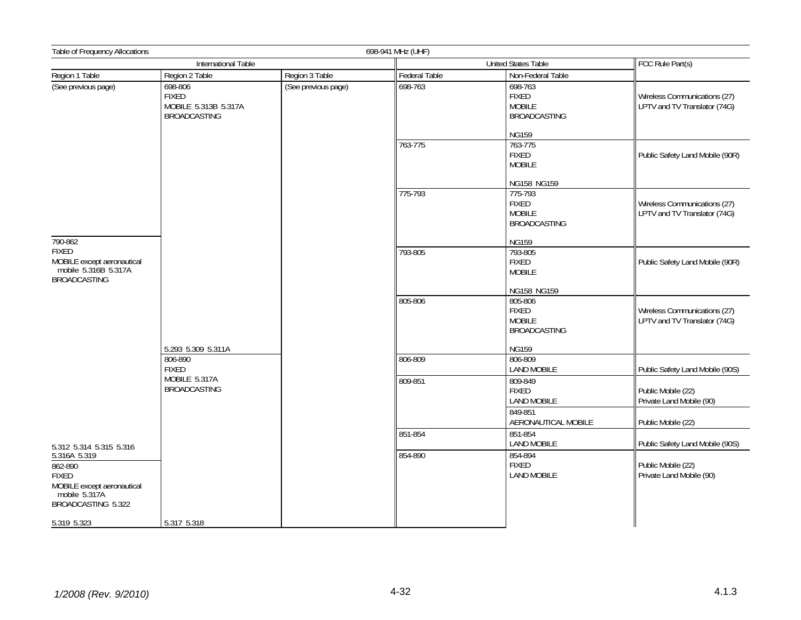| Table of Frequency Allocations                                                                               |                                                                                       |                     | 698-941 MHz (UHF)          |                                                                                                |                                                              |
|--------------------------------------------------------------------------------------------------------------|---------------------------------------------------------------------------------------|---------------------|----------------------------|------------------------------------------------------------------------------------------------|--------------------------------------------------------------|
|                                                                                                              | International Table                                                                   |                     | <b>United States Table</b> |                                                                                                | FCC Rule Part(s)                                             |
| Region 1 Table                                                                                               | Region 2 Table                                                                        | Region 3 Table      | Federal Table              | Non-Federal Table                                                                              |                                                              |
| (See previous page)                                                                                          | 698-806<br><b>FIXED</b><br>MOBILE 5.313B 5.317A<br><b>BROADCASTING</b>                | (See previous page) | 698-763                    | 698-763<br><b>FIXED</b><br><b>MOBILE</b><br><b>BROADCASTING</b>                                | Wireless Communications (27)<br>LPTV and TV Translator (74G) |
|                                                                                                              |                                                                                       |                     | 763-775                    | <b>NG159</b><br>763-775<br><b>FIXED</b><br><b>MOBILE</b>                                       | Public Safety Land Mobile (90R)                              |
| 790-862<br><b>FIXED</b><br>MOBILE except aeronautical<br>mobile 5.316B 5.317A<br><b>BROADCASTING</b>         |                                                                                       |                     | 775-793                    | NG158 NG159<br>775-793<br><b>FIXED</b><br><b>MOBILE</b><br><b>BROADCASTING</b><br><b>NG159</b> | Wireless Communications (27)<br>LPTV and TV Translator (74G) |
|                                                                                                              |                                                                                       |                     | 793-805                    | 793-805<br><b>FIXED</b><br><b>MOBILE</b><br>NG158 NG159                                        | Public Safety Land Mobile (90R)                              |
|                                                                                                              |                                                                                       |                     | 805-806                    | 805-806<br><b>FIXED</b><br><b>MOBILE</b><br><b>BROADCASTING</b>                                | Wireless Communications (27)<br>LPTV and TV Translator (74G) |
|                                                                                                              | 5.293 5.309 5.311A<br>806-890<br><b>FIXED</b><br>MOBILE 5.317A<br><b>BROADCASTING</b> |                     | 806-809                    | <b>NG159</b><br>806-809<br><b>LAND MOBILE</b>                                                  | Public Safety Land Mobile (90S)                              |
|                                                                                                              |                                                                                       |                     | 809-851                    | 809-849<br><b>FIXED</b><br>LAND MOBILE                                                         | Public Mobile (22)<br>Private Land Mobile (90)               |
|                                                                                                              |                                                                                       |                     |                            | 849-851<br>AERONAUTICAL MOBILE                                                                 | Public Mobile (22)                                           |
| 5.312 5.314 5.315 5.316                                                                                      |                                                                                       |                     | 851-854                    | 851-854<br><b>LAND MOBILE</b>                                                                  | Public Safety Land Mobile (90S)                              |
| 5.316A 5.319<br>862-890<br><b>FIXED</b><br>MOBILE except aeronautical<br>mobile 5.317A<br>BROADCASTING 5.322 |                                                                                       |                     | 854-890                    | 854-894<br><b>FIXED</b><br><b>LAND MOBILE</b>                                                  | Public Mobile (22)<br>Private Land Mobile (90)               |
| 5.319 5.323                                                                                                  | 5.317 5.318                                                                           |                     |                            |                                                                                                |                                                              |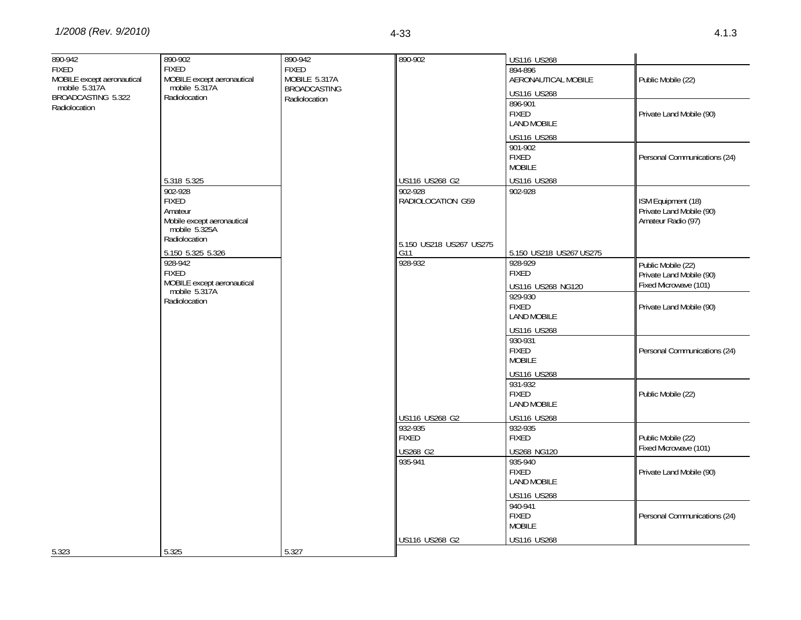| 890-942<br><b>FIXED</b><br>MOBILE except aeronautical<br>mobile 5.317A<br>BROADCASTING 5.322<br>Radiolocation | 890-902<br><b>FIXED</b><br>MOBILE except aeronautical<br>mobile 5.317A<br>Radiolocation                           | 890-942<br><b>FIXED</b><br>MOBILE 5.317A<br><b>BROADCASTING</b><br>Radiolocation | 890-902                                               | US116 US268<br>894-896<br>AERONAUTICAL MOBILE<br><b>US116 US268</b><br>896-901<br><b>FIXED</b><br><b>LAND MOBILE</b><br><b>US116 US268</b><br>901-902<br><b>FIXED</b> | Public Mobile (22)<br>Private Land Mobile (90)<br>Personal Communications (24)                      |
|---------------------------------------------------------------------------------------------------------------|-------------------------------------------------------------------------------------------------------------------|----------------------------------------------------------------------------------|-------------------------------------------------------|-----------------------------------------------------------------------------------------------------------------------------------------------------------------------|-----------------------------------------------------------------------------------------------------|
|                                                                                                               | 5.318 5.325<br>902-928<br><b>FIXED</b><br>Amateur<br>Mobile except aeronautical<br>mobile 5.325A<br>Radiolocation |                                                                                  | US116 US268 G2<br>902-928<br>RADIOLOCATION G59        | <b>MOBILE</b><br>US116 US268<br>902-928                                                                                                                               | ISM Equipment (18)<br>Private Land Mobile (90)<br>Amateur Radio (97)                                |
|                                                                                                               | 5.150 5.325 5.326<br>928-942<br><b>FIXED</b><br>MOBILE except aeronautical<br>mobile 5.317A<br>Radiolocation      |                                                                                  | 5.150 US218 US267 US275<br>G11<br>928-932             | 5.150 US218 US267 US275<br>928-929<br><b>FIXED</b><br>US116 US268 NG120<br>929-930<br><b>FIXED</b><br><b>LAND MOBILE</b>                                              | Public Mobile (22)<br>Private Land Mobile (90)<br>Fixed Microwave (101)<br>Private Land Mobile (90) |
|                                                                                                               |                                                                                                                   |                                                                                  |                                                       | US116 US268<br>930-931<br><b>FIXED</b><br><b>MOBILE</b><br><b>US116 US268</b><br>931-932                                                                              | Personal Communications (24)                                                                        |
|                                                                                                               |                                                                                                                   |                                                                                  | US116 US268 G2<br>932-935<br><b>FIXED</b><br>US268 G2 | <b>FIXED</b><br><b>LAND MOBILE</b><br>US116 US268<br>932-935<br><b>FIXED</b><br>US268 NG120                                                                           | Public Mobile (22)<br>Public Mobile (22)<br>Fixed Microwave (101)                                   |
|                                                                                                               |                                                                                                                   |                                                                                  | 935-941                                               | 935-940<br><b>FIXED</b><br><b>LAND MOBILE</b><br><b>US116 US268</b>                                                                                                   | Private Land Mobile (90)                                                                            |
| 5.323                                                                                                         | 5.325                                                                                                             | 5.327                                                                            | US116 US268 G2                                        | 940-941<br><b>FIXED</b><br><b>MOBILE</b><br>US116 US268                                                                                                               | Personal Communications (24)                                                                        |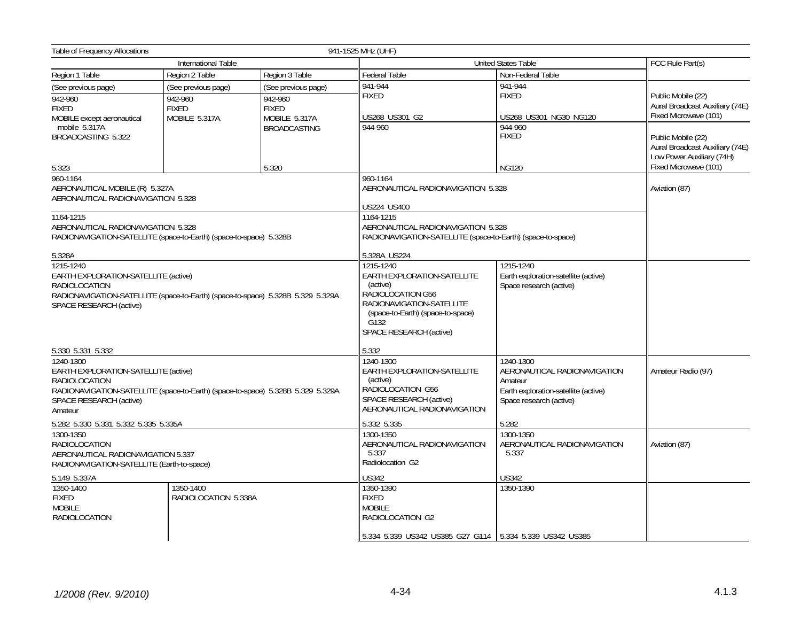| <b>Table of Frequency Allocations</b>                                                                                                                                            |                                                                 |                                                                                                                                                                                | 941-1525 MHz (UHF)                                                                                                             |                                                   |                                                                                                             |
|----------------------------------------------------------------------------------------------------------------------------------------------------------------------------------|-----------------------------------------------------------------|--------------------------------------------------------------------------------------------------------------------------------------------------------------------------------|--------------------------------------------------------------------------------------------------------------------------------|---------------------------------------------------|-------------------------------------------------------------------------------------------------------------|
|                                                                                                                                                                                  | <b>International Table</b>                                      |                                                                                                                                                                                | <b>United States Table</b>                                                                                                     | FCC Rule Part(s)                                  |                                                                                                             |
| Region 1 Table                                                                                                                                                                   | Region 2 Table                                                  | Region 3 Table                                                                                                                                                                 | Federal Table                                                                                                                  | Non-Federal Table                                 |                                                                                                             |
| (See previous page)<br>942-960<br><b>FIXED</b><br>MOBILE except aeronautical                                                                                                     | (See previous page)<br>942-960<br><b>FIXED</b><br>MOBILE 5.317A | (See previous page)<br>942-960<br><b>FIXED</b><br>MOBILE 5.317A                                                                                                                | 941-944<br><b>FIXED</b><br>US268 US301 G2                                                                                      | 941-944<br><b>FIXED</b><br>US268 US301 NG30 NG120 | Public Mobile (22)<br>Aural Broadcast Auxiliary (74E)<br>Fixed Microwave (101)                              |
| mobile 5.317A<br>BROADCASTING 5.322<br>5.323                                                                                                                                     |                                                                 | <b>BROADCASTING</b><br>5.320                                                                                                                                                   | 944-960                                                                                                                        | 944-960<br><b>FIXED</b><br><b>NG120</b>           | Public Mobile (22)<br>Aural Broadcast Auxiliary (74E)<br>Low Power Auxiliary (74H)<br>Fixed Microwave (101) |
| 960-1164                                                                                                                                                                         |                                                                 |                                                                                                                                                                                | 960-1164                                                                                                                       |                                                   |                                                                                                             |
| AERONAUTICAL MOBILE (R) 5.327A<br>AERONAUTICAL RADIONAVIGATION 5.328                                                                                                             |                                                                 |                                                                                                                                                                                | AERONAUTICAL RADIONAVIGATION 5.328<br>US224 US400                                                                              |                                                   | Aviation (87)                                                                                               |
| 1164-1215<br>AERONAUTICAL RADIONAVIGATION 5.328<br>RADIONAVIGATION-SATELLITE (space-to-Earth) (space-to-space) 5.328B<br>5.328A                                                  |                                                                 |                                                                                                                                                                                | 1164-1215<br>AERONAUTICAL RADIONAVIGATION 5.328<br>RADIONAVIGATION-SATELLITE (space-to-Earth) (space-to-space)<br>5.328A US224 |                                                   |                                                                                                             |
| 1215-1240<br>EARTH EXPLORATION-SATELLITE (active)<br>RADIOLOCATION<br>RADIONAVIGATION-SATELLITE (space-to-Earth) (space-to-space) 5.328B 5.329 5.329A<br>SPACE RESEARCH (active) |                                                                 | 1215-1240<br>EARTH EXPLORATION-SATELLITE<br>(active)<br>RADIOLOCATION G56<br>RADIONAVIGATION-SATELLITE<br>(space-to-Earth) (space-to-space)<br>G132<br>SPACE RESEARCH (active) | 1215-1240<br>Earth exploration-satellite (active)<br>Space research (active)                                                   |                                                   |                                                                                                             |
| 5.330 5.331 5.332<br>1240-1300<br>EARTH EXPLORATION-SATELLITE (active)<br><b>RADIOLOCATION</b>                                                                                   |                                                                 | 5.332<br>1240-1300<br>EARTH EXPLORATION-SATELLITE<br>(active)<br>RADIOLOCATION G56                                                                                             | 1240-1300<br>AERONAUTICAL RADIONAVIGATION<br>Amateur<br>Earth exploration-satellite (active)                                   | Amateur Radio (97)                                |                                                                                                             |
| RADIONAVIGATION-SATELLITE (space-to-Earth) (space-to-space) 5.328B 5.329 5.329A<br>SPACE RESEARCH (active)<br>Amateur<br>5.282 5.330 5.331 5.332 5.335 5.335A                    |                                                                 |                                                                                                                                                                                | SPACE RESEARCH (active)<br>AERONAUTICAL RADIONAVIGATION<br>5.332 5.335                                                         | Space research (active)<br>5.282                  |                                                                                                             |
| 1300-1350<br><b>RADIOLOCATION</b><br>AERONAUTICAL RADIONAVIGATION 5.337<br>RADIONAVIGATION-SATELLITE (Earth-to-space)                                                            |                                                                 | 1300-1350<br>AERONAUTICAL RADIONAVIGATION<br>5.337<br>Radiolocation G2                                                                                                         | 1300-1350<br>AERONAUTICAL RADIONAVIGATION<br>5.337                                                                             | Aviation (87)                                     |                                                                                                             |
| 5.149 5.337A                                                                                                                                                                     |                                                                 | <b>US342</b>                                                                                                                                                                   | <b>US342</b>                                                                                                                   |                                                   |                                                                                                             |
| 1350-1400<br><b>FIXED</b><br><b>MOBILE</b><br>RADIOLOCATION                                                                                                                      | 1350-1400<br>RADIOLOCATION 5.338A                               |                                                                                                                                                                                | 1350-1390<br><b>FIXED</b><br><b>MOBILE</b><br>RADIOLOCATION G2                                                                 | 1350-1390                                         |                                                                                                             |
|                                                                                                                                                                                  |                                                                 |                                                                                                                                                                                | 5.334 5.339 US342 US385 G27 G114 5.334 5.339 US342 US385                                                                       |                                                   |                                                                                                             |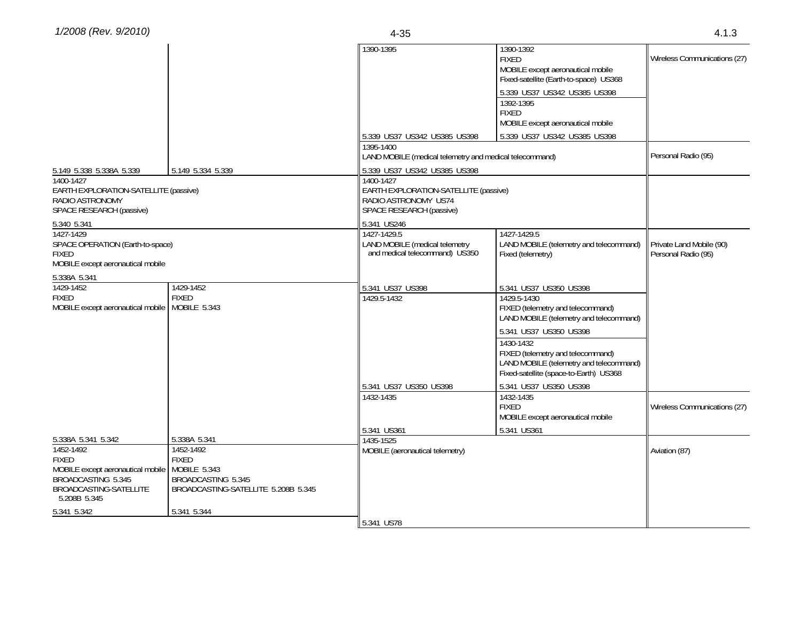|                                                                                                          |                                                                                           | 1390-1395                                                                       | 1390-1392<br><b>FIXED</b><br>MOBILE except aeronautical mobile<br>Fixed-satellite (Earth-to-space) US368                            | Wireless Communications (27)                    |  |
|----------------------------------------------------------------------------------------------------------|-------------------------------------------------------------------------------------------|---------------------------------------------------------------------------------|-------------------------------------------------------------------------------------------------------------------------------------|-------------------------------------------------|--|
|                                                                                                          |                                                                                           |                                                                                 | 5.339 US37 US342 US385 US398<br>1392-1395                                                                                           |                                                 |  |
|                                                                                                          |                                                                                           |                                                                                 | <b>FIXED</b><br>MOBILE except aeronautical mobile                                                                                   |                                                 |  |
|                                                                                                          |                                                                                           | 5.339 US37 US342 US385 US398                                                    | 5.339 US37 US342 US385 US398                                                                                                        |                                                 |  |
|                                                                                                          |                                                                                           | 1395-1400<br>LAND MOBILE (medical telemetry and medical telecommand)            |                                                                                                                                     | Personal Radio (95)                             |  |
| 5.149 5.338 5.338A 5.339                                                                                 | 5.149 5.334 5.339                                                                         | 5.339 US37 US342 US385 US398                                                    |                                                                                                                                     |                                                 |  |
| 1400-1427<br>EARTH EXPLORATION-SATELLITE (passive)<br>RADIO ASTRONOMY<br>SPACE RESEARCH (passive)        |                                                                                           | RADIO ASTRONOMY US74<br>SPACE RESEARCH (passive)                                | 1400-1427<br>EARTH EXPLORATION-SATELLITE (passive)                                                                                  |                                                 |  |
| 5.340 5.341                                                                                              |                                                                                           | 5.341 US246                                                                     |                                                                                                                                     |                                                 |  |
| 1427-1429<br>SPACE OPERATION (Earth-to-space)<br><b>FIXED</b><br>MOBILE except aeronautical mobile       |                                                                                           | 1427-1429.5<br>LAND MOBILE (medical telemetry<br>and medical telecommand) US350 | 1427-1429.5<br>LAND MOBILE (telemetry and telecommand)<br>Fixed (telemetry)                                                         | Private Land Mobile (90)<br>Personal Radio (95) |  |
| 5.338A 5.341                                                                                             |                                                                                           |                                                                                 |                                                                                                                                     |                                                 |  |
| 1429-1452                                                                                                | 1429-1452                                                                                 | 5.341 US37 US398                                                                | 5.341 US37 US350 US398                                                                                                              |                                                 |  |
| <b>FIXED</b><br>MOBILE except aeronautical mobile   MOBILE 5.343                                         | <b>FIXED</b>                                                                              | 1429.5-1432                                                                     | 1429.5-1430<br>FIXED (telemetry and telecommand)<br>LAND MOBILE (telemetry and telecommand)                                         |                                                 |  |
|                                                                                                          |                                                                                           |                                                                                 | 5.341 US37 US350 US398                                                                                                              |                                                 |  |
|                                                                                                          |                                                                                           |                                                                                 | 1430-1432<br>FIXED (telemetry and telecommand)<br>LAND MOBILE (telemetry and telecommand)<br>Fixed-satellite (space-to-Earth) US368 |                                                 |  |
|                                                                                                          |                                                                                           | 5.341 US37 US350 US398                                                          | 5.341 US37 US350 US398                                                                                                              |                                                 |  |
|                                                                                                          |                                                                                           | 1432-1435                                                                       | 1432-1435<br><b>FIXED</b><br>MOBILE except aeronautical mobile                                                                      | Wireless Communications (27)                    |  |
|                                                                                                          |                                                                                           | 5.341 US361                                                                     | 5.341 US361                                                                                                                         |                                                 |  |
| 5.338A 5.341 5.342<br>1452-1492                                                                          | 5.338A 5.341<br>1452-1492                                                                 | 1435-1525                                                                       |                                                                                                                                     |                                                 |  |
| <b>FIXED</b><br>MOBILE except aeronautical mobile<br><b>BROADCASTING 5.345</b><br>BROADCASTING-SATELLITE | <b>FIXED</b><br>MOBILE 5.343<br>BROADCASTING 5.345<br>BROADCASTING-SATELLITE 5.208B 5.345 | MOBILE (aeronautical telemetry)                                                 |                                                                                                                                     | Aviation (87)                                   |  |
| 5.208B 5.345                                                                                             |                                                                                           |                                                                                 |                                                                                                                                     |                                                 |  |
| 5.341 5.342                                                                                              | 5.341 5.344                                                                               |                                                                                 |                                                                                                                                     |                                                 |  |
|                                                                                                          |                                                                                           | 5.341 US78                                                                      |                                                                                                                                     |                                                 |  |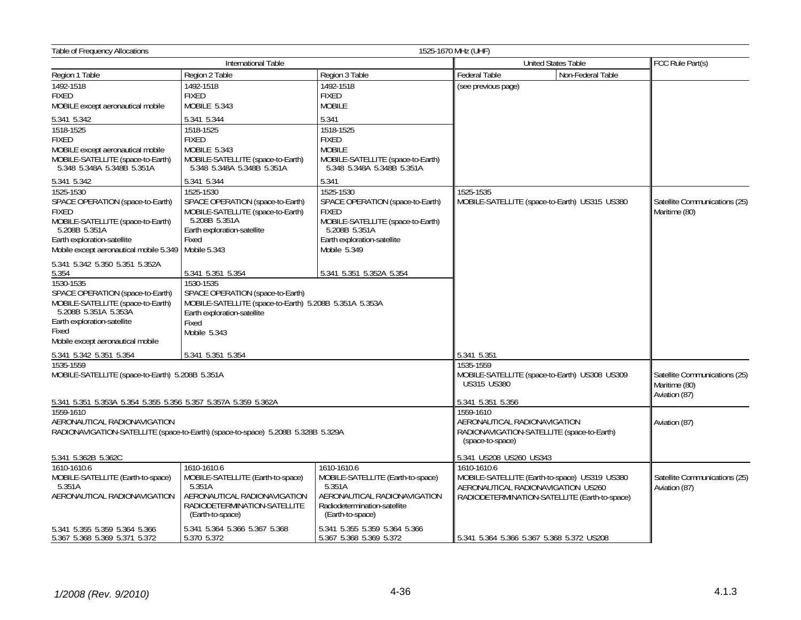| <b>Table of Frequency Allocations</b>                                                                                                                                                                                              |                                                                                                                                                                                      |                                                                                                                                                                    | 1525-1670 MHz (UHF)                                                                                                                                 |                                                                 |
|------------------------------------------------------------------------------------------------------------------------------------------------------------------------------------------------------------------------------------|--------------------------------------------------------------------------------------------------------------------------------------------------------------------------------------|--------------------------------------------------------------------------------------------------------------------------------------------------------------------|-----------------------------------------------------------------------------------------------------------------------------------------------------|-----------------------------------------------------------------|
|                                                                                                                                                                                                                                    | International Table                                                                                                                                                                  |                                                                                                                                                                    | <b>United States Table</b>                                                                                                                          | FCC Rule Part(s)                                                |
| Region 1 Table                                                                                                                                                                                                                     | Region 2 Table                                                                                                                                                                       | Region 3 Table                                                                                                                                                     | Federal Table<br>Non-Federal Table                                                                                                                  |                                                                 |
| 1492-1518<br><b>FIXED</b><br>MOBILE except aeronautical mobile                                                                                                                                                                     | 1492-1518<br><b>FIXED</b><br>MOBILE 5.343                                                                                                                                            | 1492-1518<br><b>FIXED</b><br><b>MOBILE</b>                                                                                                                         | (see previous page)                                                                                                                                 |                                                                 |
| 5.341 5.342                                                                                                                                                                                                                        | 5.341 5.344                                                                                                                                                                          | 5.341                                                                                                                                                              |                                                                                                                                                     |                                                                 |
| 1518-1525<br><b>FIXED</b><br>MOBILE except aeronautical mobile<br>MOBILE-SATELLITE (space-to-Earth)<br>5.348 5.348A 5.348B 5.351A                                                                                                  | 1518-1525<br><b>FIXED</b><br>MOBILE 5.343<br>MOBILE-SATELLITE (space-to-Earth)<br>5.348 5.348A 5.348B 5.351A                                                                         | 1518-1525<br><b>FIXED</b><br><b>MOBILE</b><br>MOBILE-SATELLITE (space-to-Earth)<br>5.348 5.348A 5.348B 5.351A                                                      |                                                                                                                                                     |                                                                 |
| 5.341 5.342                                                                                                                                                                                                                        | 5.341 5.344                                                                                                                                                                          | 5.341                                                                                                                                                              |                                                                                                                                                     |                                                                 |
| 1525-1530<br>SPACE OPERATION (space-to-Earth)<br><b>FIXED</b><br>MOBILE-SATELLITE (space-to-Earth)<br>5.208B 5.351A<br>Earth exploration-satellite<br>Mobile except aeronautical mobile 5.349   Mobile 5.343                       | 1525-1530<br>SPACE OPERATION (space-to-Earth)<br>MOBILE-SATELLITE (space-to-Earth)<br>5.208B 5.351A<br>Earth exploration-satellite<br>Fixed                                          | 1525-1530<br>SPACE OPERATION (space-to-Earth)<br><b>FIXED</b><br>MOBILE-SATELLITE (space-to-Earth)<br>5.208B 5.351A<br>Earth exploration-satellite<br>Mobile 5.349 | 1525-1535<br>MOBILE-SATELLITE (space-to-Earth) US315 US380                                                                                          | Satellite Communications (25)<br>Maritime (80)                  |
| 5.341 5.342 5.350 5.351 5.352A<br>5.354<br>1530-1535<br>SPACE OPERATION (space-to-Earth)<br>MOBILE-SATELLITE (space-to-Earth)<br>5.208B 5.351A 5.353A<br>Earth exploration-satellite<br>Fixed<br>Mobile except aeronautical mobile | 5.341 5.351 5.354<br>1530-1535<br>SPACE OPERATION (space-to-Earth)<br>MOBILE-SATELLITE (space-to-Earth) 5.208B 5.351A 5.353A<br>Earth exploration-satellite<br>Fixed<br>Mobile 5.343 | 5.341 5.351 5.352A 5.354                                                                                                                                           |                                                                                                                                                     |                                                                 |
| 5.341 5.342 5.351 5.354                                                                                                                                                                                                            | 5.341 5.351 5.354                                                                                                                                                                    |                                                                                                                                                                    | 5.341 5.351                                                                                                                                         |                                                                 |
| 1535-1559<br>MOBILE-SATELLITE (space-to-Earth) 5.208B 5.351A                                                                                                                                                                       |                                                                                                                                                                                      |                                                                                                                                                                    | 1535-1559<br>MOBILE-SATELLITE (space-to-Earth) US308 US309<br><b>US315 US380</b>                                                                    | Satellite Communications (25)<br>Maritime (80)<br>Aviation (87) |
| 5.341 5.351 5.353A 5.354 5.355 5.356 5.357 5.357A 5.359 5.362A<br>1559-1610<br>AERONAUTICAL RADIONAVIGATION<br>RADIONAVIGATION-SATELLITE (space-to-Earth) (space-to-space) 5.208B 5.328B 5.329A                                    |                                                                                                                                                                                      |                                                                                                                                                                    | 5.341 5.351 5.356<br>1559-1610<br>AERONAUTICAL RADIONAVIGATION<br>RADIONAVIGATION-SATELLITE (space-to-Earth)<br>(space-to-space)                    | Aviation (87)                                                   |
| 5.341 5.362B 5.362C                                                                                                                                                                                                                |                                                                                                                                                                                      |                                                                                                                                                                    | 5.341 US208 US260 US343                                                                                                                             |                                                                 |
| 1610-1610.6<br>MOBILE-SATELLITE (Earth-to-space)<br>5.351A<br>AERONAUTICAL RADIONAVIGATION                                                                                                                                         | 1610-1610.6<br>MOBILE-SATELLITE (Earth-to-space)<br>5.351A<br>AERONAUTICAL RADIONAVIGATION<br>RADIODETERMINATION-SATELLITE<br>(Earth-to-space)                                       | 1610-1610.6<br>MOBILE-SATELLITE (Earth-to-space)<br>5.351A<br>AERONAUTICAL RADIONAVIGATION<br>Radiodetermination-satellite<br>(Earth-to-space)                     | 1610-1610.6<br>MOBILE-SATELLITE (Earth-to-space) US319 US380<br>AERONAUTICAL RADIONAVIGATION US260<br>RADIODETERMINATION-SATELLITE (Earth-to-space) | Satellite Communications (25)<br>Aviation (87)                  |
| 5.341 5.355 5.359 5.364 5.366<br>5.367 5.368 5.369 5.371 5.372                                                                                                                                                                     | 5.341 5.364 5.366 5.367 5.368<br>5.370 5.372                                                                                                                                         | 5.341 5.355 5.359 5.364 5.366<br>5.367 5.368 5.369 5.372                                                                                                           | 5.341 5.364 5.366 5.367 5.368 5.372 US208                                                                                                           |                                                                 |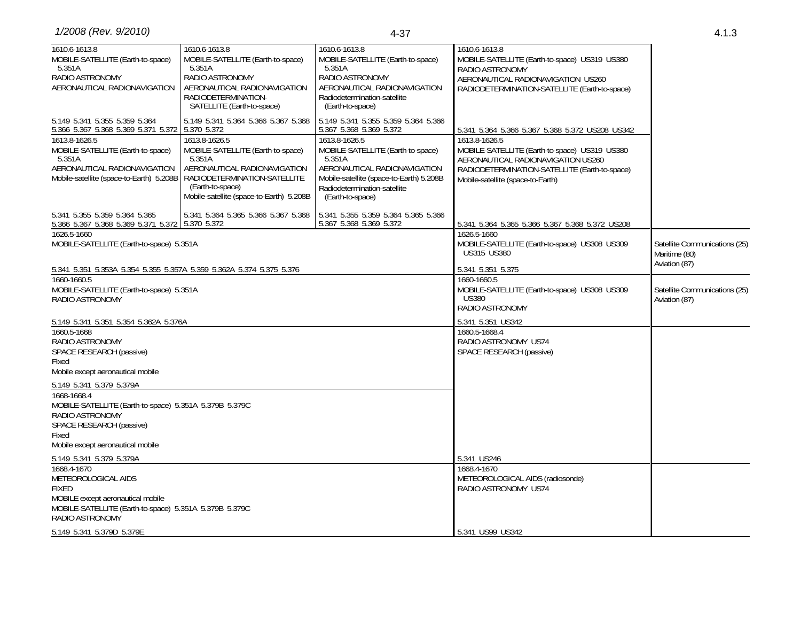| 1610.6-1613.8<br>MOBILE-SATELLITE (Earth-to-space)<br>5.351A<br>RADIO ASTRONOMY<br>AERONAUTICAL RADIONAVIGATION                                                                                                              | 1610.6-1613.8<br>MOBILE-SATELLITE (Earth-to-space)<br>5.351A<br>RADIO ASTRONOMY<br>AERONAUTICAL RADIONAVIGATION<br>RADIODETERMINATION-<br>SATELLITE (Earth-to-space)                                                                | 1610.6-1613.8<br>MOBILE-SATELLITE (Earth-to-space)<br>5.351A<br>RADIO ASTRONOMY<br>AERONAUTICAL RADIONAVIGATION<br>Radiodetermination-satellite<br>(Earth-to-space)                                                                                            | 1610.6-1613.8<br>MOBILE-SATELLITE (Earth-to-space) US319 US380<br>RADIO ASTRONOMY<br>AERONAUTICAL RADIONAVIGATION US260<br>RADIODETERMINATION-SATELLITE (Earth-to-space)                                                                      |                                                |
|------------------------------------------------------------------------------------------------------------------------------------------------------------------------------------------------------------------------------|-------------------------------------------------------------------------------------------------------------------------------------------------------------------------------------------------------------------------------------|----------------------------------------------------------------------------------------------------------------------------------------------------------------------------------------------------------------------------------------------------------------|-----------------------------------------------------------------------------------------------------------------------------------------------------------------------------------------------------------------------------------------------|------------------------------------------------|
| 5.149 5.341 5.355 5.359 5.364<br>5.366 5.367 5.368 5.369 5.371 5.372 5.370 5.372<br>1613.8-1626.5<br>MOBILE-SATELLITE (Earth-to-space)<br>5.351A<br>AERONAUTICAL RADIONAVIGATION<br>Mobile-satellite (space-to-Earth) 5.208B | 5.149 5.341 5.364 5.366 5.367 5.368<br>1613.8-1626.5<br>MOBILE-SATELLITE (Earth-to-space)<br>5.351A<br>AERONAUTICAL RADIONAVIGATION<br>RADIODETERMINATION-SATELLITE<br>(Earth-to-space)<br>Mobile-satellite (space-to-Earth) 5.208B | 5.149 5.341 5.355 5.359 5.364 5.366<br>5.367 5.368 5.369 5.372<br>1613.8-1626.5<br>MOBILE-SATELLITE (Earth-to-space)<br>5.351A<br>AERONAUTICAL RADIONAVIGATION<br>Mobile-satellite (space-to-Earth) 5.208B<br>Radiodetermination-satellite<br>(Earth-to-space) | 5.341 5.364 5.366 5.367 5.368 5.372 US208 US342<br>1613.8-1626.5<br>MOBILE-SATELLITE (Earth-to-space) US319 US380<br>AERONAUTICAL RADIONAVIGATION US260<br>RADIODETERMINATION-SATELLITE (Earth-to-space)<br>Mobile-satellite (space-to-Earth) |                                                |
| 5.341 5.355 5.359 5.364 5.365<br>5.366 5.367 5.368 5.369 5.371 5.372 5.370 5.372<br>1626.5-1660<br>MOBILE-SATELLITE (Earth-to-space) 5.351A                                                                                  | 5.341 5.364 5.365 5.366 5.367 5.368                                                                                                                                                                                                 | 5.341 5.355 5.359 5.364 5.365 5.366<br>5.367 5.368 5.369 5.372                                                                                                                                                                                                 | 5.341 5.364 5.365 5.366 5.367 5.368 5.372 US208<br>1626.5-1660<br>MOBILE-SATELLITE (Earth-to-space) US308 US309<br><b>US315 US380</b>                                                                                                         | Satellite Communications (25)<br>Maritime (80) |
| 5.341 5.351 5.353A 5.354 5.355 5.357A 5.359 5.362A 5.374 5.375 5.376<br>1660-1660.5                                                                                                                                          |                                                                                                                                                                                                                                     |                                                                                                                                                                                                                                                                | 5.341 5.351 5.375<br>1660-1660.5                                                                                                                                                                                                              | Aviation (87)                                  |
| MOBILE-SATELLITE (Earth-to-space) 5.351A<br>RADIO ASTRONOMY                                                                                                                                                                  |                                                                                                                                                                                                                                     |                                                                                                                                                                                                                                                                | MOBILE-SATELLITE (Earth-to-space) US308 US309<br><b>US380</b><br>RADIO ASTRONOMY                                                                                                                                                              | Satellite Communications (25)<br>Aviation (87) |
| 5.149 5.341 5.351 5.354 5.362A 5.376A<br>1660.5-1668<br>RADIO ASTRONOMY<br>SPACE RESEARCH (passive)<br>Fixed<br>Mobile except aeronautical mobile                                                                            |                                                                                                                                                                                                                                     |                                                                                                                                                                                                                                                                | 5.341 5.351 US342<br>1660.5-1668.4<br>RADIO ASTRONOMY US74<br>SPACE RESEARCH (passive)                                                                                                                                                        |                                                |
| 5.149 5.341 5.379 5.379A<br>1668-1668.4<br>MOBILE-SATELLITE (Earth-to-space) 5.351A 5.379B 5.379C<br>RADIO ASTRONOMY<br>SPACE RESEARCH (passive)<br>Fixed<br>Mobile except aeronautical mobile                               |                                                                                                                                                                                                                                     |                                                                                                                                                                                                                                                                |                                                                                                                                                                                                                                               |                                                |
| 5.149 5.341 5.379 5.379A<br>1668.4-1670<br>METEOROLOGICAL AIDS<br><b>FIXED</b><br>MOBILE except aeronautical mobile<br>MOBILE-SATELLITE (Earth-to-space) 5.351A 5.379B 5.379C<br>RADIO ASTRONOMY                             |                                                                                                                                                                                                                                     |                                                                                                                                                                                                                                                                | 5.341 US246<br>1668.4-1670<br>METEOROLOGICAL AIDS (radiosonde)<br>RADIO ASTRONOMY US74                                                                                                                                                        |                                                |
| 5.149 5.341 5.379D 5.379E                                                                                                                                                                                                    |                                                                                                                                                                                                                                     |                                                                                                                                                                                                                                                                | 5.341 US99 US342                                                                                                                                                                                                                              |                                                |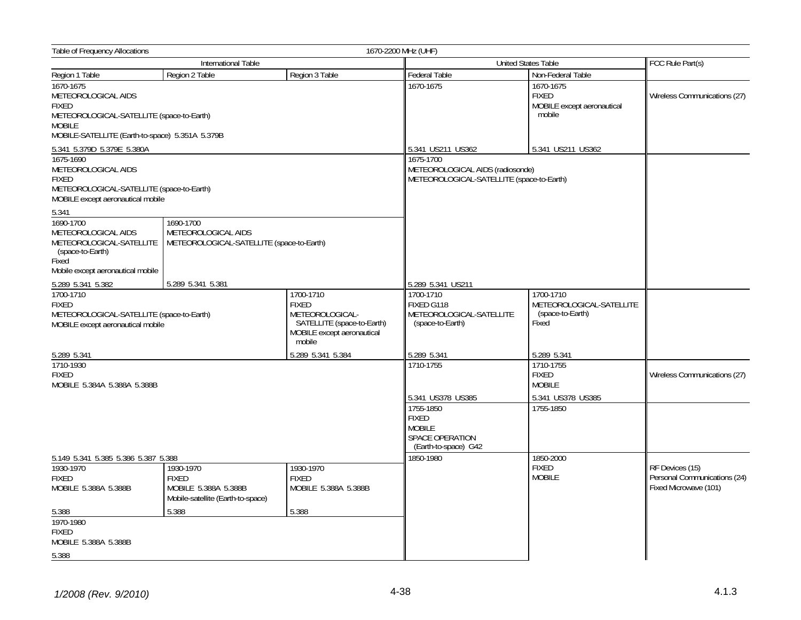| Table of Frequency Allocations                                                                                                                                    |                                                                                                          | 1670-2200 MHz (UHF)                                                                   |                                                                                                            |                                                                    |                                                                          |
|-------------------------------------------------------------------------------------------------------------------------------------------------------------------|----------------------------------------------------------------------------------------------------------|---------------------------------------------------------------------------------------|------------------------------------------------------------------------------------------------------------|--------------------------------------------------------------------|--------------------------------------------------------------------------|
|                                                                                                                                                                   | International Table                                                                                      |                                                                                       |                                                                                                            | United States Table                                                | FCC Rule Part(s)                                                         |
| Region 1 Table                                                                                                                                                    | Region 2 Table                                                                                           | Region 3 Table                                                                        | Federal Table                                                                                              | Non-Federal Table                                                  |                                                                          |
| 1670-1675<br>METEOROLOGICAL AIDS<br><b>FIXED</b><br>METEOROLOGICAL-SATELLITE (space-to-Earth)<br><b>MOBILE</b><br>MOBILE-SATELLITE (Earth-to-space) 5.351A 5.379B |                                                                                                          | 1670-1675                                                                             | 1670-1675<br><b>FIXED</b><br>MOBILE except aeronautical<br>mobile                                          | Wireless Communications (27)                                       |                                                                          |
| 5.341 5.379D 5.379E 5.380A                                                                                                                                        |                                                                                                          |                                                                                       | 5.341 US211 US362                                                                                          | 5.341 US211 US362                                                  |                                                                          |
| 1675-1690<br>METEOROLOGICAL AIDS<br><b>FIXED</b><br>METEOROLOGICAL-SATELLITE (space-to-Earth)<br>MOBILE except aeronautical mobile                                |                                                                                                          |                                                                                       | 1675-1700<br>METEOROLOGICAL AIDS (radiosonde)<br>METEOROLOGICAL-SATELLITE (space-to-Earth)                 |                                                                    |                                                                          |
| 5.341                                                                                                                                                             |                                                                                                          |                                                                                       |                                                                                                            |                                                                    |                                                                          |
| 1690-1700<br>METEOROLOGICAL AIDS<br>(space-to-Earth)<br>Fixed<br>Mobile except aeronautical mobile                                                                | 1690-1700<br>METEOROLOGICAL AIDS<br>METEOROLOGICAL-SATELLITE   METEOROLOGICAL-SATELLITE (space-to-Earth) |                                                                                       |                                                                                                            |                                                                    |                                                                          |
| 5.289 5.341 5.382                                                                                                                                                 | 5.289 5.341 5.381                                                                                        |                                                                                       | 5.289 5.341 US211                                                                                          |                                                                    |                                                                          |
| 1700-1710<br>1700-1710<br><b>FIXED</b><br><b>FIXED</b><br>METEOROLOGICAL-SATELLITE (space-to-Earth)<br>MOBILE except aeronautical mobile                          |                                                                                                          | METEOROLOGICAL-<br>SATELLITE (space-to-Earth)<br>MOBILE except aeronautical<br>mobile | 1700-1710<br>FIXED G118<br>METEOROLOGICAL-SATELLITE<br>(space-to-Earth)                                    | 1700-1710<br>METEOROLOGICAL-SATELLITE<br>(space-to-Earth)<br>Fixed |                                                                          |
| 5.289 5.341                                                                                                                                                       |                                                                                                          | 5.289 5.341 5.384                                                                     | 5.289 5.341                                                                                                | 5.289 5.341                                                        |                                                                          |
| 1710-1930<br><b>FIXED</b><br>MOBILE 5.384A 5.388A 5.388B                                                                                                          |                                                                                                          |                                                                                       | 1710-1755                                                                                                  | 1710-1755<br><b>FIXED</b><br><b>MOBILE</b>                         | Wireless Communications (27)                                             |
|                                                                                                                                                                   |                                                                                                          |                                                                                       | 5.341 US378 US385<br>1755-1850<br><b>FIXED</b><br><b>MOBILE</b><br>SPACE OPERATION<br>(Earth-to-space) G42 | 5.341 US378 US385<br>1755-1850                                     |                                                                          |
| 5.149 5.341 5.385 5.386 5.387 5.388                                                                                                                               |                                                                                                          |                                                                                       | 1850-1980                                                                                                  | 1850-2000                                                          |                                                                          |
| 1930-1970<br><b>FIXED</b><br>MOBILE 5.388A 5.388B                                                                                                                 | 1930-1970<br><b>FIXED</b><br>MOBILE 5.388A 5.388B<br>Mobile-satellite (Earth-to-space)                   | 1930-1970<br><b>FIXED</b><br>MOBILE 5.388A 5.388B                                     |                                                                                                            | <b>FIXED</b><br><b>MOBILE</b>                                      | RF Devices (15)<br>Personal Communications (24)<br>Fixed Microwave (101) |
| 5.388                                                                                                                                                             | 5.388                                                                                                    | 5.388                                                                                 |                                                                                                            |                                                                    |                                                                          |
| 1970-1980<br><b>FIXED</b><br>MOBILE 5.388A 5.388B                                                                                                                 |                                                                                                          |                                                                                       |                                                                                                            |                                                                    |                                                                          |
| 5.388                                                                                                                                                             |                                                                                                          |                                                                                       |                                                                                                            |                                                                    |                                                                          |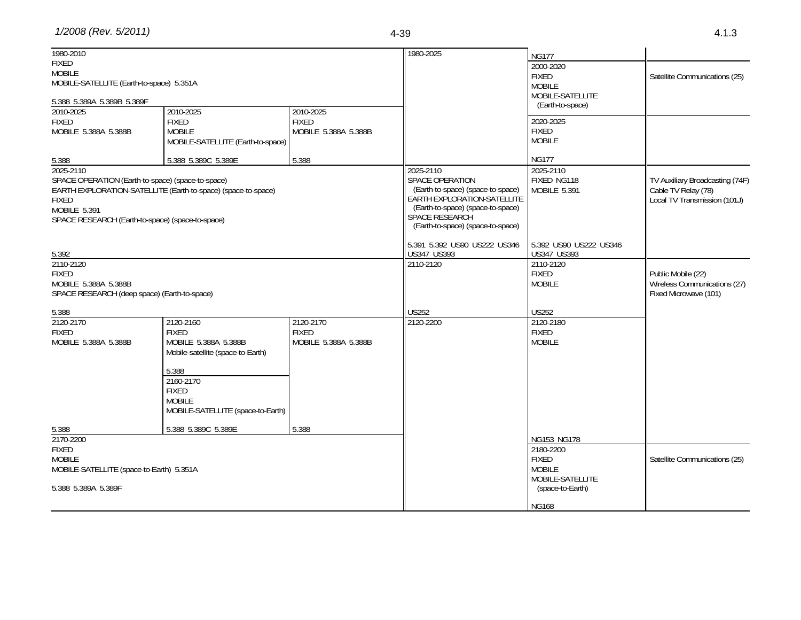| 1980-2010                                         |                                                               |                      | 1980-2025                                                        | <b>NG177</b>                          |                                 |
|---------------------------------------------------|---------------------------------------------------------------|----------------------|------------------------------------------------------------------|---------------------------------------|---------------------------------|
| <b>FIXED</b>                                      |                                                               |                      |                                                                  | 2000-2020                             |                                 |
| <b>MOBILE</b>                                     |                                                               |                      |                                                                  | <b>FIXED</b>                          | Satellite Communications (25)   |
| MOBILE-SATELLITE (Earth-to-space) 5.351A          |                                                               |                      |                                                                  | <b>MOBILE</b>                         |                                 |
| 5.388 5.389A 5.389B 5.389F                        |                                                               |                      |                                                                  | MOBILE-SATELLITE                      |                                 |
| 2010-2025                                         | 2010-2025                                                     | 2010-2025            |                                                                  | (Earth-to-space)                      |                                 |
| <b>FIXED</b>                                      | <b>FIXED</b>                                                  | <b>FIXED</b>         |                                                                  | 2020-2025                             |                                 |
| MOBILE 5.388A 5.388B                              | <b>MOBILE</b>                                                 | MOBILE 5.388A 5.388B |                                                                  | <b>FIXED</b>                          |                                 |
|                                                   | MOBILE-SATELLITE (Earth-to-space)                             |                      |                                                                  | <b>MOBILE</b>                         |                                 |
| 5.388                                             | 5.388 5.389C 5.389E                                           | 5.388                |                                                                  | <b>NG177</b>                          |                                 |
| 2025-2110                                         |                                                               |                      | 2025-2110                                                        | 2025-2110                             |                                 |
| SPACE OPERATION (Earth-to-space) (space-to-space) |                                                               |                      | SPACE OPERATION                                                  | FIXED NG118                           | TV Auxiliary Broadcasting (74F) |
|                                                   | EARTH EXPLORATION-SATELLITE (Earth-to-space) (space-to-space) |                      | (Earth-to-space) (space-to-space)<br>EARTH EXPLORATION-SATELLITE | <b>MOBILE 5.391</b>                   | Cable TV Relay (78)             |
| <b>FIXED</b>                                      |                                                               |                      |                                                                  |                                       | Local TV Transmission (101J)    |
| <b>MOBILE 5.391</b>                               |                                                               |                      | (Earth-to-space) (space-to-space)<br><b>SPACE RESEARCH</b>       |                                       |                                 |
| SPACE RESEARCH (Earth-to-space) (space-to-space)  |                                                               |                      | (Earth-to-space) (space-to-space)                                |                                       |                                 |
|                                                   |                                                               |                      |                                                                  |                                       |                                 |
| 5.392                                             |                                                               |                      | 5.391 5.392 US90 US222 US346<br>US347 US393                      | 5.392 US90 US222 US346<br>US347 US393 |                                 |
| 2110-2120                                         |                                                               |                      | 2110-2120                                                        | 2110-2120                             |                                 |
| <b>FIXED</b>                                      |                                                               |                      |                                                                  | <b>FIXED</b>                          | Public Mobile (22)              |
| MOBILE 5.388A 5.388B                              |                                                               |                      |                                                                  | <b>MOBILE</b>                         | Wireless Communications (27)    |
| SPACE RESEARCH (deep space) (Earth-to-space)      |                                                               |                      |                                                                  |                                       | Fixed Microwave (101)           |
| 5.388                                             |                                                               |                      | <b>US252</b>                                                     | <b>US252</b>                          |                                 |
| 2120-2170                                         | 2120-2160                                                     | 2120-2170            | 2120-2200                                                        | 2120-2180                             |                                 |
| <b>FIXED</b>                                      | <b>FIXED</b>                                                  | <b>FIXED</b>         |                                                                  | <b>FIXED</b>                          |                                 |
| MOBILE 5.388A 5.388B                              | MOBILE 5.388A 5.388B<br>Mobile-satellite (space-to-Earth)     | MOBILE 5.388A 5.388B |                                                                  | <b>MOBILE</b>                         |                                 |
|                                                   | 5.388                                                         |                      |                                                                  |                                       |                                 |
|                                                   | 2160-2170                                                     |                      |                                                                  |                                       |                                 |
|                                                   | <b>FIXED</b>                                                  |                      |                                                                  |                                       |                                 |
|                                                   | <b>MOBILE</b>                                                 |                      |                                                                  |                                       |                                 |
|                                                   | MOBILE-SATELLITE (space-to-Earth)                             |                      |                                                                  |                                       |                                 |
|                                                   |                                                               |                      |                                                                  |                                       |                                 |
| 5.388                                             | 5.388 5.389C 5.389E                                           | 5.388                |                                                                  |                                       |                                 |
| 2170-2200                                         |                                                               |                      |                                                                  | NG153 NG178                           |                                 |
| <b>FIXED</b>                                      |                                                               |                      |                                                                  | 2180-2200                             |                                 |
| <b>MOBILE</b>                                     |                                                               |                      |                                                                  | <b>FIXED</b>                          | Satellite Communications (25)   |
| MOBILE-SATELLITE (space-to-Earth) 5.351A          |                                                               |                      |                                                                  | <b>MOBILE</b>                         |                                 |
|                                                   |                                                               |                      |                                                                  | MOBILE-SATELLITE                      |                                 |
| 5.388 5.389A 5.389F                               |                                                               |                      |                                                                  | (space-to-Earth)                      |                                 |
|                                                   |                                                               |                      |                                                                  | <b>NG168</b>                          |                                 |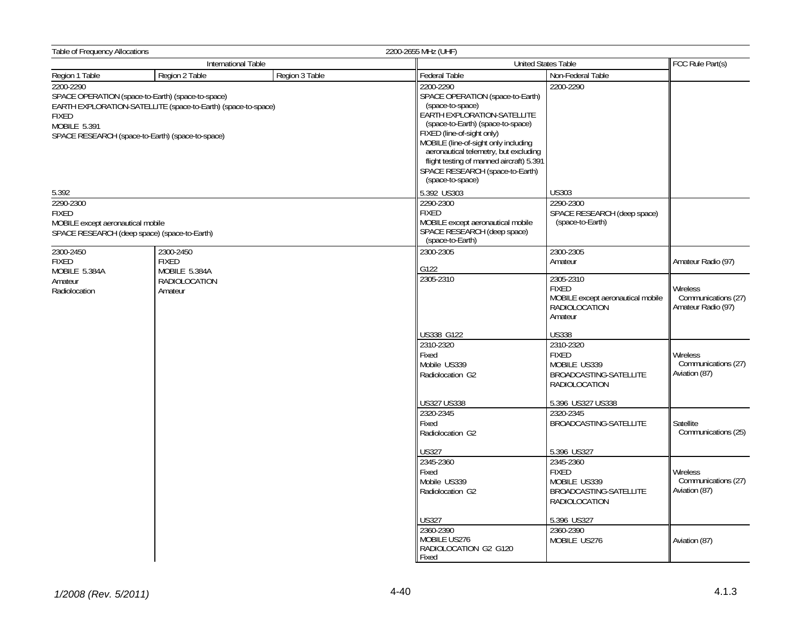| Table of Frequency Allocations                                                                                                                                                                                      |                     |                                                                                                                                                                                                                                                                                                                                                         | 2200-2655 MHz (UHF)                                                                                              |                                                                                             |                                                         |
|---------------------------------------------------------------------------------------------------------------------------------------------------------------------------------------------------------------------|---------------------|---------------------------------------------------------------------------------------------------------------------------------------------------------------------------------------------------------------------------------------------------------------------------------------------------------------------------------------------------------|------------------------------------------------------------------------------------------------------------------|---------------------------------------------------------------------------------------------|---------------------------------------------------------|
|                                                                                                                                                                                                                     | International Table |                                                                                                                                                                                                                                                                                                                                                         |                                                                                                                  | <b>United States Table</b>                                                                  | FCC Rule Part(s)                                        |
| Region 1 Table                                                                                                                                                                                                      | Region 2 Table      | Region 3 Table                                                                                                                                                                                                                                                                                                                                          | Federal Table                                                                                                    | Non-Federal Table                                                                           |                                                         |
| 2200-2290<br>SPACE OPERATION (space-to-Earth) (space-to-space)<br>EARTH EXPLORATION-SATELLITE (space-to-Earth) (space-to-space)<br><b>FIXED</b><br>MOBILE 5.391<br>SPACE RESEARCH (space-to-Earth) (space-to-space) |                     | 2200-2290<br>SPACE OPERATION (space-to-Earth)<br>(space-to-space)<br>EARTH EXPLORATION-SATELLITE<br>(space-to-Earth) (space-to-space)<br>FIXED (line-of-sight only)<br>MOBILE (line-of-sight only including<br>aeronautical telemetry, but excluding<br>flight testing of manned aircraft) 5.391<br>SPACE RESEARCH (space-to-Earth)<br>(space-to-space) | 2200-2290                                                                                                        |                                                                                             |                                                         |
| 5.392                                                                                                                                                                                                               |                     |                                                                                                                                                                                                                                                                                                                                                         | 5.392 US303                                                                                                      | <b>US303</b>                                                                                |                                                         |
| 2290-2300<br><b>FIXED</b><br>MOBILE except aeronautical mobile<br>SPACE RESEARCH (deep space) (space-to-Earth)                                                                                                      |                     | 2290-2300<br><b>FIXED</b><br>MOBILE except aeronautical mobile<br>SPACE RESEARCH (deep space)<br>(space-to-Earth)                                                                                                                                                                                                                                       | 2290-2300<br>SPACE RESEARCH (deep space)<br>(space-to-Earth)                                                     |                                                                                             |                                                         |
| 2300-2450                                                                                                                                                                                                           | 2300-2450           |                                                                                                                                                                                                                                                                                                                                                         | 2300-2305                                                                                                        | 2300-2305                                                                                   |                                                         |
| <b>FIXED</b>                                                                                                                                                                                                        | <b>FIXED</b>        |                                                                                                                                                                                                                                                                                                                                                         |                                                                                                                  | Amateur                                                                                     | Amateur Radio (97)                                      |
| MOBILE 5.384A                                                                                                                                                                                                       | MOBILE 5.384A       |                                                                                                                                                                                                                                                                                                                                                         | G122<br>2305-2310                                                                                                | 2305-2310                                                                                   |                                                         |
| RADIOLOCATION<br>Amateur<br>Radiolocation<br>Amateur                                                                                                                                                                |                     |                                                                                                                                                                                                                                                                                                                                                         | <b>FIXED</b><br>MOBILE except aeronautical mobile<br><b>RADIOLOCATION</b><br>Amateur                             | Wireless<br>Communications (27)<br>Amateur Radio (97)                                       |                                                         |
|                                                                                                                                                                                                                     |                     |                                                                                                                                                                                                                                                                                                                                                         | US338 G122                                                                                                       | <b>US338</b>                                                                                |                                                         |
|                                                                                                                                                                                                                     |                     | 2310-2320<br>Fixed<br>Mobile US339<br>Radiolocation G2<br>US327 US338                                                                                                                                                                                                                                                                                   | 2310-2320<br><b>FIXED</b><br>MOBILE US339<br>BROADCASTING-SATELLITE<br><b>RADIOLOCATION</b><br>5.396 US327 US338 | Wireless<br>Communications (27)<br>Aviation (87)                                            |                                                         |
|                                                                                                                                                                                                                     |                     |                                                                                                                                                                                                                                                                                                                                                         | 2320-2345                                                                                                        | 2320-2345                                                                                   |                                                         |
|                                                                                                                                                                                                                     |                     |                                                                                                                                                                                                                                                                                                                                                         | Fixed<br>Radiolocation G2                                                                                        | BROADCASTING-SATELLITE                                                                      | Satellite<br>Communications (25)                        |
|                                                                                                                                                                                                                     |                     |                                                                                                                                                                                                                                                                                                                                                         | US327                                                                                                            | 5.396 US327                                                                                 |                                                         |
|                                                                                                                                                                                                                     |                     |                                                                                                                                                                                                                                                                                                                                                         | 2345-2360<br>Fixed<br>Mobile US339<br>Radiolocation G2                                                           | 2345-2360<br><b>FIXED</b><br>MOBILE US339<br>BROADCASTING-SATELLITE<br><b>RADIOLOCATION</b> | <b>Wireless</b><br>Communications (27)<br>Aviation (87) |
|                                                                                                                                                                                                                     |                     |                                                                                                                                                                                                                                                                                                                                                         | <b>US327</b>                                                                                                     | 5.396 US327                                                                                 |                                                         |
|                                                                                                                                                                                                                     |                     |                                                                                                                                                                                                                                                                                                                                                         | 2360-2390<br>MOBILE US276<br>RADIOLOCATION G2 G120<br>Fixed                                                      | 2360-2390<br>MOBILE US276                                                                   | Aviation (87)                                           |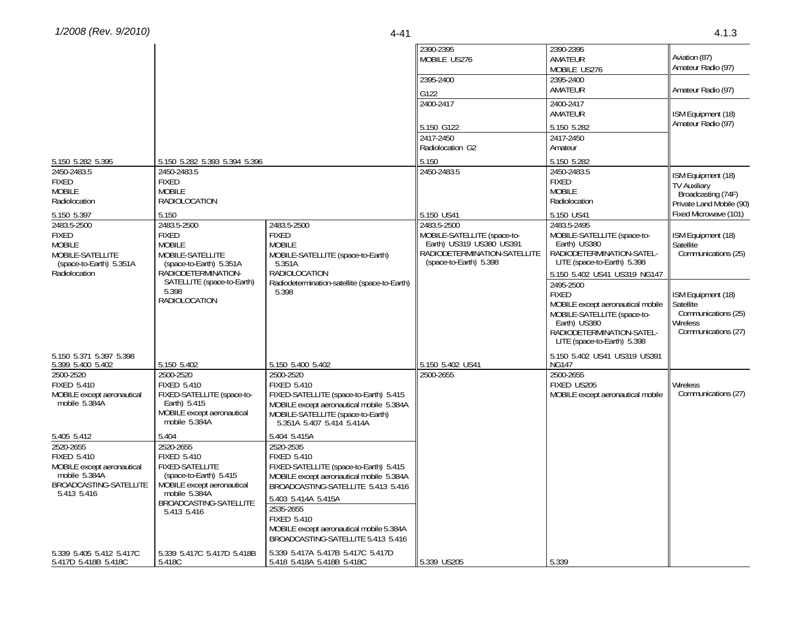|                                                                                                                         |                                                                                                                                                                             |                                                                                                                                                                                                                                                                                                         | 2390-2395<br>MOBILE US276                                                                                                        | 2390-2395<br>AMATEUR<br>MOBILE US276                                                                                                                                      | Aviation (87)<br>Amateur Radio (97)                                                              |
|-------------------------------------------------------------------------------------------------------------------------|-----------------------------------------------------------------------------------------------------------------------------------------------------------------------------|---------------------------------------------------------------------------------------------------------------------------------------------------------------------------------------------------------------------------------------------------------------------------------------------------------|----------------------------------------------------------------------------------------------------------------------------------|---------------------------------------------------------------------------------------------------------------------------------------------------------------------------|--------------------------------------------------------------------------------------------------|
|                                                                                                                         |                                                                                                                                                                             |                                                                                                                                                                                                                                                                                                         | 2395-2400<br>G122                                                                                                                | 2395-2400<br>AMATEUR                                                                                                                                                      | Amateur Radio (97)                                                                               |
|                                                                                                                         |                                                                                                                                                                             |                                                                                                                                                                                                                                                                                                         | 2400-2417                                                                                                                        | 2400-2417<br>AMATEUR                                                                                                                                                      | ISM Equipment (18)<br>Amateur Radio (97)                                                         |
|                                                                                                                         |                                                                                                                                                                             |                                                                                                                                                                                                                                                                                                         | 5.150 G122<br>2417-2450<br>Radiolocation G2                                                                                      | 5.150 5.282<br>2417-2450<br>Amateur                                                                                                                                       |                                                                                                  |
| 5.150 5.282 5.395                                                                                                       | 5.150 5.282 5.393 5.394 5.396                                                                                                                                               |                                                                                                                                                                                                                                                                                                         | 5.150                                                                                                                            | 5.150 5.282                                                                                                                                                               |                                                                                                  |
| 2450-2483.5<br><b>FIXED</b><br><b>MOBILE</b><br>Radiolocation                                                           | 2450-2483.5<br><b>FIXED</b><br><b>MOBILE</b><br><b>RADIOLOCATION</b>                                                                                                        |                                                                                                                                                                                                                                                                                                         | 2450-2483.5                                                                                                                      | 2450-2483.5<br><b>FIXED</b><br><b>MOBILE</b><br>Radiolocation                                                                                                             | ISM Equipment (18)<br><b>TV Auxiliarv</b><br>Broadcasting (74F)<br>Private Land Mobile (90)      |
| 5.150 5.397                                                                                                             | 5.150                                                                                                                                                                       |                                                                                                                                                                                                                                                                                                         | 5.150 US41                                                                                                                       | 5.150 US41                                                                                                                                                                | Fixed Microwave (101)                                                                            |
| 2483.5-2500<br><b>FIXED</b><br><b>MOBILE</b><br>MOBILE-SATELLITE<br>(space-to-Earth) 5.351A                             | 2483.5-2500<br><b>FIXED</b><br><b>MOBILE</b><br>MOBILE-SATELLITE<br>(space-to-Earth) 5.351A                                                                                 | 2483.5-2500<br><b>FIXED</b><br><b>MOBILE</b><br>MOBILE-SATELLITE (space-to-Earth)<br>5.351A                                                                                                                                                                                                             | 2483.5-2500<br>MOBILE-SATELLITE (space-to-<br>Earth) US319 US380 US391<br>RADIODETERMINATION-SATELLITE<br>(space-to-Earth) 5.398 | 2483.5-2495<br>MOBILE-SATELLITE (space-to-<br>Earth) US380<br>RADIODETERMINATION-SATEL-<br>LITE (space-to-Earth) 5.398                                                    | ISM Equipment (18)<br>Satellite<br>Communications (25)                                           |
| Radiolocation                                                                                                           | RADIODETERMINATION-                                                                                                                                                         | RADIOLOCATION                                                                                                                                                                                                                                                                                           |                                                                                                                                  | 5.150 5.402 US41 US319 NG147                                                                                                                                              |                                                                                                  |
|                                                                                                                         | SATELLITE (space-to-Earth)<br>5.398<br>RADIOLOCATION                                                                                                                        | Radiodetermination-satellite (space-to-Earth)<br>5.398                                                                                                                                                                                                                                                  |                                                                                                                                  | 2495-2500<br><b>FIXED</b><br>MOBILE except aeronautical mobile<br>MOBILE-SATELLITE (space-to-<br>Earth) US380<br>RADIODETERMINATION-SATEL-<br>LITE (space-to-Earth) 5.398 | ISM Equipment (18)<br>Satellite<br>Communications (25)<br><b>Wireless</b><br>Communications (27) |
| 5.150 5.371 5.397 5.398<br>5.399 5.400 5.402                                                                            | 5.150 5.402                                                                                                                                                                 | 5.150 5.400 5.402                                                                                                                                                                                                                                                                                       | 5.150 5.402 US41                                                                                                                 | 5.150 5.402 US41 US319 US391<br><b>NG147</b>                                                                                                                              |                                                                                                  |
| 2500-2520<br><b>FIXED 5.410</b><br>MOBILE except aeronautical<br>mobile 5.384A                                          | 2500-2520<br><b>FIXED 5.410</b><br>FIXED-SATELLITE (space-to-<br>Earth) 5.415<br>MOBILE except aeronautical<br>mobile 5.384A                                                | 2500-2520<br><b>FIXED 5.410</b><br>FIXED-SATELLITE (space-to-Earth) 5.415<br>MOBILE except aeronautical mobile 5.384A<br>MOBILE-SATELLITE (space-to-Earth)<br>5.351A 5.407 5.414 5.414A                                                                                                                 | 2500-2655                                                                                                                        | 2500-2655<br>FIXED US205<br>MOBILE except aeronautical mobile                                                                                                             | Wireless<br>Communications (27)                                                                  |
| 5.405 5.412                                                                                                             | 5.404                                                                                                                                                                       | 5.404 5.415A                                                                                                                                                                                                                                                                                            |                                                                                                                                  |                                                                                                                                                                           |                                                                                                  |
| 2520-2655<br><b>FIXED 5.410</b><br>MOBILE except aeronautical<br>mobile 5.384A<br>BROADCASTING-SATELLITE<br>5.413 5.416 | 2520-2655<br><b>FIXED 5.410</b><br><b>FIXED-SATELLITE</b><br>(space-to-Earth) 5.415<br>MOBILE except aeronautical<br>mobile 5.384A<br>BROADCASTING-SATELLITE<br>5.413 5.416 | 2520-2535<br><b>FIXED 5.410</b><br>FIXED-SATELLITE (space-to-Earth) 5.415<br>MOBILE except aeronautical mobile 5.384A<br>BROADCASTING-SATELLITE 5.413 5.416<br>5.403 5.414A 5.415A<br>2535-2655<br><b>FIXED 5.410</b><br>MOBILE except aeronautical mobile 5.384A<br>BROADCASTING-SATELLITE 5.413 5.416 |                                                                                                                                  |                                                                                                                                                                           |                                                                                                  |
| 5.339 5.405 5.412 5.417C<br>5.417D 5.418B 5.418C                                                                        | 5.339 5.417C 5.417D 5.418B<br>5.418C                                                                                                                                        | 5.339 5.417A 5.417B 5.417C 5.417D<br>5.418 5.418A 5.418B 5.418C                                                                                                                                                                                                                                         | 5.339 US205                                                                                                                      | 5.339                                                                                                                                                                     |                                                                                                  |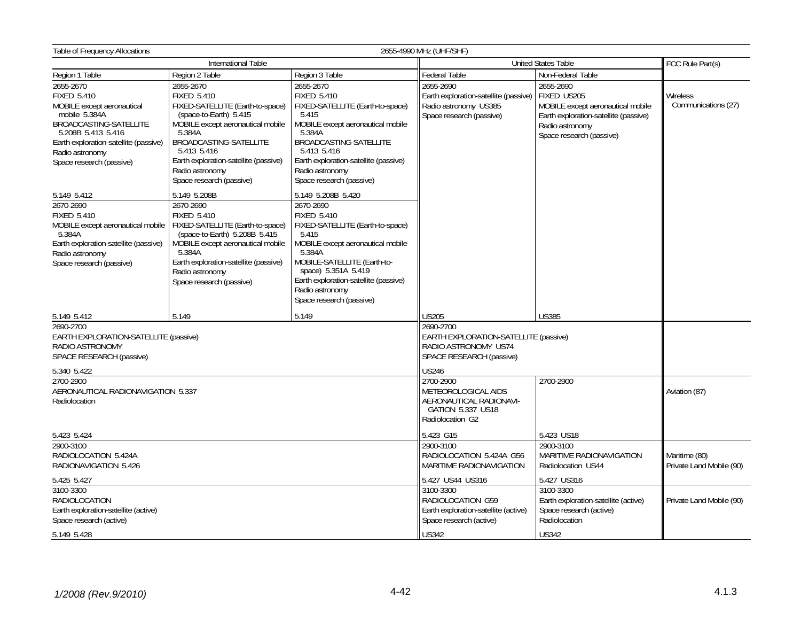| <b>Table of Frequency Allocations</b><br>2655-4990 MHz (UHF/SHF)                                                                                                                                                       |                                                                                                                                                                                                                                                                               |                                                                                                                                                                                                                                                                                                 |                                                                                                                                                                                                            |                                                                                                                                                       |                                           |  |
|------------------------------------------------------------------------------------------------------------------------------------------------------------------------------------------------------------------------|-------------------------------------------------------------------------------------------------------------------------------------------------------------------------------------------------------------------------------------------------------------------------------|-------------------------------------------------------------------------------------------------------------------------------------------------------------------------------------------------------------------------------------------------------------------------------------------------|------------------------------------------------------------------------------------------------------------------------------------------------------------------------------------------------------------|-------------------------------------------------------------------------------------------------------------------------------------------------------|-------------------------------------------|--|
|                                                                                                                                                                                                                        | International Table                                                                                                                                                                                                                                                           |                                                                                                                                                                                                                                                                                                 | <b>United States Table</b>                                                                                                                                                                                 | FCC Rule Part(s)                                                                                                                                      |                                           |  |
| Region 1 Table                                                                                                                                                                                                         | Region 2 Table                                                                                                                                                                                                                                                                | Region 3 Table                                                                                                                                                                                                                                                                                  | Federal Table                                                                                                                                                                                              | Non-Federal Table                                                                                                                                     |                                           |  |
| 2655-2670<br><b>FIXED 5.410</b><br>MOBILE except aeronautical<br>mobile 5.384A<br>BROADCASTING-SATELLITE<br>5.208B 5.413 5.416<br>Earth exploration-satellite (passive)<br>Radio astronomy<br>Space research (passive) | 2655-2670<br><b>FIXED 5.410</b><br>FIXED-SATELLITE (Earth-to-space)<br>(space-to-Earth) 5.415<br>MOBILE except aeronautical mobile<br>5.384A<br>BROADCASTING-SATELLITE<br>5.413 5.416<br>Earth exploration-satellite (passive)<br>Radio astronomy<br>Space research (passive) | 2655-2670<br><b>FIXED 5.410</b><br>FIXED-SATELLITE (Earth-to-space)<br>5.415<br>MOBILE except aeronautical mobile<br>5.384A<br>BROADCASTING-SATELLITE<br>5.413 5.416<br>Earth exploration-satellite (passive)<br>Radio astronomy<br>Space research (passive)                                    | 2655-2690<br>Earth exploration-satellite (passive)<br>Radio astronomy US385<br>Space research (passive)                                                                                                    | 2655-2690<br>FIXED US205<br>MOBILE except aeronautical mobile<br>Earth exploration-satellite (passive)<br>Radio astronomy<br>Space research (passive) | <b>Wireless</b><br>Communications (27)    |  |
| 5.149 5.412<br>2670-2690<br><b>FIXED 5.410</b><br>MOBILE except aeronautical mobile<br>5.384A<br>Earth exploration-satellite (passive)<br>Radio astronomy<br>Space research (passive)                                  | 5.149 5.208B<br>2670-2690<br><b>FIXED 5.410</b><br>FIXED-SATELLITE (Earth-to-space)<br>(space-to-Earth) 5.208B 5.415<br>MOBILE except aeronautical mobile<br>5.384A<br>Earth exploration-satellite (passive)<br>Radio astronomy<br>Space research (passive)                   | 5.149 5.208B 5.420<br>2670-2690<br><b>FIXED 5.410</b><br>FIXED-SATELLITE (Earth-to-space)<br>5.415<br>MOBILE except aeronautical mobile<br>5.384A<br>MOBILE-SATELLITE (Earth-to-<br>space) 5.351A 5.419<br>Earth exploration-satellite (passive)<br>Radio astronomy<br>Space research (passive) |                                                                                                                                                                                                            |                                                                                                                                                       |                                           |  |
| 5.149 5.412                                                                                                                                                                                                            | 5.149                                                                                                                                                                                                                                                                         | 5.149                                                                                                                                                                                                                                                                                           | <b>US205</b>                                                                                                                                                                                               | <b>US385</b>                                                                                                                                          |                                           |  |
| 2690-2700<br>EARTH EXPLORATION-SATELLITE (passive)<br>RADIO ASTRONOMY<br>SPACE RESEARCH (passive)<br>5.340 5.422<br>2700-2900<br>AERONAUTICAL RADIONAVIGATION 5.337<br>Radiolocation                                   |                                                                                                                                                                                                                                                                               |                                                                                                                                                                                                                                                                                                 | 2690-2700<br><b>EARTH EXPLORATION-SATELLITE (passive)</b><br>RADIO ASTRONOMY US74<br>SPACE RESEARCH (passive)<br>US246<br>2700-2900<br>METEOROLOGICAL AIDS<br>AERONAUTICAL RADIONAVI-<br>GATION 5.337 US18 | 2700-2900                                                                                                                                             | Aviation (87)                             |  |
|                                                                                                                                                                                                                        |                                                                                                                                                                                                                                                                               |                                                                                                                                                                                                                                                                                                 | Radiolocation G2                                                                                                                                                                                           |                                                                                                                                                       |                                           |  |
| 5.423 5.424<br>2900-3100<br>RADIOLOCATION 5.424A<br>RADIONAVIGATION 5.426                                                                                                                                              |                                                                                                                                                                                                                                                                               |                                                                                                                                                                                                                                                                                                 | 5.423 G15<br>2900-3100<br>RADIOLOCATION 5.424A G56<br>MARITIME RADIONAVIGATION                                                                                                                             | 5.423 US18<br>2900-3100<br>MARITIME RADIONAVIGATION<br>Radiolocation US44                                                                             | Maritime (80)<br>Private Land Mobile (90) |  |
| 5.425 5.427                                                                                                                                                                                                            |                                                                                                                                                                                                                                                                               |                                                                                                                                                                                                                                                                                                 | 5.427 US44 US316                                                                                                                                                                                           | 5.427 US316                                                                                                                                           |                                           |  |
| 3100-3300<br><b>RADIOLOCATION</b><br>Earth exploration-satellite (active)<br>Space research (active)                                                                                                                   |                                                                                                                                                                                                                                                                               |                                                                                                                                                                                                                                                                                                 | 3100-3300<br>RADIOLOCATION G59<br>Earth exploration-satellite (active)<br>Space research (active)                                                                                                          | 3100-3300<br>Earth exploration-satellite (active)<br>Space research (active)<br>Radiolocation                                                         | Private Land Mobile (90)                  |  |
| 5.149 5.428                                                                                                                                                                                                            |                                                                                                                                                                                                                                                                               |                                                                                                                                                                                                                                                                                                 | <b>US342</b>                                                                                                                                                                                               | <b>US342</b>                                                                                                                                          |                                           |  |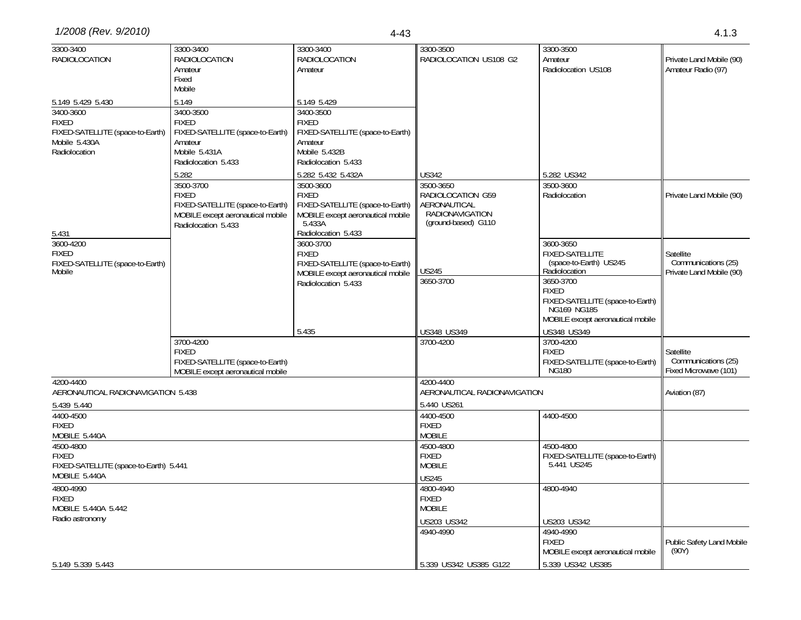| 3300-3400                              | 3300-3400                                                             | 3300-3400                                                             | 3300-3500                       | 3300-3500                                       |                           |
|----------------------------------------|-----------------------------------------------------------------------|-----------------------------------------------------------------------|---------------------------------|-------------------------------------------------|---------------------------|
| <b>RADIOLOCATION</b>                   | RADIOLOCATION                                                         | <b>RADIOLOCATION</b>                                                  | RADIOLOCATION US108 G2          | Amateur                                         | Private Land Mobile (90)  |
|                                        | Amateur                                                               | Amateur                                                               |                                 | Radiolocation US108                             | Amateur Radio (97)        |
|                                        | Fixed                                                                 |                                                                       |                                 |                                                 |                           |
|                                        | Mobile                                                                |                                                                       |                                 |                                                 |                           |
| 5.149 5.429 5.430                      | 5.149                                                                 | 5.149 5.429                                                           |                                 |                                                 |                           |
| 3400-3600                              | 3400-3500                                                             | 3400-3500                                                             |                                 |                                                 |                           |
| <b>FIXED</b>                           | <b>FIXED</b>                                                          | <b>FIXED</b>                                                          |                                 |                                                 |                           |
| FIXED-SATELLITE (space-to-Earth)       | FIXED-SATELLITE (space-to-Earth)                                      | FIXED-SATELLITE (space-to-Earth)                                      |                                 |                                                 |                           |
| Mobile 5.430A                          | Amateur                                                               | Amateur                                                               |                                 |                                                 |                           |
| Radiolocation                          | Mobile 5.431A                                                         | Mobile 5.432B                                                         |                                 |                                                 |                           |
|                                        | Radiolocation 5.433                                                   | Radiolocation 5.433                                                   |                                 |                                                 |                           |
|                                        | 5.282                                                                 | 5.282 5.432 5.432A                                                    | <b>US342</b>                    | 5.282 US342                                     |                           |
|                                        | 3500-3700                                                             | 3500-3600                                                             | 3500-3650                       | 3500-3600                                       |                           |
|                                        | <b>FIXED</b>                                                          | <b>FIXED</b>                                                          | RADIOLOCATION G59               | Radiolocation                                   | Private Land Mobile (90)  |
|                                        | FIXED-SATELLITE (space-to-Earth)<br>MOBILE except aeronautical mobile | FIXED-SATELLITE (space-to-Earth)<br>MOBILE except aeronautical mobile | AERONAUTICAL<br>RADIONAVIGATION |                                                 |                           |
|                                        | Radiolocation 5.433                                                   | 5.433A                                                                | (ground-based) G110             |                                                 |                           |
| 5.431                                  |                                                                       | Radiolocation 5.433                                                   |                                 |                                                 |                           |
| 3600-4200                              |                                                                       | 3600-3700                                                             |                                 | 3600-3650                                       |                           |
| <b>FIXED</b>                           |                                                                       | <b>FIXED</b>                                                          |                                 | FIXED-SATELLITE                                 | Satellite                 |
| FIXED-SATELLITE (space-to-Earth)       |                                                                       | FIXED-SATELLITE (space-to-Earth)                                      |                                 | (space-to-Earth) US245                          | Communications (25)       |
| Mobile                                 |                                                                       | MOBILE except aeronautical mobile                                     | <b>US245</b>                    | Radiolocation                                   | Private Land Mobile (90)  |
|                                        |                                                                       | Radiolocation 5.433                                                   | 3650-3700                       | 3650-3700                                       |                           |
|                                        |                                                                       |                                                                       |                                 | <b>FIXED</b>                                    |                           |
|                                        |                                                                       |                                                                       |                                 | FIXED-SATELLITE (space-to-Earth)<br>NG169 NG185 |                           |
|                                        |                                                                       |                                                                       |                                 | MOBILE except aeronautical mobile               |                           |
|                                        |                                                                       | 5.435                                                                 | US348 US349                     | US348 US349                                     |                           |
|                                        | 3700-4200                                                             |                                                                       | 3700-4200                       | 3700-4200                                       |                           |
|                                        | <b>FIXED</b>                                                          |                                                                       |                                 | <b>FIXED</b>                                    | Satellite                 |
|                                        | FIXED-SATELLITE (space-to-Earth)                                      |                                                                       |                                 | FIXED-SATELLITE (space-to-Earth)                | Communications (25)       |
|                                        | MOBILE except aeronautical mobile                                     |                                                                       |                                 | <b>NG180</b>                                    | Fixed Microwave (101)     |
| 4200-4400                              |                                                                       |                                                                       | 4200-4400                       |                                                 |                           |
| AERONAUTICAL RADIONAVIGATION 5.438     |                                                                       |                                                                       | AERONAUTICAL RADIONAVIGATION    |                                                 | Aviation (87)             |
| 5.439 5.440                            |                                                                       |                                                                       | 5.440 US261                     |                                                 |                           |
| 4400-4500                              |                                                                       |                                                                       | 4400-4500                       | 4400-4500                                       |                           |
| <b>FIXED</b>                           |                                                                       |                                                                       | <b>FIXED</b>                    |                                                 |                           |
| MOBILE 5.440A                          |                                                                       |                                                                       | <b>MOBILE</b>                   |                                                 |                           |
| 4500-4800                              |                                                                       |                                                                       | 4500-4800                       | 4500-4800                                       |                           |
| <b>FIXED</b>                           |                                                                       |                                                                       | <b>FIXED</b>                    | FIXED-SATELLITE (space-to-Earth)                |                           |
| FIXED-SATELLITE (space-to-Earth) 5.441 |                                                                       |                                                                       | <b>MOBILE</b>                   | 5.441 US245                                     |                           |
| MOBILE 5.440A                          |                                                                       |                                                                       | <b>US245</b>                    |                                                 |                           |
| 4800-4990                              |                                                                       |                                                                       | 4800-4940                       | 4800-4940                                       |                           |
| <b>FIXED</b>                           |                                                                       |                                                                       | <b>FIXED</b>                    |                                                 |                           |
| MOBILE 5.440A 5.442                    |                                                                       |                                                                       | <b>MOBILE</b>                   |                                                 |                           |
| Radio astronomy                        |                                                                       |                                                                       | US203 US342                     | US203 US342                                     |                           |
|                                        |                                                                       |                                                                       | 4940-4990                       | 4940-4990                                       |                           |
|                                        |                                                                       |                                                                       |                                 | <b>FIXED</b>                                    | Public Safety Land Mobile |
|                                        |                                                                       |                                                                       |                                 | MOBILE except aeronautical mobile               | (90Y)                     |
| 5.149 5.339 5.443                      |                                                                       |                                                                       | 5.339 US342 US385 G122          | 5.339 US342 US385                               |                           |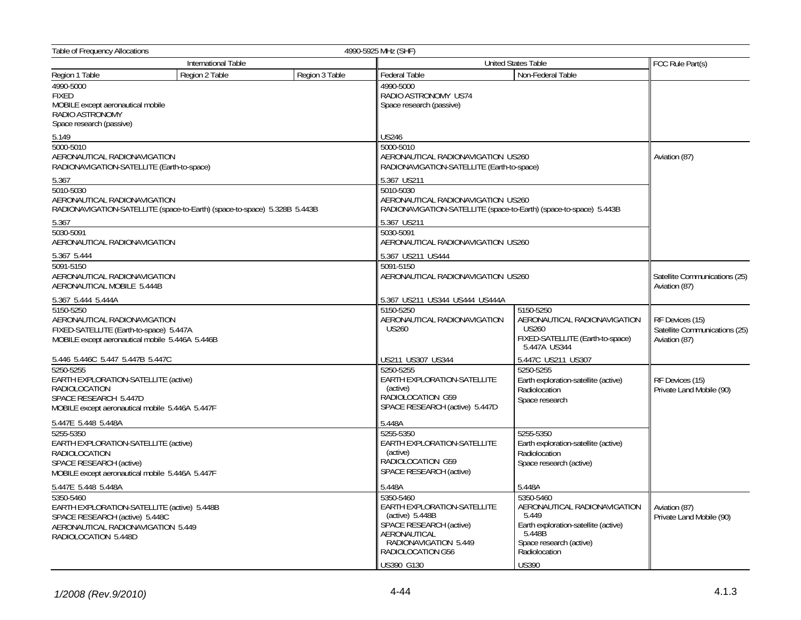| Table of Frequency Allocations<br>4990-5925 MHz (SHF)                                                                                                    |                                                                           |                |                                                                                                                                                                             |                                                                                                                                                                  |                                                                   |  |
|----------------------------------------------------------------------------------------------------------------------------------------------------------|---------------------------------------------------------------------------|----------------|-----------------------------------------------------------------------------------------------------------------------------------------------------------------------------|------------------------------------------------------------------------------------------------------------------------------------------------------------------|-------------------------------------------------------------------|--|
| <b>International Table</b>                                                                                                                               |                                                                           |                |                                                                                                                                                                             | United States Table                                                                                                                                              |                                                                   |  |
| Region 1 Table                                                                                                                                           | Region 2 Table                                                            | Region 3 Table | Federal Table                                                                                                                                                               | Non-Federal Table                                                                                                                                                |                                                                   |  |
| 4990-5000<br><b>FIXED</b><br>MOBILE except aeronautical mobile<br>RADIO ASTRONOMY<br>Space research (passive)                                            |                                                                           |                | 4990-5000<br>RADIO ASTRONOMY US74<br>Space research (passive)                                                                                                               |                                                                                                                                                                  |                                                                   |  |
| 5.149                                                                                                                                                    |                                                                           |                | US246                                                                                                                                                                       |                                                                                                                                                                  |                                                                   |  |
| 5000-5010<br>AERONAUTICAL RADIONAVIGATION<br>RADIONAVIGATION-SATELLITE (Earth-to-space)                                                                  |                                                                           |                | 5000-5010<br>AERONAUTICAL RADIONAVIGATION US260<br>RADIONAVIGATION-SATELLITE (Earth-to-space)                                                                               |                                                                                                                                                                  | Aviation (87)                                                     |  |
| 5.367                                                                                                                                                    |                                                                           |                | 5.367 US211                                                                                                                                                                 |                                                                                                                                                                  |                                                                   |  |
| 5010-5030<br>AERONAUTICAL RADIONAVIGATION                                                                                                                | RADIONAVIGATION-SATELLITE (space-to-Earth) (space-to-space) 5.328B 5.443B |                | 5010-5030<br>AERONAUTICAL RADIONAVIGATION US260<br>RADIONAVIGATION-SATELLITE (space-to-Earth) (space-to-space) 5.443B                                                       |                                                                                                                                                                  |                                                                   |  |
| 5.367                                                                                                                                                    |                                                                           |                | 5.367 US211                                                                                                                                                                 |                                                                                                                                                                  |                                                                   |  |
| 5030-5091<br>AERONAUTICAL RADIONAVIGATION                                                                                                                |                                                                           |                | 5030-5091<br>AERONAUTICAL RADIONAVIGATION US260                                                                                                                             |                                                                                                                                                                  |                                                                   |  |
| 5.367 5.444                                                                                                                                              |                                                                           |                | 5.367 US211 US444                                                                                                                                                           |                                                                                                                                                                  |                                                                   |  |
| 5091-5150<br>AERONAUTICAL RADIONAVIGATION<br>AERONAUTICAL MOBILE 5.444B                                                                                  |                                                                           | 5091-5150      | AERONAUTICAL RADIONAVIGATION US260                                                                                                                                          |                                                                                                                                                                  |                                                                   |  |
| 5.367 5.444 5.444A                                                                                                                                       |                                                                           |                | 5.367 US211 US344 US444 US444A                                                                                                                                              |                                                                                                                                                                  |                                                                   |  |
| 5150-5250<br>AERONAUTICAL RADIONAVIGATION<br>FIXED-SATELLITE (Earth-to-space) 5.447A<br>MOBILE except aeronautical mobile 5.446A 5.446B                  |                                                                           |                | 5150-5250<br>AERONAUTICAL RADIONAVIGATION<br><b>US260</b>                                                                                                                   | 5150-5250<br>AERONAUTICAL RADIONAVIGATION<br><b>US260</b><br>FIXED-SATELLITE (Earth-to-space)<br>5.447A US344                                                    | RF Devices (15)<br>Satellite Communications (25)<br>Aviation (87) |  |
| 5.446 5.446C 5.447 5.447B 5.447C                                                                                                                         |                                                                           |                | US211 US307 US344                                                                                                                                                           | 5.447C US211 US307                                                                                                                                               |                                                                   |  |
| 5250-5255<br>EARTH EXPLORATION-SATELLITE (active)<br><b>RADIOLOCATION</b><br>SPACE RESEARCH 5.447D<br>MOBILE except aeronautical mobile 5.446A 5.447F    |                                                                           |                | 5250-5255<br>EARTH EXPLORATION-SATELLITE<br>(active)<br>RADIOLOCATION G59<br>SPACE RESEARCH (active) 5.447D                                                                 | 5250-5255<br>Earth exploration-satellite (active)<br>Radiolocation<br>Space research                                                                             | RF Devices (15)<br>Private Land Mobile (90)                       |  |
| 5.447E 5.448 5.448A                                                                                                                                      |                                                                           |                | 5.448A                                                                                                                                                                      |                                                                                                                                                                  |                                                                   |  |
| 5255-5350<br>EARTH EXPLORATION-SATELLITE (active)<br>RADIOLOCATION<br>SPACE RESEARCH (active)<br>MOBILE except aeronautical mobile 5.446A 5.447F         |                                                                           |                | 5255-5350<br>EARTH EXPLORATION-SATELLITE<br>(active)<br>RADIOLOCATION G59<br>SPACE RESEARCH (active)                                                                        | 5255-5350<br>Earth exploration-satellite (active)<br>Radiolocation<br>Space research (active)                                                                    |                                                                   |  |
| 5.447E 5.448 5.448A                                                                                                                                      |                                                                           |                | 5.448A                                                                                                                                                                      | 5.448A                                                                                                                                                           |                                                                   |  |
| 5350-5460<br>EARTH EXPLORATION-SATELLITE (active) 5.448B<br>SPACE RESEARCH (active) 5.448C<br>AERONAUTICAL RADIONAVIGATION 5.449<br>RADIOLOCATION 5.448D |                                                                           |                | 5350-5460<br>EARTH EXPLORATION-SATELLITE<br>$(active)$ 5.448B<br>SPACE RESEARCH (active)<br>AERONAUTICAL<br>RADIONAVIGATION 5.449<br>RADIOLOCATION G56<br><b>US390 G130</b> | 5350-5460<br>AERONAUTICAL RADIONAVIGATION<br>5.449<br>Earth exploration-satellite (active)<br>5.448B<br>Space research (active)<br>Radiolocation<br><b>US390</b> | Aviation (87)<br>Private Land Mobile (90)                         |  |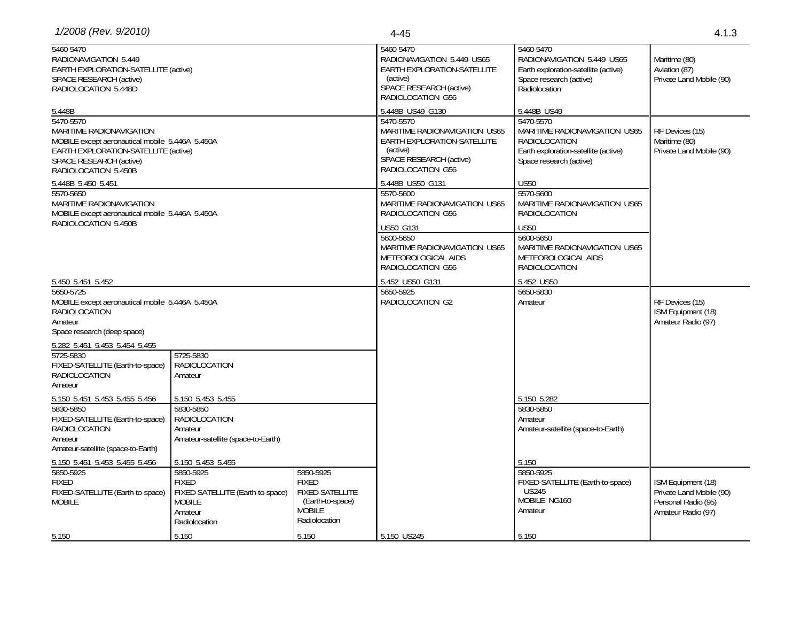| 1/2008 (Rev. 9/2010)                                                                                                                                                                       |                                                                                                            |                                                                                                                                                     | $4 - 45$                                                                                                                                                                                                                                                          | 4.1.3                                                                                    |                                                                                             |
|--------------------------------------------------------------------------------------------------------------------------------------------------------------------------------------------|------------------------------------------------------------------------------------------------------------|-----------------------------------------------------------------------------------------------------------------------------------------------------|-------------------------------------------------------------------------------------------------------------------------------------------------------------------------------------------------------------------------------------------------------------------|------------------------------------------------------------------------------------------|---------------------------------------------------------------------------------------------|
| 5460-5470<br>RADIONAVIGATION 5.449<br>EARTH EXPLORATION-SATELLITE (active)<br>SPACE RESEARCH (active)<br>RADIOLOCATION 5.448D                                                              |                                                                                                            |                                                                                                                                                     | 5460-5470<br>5460-5470<br>RADIONAVIGATION 5.449 US65<br>RADIONAVIGATION 5.449 US65<br>EARTH EXPLORATION-SATELLITE<br>Earth exploration-satellite (active)<br>(active)<br>Space research (active)<br>SPACE RESEARCH (active)<br>Radiolocation<br>RADIOLOCATION G56 |                                                                                          | Maritime (80)<br>Aviation (87)<br>Private Land Mobile (90)                                  |
| 5.448B                                                                                                                                                                                     |                                                                                                            |                                                                                                                                                     | 5.448B US49 G130                                                                                                                                                                                                                                                  | 5.448B US49                                                                              |                                                                                             |
| 5470-5570<br>MARITIME RADIONAVIGATION<br>MOBILE except aeronautical mobile 5.446A 5.450A<br>EARTH EXPLORATION-SATELLITE (active)<br><b>SPACE RESEARCH (active)</b><br>RADIOLOCATION 5.450B |                                                                                                            | 5470-5570<br>MARITIME RADIONAVIGATION US65<br><b>EARTH EXPLORATION-SATELLITE</b><br>(active)<br><b>SPACE RESEARCH (active)</b><br>RADIOLOCATION G56 | 5470-5570<br>MARITIME RADIONAVIGATION US65<br><b>RADIOLOCATION</b><br>Earth exploration-satellite (active)<br>Space research (active)                                                                                                                             | RF Devices (15)<br>Maritime (80)<br>Private Land Mobile (90)                             |                                                                                             |
| 5.448B 5.450 5.451                                                                                                                                                                         |                                                                                                            |                                                                                                                                                     | 5.448B US50 G131                                                                                                                                                                                                                                                  | <b>US50</b>                                                                              |                                                                                             |
| 5570-5650<br>MARITIME RADIONAVIGATION<br>MOBILE except aeronautical mobile 5.446A 5.450A                                                                                                   |                                                                                                            |                                                                                                                                                     | 5570-5600<br>MARITIME RADIONAVIGATION US65<br>RADIOLOCATION G56                                                                                                                                                                                                   | 5570-5600<br>MARITIME RADIONAVIGATION US65<br>RADIOLOCATION                              |                                                                                             |
| RADIOLOCATION 5.450B                                                                                                                                                                       |                                                                                                            |                                                                                                                                                     | US50 G131                                                                                                                                                                                                                                                         | <b>US50</b>                                                                              |                                                                                             |
|                                                                                                                                                                                            |                                                                                                            |                                                                                                                                                     | 5600-5650<br>MARITIME RADIONAVIGATION US65<br>METEOROLOGICAL AIDS<br>RADIOLOCATION G56                                                                                                                                                                            | 5600-5650<br>MARITIME RADIONAVIGATION US65<br>METEOROLOGICAL AIDS<br>RADIOLOCATION       |                                                                                             |
| 5.450 5.451 5.452                                                                                                                                                                          |                                                                                                            |                                                                                                                                                     | 5.452 US50 G131                                                                                                                                                                                                                                                   | 5.452 US50                                                                               |                                                                                             |
| 5650-5725<br>MOBILE except aeronautical mobile 5.446A 5.450A<br><b>RADIOLOCATION</b><br>Amateur<br>Space research (deep space)                                                             |                                                                                                            |                                                                                                                                                     | 5650-5925<br>RADIOLOCATION G2                                                                                                                                                                                                                                     | 5650-5830<br>Amateur                                                                     | RF Devices (15)<br>ISM Equipment (18)<br>Amateur Radio (97)                                 |
| 5.282 5.451 5.453 5.454 5.455                                                                                                                                                              |                                                                                                            |                                                                                                                                                     |                                                                                                                                                                                                                                                                   |                                                                                          |                                                                                             |
| 5725-5830<br>FIXED-SATELLITE (Earth-to-space)<br>RADIOLOCATION<br>Amateur                                                                                                                  | 5725-5830<br><b>RADIOLOCATION</b><br>Amateur                                                               |                                                                                                                                                     |                                                                                                                                                                                                                                                                   |                                                                                          |                                                                                             |
| 5.150 5.451 5.453 5.455 5.456                                                                                                                                                              | 5.150 5.453 5.455                                                                                          |                                                                                                                                                     |                                                                                                                                                                                                                                                                   | 5.150 5.282                                                                              |                                                                                             |
| 5830-5850<br>FIXED-SATELLITE (Earth-to-space)<br><b>RADIOLOCATION</b><br>Amateur<br>Amateur-satellite (space-to-Earth)                                                                     | 5830-5850<br>RADIOLOCATION<br>Amateur<br>Amateur-satellite (space-to-Earth)                                |                                                                                                                                                     |                                                                                                                                                                                                                                                                   | 5830-5850<br>Amateur<br>Amateur-satellite (space-to-Earth)                               |                                                                                             |
| 5.150 5.451 5.453 5.455 5.456                                                                                                                                                              | 5.150 5.453 5.455                                                                                          |                                                                                                                                                     |                                                                                                                                                                                                                                                                   | 5.150                                                                                    |                                                                                             |
| 5850-5925<br><b>FIXED</b><br>FIXED-SATELLITE (Earth-to-space)<br><b>MOBILE</b>                                                                                                             | 5850-5925<br><b>FIXED</b><br>FIXED-SATELLITE (Earth-to-space)<br><b>MOBILE</b><br>Amateur<br>Radiolocation | 5850-5925<br><b>FIXED</b><br><b>FIXED-SATELLITE</b><br>(Earth-to-space)<br><b>MOBILE</b><br>Radiolocation                                           |                                                                                                                                                                                                                                                                   | 5850-5925<br>FIXED-SATELLITE (Earth-to-space)<br><b>US245</b><br>MOBILE NG160<br>Amateur | ISM Equipment (18)<br>Private Land Mobile (90)<br>Personal Radio (95)<br>Amateur Radio (97) |
| 5.150                                                                                                                                                                                      | 5.150                                                                                                      | 5.150                                                                                                                                               | 5.150 US245                                                                                                                                                                                                                                                       | 5.150                                                                                    |                                                                                             |
|                                                                                                                                                                                            |                                                                                                            |                                                                                                                                                     |                                                                                                                                                                                                                                                                   |                                                                                          |                                                                                             |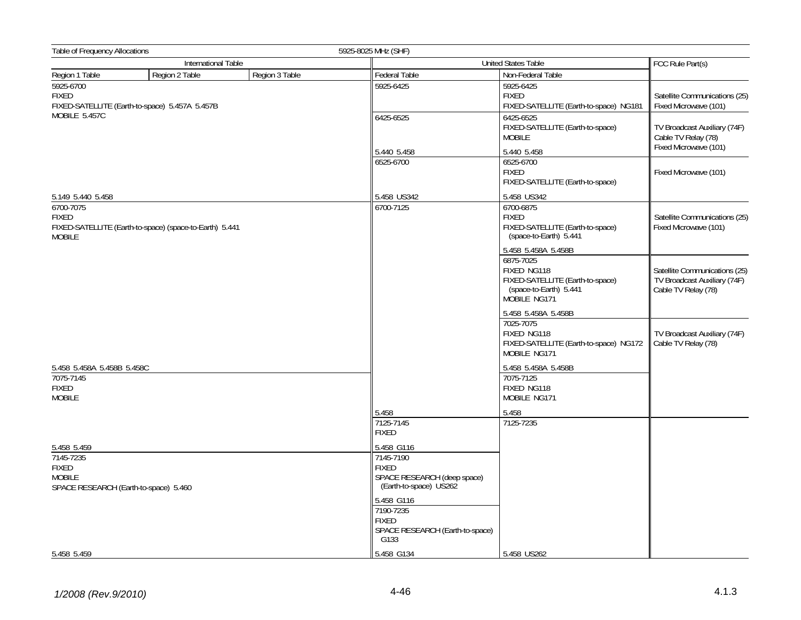| Table of Frequency Allocations             |                                                         | 5925-8025 MHz (SHF)                         |                                                                                                        |                                                                                      |  |
|--------------------------------------------|---------------------------------------------------------|---------------------------------------------|--------------------------------------------------------------------------------------------------------|--------------------------------------------------------------------------------------|--|
|                                            | International Table                                     |                                             | United States Table                                                                                    | FCC Rule Part(s)                                                                     |  |
| Region 1 Table                             | Region 3 Table<br>Region 2 Table                        | Federal Table                               | Non-Federal Table                                                                                      |                                                                                      |  |
| 5925-6700<br><b>FIXED</b>                  | FIXED-SATELLITE (Earth-to-space) 5.457A 5.457B          | 5925-6425                                   | 5925-6425<br><b>FIXED</b><br>FIXED-SATELLITE (Earth-to-space) NG181                                    | Satellite Communications (25)<br>Fixed Microwave (101)                               |  |
| MOBILE 5.457C                              |                                                         | 6425-6525                                   | 6425-6525<br>FIXED-SATELLITE (Earth-to-space)<br><b>MOBILE</b>                                         | TV Broadcast Auxiliary (74F)<br>Cable TV Relay (78)                                  |  |
|                                            |                                                         | 5.440 5.458                                 | 5.440 5.458                                                                                            | Fixed Microwave (101)                                                                |  |
|                                            |                                                         | 6525-6700                                   | 6525-6700<br><b>FIXED</b><br>FIXED-SATELLITE (Earth-to-space)                                          | Fixed Microwave (101)                                                                |  |
| 5.149 5.440 5.458                          |                                                         | 5.458 US342                                 | 5.458 US342                                                                                            |                                                                                      |  |
| 6700-7075<br><b>FIXED</b><br><b>MOBILE</b> | FIXED-SATELLITE (Earth-to-space) (space-to-Earth) 5.441 | 6700-7125                                   | 6700-6875<br><b>FIXED</b><br>FIXED-SATELLITE (Earth-to-space)<br>(space-to-Earth) 5.441                | Satellite Communications (25)<br>Fixed Microwave (101)                               |  |
|                                            |                                                         |                                             | 5.458 5.458A 5.458B                                                                                    |                                                                                      |  |
|                                            |                                                         |                                             | 6875-7025<br>FIXED NG118<br>FIXED-SATELLITE (Earth-to-space)<br>(space-to-Earth) 5.441<br>MOBILE NG171 | Satellite Communications (25)<br>TV Broadcast Auxiliary (74F)<br>Cable TV Relay (78) |  |
|                                            |                                                         |                                             | 5.458 5.458A 5.458B                                                                                    |                                                                                      |  |
|                                            |                                                         |                                             | 7025-7075<br>FIXED NG118<br>FIXED-SATELLITE (Earth-to-space) NG172<br>MOBILE NG171                     | TV Broadcast Auxiliary (74F)<br>Cable TV Relay (78)                                  |  |
| 5.458 5.458A 5.458B 5.458C                 |                                                         |                                             | 5.458 5.458A 5.458B                                                                                    |                                                                                      |  |
| 7075-7145<br><b>FIXED</b><br><b>MOBILE</b> |                                                         |                                             | 7075-7125<br>FIXED NG118<br>MOBILE NG171                                                               |                                                                                      |  |
|                                            |                                                         | 5.458                                       | 5.458                                                                                                  |                                                                                      |  |
|                                            |                                                         | 7125-7145<br><b>FIXED</b>                   | 7125-7235                                                                                              |                                                                                      |  |
| 5.458 5.459                                |                                                         | 5.458 G116                                  |                                                                                                        |                                                                                      |  |
| 7145-7235                                  |                                                         | 7145-7190                                   |                                                                                                        |                                                                                      |  |
| <b>FIXED</b><br><b>MOBILE</b>              |                                                         | <b>FIXED</b><br>SPACE RESEARCH (deep space) |                                                                                                        |                                                                                      |  |
| SPACE RESEARCH (Earth-to-space) 5.460      |                                                         | (Earth-to-space) US262                      |                                                                                                        |                                                                                      |  |
|                                            |                                                         | 5.458 G116<br>7190-7235                     |                                                                                                        |                                                                                      |  |
|                                            |                                                         | <b>FIXED</b>                                |                                                                                                        |                                                                                      |  |
|                                            |                                                         | SPACE RESEARCH (Earth-to-space)<br>G133     |                                                                                                        |                                                                                      |  |
| 5.458 5.459                                |                                                         | 5.458 G134                                  | 5.458 US262                                                                                            |                                                                                      |  |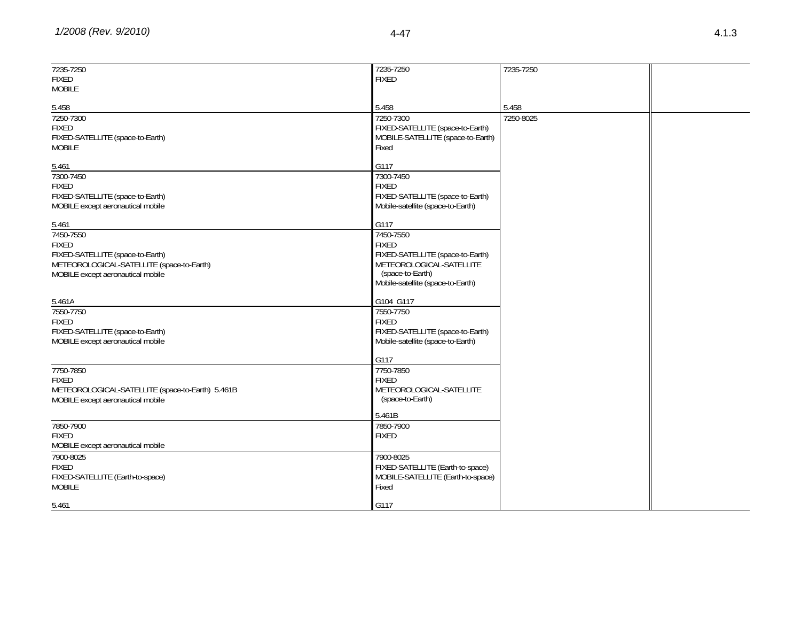| 7235-7250                                        | 7235-7250                         | 7235-7250 |  |
|--------------------------------------------------|-----------------------------------|-----------|--|
| <b>FIXED</b>                                     | <b>FIXED</b>                      |           |  |
|                                                  |                                   |           |  |
| <b>MOBILE</b>                                    |                                   |           |  |
|                                                  |                                   |           |  |
| 5.458                                            | 5.458                             | 5.458     |  |
|                                                  |                                   |           |  |
| 7250-7300                                        | 7250-7300                         | 7250-8025 |  |
| <b>FIXED</b>                                     | FIXED-SATELLITE (space-to-Earth)  |           |  |
| FIXED-SATELLITE (space-to-Earth)                 | MOBILE-SATELLITE (space-to-Earth) |           |  |
|                                                  |                                   |           |  |
| <b>MOBILE</b>                                    | Fixed                             |           |  |
|                                                  |                                   |           |  |
| 5.461                                            | G117                              |           |  |
| 7300-7450                                        | 7300-7450                         |           |  |
|                                                  |                                   |           |  |
| <b>FIXED</b>                                     | <b>FIXED</b>                      |           |  |
| FIXED-SATELLITE (space-to-Earth)                 | FIXED-SATELLITE (space-to-Earth)  |           |  |
| MOBILE except aeronautical mobile                | Mobile-satellite (space-to-Earth) |           |  |
|                                                  |                                   |           |  |
|                                                  |                                   |           |  |
| 5.461                                            | G117                              |           |  |
| 7450-7550                                        | 7450-7550                         |           |  |
|                                                  |                                   |           |  |
| <b>FIXED</b>                                     | <b>FIXED</b>                      |           |  |
| FIXED-SATELLITE (space-to-Earth)                 | FIXED-SATELLITE (space-to-Earth)  |           |  |
| METEOROLOGICAL-SATELLITE (space-to-Earth)        | METEOROLOGICAL-SATELLITE          |           |  |
|                                                  | (space-to-Earth)                  |           |  |
| MOBILE except aeronautical mobile                |                                   |           |  |
|                                                  | Mobile-satellite (space-to-Earth) |           |  |
|                                                  |                                   |           |  |
| 5.461A                                           | G104 G117                         |           |  |
|                                                  |                                   |           |  |
| 7550-7750                                        | 7550-7750                         |           |  |
| <b>FIXED</b>                                     | <b>FIXED</b>                      |           |  |
| FIXED-SATELLITE (space-to-Earth)                 | FIXED-SATELLITE (space-to-Earth)  |           |  |
|                                                  |                                   |           |  |
| MOBILE except aeronautical mobile                | Mobile-satellite (space-to-Earth) |           |  |
|                                                  |                                   |           |  |
|                                                  | G117                              |           |  |
| 7750-7850                                        | 7750-7850                         |           |  |
|                                                  |                                   |           |  |
| <b>FIXED</b>                                     | <b>FIXED</b>                      |           |  |
| METEOROLOGICAL-SATELLITE (space-to-Earth) 5.461B | METEOROLOGICAL-SATELLITE          |           |  |
| MOBILE except aeronautical mobile                | (space-to-Earth)                  |           |  |
|                                                  |                                   |           |  |
|                                                  | 5.461B                            |           |  |
|                                                  |                                   |           |  |
| 7850-7900                                        | 7850-7900                         |           |  |
| <b>FIXED</b>                                     | <b>FIXED</b>                      |           |  |
| MOBILE except aeronautical mobile                |                                   |           |  |
|                                                  |                                   |           |  |
| 7900-8025                                        | 7900-8025                         |           |  |
| <b>FIXED</b>                                     | FIXED-SATELLITE (Earth-to-space)  |           |  |
|                                                  |                                   |           |  |
| FIXED-SATELLITE (Earth-to-space)                 | MOBILE-SATELLITE (Earth-to-space) |           |  |
| <b>MOBILE</b>                                    | Fixed                             |           |  |
|                                                  |                                   |           |  |
| 5.461                                            | G117                              |           |  |
|                                                  |                                   |           |  |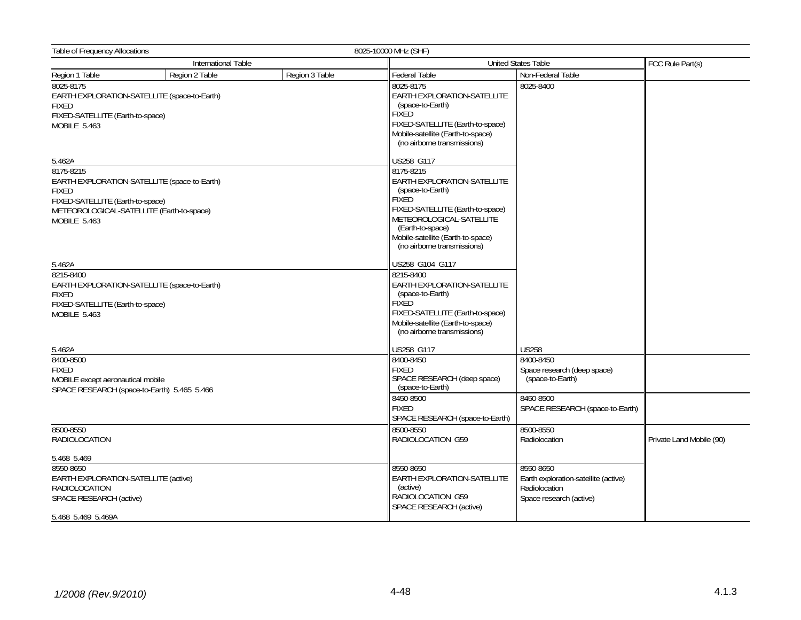| Table of Frequency Allocations<br>8025-10000 MHz (SHF)                                                                     |                                              |                |                                                                                                                                                                                                                                      |                                                                                               |                          |  |
|----------------------------------------------------------------------------------------------------------------------------|----------------------------------------------|----------------|--------------------------------------------------------------------------------------------------------------------------------------------------------------------------------------------------------------------------------------|-----------------------------------------------------------------------------------------------|--------------------------|--|
|                                                                                                                            | International Table                          |                |                                                                                                                                                                                                                                      | <b>United States Table</b>                                                                    |                          |  |
| Region 1 Table                                                                                                             | Region 2 Table                               | Region 3 Table | <b>Federal Table</b>                                                                                                                                                                                                                 | Non-Federal Table                                                                             |                          |  |
| 8025-8175<br><b>FIXED</b><br>FIXED-SATELLITE (Earth-to-space)<br><b>MOBILE 5.463</b>                                       | EARTH EXPLORATION-SATELLITE (space-to-Earth) |                | 8025-8175<br>EARTH EXPLORATION-SATELLITE<br>(space-to-Earth)<br><b>FIXED</b><br>FIXED-SATELLITE (Earth-to-space)<br>Mobile-satellite (Earth-to-space)<br>(no airborne transmissions)                                                 | 8025-8400                                                                                     |                          |  |
| 5.462A                                                                                                                     |                                              |                | US258 G117                                                                                                                                                                                                                           |                                                                                               |                          |  |
| 8175-8215<br><b>FIXED</b><br>FIXED-SATELLITE (Earth-to-space)<br>METEOROLOGICAL-SATELLITE (Earth-to-space)<br>MOBILE 5.463 | EARTH EXPLORATION-SATELLITE (space-to-Earth) |                | 8175-8215<br>EARTH EXPLORATION-SATELLITE<br>(space-to-Earth)<br><b>FIXED</b><br>FIXED-SATELLITE (Earth-to-space)<br>METEOROLOGICAL-SATELLITE<br>(Earth-to-space)<br>Mobile-satellite (Earth-to-space)<br>(no airborne transmissions) |                                                                                               |                          |  |
| 5.462A                                                                                                                     |                                              |                | US258 G104 G117                                                                                                                                                                                                                      |                                                                                               |                          |  |
| 8215-8400<br><b>FIXED</b><br>FIXED-SATELLITE (Earth-to-space)<br><b>MOBILE 5.463</b>                                       | EARTH EXPLORATION-SATELLITE (space-to-Earth) |                | 8215-8400<br>EARTH EXPLORATION-SATELLITE<br>(space-to-Earth)<br><b>FIXED</b><br>FIXED-SATELLITE (Earth-to-space)<br>Mobile-satellite (Earth-to-space)<br>(no airborne transmissions)                                                 |                                                                                               |                          |  |
| 5.462A                                                                                                                     |                                              |                | US258 G117                                                                                                                                                                                                                           | <b>US258</b>                                                                                  |                          |  |
| 8400-8500<br><b>FIXED</b><br>MOBILE except aeronautical mobile<br>SPACE RESEARCH (space-to-Earth) 5.465 5.466              |                                              |                | 8400-8450<br><b>FIXED</b><br>SPACE RESEARCH (deep space)<br>(space-to-Earth)                                                                                                                                                         | 8400-8450<br>Space research (deep space)<br>(space-to-Earth)                                  |                          |  |
|                                                                                                                            |                                              |                | 8450-8500<br><b>FIXED</b><br>SPACE RESEARCH (space-to-Earth)                                                                                                                                                                         | 8450-8500<br>SPACE RESEARCH (space-to-Earth)                                                  |                          |  |
| 8500-8550<br><b>RADIOLOCATION</b>                                                                                          |                                              |                | 8500-8550<br>RADIOLOCATION G59                                                                                                                                                                                                       | 8500-8550<br>Radiolocation                                                                    | Private Land Mobile (90) |  |
| 5.468 5.469                                                                                                                |                                              |                |                                                                                                                                                                                                                                      |                                                                                               |                          |  |
| 8550-8650<br>EARTH EXPLORATION-SATELLITE (active)<br><b>RADIOLOCATION</b><br>SPACE RESEARCH (active)<br>5.468 5.469 5.469A |                                              |                | 8550-8650<br>EARTH EXPLORATION-SATELLITE<br>(active)<br>RADIOLOCATION G59<br>SPACE RESEARCH (active)                                                                                                                                 | 8550-8650<br>Earth exploration-satellite (active)<br>Radiolocation<br>Space research (active) |                          |  |
|                                                                                                                            |                                              |                |                                                                                                                                                                                                                                      |                                                                                               |                          |  |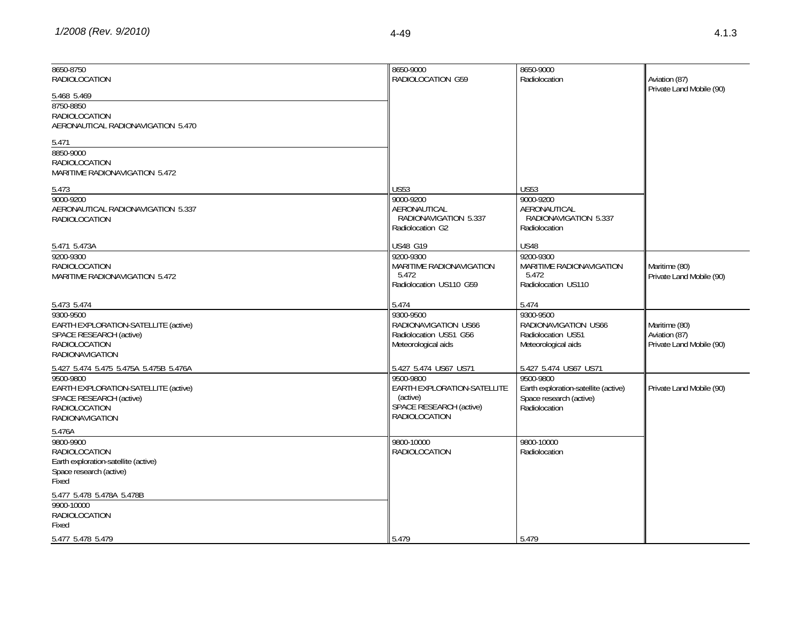| 8650-8750<br>RADIOLOCATION                                                                                                     | 8650-9000<br>RADIOLOCATION G59                                                                          | 8650-9000<br>Radiolocation                                                                    | Aviation (87)<br>Private Land Mobile (90)                  |
|--------------------------------------------------------------------------------------------------------------------------------|---------------------------------------------------------------------------------------------------------|-----------------------------------------------------------------------------------------------|------------------------------------------------------------|
| 5.468 5.469<br>8750-8850<br><b>RADIOLOCATION</b><br>AERONAUTICAL RADIONAVIGATION 5.470                                         |                                                                                                         |                                                                                               |                                                            |
| 5.471<br>8850-9000<br>RADIOLOCATION<br>MARITIME RADIONAVIGATION 5.472                                                          |                                                                                                         |                                                                                               |                                                            |
| 5.473                                                                                                                          | <b>US53</b>                                                                                             | <b>US53</b>                                                                                   |                                                            |
| 9000-9200<br>AERONAUTICAL RADIONAVIGATION 5.337<br><b>RADIOLOCATION</b>                                                        | 9000-9200<br>AERONAUTICAL<br>RADIONAVIGATION 5.337<br>Radiolocation G2                                  | 9000-9200<br>AERONAUTICAL<br>RADIONAVIGATION 5.337<br>Radiolocation                           |                                                            |
| 5.471 5.473A                                                                                                                   | US48 G19                                                                                                | <b>US48</b>                                                                                   |                                                            |
| 9200-9300                                                                                                                      | 9200-9300                                                                                               | 9200-9300                                                                                     |                                                            |
| <b>RADIOLOCATION</b><br><b>MARITIME RADIONAVIGATION 5.472</b>                                                                  | MARITIME RADIONAVIGATION<br>5.472<br>Radiolocation US110 G59                                            | <b>MARITIME RADIONAVIGATION</b><br>5.472<br>Radiolocation US110                               | Maritime (80)<br>Private Land Mobile (90)                  |
| 5.473 5.474                                                                                                                    | 5.474                                                                                                   | 5.474                                                                                         |                                                            |
| 9300-9500<br>EARTH EXPLORATION-SATELLITE (active)<br>SPACE RESEARCH (active)<br><b>RADIOLOCATION</b><br><b>RADIONAVIGATION</b> | 9300-9500<br>RADIONAVIGATION US66<br>Radiolocation US51 G56<br>Meteorological aids                      | 9300-9500<br>RADIONAVIGATION US66<br>Radiolocation US51<br>Meteorological aids                | Maritime (80)<br>Aviation (87)<br>Private Land Mobile (90) |
| 5.427 5.474 5.475 5.475A 5.475B 5.476A                                                                                         | 5.427 5.474 US67 US71                                                                                   | 5.427 5.474 US67 US71                                                                         |                                                            |
| 9500-9800<br>EARTH EXPLORATION-SATELLITE (active)<br>SPACE RESEARCH (active)<br><b>RADIOLOCATION</b><br><b>RADIONAVIGATION</b> | 9500-9800<br>EARTH EXPLORATION-SATELLITE<br>(active)<br>SPACE RESEARCH (active)<br><b>RADIOLOCATION</b> | 9500-9800<br>Earth exploration-satellite (active)<br>Space research (active)<br>Radiolocation | Private Land Mobile (90)                                   |
| 5.476A                                                                                                                         |                                                                                                         |                                                                                               |                                                            |
| 9800-9900<br>RADIOLOCATION<br>Earth exploration-satellite (active)<br>Space research (active)<br>Fixed                         | 9800-10000<br><b>RADIOLOCATION</b>                                                                      | 9800-10000<br>Radiolocation                                                                   |                                                            |
| 5.477 5.478 5.478A 5.478B<br>9900-10000<br>RADIOLOCATION<br>Fixed                                                              |                                                                                                         |                                                                                               |                                                            |
| 5.477 5.478 5.479                                                                                                              | 5.479                                                                                                   | 5.479                                                                                         |                                                            |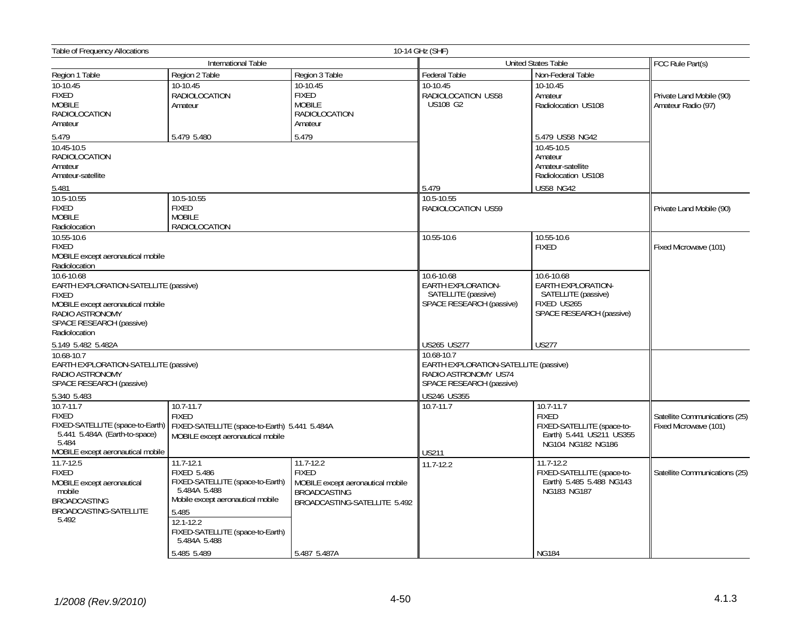| Table of Frequency Allocations                                                                                                                                                            |                                                                                                                                                                                       |                                                                                                          | 10-14 GHz (SHF)                                                                                         |                                                                                                          |                                                        |
|-------------------------------------------------------------------------------------------------------------------------------------------------------------------------------------------|---------------------------------------------------------------------------------------------------------------------------------------------------------------------------------------|----------------------------------------------------------------------------------------------------------|---------------------------------------------------------------------------------------------------------|----------------------------------------------------------------------------------------------------------|--------------------------------------------------------|
|                                                                                                                                                                                           | International Table                                                                                                                                                                   |                                                                                                          |                                                                                                         | <b>United States Table</b>                                                                               | FCC Rule Part(s)                                       |
| Region 1 Table                                                                                                                                                                            | Region 2 Table                                                                                                                                                                        | Region 3 Table                                                                                           | <b>Federal Table</b>                                                                                    | Non-Federal Table                                                                                        |                                                        |
| 10-10.45<br>FIXED<br><b>MOBILE</b><br><b>RADIOLOCATION</b><br>Amateur                                                                                                                     | 10-10.45<br><b>RADIOLOCATION</b><br>Amateur                                                                                                                                           | 10-10.45<br><b>FIXED</b><br><b>MOBILE</b><br><b>RADIOLOCATION</b><br>Amateur                             | 10-10.45<br>RADIOLOCATION US58<br><b>US108 G2</b>                                                       | 10-10.45<br>Amateur<br>Radiolocation US108                                                               | Private Land Mobile (90)<br>Amateur Radio (97)         |
| 5.479                                                                                                                                                                                     | 5.479 5.480                                                                                                                                                                           | 5.479                                                                                                    |                                                                                                         | 5.479 US58 NG42                                                                                          |                                                        |
| 10.45-10.5<br><b>RADIOLOCATION</b><br>Amateur<br>Amateur-satellite<br>5.481                                                                                                               |                                                                                                                                                                                       |                                                                                                          | 5.479                                                                                                   | 10.45-10.5<br>Amateur<br>Amateur-satellite<br>Radiolocation US108<br><b>US58 NG42</b>                    |                                                        |
| 10.5-10.55                                                                                                                                                                                | 10.5-10.55                                                                                                                                                                            |                                                                                                          | 10.5-10.55                                                                                              |                                                                                                          |                                                        |
| <b>FIXED</b><br><b>MOBILE</b><br>Radiolocation                                                                                                                                            | <b>FIXED</b><br><b>MOBILE</b><br><b>RADIOLOCATION</b>                                                                                                                                 |                                                                                                          | RADIOLOCATION US59                                                                                      |                                                                                                          | Private Land Mobile (90)                               |
| 10.55-10.6<br><b>FIXED</b><br>MOBILE except aeronautical mobile                                                                                                                           |                                                                                                                                                                                       |                                                                                                          | 10.55-10.6                                                                                              | 10.55-10.6<br><b>FIXED</b>                                                                               | Fixed Microwave (101)                                  |
| Radiolocation<br>10.6-10.68<br>EARTH EXPLORATION-SATELLITE (passive)<br><b>FIXED</b><br>MOBILE except aeronautical mobile<br>RADIO ASTRONOMY<br>SPACE RESEARCH (passive)<br>Radiolocation |                                                                                                                                                                                       |                                                                                                          | 10.6-10.68<br><b>EARTH EXPLORATION-</b><br>SATELLITE (passive)<br>SPACE RESEARCH (passive)              | 10.6-10.68<br>EARTH EXPLORATION-<br>SATELLITE (passive)<br>FIXED US265<br>SPACE RESEARCH (passive)       |                                                        |
| 5.149 5.482 5.482A                                                                                                                                                                        |                                                                                                                                                                                       |                                                                                                          | US265 US277                                                                                             | <b>US277</b>                                                                                             |                                                        |
| 10.68-10.7<br>EARTH EXPLORATION-SATELLITE (passive)<br>RADIO ASTRONOMY<br>SPACE RESEARCH (passive)                                                                                        |                                                                                                                                                                                       |                                                                                                          | 10.68-10.7<br>EARTH EXPLORATION-SATELLITE (passive)<br>RADIO ASTRONOMY US74<br>SPACE RESEARCH (passive) |                                                                                                          |                                                        |
| 5.340 5.483                                                                                                                                                                               |                                                                                                                                                                                       |                                                                                                          | US246 US355                                                                                             |                                                                                                          |                                                        |
| $10.7 - 11.7$<br><b>FIXED</b><br>FIXED-SATELLITE (space-to-Earth)<br>5.441 5.484A (Earth-to-space)<br>5.484                                                                               | 10.7-11.7<br><b>FIXED</b><br>FIXED-SATELLITE (space-to-Earth) 5.441 5.484A<br>MOBILE except aeronautical mobile                                                                       |                                                                                                          | $10.7 - 11.7$                                                                                           | 10.7-11.7<br><b>FIXED</b><br>FIXED-SATELLITE (space-to-<br>Earth) 5.441 US211 US355<br>NG104 NG182 NG186 | Satellite Communications (25)<br>Fixed Microwave (101) |
| MOBILE except aeronautical mobile<br>$11.7 - 12.5$                                                                                                                                        | $11.7 - 12.1$                                                                                                                                                                         | 11.7-12.2                                                                                                | <b>US211</b>                                                                                            | $11.7 - 12.2$                                                                                            |                                                        |
| <b>FIXED</b><br>MOBILE except aeronautical<br>mobile<br><b>BROADCASTING</b><br>BROADCASTING-SATELLITE<br>5.492                                                                            | <b>FIXED 5.486</b><br>FIXED-SATELLITE (space-to-Earth)<br>5.484A 5.488<br>Mobile except aeronautical mobile<br>5.485<br>12.1-12.2<br>FIXED-SATELLITE (space-to-Earth)<br>5.484A 5.488 | <b>FIXED</b><br>MOBILE except aeronautical mobile<br><b>BROADCASTING</b><br>BROADCASTING-SATELLITE 5.492 | $11.7 - 12.2$                                                                                           | FIXED-SATELLITE (space-to-<br>Earth) 5.485 5.488 NG143<br>NG183 NG187                                    | Satellite Communications (25)                          |
|                                                                                                                                                                                           | 5.485 5.489                                                                                                                                                                           | 5.487 5.487A                                                                                             |                                                                                                         | <b>NG184</b>                                                                                             |                                                        |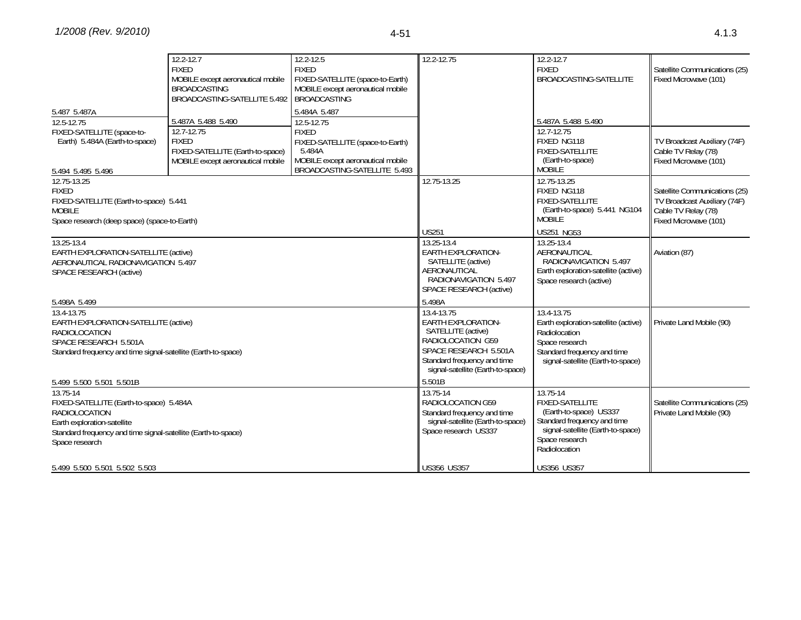|                                                                                                                                                                                                                           | $12.2 - 12.7$<br><b>FIXED</b><br>MOBILE except aeronautical mobile<br><b>BROADCASTING</b><br>BROADCASTING-SATELLITE 5.492 | 12.2-12.5<br><b>FIXED</b><br>FIXED-SATELLITE (space-to-Earth)<br>MOBILE except aeronautical mobile<br><b>BROADCASTING</b>                     | 12.2-12.75                                                                                                                                                                      | $12.2 - 12.7$<br><b>FIXED</b><br>BROADCASTING-SATELLITE                                                                                                             | Satellite Communications (25)<br>Fixed Microwave (101)                                                        |
|---------------------------------------------------------------------------------------------------------------------------------------------------------------------------------------------------------------------------|---------------------------------------------------------------------------------------------------------------------------|-----------------------------------------------------------------------------------------------------------------------------------------------|---------------------------------------------------------------------------------------------------------------------------------------------------------------------------------|---------------------------------------------------------------------------------------------------------------------------------------------------------------------|---------------------------------------------------------------------------------------------------------------|
| 5.487 5.487A                                                                                                                                                                                                              |                                                                                                                           | 5.484A 5.487                                                                                                                                  |                                                                                                                                                                                 | 5.487A 5.488 5.490                                                                                                                                                  |                                                                                                               |
| 12.5-12.75<br>FIXED-SATELLITE (space-to-<br>Earth) 5.484A (Earth-to-space)<br>5.494 5.495 5.496                                                                                                                           | 5.487A 5.488 5.490<br>12.7-12.75<br><b>FIXED</b><br>FIXED-SATELLITE (Earth-to-space)<br>MOBILE except aeronautical mobile | 12.5-12.75<br><b>FIXED</b><br>FIXED-SATELLITE (space-to-Earth)<br>5.484A<br>MOBILE except aeronautical mobile<br>BROADCASTING-SATELLITE 5.493 |                                                                                                                                                                                 | 12.7-12.75<br>FIXED NG118<br><b>FIXED-SATELLITE</b><br>(Earth-to-space)<br><b>MOBILE</b>                                                                            | TV Broadcast Auxiliary (74F)<br>Cable TV Relay (78)<br>Fixed Microwave (101)                                  |
| 12.75-13.25<br><b>FIXED</b><br>FIXED-SATELLITE (Earth-to-space) 5.441<br><b>MOBILE</b><br>Space research (deep space) (space-to-Earth)                                                                                    |                                                                                                                           |                                                                                                                                               | 12.75-13.25<br><b>US251</b>                                                                                                                                                     | 12.75-13.25<br>FIXED NG118<br><b>FIXED-SATELLITE</b><br>(Earth-to-space) 5.441 NG104<br><b>MOBILE</b><br><b>US251 NG53</b>                                          | Satellite Communications (25)<br>TV Broadcast Auxiliary (74F)<br>Cable TV Relay (78)<br>Fixed Microwave (101) |
| 13.25-13.4<br>EARTH EXPLORATION-SATELLITE (active)<br>AERONAUTICAL RADIONAVIGATION 5.497<br>SPACE RESEARCH (active)                                                                                                       |                                                                                                                           |                                                                                                                                               | 13.25-13.4<br><b>EARTH EXPLORATION-</b><br>SATELLITE (active)<br>AERONAUTICAL<br>RADIONAVIGATION 5.497<br>SPACE RESEARCH (active)<br>5.498A                                     | 13.25-13.4<br>AERONAUTICAL<br>RADIONAVIGATION 5.497<br>Earth exploration-satellite (active)<br>Space research (active)                                              | Aviation (87)                                                                                                 |
| 5.498A 5.499<br>13.4-13.75<br>EARTH EXPLORATION-SATELLITE (active)<br><b>RADIOLOCATION</b><br>SPACE RESEARCH 5.501A<br>Standard frequency and time signal-satellite (Earth-to-space)                                      |                                                                                                                           |                                                                                                                                               | 13.4-13.75<br><b>EARTH EXPLORATION-</b><br>SATELLITE (active)<br>RADIOLOCATION G59<br>SPACE RESEARCH 5.501A<br>Standard frequency and time<br>signal-satellite (Earth-to-space) | 13.4-13.75<br>Earth exploration-satellite (active)<br>Radiolocation<br>Space research<br>Standard frequency and time<br>signal-satellite (Earth-to-space)           | Private Land Mobile (90)                                                                                      |
| 5.499 5.500 5.501 5.501B<br>13.75-14<br>FIXED-SATELLITE (Earth-to-space) 5.484A<br><b>RADIOLOCATION</b><br>Earth exploration-satellite<br>Standard frequency and time signal-satellite (Earth-to-space)<br>Space research |                                                                                                                           |                                                                                                                                               | 5.501B<br>13.75-14<br>RADIOLOCATION G59<br>Standard frequency and time<br>signal-satellite (Earth-to-space)<br>Space research US337                                             | 13.75-14<br><b>FIXED-SATELLITE</b><br>(Earth-to-space) US337<br>Standard frequency and time<br>signal-satellite (Earth-to-space)<br>Space research<br>Radiolocation | Satellite Communications (25)<br>Private Land Mobile (90)                                                     |
| 5.499 5.500 5.501 5.502 5.503                                                                                                                                                                                             |                                                                                                                           |                                                                                                                                               | <b>US356 US357</b>                                                                                                                                                              | <b>US356 US357</b>                                                                                                                                                  |                                                                                                               |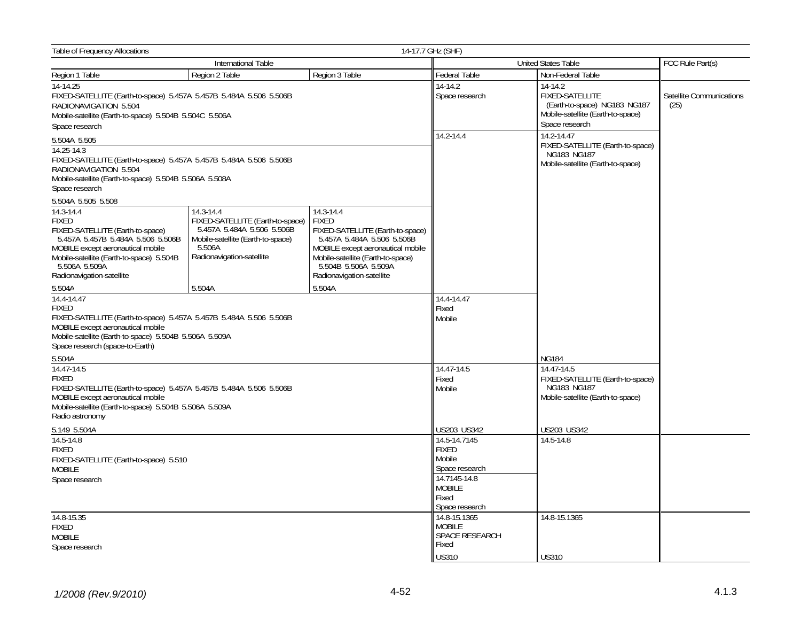| <b>Table of Frequency Allocations</b><br>14-17.7 GHz (SHF)                                                                                                                                                                         |                                                                                                                                                         |                                                                                                                                                                                                                            |                                                                                                                      |                                                                                                                   |                                  |  |
|------------------------------------------------------------------------------------------------------------------------------------------------------------------------------------------------------------------------------------|---------------------------------------------------------------------------------------------------------------------------------------------------------|----------------------------------------------------------------------------------------------------------------------------------------------------------------------------------------------------------------------------|----------------------------------------------------------------------------------------------------------------------|-------------------------------------------------------------------------------------------------------------------|----------------------------------|--|
| International Table                                                                                                                                                                                                                |                                                                                                                                                         |                                                                                                                                                                                                                            |                                                                                                                      | <b>United States Table</b>                                                                                        | FCC Rule Part(s)                 |  |
| Region 1 Table                                                                                                                                                                                                                     | Region 2 Table                                                                                                                                          | Region 3 Table                                                                                                                                                                                                             | Federal Table                                                                                                        | Non-Federal Table                                                                                                 |                                  |  |
| $14-14.25$<br>FIXED-SATELLITE (Earth-to-space) 5.457A 5.457B 5.484A 5.506 5.506B<br>RADIONAVIGATION 5.504<br>Mobile-satellite (Earth-to-space) 5.504B 5.504C 5.506A                                                                |                                                                                                                                                         |                                                                                                                                                                                                                            | $14-14.2$<br>Space research                                                                                          | 14-14.2<br>FIXED-SATELLITE<br>(Earth-to-space) NG183 NG187<br>Mobile-satellite (Earth-to-space)<br>Space research | Satellite Communications<br>(25) |  |
| Space research                                                                                                                                                                                                                     |                                                                                                                                                         |                                                                                                                                                                                                                            | 14.2-14.4                                                                                                            | 14.2-14.47                                                                                                        |                                  |  |
| 5.504A 5.505<br>14.25-14.3<br>FIXED-SATELLITE (Earth-to-space) 5.457A 5.457B 5.484A 5.506 5.506B<br>RADIONAVIGATION 5.504<br>Mobile-satellite (Earth-to-space) 5.504B 5.506A 5.508A<br>Space research                              |                                                                                                                                                         |                                                                                                                                                                                                                            |                                                                                                                      | FIXED-SATELLITE (Earth-to-space)<br>NG183 NG187<br>Mobile-satellite (Earth-to-space)                              |                                  |  |
| 5.504A 5.505 5.508                                                                                                                                                                                                                 |                                                                                                                                                         |                                                                                                                                                                                                                            |                                                                                                                      |                                                                                                                   |                                  |  |
| 14.3-14.4<br><b>FIXED</b><br>FIXED-SATELLITE (Earth-to-space)<br>5.457A 5.457B 5.484A 5.506 5.506B<br>MOBILE except aeronautical mobile<br>Mobile-satellite (Earth-to-space) 5.504B<br>5.506A 5.509A<br>Radionavigation-satellite  | 14.3-14.4<br>FIXED-SATELLITE (Earth-to-space)<br>5.457A 5.484A 5.506 5.506B<br>Mobile-satellite (Earth-to-space)<br>5.506A<br>Radionavigation-satellite | 14.3-14.4<br><b>FIXED</b><br>FIXED-SATELLITE (Earth-to-space)<br>5.457A 5.484A 5.506 5.506B<br>MOBILE except aeronautical mobile<br>Mobile-satellite (Earth-to-space)<br>5.504B 5.506A 5.509A<br>Radionavigation-satellite |                                                                                                                      |                                                                                                                   |                                  |  |
| 5.504A                                                                                                                                                                                                                             | 5.504A                                                                                                                                                  | 5.504A                                                                                                                                                                                                                     |                                                                                                                      |                                                                                                                   |                                  |  |
| 14.4-14.47<br><b>FIXED</b><br>FIXED-SATELLITE (Earth-to-space) 5.457A 5.457B 5.484A 5.506 5.506B<br>MOBILE except aeronautical mobile<br>Mobile-satellite (Earth-to-space) 5.504B 5.506A 5.509A<br>Space research (space-to-Earth) |                                                                                                                                                         |                                                                                                                                                                                                                            | $14.4 - 14.47$<br>Fixed<br>Mobile                                                                                    | <b>NG184</b>                                                                                                      |                                  |  |
| 5.504A                                                                                                                                                                                                                             |                                                                                                                                                         |                                                                                                                                                                                                                            | $\overline{14.47}$ -14.5                                                                                             | 14.47-14.5                                                                                                        |                                  |  |
| 14.47-14.5<br><b>FIXED</b><br>FIXED-SATELLITE (Earth-to-space) 5.457A 5.457B 5.484A 5.506 5.506B<br>MOBILE except aeronautical mobile<br>Mobile-satellite (Earth-to-space) 5.504B 5.506A 5.509A<br>Radio astronomy                 |                                                                                                                                                         |                                                                                                                                                                                                                            | Fixed<br>Mobile                                                                                                      | FIXED-SATELLITE (Earth-to-space)<br>NG183 NG187<br>Mobile-satellite (Earth-to-space)                              |                                  |  |
| 5.149 5.504A                                                                                                                                                                                                                       |                                                                                                                                                         |                                                                                                                                                                                                                            | US203 US342                                                                                                          | US203 US342                                                                                                       |                                  |  |
| $14.5 - 14.8$<br><b>FIXED</b><br>FIXED-SATELLITE (Earth-to-space) 5.510<br><b>MOBILE</b><br>Space research                                                                                                                         |                                                                                                                                                         |                                                                                                                                                                                                                            | 14.5-14.7145<br><b>FIXED</b><br>Mobile<br>Space research<br>14.7145-14.8<br><b>MOBILE</b><br>Fixed<br>Space research | 14.5-14.8                                                                                                         |                                  |  |
| 14.8-15.35<br><b>FIXED</b><br><b>MOBILE</b><br>Space research                                                                                                                                                                      |                                                                                                                                                         |                                                                                                                                                                                                                            | $14.8 - 15.1365$<br><b>MOBILE</b><br>SPACE RESEARCH<br>Fixed<br><b>US310</b>                                         | 14.8-15.1365<br><b>US310</b>                                                                                      |                                  |  |
|                                                                                                                                                                                                                                    |                                                                                                                                                         |                                                                                                                                                                                                                            |                                                                                                                      |                                                                                                                   |                                  |  |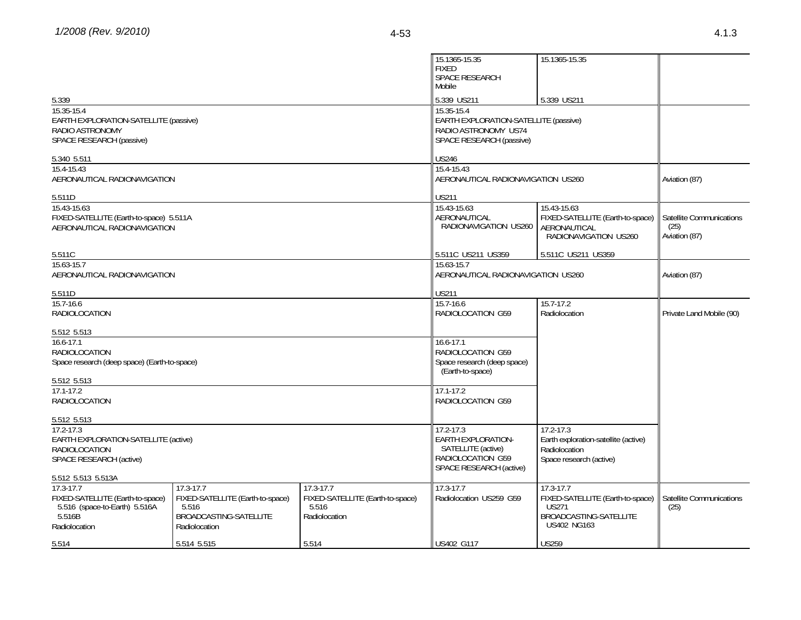|                                                                                                                                               |                                                                                                   |                                                                             | 15.1365-15.35<br><b>FIXED</b><br>SPACE RESEARCH<br>Mobile                                                        | 15.1365-15.35                                                                                                 |                                                   |
|-----------------------------------------------------------------------------------------------------------------------------------------------|---------------------------------------------------------------------------------------------------|-----------------------------------------------------------------------------|------------------------------------------------------------------------------------------------------------------|---------------------------------------------------------------------------------------------------------------|---------------------------------------------------|
| 5.339                                                                                                                                         |                                                                                                   |                                                                             | 5.339 US211                                                                                                      | 5.339 US211                                                                                                   |                                                   |
| 15.35-15.4<br>EARTH EXPLORATION-SATELLITE (passive)<br>RADIO ASTRONOMY<br>SPACE RESEARCH (passive)                                            |                                                                                                   |                                                                             | 15.35-15.4<br>EARTH EXPLORATION-SATELLITE (passive)<br>RADIO ASTRONOMY US74<br>SPACE RESEARCH (passive)          |                                                                                                               |                                                   |
| 5.340 5.511                                                                                                                                   |                                                                                                   |                                                                             | US246                                                                                                            |                                                                                                               |                                                   |
| 15.4-15.43<br>AERONAUTICAL RADIONAVIGATION                                                                                                    |                                                                                                   |                                                                             | 15.4-15.43<br>AERONAUTICAL RADIONAVIGATION US260                                                                 |                                                                                                               | Aviation (87)                                     |
| 5.511D                                                                                                                                        |                                                                                                   |                                                                             | <b>US211</b>                                                                                                     |                                                                                                               |                                                   |
| 15.43-15.63<br>FIXED-SATELLITE (Earth-to-space) 5.511A<br>AERONAUTICAL RADIONAVIGATION                                                        |                                                                                                   |                                                                             | 15.43-15.63<br>AERONAUTICAL<br>RADIONAVIGATION US260                                                             | 15.43-15.63<br>FIXED-SATELLITE (Earth-to-space)<br>AERONAUTICAL<br>RADIONAVIGATION US260                      | Satellite Communications<br>(25)<br>Aviation (87) |
| 5.511C                                                                                                                                        |                                                                                                   |                                                                             | 5.511C US211 US359                                                                                               | 5.511C US211 US359                                                                                            |                                                   |
| 15.63-15.7<br>AERONAUTICAL RADIONAVIGATION                                                                                                    |                                                                                                   |                                                                             | 15.63-15.7<br>AERONAUTICAL RADIONAVIGATION US260                                                                 |                                                                                                               | Aviation (87)                                     |
| 5.511D                                                                                                                                        |                                                                                                   |                                                                             | <b>US211</b>                                                                                                     |                                                                                                               |                                                   |
| 15.7-16.6<br><b>RADIOLOCATION</b>                                                                                                             |                                                                                                   |                                                                             | $15.7 - 16.6$<br>RADIOLOCATION G59                                                                               | $15.7 - 17.2$<br>Radiolocation                                                                                | Private Land Mobile (90)                          |
| 5.512 5.513<br>$16.6 - 17.1$<br><b>RADIOLOCATION</b><br>Space research (deep space) (Earth-to-space)                                          |                                                                                                   |                                                                             | $16.6 - 17.1$<br>RADIOLOCATION G59<br>Space research (deep space)<br>(Earth-to-space)                            |                                                                                                               |                                                   |
| 5.512 5.513<br>$17.1 - 17.2$<br><b>RADIOLOCATION</b>                                                                                          |                                                                                                   |                                                                             | $17.1 - 17.2$<br>RADIOLOCATION G59                                                                               |                                                                                                               |                                                   |
| 5.512 5.513<br>$17.2 - 17.3$<br>EARTH EXPLORATION-SATELLITE (active)<br><b>RADIOLOCATION</b><br>SPACE RESEARCH (active)<br>5.512 5.513 5.513A |                                                                                                   |                                                                             | $17.2 - 17.3$<br><b>EARTH EXPLORATION-</b><br>SATELLITE (active)<br>RADIOLOCATION G59<br>SPACE RESEARCH (active) | $17.2 - 17.3$<br>Earth exploration-satellite (active)<br>Radiolocation<br>Space research (active)             |                                                   |
| $17.3 - 17.7$<br>FIXED-SATELLITE (Earth-to-space)<br>5.516 (space-to-Earth) 5.516A<br>5.516B<br>Radiolocation                                 | 17.3-17.7<br>FIXED-SATELLITE (Earth-to-space)<br>5.516<br>BROADCASTING-SATELLITE<br>Radiolocation | $17.3 - 17.7$<br>FIXED-SATELLITE (Earth-to-space)<br>5.516<br>Radiolocation | 17.3-17.7<br>Radiolocation US259 G59                                                                             | 17.3-17.7<br>FIXED-SATELLITE (Earth-to-space)<br><b>US271</b><br>BROADCASTING-SATELLITE<br><b>US402 NG163</b> | Satellite Communications<br>(25)                  |
| 5.514                                                                                                                                         | 5.514 5.515                                                                                       | 5.514                                                                       | US402 G117                                                                                                       | <b>US259</b>                                                                                                  |                                                   |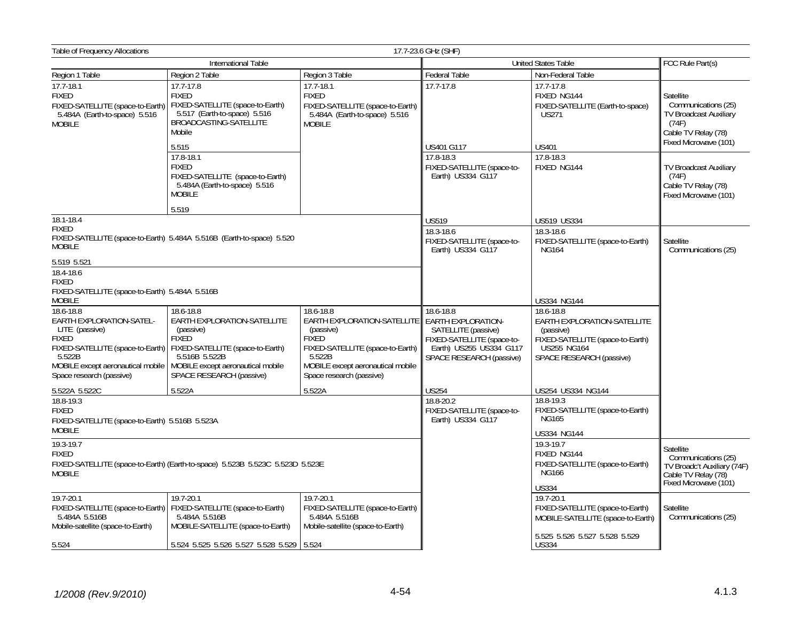| Table of Frequency Allocations                                                                                                                     |                                                                                                                                                                                                                                |                                                                                                                                                                                      | 17.7-23.6 GHz (SHF)                                                                                                                                |                                                                                                                                             |                                                                                                                     |
|----------------------------------------------------------------------------------------------------------------------------------------------------|--------------------------------------------------------------------------------------------------------------------------------------------------------------------------------------------------------------------------------|--------------------------------------------------------------------------------------------------------------------------------------------------------------------------------------|----------------------------------------------------------------------------------------------------------------------------------------------------|---------------------------------------------------------------------------------------------------------------------------------------------|---------------------------------------------------------------------------------------------------------------------|
|                                                                                                                                                    | International Table                                                                                                                                                                                                            |                                                                                                                                                                                      |                                                                                                                                                    | <b>United States Table</b>                                                                                                                  | FCC Rule Part(s)                                                                                                    |
| Region 1 Table                                                                                                                                     | Region 2 Table                                                                                                                                                                                                                 | Region 3 Table                                                                                                                                                                       | <b>Federal Table</b>                                                                                                                               | Non-Federal Table                                                                                                                           |                                                                                                                     |
| $17.7 - 18.1$<br><b>FIXED</b><br>FIXED-SATELLITE (space-to-Earth)<br>5.484A (Earth-to-space) 5.516<br><b>MOBILE</b>                                | 17.7-17.8<br><b>FIXED</b><br>FIXED-SATELLITE (space-to-Earth)<br>5.517 (Earth-to-space) 5.516<br>BROADCASTING-SATELLITE<br>Mobile<br>5.515                                                                                     | 17.7-18.1<br><b>FIXED</b><br>FIXED-SATELLITE (space-to-Earth)<br>5.484A (Earth-to-space) 5.516<br><b>MOBILE</b>                                                                      | 17.7-17.8<br>US401 G117                                                                                                                            | $17.7 - 17.8$<br>FIXED NG144<br>FIXED-SATELLITE (Earth-to-space)<br><b>US271</b><br><b>US401</b>                                            | Satellite<br>Communications (25)<br>TV Broadcast Auxiliary<br>(74F)<br>Cable TV Relay (78)<br>Fixed Microwave (101) |
|                                                                                                                                                    | 17.8-18.1<br><b>FIXED</b><br>FIXED-SATELLITE (space-to-Earth)<br>5.484A (Earth-to-space) 5.516<br><b>MOBILE</b>                                                                                                                |                                                                                                                                                                                      | 17.8-18.3<br>FIXED-SATELLITE (space-to-<br>Earth) US334 G117                                                                                       | 17.8-18.3<br>FIXED NG144                                                                                                                    | TV Broadcast Auxiliary<br>(74F)<br>Cable TV Relay (78)<br>Fixed Microwave (101)                                     |
|                                                                                                                                                    | 5.519                                                                                                                                                                                                                          |                                                                                                                                                                                      |                                                                                                                                                    |                                                                                                                                             |                                                                                                                     |
| 18.1-18.4<br><b>FIXED</b><br>FIXED-SATELLITE (space-to-Earth) 5.484A 5.516B (Earth-to-space) 5.520<br><b>MOBILE</b>                                |                                                                                                                                                                                                                                |                                                                                                                                                                                      | <b>US519</b><br>18.3-18.6<br>FIXED-SATELLITE (space-to-<br>Earth) US334 G117                                                                       | <b>US519 US334</b><br>18.3-18.6<br>FIXED-SATELLITE (space-to-Earth)<br><b>NG164</b>                                                         | Satellite<br>Communications (25)                                                                                    |
| 5.519 5.521<br>18.4-18.6<br><b>FIXED</b><br>FIXED-SATELLITE (space-to-Earth) 5.484A 5.516B<br><b>MOBILE</b>                                        |                                                                                                                                                                                                                                |                                                                                                                                                                                      |                                                                                                                                                    | US334 NG144                                                                                                                                 |                                                                                                                     |
| 18.6-18.8<br>EARTH EXPLORATION-SATEL-<br>LITE (passive)<br><b>FIXED</b><br>5.522B<br>MOBILE except aeronautical mobile<br>Space research (passive) | 18.6-18.8<br>EARTH EXPLORATION-SATELLITE<br>(passive)<br><b>FIXED</b><br>FIXED-SATELLITE (space-to-Earth)   FIXED-SATELLITE (space-to-Earth)<br>5.516B 5.522B<br>MOBILE except aeronautical mobile<br>SPACE RESEARCH (passive) | 18.6-18.8<br>EARTH EXPLORATION-SATELLITE<br>(passive)<br><b>FIXED</b><br>FIXED-SATELLITE (space-to-Earth)<br>5.522B<br>MOBILE except aeronautical mobile<br>Space research (passive) | 18.6-18.8<br><b>EARTH EXPLORATION-</b><br>SATELLITE (passive)<br>FIXED-SATELLITE (space-to-<br>Earth) US255 US334 G117<br>SPACE RESEARCH (passive) | 18.6-18.8<br>EARTH EXPLORATION-SATELLITE<br>(passive)<br>FIXED-SATELLITE (space-to-Earth)<br><b>US255 NG164</b><br>SPACE RESEARCH (passive) |                                                                                                                     |
| 5.522A 5.522C                                                                                                                                      | 5.522A                                                                                                                                                                                                                         | 5.522A                                                                                                                                                                               | <b>US254</b>                                                                                                                                       | US254 US334 NG144                                                                                                                           |                                                                                                                     |
| 18.8-19.3<br><b>FIXED</b><br>FIXED-SATELLITE (space-to-Earth) 5.516B 5.523A<br><b>MOBILE</b>                                                       |                                                                                                                                                                                                                                |                                                                                                                                                                                      | 18.8-20.2<br>FIXED-SATELLITE (space-to-<br>Earth) US334 G117                                                                                       | 18.8-19.3<br>FIXED-SATELLITE (space-to-Earth)<br><b>NG165</b><br><b>US334 NG144</b>                                                         |                                                                                                                     |
| 19.3-19.7<br><b>FIXED</b><br>FIXED-SATELLITE (space-to-Earth) (Earth-to-space) 5.523B 5.523C 5.523D 5.523E<br><b>MOBILE</b>                        |                                                                                                                                                                                                                                |                                                                                                                                                                                      |                                                                                                                                                    | 19.3-19.7<br>FIXED NG144<br>FIXED-SATELLITE (space-to-Earth)<br><b>NG166</b><br><b>US334</b>                                                | Satellite<br>Communications (25)<br>TV Broadc't Auxiliary (74F)<br>Cable TV Relay (78)<br>Fixed Microwave (101)     |
| 19.7-20.1<br>5.484A 5.516B<br>Mobile-satellite (space-to-Earth)                                                                                    | 19.7-20.1<br>FIXED-SATELLITE (space-to-Earth)   FIXED-SATELLITE (space-to-Earth)<br>5.484A 5.516B<br>MOBILE-SATELLITE (space-to-Earth)                                                                                         | 19.7-20.1<br>FIXED-SATELLITE (space-to-Earth)<br>5.484A 5.516B<br>Mobile-satellite (space-to-Earth)                                                                                  |                                                                                                                                                    | 19.7-20.1<br>FIXED-SATELLITE (space-to-Earth)<br>MOBILE-SATELLITE (space-to-Earth)<br>5.525 5.526 5.527 5.528 5.529                         | Satellite<br>Communications (25)                                                                                    |
| 5.524                                                                                                                                              | 5.524 5.525 5.526 5.527 5.528 5.529                                                                                                                                                                                            | 5.524                                                                                                                                                                                |                                                                                                                                                    | <b>US334</b>                                                                                                                                |                                                                                                                     |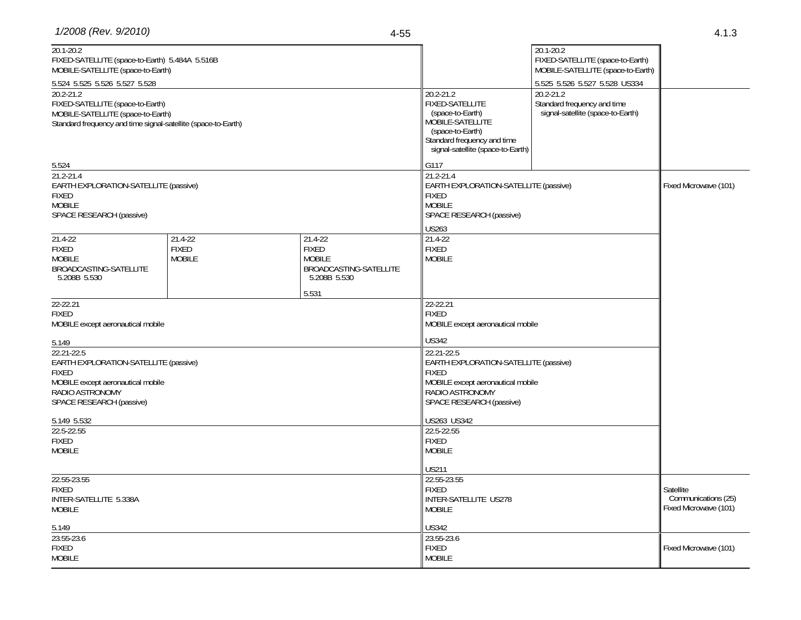| 20.1-20.2<br>FIXED-SATELLITE (space-to-Earth) 5.484A 5.516B<br>MOBILE-SATELLITE (space-to-Earth)<br>5.524 5.525 5.526 5.527 5.528<br>$20.2 - 21.2$<br>FIXED-SATELLITE (space-to-Earth)<br>MOBILE-SATELLITE (space-to-Earth)<br>Standard frequency and time signal-satellite (space-to-Earth) |                                          |                                                                                             | 20.2-21.2<br>FIXED-SATELLITE<br>(space-to-Earth)<br>MOBILE-SATELLITE<br>(space-to-Earth)<br>Standard frequency and time<br>signal-satellite (space-to-Earth)            | 20.1-20.2<br>FIXED-SATELLITE (space-to-Earth)<br>MOBILE-SATELLITE (space-to-Earth)<br>5.525 5.526 5.527 5.528 US334<br>$20.2 - 21.2$<br>Standard frequency and time<br>signal-satellite (space-to-Earth) |                       |
|----------------------------------------------------------------------------------------------------------------------------------------------------------------------------------------------------------------------------------------------------------------------------------------------|------------------------------------------|---------------------------------------------------------------------------------------------|-------------------------------------------------------------------------------------------------------------------------------------------------------------------------|----------------------------------------------------------------------------------------------------------------------------------------------------------------------------------------------------------|-----------------------|
| 5.524<br>$21.2 - 21.4$<br>EARTH EXPLORATION-SATELLITE (passive)<br><b>FIXED</b><br><b>MOBILE</b><br>SPACE RESEARCH (passive)                                                                                                                                                                 |                                          |                                                                                             | G117<br>21.2-21.4<br>EARTH EXPLORATION-SATELLITE (passive)<br><b>FIXED</b><br><b>MOBILE</b><br>SPACE RESEARCH (passive)                                                 |                                                                                                                                                                                                          | Fixed Microwave (101) |
| 21.4-22<br><b>FIXED</b><br><b>MOBILE</b><br>BROADCASTING-SATELLITE<br>5.208B 5.530                                                                                                                                                                                                           | 21.4-22<br><b>FIXED</b><br><b>MOBILE</b> | 21.4-22<br><b>FIXED</b><br><b>MOBILE</b><br>BROADCASTING-SATELLITE<br>5.208B 5.530<br>5.531 | <b>US263</b><br>21.4-22<br><b>FIXED</b><br><b>MOBILE</b>                                                                                                                |                                                                                                                                                                                                          |                       |
| 22-22.21<br><b>FIXED</b><br>MOBILE except aeronautical mobile                                                                                                                                                                                                                                |                                          |                                                                                             | 22-22.21<br><b>FIXED</b><br>MOBILE except aeronautical mobile                                                                                                           |                                                                                                                                                                                                          |                       |
| 5.149<br>22.21-22.5<br>EARTH EXPLORATION-SATELLITE (passive)<br><b>FIXED</b><br>MOBILE except aeronautical mobile<br>RADIO ASTRONOMY<br>SPACE RESEARCH (passive)                                                                                                                             |                                          |                                                                                             | <b>US342</b><br>22.21-22.5<br>EARTH EXPLORATION-SATELLITE (passive)<br><b>FIXED</b><br>MOBILE except aeronautical mobile<br>RADIO ASTRONOMY<br>SPACE RESEARCH (passive) |                                                                                                                                                                                                          |                       |
| 5.149 5.532<br>22.5-22.55<br><b>FIXED</b><br><b>MOBILE</b>                                                                                                                                                                                                                                   |                                          |                                                                                             | US263 US342<br>22.5-22.55<br><b>FIXED</b><br><b>MOBILE</b>                                                                                                              |                                                                                                                                                                                                          |                       |
| 22.55-23.55<br><b>FIXED</b><br>INTER-SATELLITE 5.338A<br><b>MOBILE</b>                                                                                                                                                                                                                       |                                          | US211<br>22.55-23.55<br><b>FIXED</b><br>INTER-SATELLITE US278<br><b>MOBILE</b>              |                                                                                                                                                                         | Satellite<br>Communications (25)<br>Fixed Microwave (101)                                                                                                                                                |                       |
| 5.149<br>23.55-23.6<br><b>FIXED</b><br><b>MOBILE</b>                                                                                                                                                                                                                                         |                                          |                                                                                             | US342<br>23.55-23.6<br><b>FIXED</b><br><b>MOBILE</b>                                                                                                                    |                                                                                                                                                                                                          | Fixed Microwave (101) |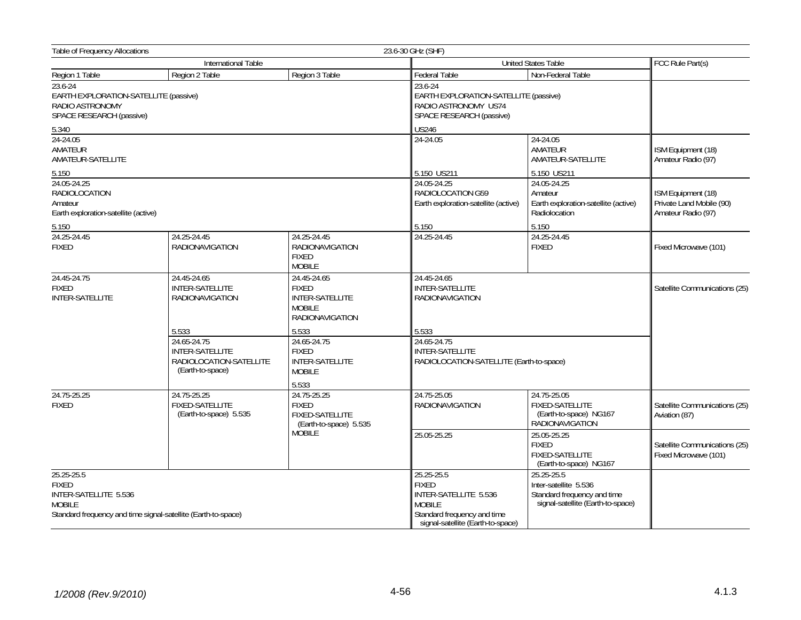| Table of Frequency Allocations                                                                  |                                                                                      |                                                                                                                 | 23.6-30 GHz (SHF)                                                                                                                        |                                                                                                         |                                                        |
|-------------------------------------------------------------------------------------------------|--------------------------------------------------------------------------------------|-----------------------------------------------------------------------------------------------------------------|------------------------------------------------------------------------------------------------------------------------------------------|---------------------------------------------------------------------------------------------------------|--------------------------------------------------------|
|                                                                                                 | International Table                                                                  |                                                                                                                 |                                                                                                                                          | <b>United States Table</b>                                                                              | FCC Rule Part(s)                                       |
| Region 1 Table                                                                                  | Region 2 Table                                                                       | Region 3 Table                                                                                                  | Federal Table                                                                                                                            | Non-Federal Table                                                                                       |                                                        |
| 23.6-24<br>EARTH EXPLORATION-SATELLITE (passive)<br>RADIO ASTRONOMY<br>SPACE RESEARCH (passive) |                                                                                      | 23.6-24<br>EARTH EXPLORATION-SATELLITE (passive)<br>RADIO ASTRONOMY US74<br>SPACE RESEARCH (passive)            |                                                                                                                                          |                                                                                                         |                                                        |
| 5.340                                                                                           |                                                                                      | <b>US246</b>                                                                                                    |                                                                                                                                          |                                                                                                         |                                                        |
| $24 - 24.05$<br>AMATEUR<br>AMATEUR-SATELLITE                                                    |                                                                                      | 24-24.05                                                                                                        | 24-24.05<br>AMATEUR<br>AMATEUR-SATELLITE                                                                                                 | ISM Equipment (18)<br>Amateur Radio (97)                                                                |                                                        |
| 5.150                                                                                           |                                                                                      |                                                                                                                 | 5.150 US211                                                                                                                              | 5.150 US211                                                                                             |                                                        |
| 24.05-24.25<br><b>RADIOLOCATION</b><br>Amateur<br>Earth exploration-satellite (active)          |                                                                                      | 24.05-24.25<br>RADIOLOCATION G59<br>Earth exploration-satellite (active)                                        | 24.05-24.25<br>Amateur<br>Earth exploration-satellite (active)<br>Radiolocation                                                          | ISM Equipment (18)<br>Private Land Mobile (90)<br>Amateur Radio (97)                                    |                                                        |
| 5.150                                                                                           |                                                                                      |                                                                                                                 | 5.150                                                                                                                                    | 5.150                                                                                                   |                                                        |
| 24.25-24.45<br><b>FIXED</b>                                                                     | 24.25-24.45<br><b>RADIONAVIGATION</b>                                                | 24.25-24.45<br><b>RADIONAVIGATION</b><br><b>FIXED</b><br><b>MOBILE</b>                                          | 24.25-24.45                                                                                                                              | 24.25-24.45<br><b>FIXED</b>                                                                             | Fixed Microwave (101)                                  |
| 24.45-24.75<br>24.45-24.65<br><b>FIXED</b><br><b>INTER-SATELLITE</b><br><b>INTER-SATELLITE</b>  | RADIONAVIGATION                                                                      | 24.45-24.65<br><b>FIXED</b><br><b>INTER-SATELLITE</b><br><b>MOBILE</b><br><b>RADIONAVIGATION</b>                | 24.45-24.65<br><b>INTER-SATELLITE</b><br><b>RADIONAVIGATION</b>                                                                          |                                                                                                         | Satellite Communications (25)                          |
|                                                                                                 | 5.533                                                                                | 5.533                                                                                                           | 5.533                                                                                                                                    |                                                                                                         |                                                        |
|                                                                                                 | 24.65-24.75<br><b>INTER-SATELLITE</b><br>RADIOLOCATION-SATELLITE<br>(Earth-to-space) | 24.65-24.75<br><b>FIXED</b><br><b>INTER-SATELLITE</b><br><b>MOBILE</b>                                          | 24.65-24.75<br><b>INTER-SATELLITE</b>                                                                                                    | RADIOLOCATION-SATELLITE (Earth-to-space)                                                                |                                                        |
|                                                                                                 |                                                                                      | 5.533                                                                                                           |                                                                                                                                          |                                                                                                         |                                                        |
| 24.75-25.25<br><b>FIXED</b>                                                                     | <b>FIXED-SATELLITE</b><br>(Earth-to-space) 5.535                                     | 24.75-25.25<br>24.75-25.25<br><b>FIXED</b><br><b>FIXED-SATELLITE</b><br>(Earth-to-space) 5.535<br><b>MOBILE</b> | 24.75-25.05<br><b>RADIONAVIGATION</b>                                                                                                    | 24.75-25.05<br>FIXED-SATELLITE<br>(Earth-to-space) NG167<br><b>RADIONAVIGATION</b>                      | Satellite Communications (25)<br>Aviation (87)         |
|                                                                                                 |                                                                                      |                                                                                                                 | 25.05-25.25                                                                                                                              | 25.05-25.25<br><b>FIXED</b><br><b>FIXED-SATELLITE</b><br>(Earth-to-space) NG167                         | Satellite Communications (25)<br>Fixed Microwave (101) |
| 25.25-25.5<br><b>FIXED</b><br>INTER-SATELLITE 5.536<br><b>MOBILE</b>                            | Standard frequency and time signal-satellite (Earth-to-space)                        |                                                                                                                 | 25.25-25.5<br><b>FIXED</b><br>INTER-SATELLITE 5.536<br><b>MOBILE</b><br>Standard frequency and time<br>signal-satellite (Earth-to-space) | 25.25-25.5<br>Inter-satellite 5.536<br>Standard frequency and time<br>signal-satellite (Earth-to-space) |                                                        |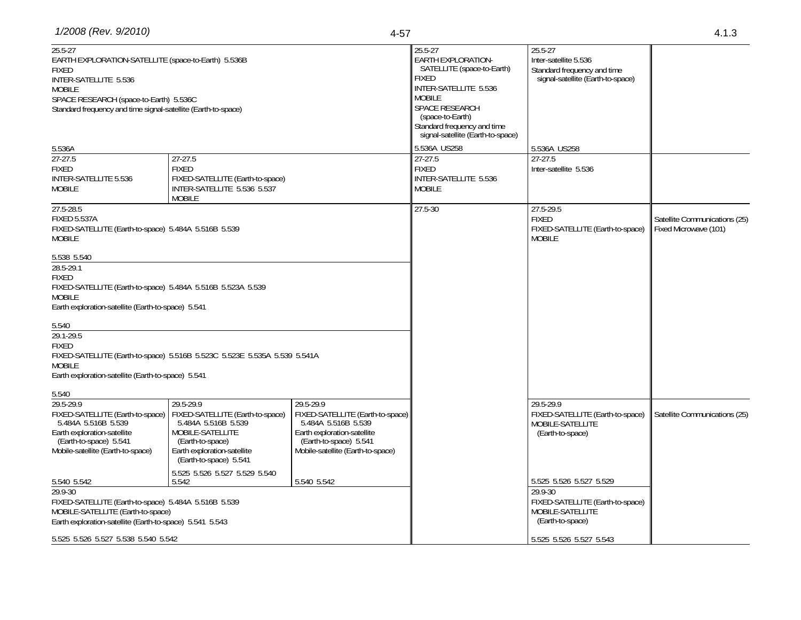| $25.5 - 27$<br>EARTH EXPLORATION-SATELLITE (space-to-Earth) 5.536B<br><b>FIXED</b><br>INTER-SATELLITE 5.536<br><b>MOBILE</b><br>SPACE RESEARCH (space-to-Earth) 5.536C<br>Standard frequency and time signal-satellite (Earth-to-space)                                                                                                                                           |                                                                                                                                                                       |                                                                                                                                                                    | 25.5-27<br><b>EARTH EXPLORATION-</b><br>SATELLITE (space-to-Earth)<br><b>FIXED</b><br>INTER-SATELLITE 5.536<br><b>MOBILE</b><br><b>SPACE RESEARCH</b><br>(space-to-Earth)<br>Standard frequency and time<br>signal-satellite (Earth-to-space) | 25.5-27<br>Inter-satellite 5.536<br>Standard frequency and time<br>signal-satellite (Earth-to-space)                                      |                                                        |
|-----------------------------------------------------------------------------------------------------------------------------------------------------------------------------------------------------------------------------------------------------------------------------------------------------------------------------------------------------------------------------------|-----------------------------------------------------------------------------------------------------------------------------------------------------------------------|--------------------------------------------------------------------------------------------------------------------------------------------------------------------|-----------------------------------------------------------------------------------------------------------------------------------------------------------------------------------------------------------------------------------------------|-------------------------------------------------------------------------------------------------------------------------------------------|--------------------------------------------------------|
| 5.536A                                                                                                                                                                                                                                                                                                                                                                            |                                                                                                                                                                       |                                                                                                                                                                    | 5.536A US258                                                                                                                                                                                                                                  | 5.536A US258                                                                                                                              |                                                        |
| $27-27.5$<br><b>FIXED</b><br>INTER-SATELLITE 5.536<br><b>MOBILE</b>                                                                                                                                                                                                                                                                                                               | $27-27.5$<br><b>FIXED</b><br>FIXED-SATELLITE (Earth-to-space)<br>INTER-SATELLITE 5.536 5.537<br><b>MOBILE</b>                                                         |                                                                                                                                                                    | $27-27.5$<br><b>FIXED</b><br>INTER-SATELLITE 5.536<br><b>MOBILE</b>                                                                                                                                                                           | 27-27.5<br>Inter-satellite 5.536                                                                                                          |                                                        |
| 27.5-28.5<br><b>FIXED 5.537A</b><br>FIXED-SATELLITE (Earth-to-space) 5.484A 5.516B 5.539<br><b>MOBILE</b>                                                                                                                                                                                                                                                                         |                                                                                                                                                                       |                                                                                                                                                                    | 27.5-30                                                                                                                                                                                                                                       | 27.5-29.5<br><b>FIXED</b><br>FIXED-SATELLITE (Earth-to-space)<br><b>MOBILE</b>                                                            | Satellite Communications (25)<br>Fixed Microwave (101) |
| 5.538 5.540<br>28.5-29.1<br><b>FIXED</b><br>FIXED-SATELLITE (Earth-to-space) 5.484A 5.516B 5.523A 5.539<br><b>MOBILE</b><br>Earth exploration-satellite (Earth-to-space) 5.541<br>5.540<br>29.1-29.5<br><b>FIXED</b><br>FIXED-SATELLITE (Earth-to-space) 5.516B 5.523C 5.523E 5.535A 5.539 5.541A<br><b>MOBILE</b><br>Earth exploration-satellite (Earth-to-space) 5.541<br>5.540 |                                                                                                                                                                       |                                                                                                                                                                    |                                                                                                                                                                                                                                               |                                                                                                                                           |                                                        |
| 29.5-29.9<br>FIXED-SATELLITE (Earth-to-space)<br>5.484A 5.516B 5.539<br>Earth exploration-satellite<br>(Earth-to-space) 5.541<br>Mobile-satellite (Earth-to-space)                                                                                                                                                                                                                | 29.5-29.9<br>FIXED-SATELLITE (Earth-to-space)<br>5.484A 5.516B 5.539<br>MOBILE-SATELLITE<br>(Earth-to-space)<br>Earth exploration-satellite<br>(Earth-to-space) 5.541 | 29.5-29.9<br>FIXED-SATELLITE (Earth-to-space)<br>5.484A 5.516B 5.539<br>Earth exploration-satellite<br>(Earth-to-space) 5.541<br>Mobile-satellite (Earth-to-space) |                                                                                                                                                                                                                                               | 29.5-29.9<br>FIXED-SATELLITE (Earth-to-space)<br>MOBILE-SATELLITE<br>(Earth-to-space)                                                     | Satellite Communications (25)                          |
| 5.540 5.542<br>29.9-30<br>FIXED-SATELLITE (Earth-to-space) 5.484A 5.516B 5.539<br>MOBILE-SATELLITE (Earth-to-space)<br>Earth exploration-satellite (Earth-to-space) 5.541 5.543<br>5.525 5.526 5.527 5.538 5.540 5.542                                                                                                                                                            | 5.525 5.526 5.527 5.529 5.540<br>5.542                                                                                                                                | 5.540 5.542                                                                                                                                                        |                                                                                                                                                                                                                                               | 5.525 5.526 5.527 5.529<br>29.9-30<br>FIXED-SATELLITE (Earth-to-space)<br>MOBILE-SATELLITE<br>(Earth-to-space)<br>5.525 5.526 5.527 5.543 |                                                        |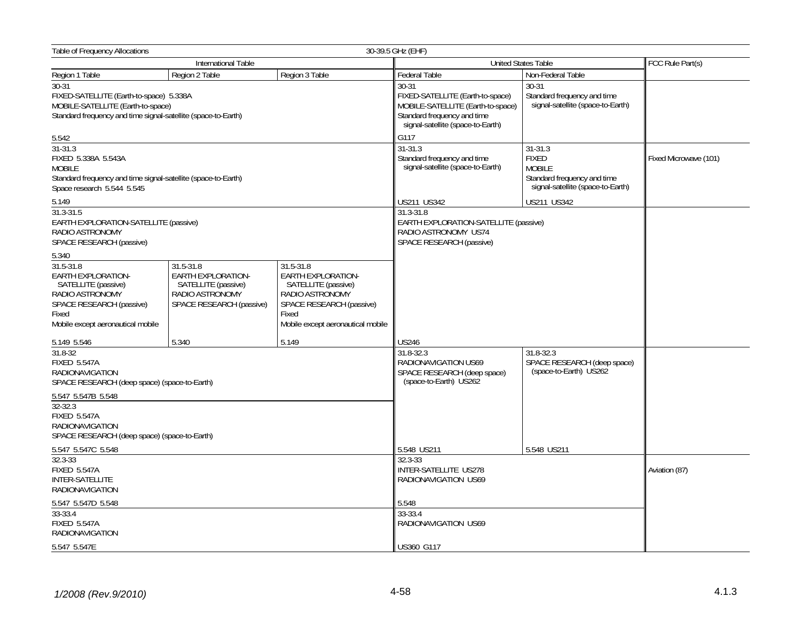| <b>Table of Frequency Allocations</b>                                                                                                                    | 30-39.5 GHz (EHF)                                                                                     |                                                                                                                                                            |                                                                               |                                                                                                   |                       |  |
|----------------------------------------------------------------------------------------------------------------------------------------------------------|-------------------------------------------------------------------------------------------------------|------------------------------------------------------------------------------------------------------------------------------------------------------------|-------------------------------------------------------------------------------|---------------------------------------------------------------------------------------------------|-----------------------|--|
|                                                                                                                                                          | International Table                                                                                   |                                                                                                                                                            |                                                                               | United States Table                                                                               | FCC Rule Part(s)      |  |
| Region 1 Table                                                                                                                                           | Region 2 Table                                                                                        | Region 3 Table                                                                                                                                             | Federal Table                                                                 | Non-Federal Table                                                                                 |                       |  |
| $30-31$<br>FIXED-SATELLITE (Earth-to-space) 5.338A<br>MOBILE-SATELLITE (Earth-to-space)<br>Standard frequency and time signal-satellite (space-to-Earth) |                                                                                                       | $30 - 31$<br>FIXED-SATELLITE (Earth-to-space)<br>MOBILE-SATELLITE (Earth-to-space)<br>Standard frequency and time<br>signal-satellite (space-to-Earth)     | $30 - 31$<br>Standard frequency and time<br>signal-satellite (space-to-Earth) |                                                                                                   |                       |  |
| 5.542<br>$31 - 31.3$                                                                                                                                     |                                                                                                       |                                                                                                                                                            | G117<br>$31 - 31.3$                                                           | $31 - 31.3$                                                                                       |                       |  |
| FIXED 5.338A 5.543A<br><b>MOBILE</b><br>Standard frequency and time signal-satellite (space-to-Earth)<br>Space research 5.544 5.545                      |                                                                                                       |                                                                                                                                                            | Standard frequency and time<br>signal-satellite (space-to-Earth)              | <b>FIXED</b><br><b>MOBILE</b><br>Standard frequency and time<br>signal-satellite (space-to-Earth) | Fixed Microwave (101) |  |
| 5.149                                                                                                                                                    |                                                                                                       |                                                                                                                                                            | US211 US342                                                                   | <b>US211 US342</b>                                                                                |                       |  |
| $31.3 - 31.5$<br>EARTH EXPLORATION-SATELLITE (passive)<br>RADIO ASTRONOMY<br>SPACE RESEARCH (passive)                                                    |                                                                                                       | 31.3-31.8<br>EARTH EXPLORATION-SATELLITE (passive)<br>RADIO ASTRONOMY US74<br>SPACE RESEARCH (passive)                                                     |                                                                               |                                                                                                   |                       |  |
| 5.340                                                                                                                                                    |                                                                                                       |                                                                                                                                                            |                                                                               |                                                                                                   |                       |  |
| $31.5 - 31.8$<br>EARTH EXPLORATION-<br>SATELLITE (passive)<br>RADIO ASTRONOMY<br>SPACE RESEARCH (passive)<br>Fixed<br>Mobile except aeronautical mobile  | 31.5-31.8<br>EARTH EXPLORATION-<br>SATELLITE (passive)<br>RADIO ASTRONOMY<br>SPACE RESEARCH (passive) | 31.5-31.8<br><b>EARTH EXPLORATION-</b><br>SATELLITE (passive)<br>RADIO ASTRONOMY<br>SPACE RESEARCH (passive)<br>Fixed<br>Mobile except aeronautical mobile |                                                                               |                                                                                                   |                       |  |
| 5.149 5.546                                                                                                                                              | 5.340                                                                                                 | 5.149                                                                                                                                                      | <b>US246</b>                                                                  |                                                                                                   |                       |  |
| 31.8-32<br><b>FIXED 5.547A</b><br><b>RADIONAVIGATION</b><br>SPACE RESEARCH (deep space) (space-to-Earth)                                                 |                                                                                                       | 31.8-32.3<br>RADIONAVIGATION US69<br>SPACE RESEARCH (deep space)<br>(space-to-Earth) US262                                                                 | 31.8-32.3<br>SPACE RESEARCH (deep space)<br>(space-to-Earth) US262            |                                                                                                   |                       |  |
| 5.547 5.547B 5.548<br>$32 - 32.3$<br><b>FIXED 5.547A</b><br><b>RADIONAVIGATION</b><br>SPACE RESEARCH (deep space) (space-to-Earth)                       |                                                                                                       |                                                                                                                                                            |                                                                               |                                                                                                   |                       |  |
| 5.547 5.547C 5.548                                                                                                                                       |                                                                                                       |                                                                                                                                                            | 5.548 US211                                                                   | 5.548 US211                                                                                       |                       |  |
| $32.3 - 33$<br><b>FIXED 5.547A</b><br><b>INTER-SATELLITE</b><br>RADIONAVIGATION                                                                          |                                                                                                       | 32.3-33<br>INTER-SATELLITE US278<br>RADIONAVIGATION US69                                                                                                   |                                                                               | Aviation (87)                                                                                     |                       |  |
| 5.547 5.547D 5.548                                                                                                                                       |                                                                                                       |                                                                                                                                                            | 5.548                                                                         |                                                                                                   |                       |  |
| 33-33.4<br><b>FIXED 5.547A</b><br><b>RADIONAVIGATION</b>                                                                                                 |                                                                                                       |                                                                                                                                                            | 33-33.4<br>RADIONAVIGATION US69                                               |                                                                                                   |                       |  |
| 5.547 5.547E                                                                                                                                             |                                                                                                       |                                                                                                                                                            | <b>US360 G117</b>                                                             |                                                                                                   |                       |  |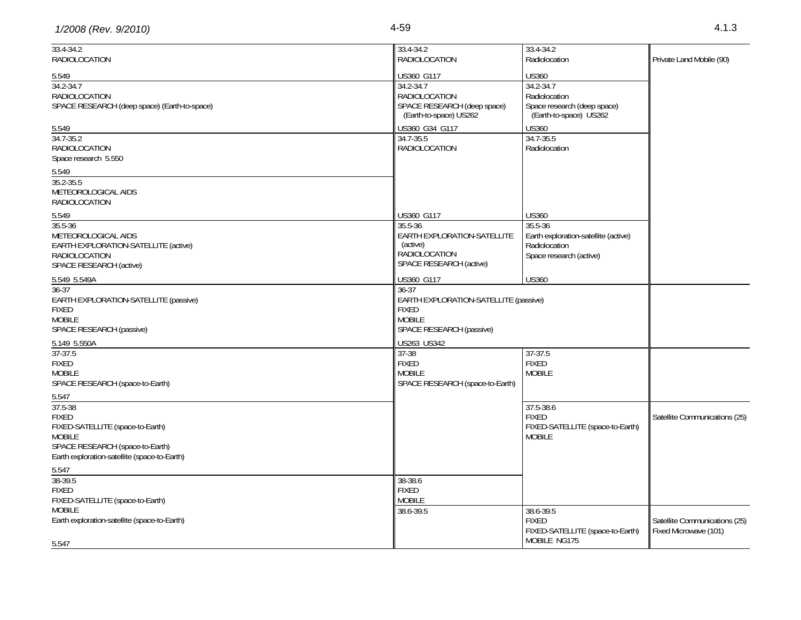| 1/2008 (Rev. 9/2010) | 4-59 | ن ان |
|----------------------|------|------|
|----------------------|------|------|

| $33.4 - 34.2$<br><b>RADIOLOCATION</b>                                                                                                                           | 33.4-34.2<br>Radiolocation                                                                                                                        | Private Land Mobile (90)                               |
|-----------------------------------------------------------------------------------------------------------------------------------------------------------------|---------------------------------------------------------------------------------------------------------------------------------------------------|--------------------------------------------------------|
| US360 G117<br>34.2-34.7<br><b>RADIOLOCATION</b><br>SPACE RESEARCH (deep space)<br>(Earth-to-space) US262<br>US360 G34 G117<br>34.7-35.5<br><b>RADIOLOCATION</b> | <b>US360</b><br>34.2-34.7<br>Radiolocation<br>Space research (deep space)<br>(Earth-to-space) US262<br><b>US360</b><br>34.7-35.5<br>Radiolocation |                                                        |
| US360 G117<br>35.5-36<br>EARTH EXPLORATION-SATELLITE<br>(active)<br><b>RADIOLOCATION</b><br>SPACE RESEARCH (active)                                             | <b>US360</b><br>$35.5 - 36$<br>Earth exploration-satellite (active)<br>Radiolocation<br>Space research (active)                                   |                                                        |
| $36 - 37$<br><b>FIXED</b><br><b>MOBILE</b><br>SPACE RESEARCH (passive)                                                                                          |                                                                                                                                                   |                                                        |
| US263 US342<br>$37 - 38$<br><b>FIXED</b><br><b>MOBILE</b><br>SPACE RESEARCH (space-to-Earth)                                                                    | $37 - 37.5$<br><b>FIXED</b><br><b>MOBILE</b>                                                                                                      |                                                        |
|                                                                                                                                                                 | 37.5-38.6<br><b>FIXED</b><br>FIXED-SATELLITE (space-to-Earth)<br><b>MOBILE</b>                                                                    | Satellite Communications (25)                          |
| 38-38.6<br><b>FIXED</b><br><b>MOBILE</b><br>38.6-39.5                                                                                                           | 38.6-39.5<br><b>FIXED</b><br>FIXED-SATELLITE (space-to-Earth)<br>MOBILE NG175                                                                     | Satellite Communications (25)<br>Fixed Microwave (101) |
|                                                                                                                                                                 | US360 G117                                                                                                                                        | <b>US360</b><br>EARTH EXPLORATION-SATELLITE (passive)  |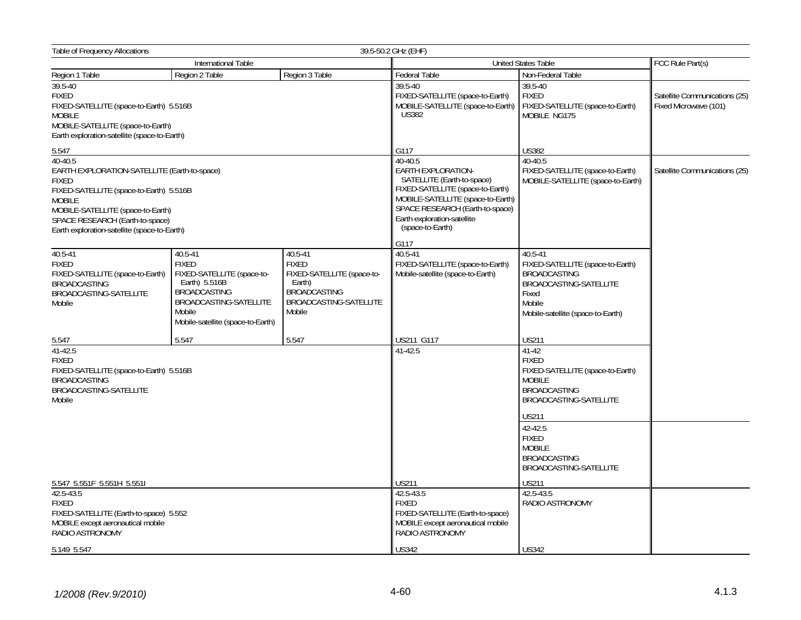| <b>Table of Frequency Allocations</b>                                                                                                                                                                                                                       | 39.5-50.2 GHz (EHF)                                                                                                                                                    |                                                                                                                                                                                                                            |                                                                                                                                                 |                                                                                                                                                          |                                                        |  |
|-------------------------------------------------------------------------------------------------------------------------------------------------------------------------------------------------------------------------------------------------------------|------------------------------------------------------------------------------------------------------------------------------------------------------------------------|----------------------------------------------------------------------------------------------------------------------------------------------------------------------------------------------------------------------------|-------------------------------------------------------------------------------------------------------------------------------------------------|----------------------------------------------------------------------------------------------------------------------------------------------------------|--------------------------------------------------------|--|
| International Table                                                                                                                                                                                                                                         |                                                                                                                                                                        | <b>United States Table</b>                                                                                                                                                                                                 |                                                                                                                                                 | FCC Rule Part(s)                                                                                                                                         |                                                        |  |
| Region 1 Table                                                                                                                                                                                                                                              | Region 2 Table                                                                                                                                                         | Region 3 Table                                                                                                                                                                                                             | Federal Table                                                                                                                                   | Non-Federal Table                                                                                                                                        |                                                        |  |
| 39.5-40<br><b>FIXED</b><br>FIXED-SATELLITE (space-to-Earth) 5.516B<br><b>MOBILE</b><br>MOBILE-SATELLITE (space-to-Earth)<br>Earth exploration-satellite (space-to-Earth)                                                                                    |                                                                                                                                                                        |                                                                                                                                                                                                                            | 39.5-40<br>FIXED-SATELLITE (space-to-Earth)<br>MOBILE-SATELLITE (space-to-Earth)<br><b>US382</b>                                                | 39.5-40<br><b>FIXED</b><br>FIXED-SATELLITE (space-to-Earth)<br>MOBILE NG175                                                                              | Satellite Communications (25)<br>Fixed Microwave (101) |  |
| 5.547                                                                                                                                                                                                                                                       |                                                                                                                                                                        |                                                                                                                                                                                                                            | G117                                                                                                                                            | <b>US382</b>                                                                                                                                             |                                                        |  |
| 40-40.5<br>EARTH EXPLORATION-SATELLITE (Earth-to-space)<br><b>FIXED</b><br>FIXED-SATELLITE (space-to-Earth) 5.516B<br><b>MOBILE</b><br>MOBILE-SATELLITE (space-to-Earth)<br>SPACE RESEARCH (Earth-to-space)<br>Earth exploration-satellite (space-to-Earth) |                                                                                                                                                                        | 40-40.5<br>EARTH EXPLORATION-<br>SATELLITE (Earth-to-space)<br>FIXED-SATELLITE (space-to-Earth)<br>MOBILE-SATELLITE (space-to-Earth)<br>SPACE RESEARCH (Earth-to-space)<br>Earth exploration-satellite<br>(space-to-Earth) | 40-40.5<br>FIXED-SATELLITE (space-to-Earth)<br>MOBILE-SATELLITE (space-to-Earth)                                                                | Satellite Communications (25)                                                                                                                            |                                                        |  |
|                                                                                                                                                                                                                                                             |                                                                                                                                                                        |                                                                                                                                                                                                                            | G117                                                                                                                                            |                                                                                                                                                          |                                                        |  |
| $40.5 - 41$<br><b>FIXED</b><br>FIXED-SATELLITE (space-to-Earth)<br><b>BROADCASTING</b><br>BROADCASTING-SATELLITE<br>Mobile                                                                                                                                  | 40.5-41<br><b>FIXED</b><br>FIXED-SATELLITE (space-to-<br>Earth) 5.516B<br><b>BROADCASTING</b><br>BROADCASTING-SATELLITE<br>Mobile<br>Mobile-satellite (space-to-Earth) | 40.5-41<br><b>FIXED</b><br>FIXED-SATELLITE (space-to-<br>Earth)<br><b>BROADCASTING</b><br>BROADCASTING-SATELLITE<br>Mobile                                                                                                 | $40.5 - 41$<br>FIXED-SATELLITE (space-to-Earth)<br>Mobile-satellite (space-to-Earth)                                                            | $40.5 - 41$<br>FIXED-SATELLITE (space-to-Earth)<br><b>BROADCASTING</b><br>BROADCASTING-SATELLITE<br>Fixed<br>Mobile<br>Mobile-satellite (space-to-Earth) |                                                        |  |
| 5.547                                                                                                                                                                                                                                                       | 5.547                                                                                                                                                                  | 5.547                                                                                                                                                                                                                      | US211 G117                                                                                                                                      | <b>US211</b>                                                                                                                                             |                                                        |  |
| 41-42.5<br><b>FIXED</b><br>FIXED-SATELLITE (space-to-Earth) 5.516B<br><b>BROADCASTING</b><br>BROADCASTING-SATELLITE<br>Mobile                                                                                                                               |                                                                                                                                                                        | $41 - 42.5$                                                                                                                                                                                                                | $41 - 42$<br><b>FIXED</b><br>FIXED-SATELLITE (space-to-Earth)<br><b>MOBILE</b><br><b>BROADCASTING</b><br>BROADCASTING-SATELLITE<br><b>US211</b> |                                                                                                                                                          |                                                        |  |
|                                                                                                                                                                                                                                                             |                                                                                                                                                                        |                                                                                                                                                                                                                            |                                                                                                                                                 | 42-42.5<br><b>FIXED</b><br><b>MOBILE</b><br><b>BROADCASTING</b><br>BROADCASTING-SATELLITE                                                                |                                                        |  |
| 5.547 5.551F 5.551H 5.551I                                                                                                                                                                                                                                  |                                                                                                                                                                        |                                                                                                                                                                                                                            | <b>US211</b>                                                                                                                                    | <b>US211</b>                                                                                                                                             |                                                        |  |
| 42.5-43.5<br><b>FIXED</b><br>FIXED-SATELLITE (Earth-to-space) 5.552<br>MOBILE except aeronautical mobile<br>RADIO ASTRONOMY                                                                                                                                 |                                                                                                                                                                        |                                                                                                                                                                                                                            | 42.5-43.5<br><b>FIXED</b><br>FIXED-SATELLITE (Earth-to-space)<br>MOBILE except aeronautical mobile<br>RADIO ASTRONOMY                           | 42.5-43.5<br>RADIO ASTRONOMY                                                                                                                             |                                                        |  |
| 5.149 5.547                                                                                                                                                                                                                                                 |                                                                                                                                                                        |                                                                                                                                                                                                                            | <b>US342</b>                                                                                                                                    | <b>US342</b>                                                                                                                                             |                                                        |  |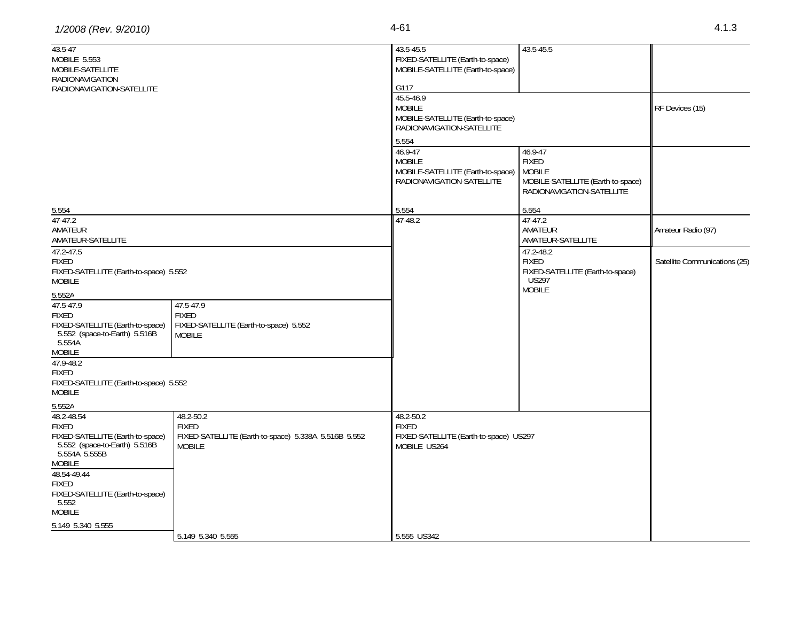| 43.5-47                                                           |                                                      | 43.5-45.5                              | 43.5-45.5                         |                               |
|-------------------------------------------------------------------|------------------------------------------------------|----------------------------------------|-----------------------------------|-------------------------------|
| MOBILE 5.553                                                      |                                                      | FIXED-SATELLITE (Earth-to-space)       |                                   |                               |
| MOBILE-SATELLITE<br><b>RADIONAVIGATION</b>                        |                                                      | MOBILE-SATELLITE (Earth-to-space)      |                                   |                               |
| RADIONAVIGATION-SATELLITE                                         |                                                      | G117                                   |                                   |                               |
|                                                                   |                                                      | 45.5-46.9                              |                                   |                               |
|                                                                   |                                                      | <b>MOBILE</b>                          |                                   | RF Devices (15)               |
|                                                                   |                                                      | MOBILE-SATELLITE (Earth-to-space)      |                                   |                               |
|                                                                   |                                                      | RADIONAVIGATION-SATELLITE              |                                   |                               |
|                                                                   |                                                      | 5.554                                  |                                   |                               |
|                                                                   |                                                      | 46.9-47                                | 46.9-47                           |                               |
|                                                                   |                                                      | <b>MOBILE</b>                          | <b>FIXED</b>                      |                               |
|                                                                   |                                                      | MOBILE-SATELLITE (Earth-to-space)      | <b>MOBILE</b>                     |                               |
|                                                                   |                                                      | RADIONAVIGATION-SATELLITE              | MOBILE-SATELLITE (Earth-to-space) |                               |
|                                                                   |                                                      |                                        | RADIONAVIGATION-SATELLITE         |                               |
| 5.554                                                             |                                                      | 5.554                                  | 5.554                             |                               |
| $47-47.2$                                                         |                                                      | 47-48.2                                | 47-47.2                           |                               |
| AMATEUR                                                           |                                                      |                                        | AMATEUR                           | Amateur Radio (97)            |
| AMATEUR-SATELLITE                                                 |                                                      |                                        | AMATEUR-SATELLITE                 |                               |
| $47.2 - 47.5$                                                     |                                                      |                                        | 47.2-48.2                         |                               |
| <b>FIXED</b>                                                      |                                                      |                                        | <b>FIXED</b>                      | Satellite Communications (25) |
| FIXED-SATELLITE (Earth-to-space) 5.552                            |                                                      |                                        | FIXED-SATELLITE (Earth-to-space)  |                               |
| <b>MOBILE</b>                                                     |                                                      |                                        | <b>US297</b><br><b>MOBILE</b>     |                               |
| 5.552A                                                            |                                                      |                                        |                                   |                               |
| 47.5-47.9                                                         | 47.5-47.9                                            |                                        |                                   |                               |
| <b>FIXED</b>                                                      | <b>FIXED</b>                                         |                                        |                                   |                               |
| FIXED-SATELLITE (Earth-to-space)                                  | FIXED-SATELLITE (Earth-to-space) 5.552               |                                        |                                   |                               |
| 5.552 (space-to-Earth) 5.516B<br>5.554A                           | <b>MOBILE</b>                                        |                                        |                                   |                               |
| <b>MOBILE</b>                                                     |                                                      |                                        |                                   |                               |
| 47.9-48.2                                                         |                                                      |                                        |                                   |                               |
| <b>FIXED</b>                                                      |                                                      |                                        |                                   |                               |
| FIXED-SATELLITE (Earth-to-space) 5.552                            |                                                      |                                        |                                   |                               |
| <b>MOBILE</b>                                                     |                                                      |                                        |                                   |                               |
| 5.552A                                                            |                                                      |                                        |                                   |                               |
| 48.2-48.54                                                        | 48.2-50.2                                            | 48.2-50.2                              |                                   |                               |
| <b>FIXED</b>                                                      | <b>FIXED</b>                                         | <b>FIXED</b>                           |                                   |                               |
| FIXED-SATELLITE (Earth-to-space)<br>5.552 (space-to-Earth) 5.516B | FIXED-SATELLITE (Earth-to-space) 5.338A 5.516B 5.552 | FIXED-SATELLITE (Earth-to-space) US297 |                                   |                               |
| 5.554A 5.555B                                                     | <b>MOBILE</b>                                        | MOBILE US264                           |                                   |                               |
| <b>MOBILE</b>                                                     |                                                      |                                        |                                   |                               |
| 48.54-49.44                                                       |                                                      |                                        |                                   |                               |
| <b>FIXED</b>                                                      |                                                      |                                        |                                   |                               |
| FIXED-SATELLITE (Earth-to-space)                                  |                                                      |                                        |                                   |                               |
| 5.552                                                             |                                                      |                                        |                                   |                               |
| <b>MOBILE</b>                                                     |                                                      |                                        |                                   |                               |

 $\frac{1}{3.149}$  5.340 5.555 5.555 5.555 5.555 5.555 5.555 5.555 5.555 5.555 5.555 5.555 5.555 5.555 5.555 5.555 5.555 5.555 5.555 5.555 5.555 5.555 5.555 5.555 5.555 5.555 5.555 5.555 5.555 5.555 5.555 5.555 5.555 5.555 5.5

5.149 5.340 5.555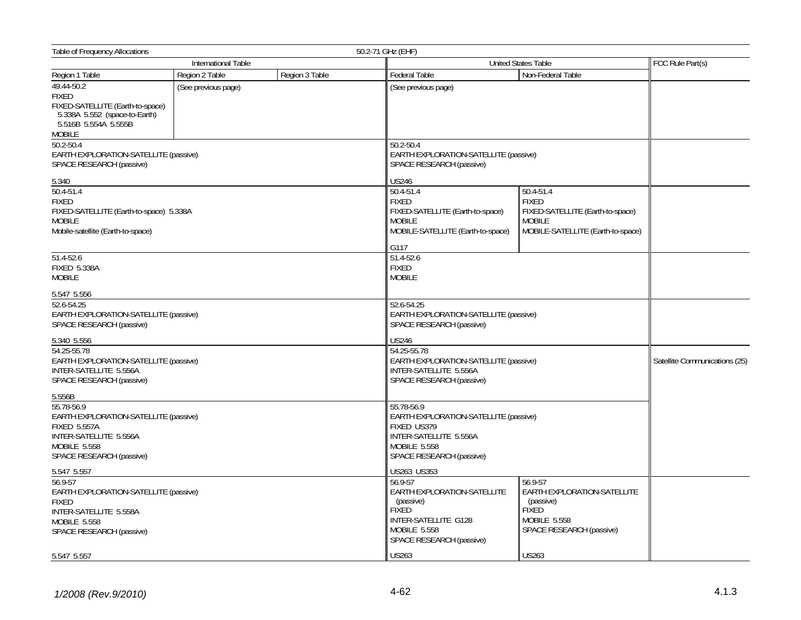| Table of Frequency Allocations                                                                                                                          | 50.2-71 GHz (EHF)   |                                                                                                                                                 |                                                                                                        |                                                                                                        |  |  |
|---------------------------------------------------------------------------------------------------------------------------------------------------------|---------------------|-------------------------------------------------------------------------------------------------------------------------------------------------|--------------------------------------------------------------------------------------------------------|--------------------------------------------------------------------------------------------------------|--|--|
|                                                                                                                                                         | International Table |                                                                                                                                                 | <b>United States Table</b>                                                                             | FCC Rule Part(s)                                                                                       |  |  |
| Region 1 Table                                                                                                                                          | Region 2 Table      | Region 3 Table                                                                                                                                  | <b>Federal Table</b>                                                                                   | Non-Federal Table                                                                                      |  |  |
| 49.44-50.2                                                                                                                                              | (See previous page) |                                                                                                                                                 | (See previous page)                                                                                    |                                                                                                        |  |  |
| <b>FIXED</b>                                                                                                                                            |                     |                                                                                                                                                 |                                                                                                        |                                                                                                        |  |  |
| FIXED-SATELLITE (Earth-to-space)<br>5.338A 5.552 (space-to-Earth)<br>5.516B 5.554A 5.555B                                                               |                     |                                                                                                                                                 |                                                                                                        |                                                                                                        |  |  |
| <b>MOBILE</b>                                                                                                                                           |                     |                                                                                                                                                 |                                                                                                        |                                                                                                        |  |  |
| 50.2-50.4<br>EARTH EXPLORATION-SATELLITE (passive)<br>SPACE RESEARCH (passive)                                                                          |                     |                                                                                                                                                 | 50.2-50.4<br>EARTH EXPLORATION-SATELLITE (passive)<br>SPACE RESEARCH (passive)                         |                                                                                                        |  |  |
| 5.340                                                                                                                                                   |                     |                                                                                                                                                 | <b>US246</b>                                                                                           |                                                                                                        |  |  |
| 50.4-51.4                                                                                                                                               |                     |                                                                                                                                                 | 50.4-51.4                                                                                              | 50.4-51.4                                                                                              |  |  |
| <b>FIXED</b><br>FIXED-SATELLITE (Earth-to-space) 5.338A<br><b>MOBILE</b><br>Mobile-satellite (Earth-to-space)                                           |                     |                                                                                                                                                 | <b>FIXED</b><br>FIXED-SATELLITE (Earth-to-space)<br><b>MOBILE</b><br>MOBILE-SATELLITE (Earth-to-space) | <b>FIXED</b><br>FIXED-SATELLITE (Earth-to-space)<br><b>MOBILE</b><br>MOBILE-SATELLITE (Earth-to-space) |  |  |
|                                                                                                                                                         |                     |                                                                                                                                                 | G117                                                                                                   |                                                                                                        |  |  |
| $51.4 - 52.6$<br><b>FIXED 5.338A</b><br><b>MOBILE</b>                                                                                                   |                     |                                                                                                                                                 | 51.4-52.6<br><b>FIXED</b><br><b>MOBILE</b>                                                             |                                                                                                        |  |  |
| 5.547 5.556                                                                                                                                             |                     |                                                                                                                                                 |                                                                                                        |                                                                                                        |  |  |
| 52.6-54.25<br>EARTH EXPLORATION-SATELLITE (passive)<br>SPACE RESEARCH (passive)                                                                         |                     |                                                                                                                                                 | 52.6-54.25<br>EARTH EXPLORATION-SATELLITE (passive)<br>SPACE RESEARCH (passive)                        |                                                                                                        |  |  |
| 5.340 5.556                                                                                                                                             |                     |                                                                                                                                                 | <b>US246</b>                                                                                           |                                                                                                        |  |  |
| 54.25-55.78<br>EARTH EXPLORATION-SATELLITE (passive)<br>INTER-SATELLITE 5.556A<br>SPACE RESEARCH (passive)                                              |                     | 54.25-55.78<br>EARTH EXPLORATION-SATELLITE (passive)<br>INTER-SATELLITE 5.556A<br>SPACE RESEARCH (passive)                                      | Satellite Communications (25)                                                                          |                                                                                                        |  |  |
| 5.556B                                                                                                                                                  |                     |                                                                                                                                                 |                                                                                                        |                                                                                                        |  |  |
| 55.78-56.9<br>EARTH EXPLORATION-SATELLITE (passive)<br><b>FIXED 5.557A</b><br>INTER-SATELLITE 5.556A<br><b>MOBILE 5.558</b><br>SPACE RESEARCH (passive) |                     | 55.78-56.9<br>EARTH EXPLORATION-SATELLITE (passive)<br>FIXED US379<br>INTER-SATELLITE 5.556A<br><b>MOBILE 5.558</b><br>SPACE RESEARCH (passive) |                                                                                                        |                                                                                                        |  |  |
| 5.547 5.557                                                                                                                                             |                     | US263 US353                                                                                                                                     |                                                                                                        |                                                                                                        |  |  |
| 56.9-57<br>EARTH EXPLORATION-SATELLITE (passive)<br><b>FIXED</b><br>INTER-SATELLITE 5.558A                                                              |                     |                                                                                                                                                 | $56.9 - 57$<br><b>EARTH EXPLORATION-SATELLITE</b><br>(passive)<br><b>FIXED</b>                         | 56.9-57<br>EARTH EXPLORATION-SATELLITE<br>(passive)<br><b>FIXED</b>                                    |  |  |
| <b>MOBILE 5.558</b><br>SPACE RESEARCH (passive)                                                                                                         |                     |                                                                                                                                                 | INTER-SATELLITE G128<br>MOBILE 5.558<br>SPACE RESEARCH (passive)                                       | MOBILE 5.558<br>SPACE RESEARCH (passive)                                                               |  |  |
| 5.547 5.557                                                                                                                                             |                     |                                                                                                                                                 | <b>US263</b>                                                                                           | <b>US263</b>                                                                                           |  |  |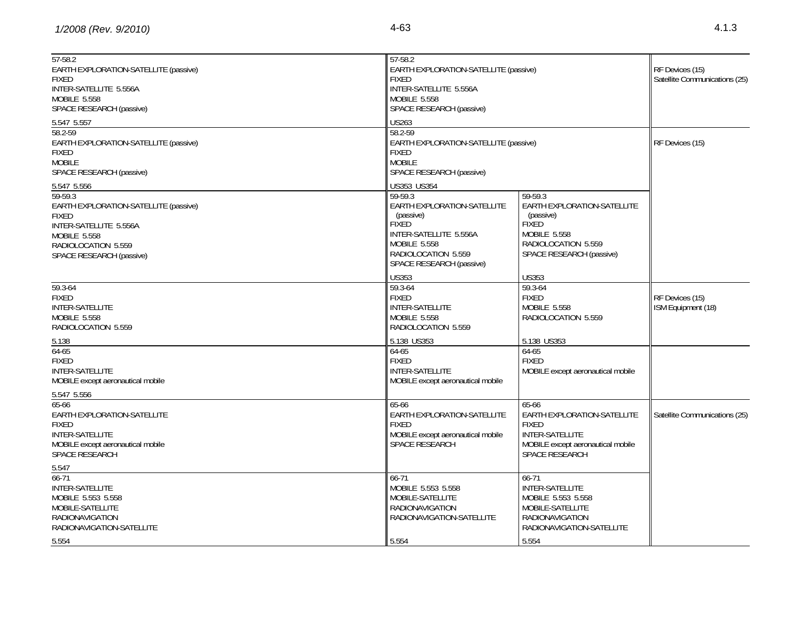| $57-58.2$<br>EARTH EXPLORATION-SATELLITE (passive)<br><b>FIXED</b><br>INTER-SATELLITE 5.556A<br>MOBILE 5.558<br>SPACE RESEARCH (passive)                                            | 57-58.2<br><b>FIXED</b><br>INTER-SATELLITE 5.556A<br>MOBILE 5.558<br>SPACE RESEARCH (passive)                                                                                          | EARTH EXPLORATION-SATELLITE (passive)                                                                                                         |                                       |
|-------------------------------------------------------------------------------------------------------------------------------------------------------------------------------------|----------------------------------------------------------------------------------------------------------------------------------------------------------------------------------------|-----------------------------------------------------------------------------------------------------------------------------------------------|---------------------------------------|
| 5.547 5.557<br>58.2-59<br>EARTH EXPLORATION-SATELLITE (passive)<br><b>FIXED</b><br><b>MOBILE</b><br>SPACE RESEARCH (passive)                                                        | 58.2-59<br><b>FIXED</b><br><b>MOBILE</b><br>SPACE RESEARCH (passive)                                                                                                                   | <b>US263</b><br>EARTH EXPLORATION-SATELLITE (passive)                                                                                         |                                       |
| 5.547 5.556<br>59-59.3<br>EARTH EXPLORATION-SATELLITE (passive)<br><b>FIXED</b><br>INTER-SATELLITE 5.556A<br><b>MOBILE 5.558</b><br>RADIOLOCATION 5.559<br>SPACE RESEARCH (passive) | US353 US354<br>59-59.3<br>EARTH EXPLORATION-SATELLITE<br>(passive)<br><b>FIXED</b><br>INTER-SATELLITE 5.556A<br><b>MOBILE 5.558</b><br>RADIOLOCATION 5.559<br>SPACE RESEARCH (passive) | 59-59.3<br>EARTH EXPLORATION-SATELLITE<br>(passive)<br><b>FIXED</b><br><b>MOBILE 5.558</b><br>RADIOLOCATION 5.559<br>SPACE RESEARCH (passive) |                                       |
| 59.3-64<br><b>FIXED</b><br>INTER-SATELLITE<br><b>MOBILE 5.558</b><br>RADIOLOCATION 5.559                                                                                            | <b>US353</b><br>59.3-64<br>FIXED<br><b>INTER-SATELLITE</b><br><b>MOBILE 5.558</b><br>RADIOLOCATION 5.559                                                                               | <b>US353</b><br>59.3-64<br><b>FIXED</b><br><b>MOBILE 5.558</b><br>RADIOLOCATION 5.559                                                         | RF Devices (15)<br>ISM Equipment (18) |
| 5.138<br>$64-65$<br><b>FIXED</b><br>INTER-SATELLITE<br>MOBILE except aeronautical mobile                                                                                            | 5.138 US353<br>64-65<br><b>FIXED</b><br>INTER-SATELLITE<br>MOBILE except aeronautical mobile                                                                                           | 5.138 US353<br>64-65<br><b>FIXED</b><br>MOBILE except aeronautical mobile                                                                     |                                       |
| 5.547 5.556<br>65-66<br>EARTH EXPLORATION-SATELLITE<br><b>FIXED</b><br><b>INTER-SATELLITE</b><br>MOBILE except aeronautical mobile<br>SPACE RESEARCH                                | 65-66<br>EARTH EXPLORATION-SATELLITE<br><b>FIXED</b><br>MOBILE except aeronautical mobile<br><b>SPACE RESEARCH</b>                                                                     | 65-66<br>EARTH EXPLORATION-SATELLITE<br><b>FIXED</b><br>INTER-SATELLITE<br>MOBILE except aeronautical mobile<br>SPACE RESEARCH                | Satellite Communications (25)         |
| 5.547<br>$66 - 71$<br><b>INTER-SATELLITE</b><br>MOBILE 5.553 5.558<br>MOBILE-SATELLITE<br><b>RADIONAVIGATION</b><br>RADIONAVIGATION-SATELLITE<br>5.554                              | $66 - 71$<br>MOBILE 5.553 5.558<br>MOBILE-SATELLITE<br><b>RADIONAVIGATION</b><br>RADIONAVIGATION-SATELLITE<br>5.554                                                                    | 66-71<br><b>INTER-SATELLITE</b><br>MOBILE 5.553 5.558<br>MOBILE-SATELLITE<br><b>RADIONAVIGATION</b><br>RADIONAVIGATION-SATELLITE<br>5.554     |                                       |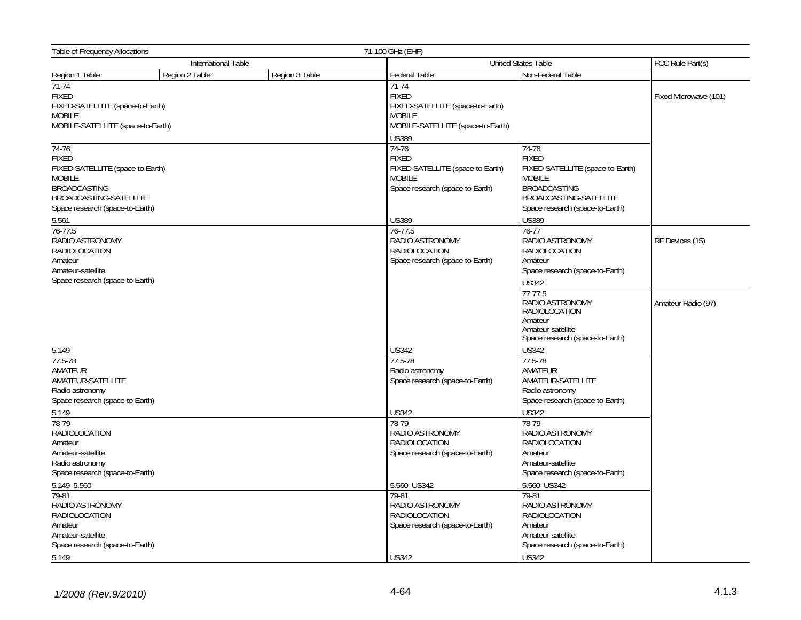| Table of Frequency Allocations                                                                                                                                                                                                                                                                 |                |                                                                                                                            | 71-100 GHz (EHF)                                                                                                                                                                            |                                                                                                                                                                                                                                                                                                              |                    |
|------------------------------------------------------------------------------------------------------------------------------------------------------------------------------------------------------------------------------------------------------------------------------------------------|----------------|----------------------------------------------------------------------------------------------------------------------------|---------------------------------------------------------------------------------------------------------------------------------------------------------------------------------------------|--------------------------------------------------------------------------------------------------------------------------------------------------------------------------------------------------------------------------------------------------------------------------------------------------------------|--------------------|
| International Table                                                                                                                                                                                                                                                                            |                |                                                                                                                            | <b>United States Table</b>                                                                                                                                                                  |                                                                                                                                                                                                                                                                                                              |                    |
| Region 1 Table                                                                                                                                                                                                                                                                                 | Region 2 Table | Region 3 Table                                                                                                             | <b>Federal Table</b>                                                                                                                                                                        | Non-Federal Table                                                                                                                                                                                                                                                                                            |                    |
| $71-74$<br><b>FIXED</b><br>FIXED-SATELLITE (space-to-Earth)<br><b>MOBILE</b><br>MOBILE-SATELLITE (space-to-Earth)                                                                                                                                                                              |                | $71-74$<br><b>FIXED</b><br>FIXED-SATELLITE (space-to-Earth)<br><b>MOBILE</b><br>MOBILE-SATELLITE (space-to-Earth)<br>US389 |                                                                                                                                                                                             | Fixed Microwave (101)                                                                                                                                                                                                                                                                                        |                    |
| 74-76<br><b>FIXED</b><br>FIXED-SATELLITE (space-to-Earth)<br><b>MOBILE</b><br><b>BROADCASTING</b><br>BROADCASTING-SATELLITE<br>Space research (space-to-Earth)<br>5.561                                                                                                                        |                |                                                                                                                            | $74-76$<br><b>FIXED</b><br>FIXED-SATELLITE (space-to-Earth)<br><b>MOBILE</b><br>Space research (space-to-Earth)<br>US389                                                                    | 74-76<br><b>FIXED</b><br>FIXED-SATELLITE (space-to-Earth)<br><b>MOBILE</b><br><b>BROADCASTING</b><br>BROADCASTING-SATELLITE<br>Space research (space-to-Earth)<br><b>US389</b>                                                                                                                               |                    |
| 76-77.5<br>RADIO ASTRONOMY<br>RADIOLOCATION<br>Amateur<br>Amateur-satellite<br>Space research (space-to-Earth)                                                                                                                                                                                 |                |                                                                                                                            | 76-77.5<br>RADIO ASTRONOMY<br><b>RADIOLOCATION</b><br>Space research (space-to-Earth)                                                                                                       | $76 - 77$<br>RADIO ASTRONOMY<br>RADIOLOCATION<br>Amateur<br>Space research (space-to-Earth)<br><b>US342</b><br>77-77.5                                                                                                                                                                                       | RF Devices (15)    |
| 5.149<br>77.5-78<br>AMATEUR<br>AMATEUR-SATELLITE<br>Radio astronomy                                                                                                                                                                                                                            |                |                                                                                                                            | US342<br>77.5-78<br>Radio astronomy<br>Space research (space-to-Earth)                                                                                                                      | RADIO ASTRONOMY<br><b>RADIOLOCATION</b><br>Amateur<br>Amateur-satellite<br>Space research (space-to-Earth)<br><b>US342</b><br>77.5-78<br>AMATEUR<br>AMATEUR-SATELLITE<br>Radio astronomy                                                                                                                     | Amateur Radio (97) |
| Space research (space-to-Earth)<br>5.149<br>78-79<br><b>RADIOLOCATION</b><br>Amateur<br>Amateur-satellite<br>Radio astronomy<br>Space research (space-to-Earth)<br>5.149 5.560<br>79-81<br>RADIO ASTRONOMY<br>RADIOLOCATION<br>Amateur<br>Amateur-satellite<br>Space research (space-to-Earth) |                |                                                                                                                            | US342<br>78-79<br>RADIO ASTRONOMY<br>RADIOLOCATION<br>Space research (space-to-Earth)<br>5.560 US342<br>79-81<br>RADIO ASTRONOMY<br><b>RADIOLOCATION</b><br>Space research (space-to-Earth) | Space research (space-to-Earth)<br><b>US342</b><br>78-79<br>RADIO ASTRONOMY<br><b>RADIOLOCATION</b><br>Amateur<br>Amateur-satellite<br>Space research (space-to-Earth)<br>5.560 US342<br>79-81<br>RADIO ASTRONOMY<br><b>RADIOLOCATION</b><br>Amateur<br>Amateur-satellite<br>Space research (space-to-Earth) |                    |
| 5.149                                                                                                                                                                                                                                                                                          |                |                                                                                                                            | <b>US342</b>                                                                                                                                                                                | <b>US342</b>                                                                                                                                                                                                                                                                                                 |                    |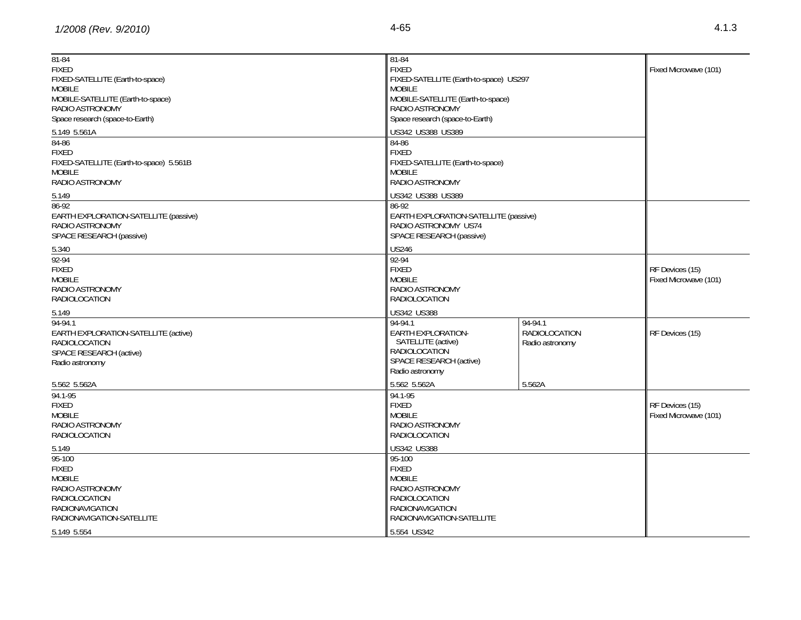| 81-84                                   | $81 - 84$                              |                 |                       |
|-----------------------------------------|----------------------------------------|-----------------|-----------------------|
| <b>FIXED</b>                            | <b>FIXED</b>                           |                 | Fixed Microwave (101) |
| FIXED-SATELLITE (Earth-to-space)        | FIXED-SATELLITE (Earth-to-space) US297 |                 |                       |
| <b>MOBILE</b>                           | <b>MOBILE</b>                          |                 |                       |
| MOBILE-SATELLITE (Earth-to-space)       | MOBILE-SATELLITE (Earth-to-space)      |                 |                       |
| RADIO ASTRONOMY                         | RADIO ASTRONOMY                        |                 |                       |
| Space research (space-to-Earth)         | Space research (space-to-Earth)        |                 |                       |
| 5.149 5.561A                            | US342 US388 US389                      |                 |                       |
| $84 - 86$                               | 84-86                                  |                 |                       |
| <b>FIXED</b>                            | <b>FIXED</b>                           |                 |                       |
| FIXED-SATELLITE (Earth-to-space) 5.561B | FIXED-SATELLITE (Earth-to-space)       |                 |                       |
| <b>MOBILE</b>                           | <b>MOBILE</b>                          |                 |                       |
| RADIO ASTRONOMY                         | RADIO ASTRONOMY                        |                 |                       |
| 5.149                                   | US342 US388 US389                      |                 |                       |
| 86-92                                   | 86-92                                  |                 |                       |
| EARTH EXPLORATION-SATELLITE (passive)   | EARTH EXPLORATION-SATELLITE (passive)  |                 |                       |
| RADIO ASTRONOMY                         | RADIO ASTRONOMY US74                   |                 |                       |
| SPACE RESEARCH (passive)                | SPACE RESEARCH (passive)               |                 |                       |
|                                         | <b>US246</b>                           |                 |                       |
| 5.340                                   |                                        |                 |                       |
| 92-94                                   | 92-94                                  |                 |                       |
| <b>FIXED</b>                            | <b>FIXED</b>                           |                 | RF Devices (15)       |
| <b>MOBILE</b>                           | <b>MOBILE</b>                          |                 | Fixed Microwave (101) |
| RADIO ASTRONOMY                         | RADIO ASTRONOMY                        |                 |                       |
| RADIOLOCATION                           | RADIOLOCATION                          |                 |                       |
| 5.149                                   | US342 US388                            |                 |                       |
| 94-94.1                                 | 94-94.1                                | 94-94.1         |                       |
| EARTH EXPLORATION-SATELLITE (active)    | EARTH EXPLORATION-                     | RADIOLOCATION   | RF Devices (15)       |
| RADIOLOCATION                           | SATELLITE (active)                     | Radio astronomy |                       |
| SPACE RESEARCH (active)                 | RADIOLOCATION                          |                 |                       |
| Radio astronomy                         | SPACE RESEARCH (active)                |                 |                       |
|                                         | Radio astronomy                        |                 |                       |
| 5.562 5.562A                            | 5.562 5.562A                           | 5.562A          |                       |
| 94.1-95                                 | 94.1-95                                |                 |                       |
| <b>FIXED</b>                            | <b>FIXED</b>                           |                 | RF Devices (15)       |
| <b>MOBILE</b>                           | <b>MOBILE</b>                          |                 | Fixed Microwave (101) |
| RADIO ASTRONOMY                         | RADIO ASTRONOMY                        |                 |                       |
| RADIOLOCATION                           | RADIOLOCATION                          |                 |                       |
| 5.149                                   | US342 US388                            |                 |                       |
| 95-100                                  | 95-100                                 |                 |                       |
| <b>FIXED</b>                            | <b>FIXED</b>                           |                 |                       |
| <b>MOBILE</b>                           | <b>MOBILE</b>                          |                 |                       |
| RADIO ASTRONOMY                         | RADIO ASTRONOMY                        |                 |                       |
| <b>RADIOLOCATION</b>                    | <b>RADIOLOCATION</b>                   |                 |                       |
| <b>RADIONAVIGATION</b>                  | <b>RADIONAVIGATION</b>                 |                 |                       |
| RADIONAVIGATION-SATELLITE               | RADIONAVIGATION-SATELLITE              |                 |                       |
|                                         | 5.554 US342                            |                 |                       |
| 5.149 5.554                             |                                        |                 |                       |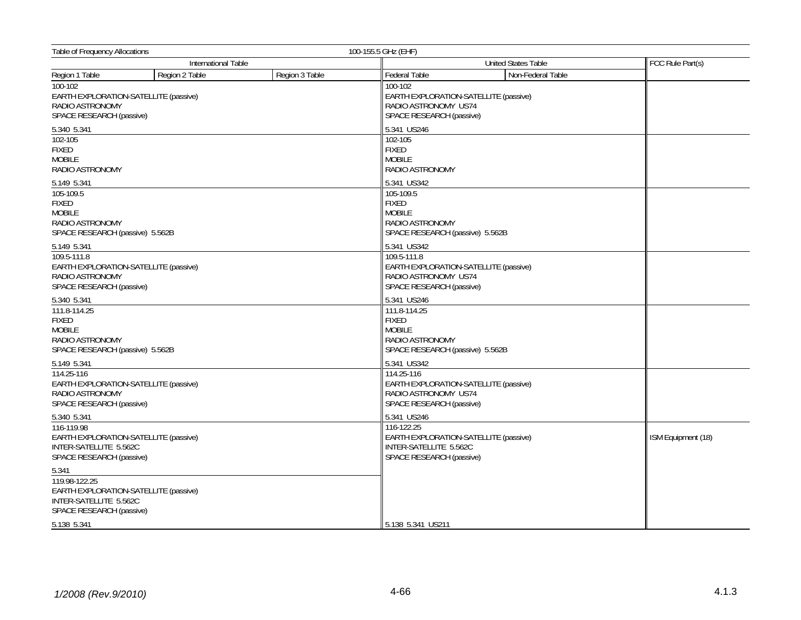| <b>Table of Frequency Allocations</b>                                                                        |                |                | 100-155.5 GHz (EHF)                                                                                            |                    |  |
|--------------------------------------------------------------------------------------------------------------|----------------|----------------|----------------------------------------------------------------------------------------------------------------|--------------------|--|
| International Table                                                                                          |                |                | <b>United States Table</b>                                                                                     | FCC Rule Part(s)   |  |
| Region 1 Table                                                                                               | Region 2 Table | Region 3 Table | <b>Federal Table</b><br>Non-Federal Table                                                                      |                    |  |
| $100 - 102$<br>EARTH EXPLORATION-SATELLITE (passive)<br>RADIO ASTRONOMY<br>SPACE RESEARCH (passive)          |                |                | 100-102<br>EARTH EXPLORATION-SATELLITE (passive)<br>RADIO ASTRONOMY US74<br>SPACE RESEARCH (passive)           |                    |  |
| 5.340 5.341                                                                                                  |                |                | 5.341 US246                                                                                                    |                    |  |
| 102-105<br>FIXED<br><b>MOBILE</b><br>RADIO ASTRONOMY                                                         |                |                | 102-105<br><b>FIXED</b><br><b>MOBILE</b><br>RADIO ASTRONOMY                                                    |                    |  |
| 5.149 5.341<br>105-109.5                                                                                     |                |                | 5.341 US342<br>105-109.5                                                                                       |                    |  |
| <b>FIXED</b><br><b>MOBILE</b><br>RADIO ASTRONOMY<br>SPACE RESEARCH (passive) 5.562B                          |                |                | <b>FIXED</b><br><b>MOBILE</b><br>RADIO ASTRONOMY<br>SPACE RESEARCH (passive) 5.562B                            |                    |  |
| 5.149 5.341                                                                                                  |                |                | 5.341 US342                                                                                                    |                    |  |
| 109.5-111.8<br>EARTH EXPLORATION-SATELLITE (passive)<br>RADIO ASTRONOMY<br>SPACE RESEARCH (passive)          |                |                | 109.5-111.8<br>EARTH EXPLORATION-SATELLITE (passive)<br>RADIO ASTRONOMY US74<br>SPACE RESEARCH (passive)       |                    |  |
| 5.340 5.341                                                                                                  |                |                | 5.341 US246                                                                                                    |                    |  |
| 111.8-114.25<br><b>FIXED</b><br><b>MOBILE</b><br>RADIO ASTRONOMY<br>SPACE RESEARCH (passive) 5.562B          |                |                | 111.8-114.25<br><b>FIXED</b><br><b>MOBILE</b><br><b>RADIO ASTRONOMY</b><br>SPACE RESEARCH (passive) 5.562B     |                    |  |
| 5.149 5.341                                                                                                  |                |                | 5.341 US342                                                                                                    |                    |  |
| 114.25-116<br>EARTH EXPLORATION-SATELLITE (passive)<br>RADIO ASTRONOMY<br>SPACE RESEARCH (passive)           |                |                | 114.25-116<br><b>EARTH EXPLORATION-SATELLITE (passive)</b><br>RADIO ASTRONOMY US74<br>SPACE RESEARCH (passive) |                    |  |
| 5.340 5.341                                                                                                  |                |                | 5.341 US246                                                                                                    |                    |  |
| 116-119.98<br>EARTH EXPLORATION-SATELLITE (passive)<br>INTER-SATELLITE 5.562C<br>SPACE RESEARCH (passive)    |                |                | 116-122.25<br>EARTH EXPLORATION-SATELLITE (passive)<br>INTER-SATELLITE 5.562C<br>SPACE RESEARCH (passive)      | ISM Equipment (18) |  |
| 5.341                                                                                                        |                |                |                                                                                                                |                    |  |
| 119.98-122.25<br>EARTH EXPLORATION-SATELLITE (passive)<br>INTER-SATELLITE 5.562C<br>SPACE RESEARCH (passive) |                |                |                                                                                                                |                    |  |
| 5.138 5.341                                                                                                  |                |                | 5.138 5.341 US211                                                                                              |                    |  |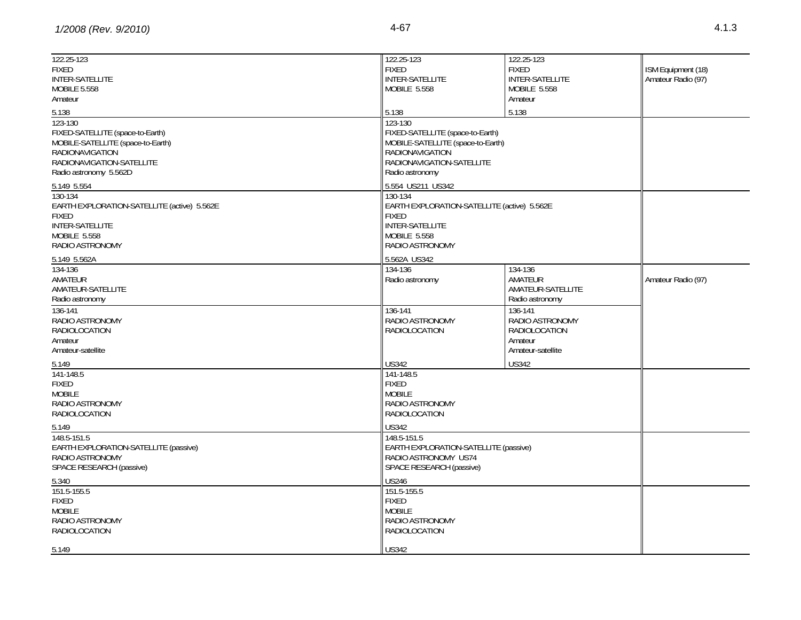| 122.25-123                                  | 122.25-123                                  | 122.25-123           |                    |
|---------------------------------------------|---------------------------------------------|----------------------|--------------------|
| <b>FIXED</b>                                | <b>FIXED</b>                                | <b>FIXED</b>         | ISM Equipment (18) |
| <b>INTER-SATELLITE</b>                      | INTER-SATELLITE                             | INTER-SATELLITE      | Amateur Radio (97) |
| <b>MOBILE 5.558</b>                         | MOBILE 5.558                                | MOBILE 5.558         |                    |
| Amateur                                     |                                             | Amateur              |                    |
| 5.138                                       | 5.138                                       | 5.138                |                    |
| 123-130                                     | 123-130                                     |                      |                    |
| FIXED-SATELLITE (space-to-Earth)            | FIXED-SATELLITE (space-to-Earth)            |                      |                    |
| MOBILE-SATELLITE (space-to-Earth)           | MOBILE-SATELLITE (space-to-Earth)           |                      |                    |
| RADIONAVIGATION                             | RADIONAVIGATION                             |                      |                    |
| RADIONAVIGATION-SATELLITE                   | RADIONAVIGATION-SATELLITE                   |                      |                    |
| Radio astronomy 5.562D                      | Radio astronomy                             |                      |                    |
|                                             |                                             |                      |                    |
| 5.149 5.554                                 | 5.554 US211 US342                           |                      |                    |
| 130-134                                     | 130-134                                     |                      |                    |
| EARTH EXPLORATION-SATELLITE (active) 5.562E | EARTH EXPLORATION-SATELLITE (active) 5.562E |                      |                    |
| <b>FIXED</b>                                | <b>FIXED</b>                                |                      |                    |
| <b>INTER-SATELLITE</b>                      | INTER-SATELLITE                             |                      |                    |
| <b>MOBILE 5.558</b>                         | <b>MOBILE 5.558</b>                         |                      |                    |
| RADIO ASTRONOMY                             | RADIO ASTRONOMY                             |                      |                    |
| 5.149 5.562A                                | 5.562A US342                                |                      |                    |
| 134-136                                     | 134-136                                     | 134-136              |                    |
| AMATEUR                                     | Radio astronomy                             | AMATEUR              | Amateur Radio (97) |
| AMATEUR-SATELLITE                           |                                             | AMATEUR-SATELLITE    |                    |
| Radio astronomy                             |                                             | Radio astronomy      |                    |
| 136-141                                     | 136-141                                     | 136-141              |                    |
| RADIO ASTRONOMY                             | RADIO ASTRONOMY                             | RADIO ASTRONOMY      |                    |
| <b>RADIOLOCATION</b>                        | <b>RADIOLOCATION</b>                        | <b>RADIOLOCATION</b> |                    |
| Amateur                                     |                                             | Amateur              |                    |
| Amateur-satellite                           |                                             | Amateur-satellite    |                    |
| 5.149                                       | <b>US342</b>                                | <b>US342</b>         |                    |
| 141-148.5                                   | 141-148.5                                   |                      |                    |
| <b>FIXED</b>                                | <b>FIXED</b>                                |                      |                    |
| <b>MOBILE</b>                               | <b>MOBILE</b>                               |                      |                    |
| RADIO ASTRONOMY                             | RADIO ASTRONOMY                             |                      |                    |
| <b>RADIOLOCATION</b>                        | RADIOLOCATION                               |                      |                    |
| 5.149                                       | <b>US342</b>                                |                      |                    |
| 148.5-151.5                                 | 148.5-151.5                                 |                      |                    |
| EARTH EXPLORATION-SATELLITE (passive)       | EARTH EXPLORATION-SATELLITE (passive)       |                      |                    |
| RADIO ASTRONOMY                             | RADIO ASTRONOMY US74                        |                      |                    |
| SPACE RESEARCH (passive)                    | SPACE RESEARCH (passive)                    |                      |                    |
|                                             |                                             |                      |                    |
| 5.340                                       | <b>US246</b>                                |                      |                    |
| 151.5-155.5                                 | 151.5-155.5                                 |                      |                    |
| <b>FIXED</b>                                | <b>FIXED</b>                                |                      |                    |
| <b>MOBILE</b>                               | <b>MOBILE</b>                               |                      |                    |
| RADIO ASTRONOMY                             | RADIO ASTRONOMY                             |                      |                    |
| <b>RADIOLOCATION</b>                        | <b>RADIOLOCATION</b>                        |                      |                    |
| 5.149                                       | <b>US342</b>                                |                      |                    |
|                                             |                                             |                      |                    |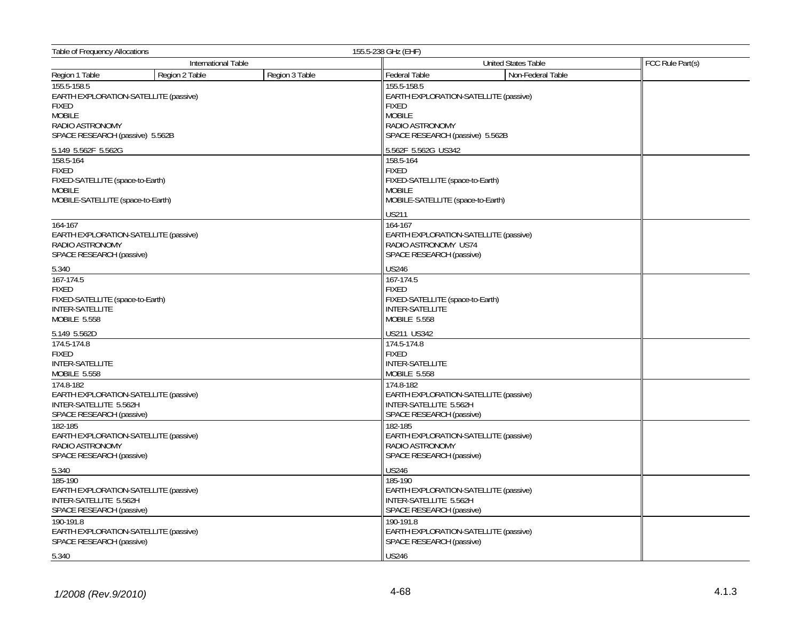| <b>Table of Frequency Allocations</b>                                                                                                       |                |                | 155.5-238 GHz (EHF)                                                                                                                         |                  |  |
|---------------------------------------------------------------------------------------------------------------------------------------------|----------------|----------------|---------------------------------------------------------------------------------------------------------------------------------------------|------------------|--|
| International Table                                                                                                                         |                |                | <b>United States Table</b>                                                                                                                  | FCC Rule Part(s) |  |
| Region 1 Table                                                                                                                              | Region 2 Table | Region 3 Table | Non-Federal Table<br><b>Federal Table</b>                                                                                                   |                  |  |
| 155.5-158.5<br>EARTH EXPLORATION-SATELLITE (passive)<br><b>FIXED</b><br><b>MOBILE</b><br>RADIO ASTRONOMY<br>SPACE RESEARCH (passive) 5.562B |                |                | 155.5-158.5<br>EARTH EXPLORATION-SATELLITE (passive)<br><b>FIXED</b><br><b>MOBILE</b><br>RADIO ASTRONOMY<br>SPACE RESEARCH (passive) 5.562B |                  |  |
| 5.149 5.562F 5.562G                                                                                                                         |                |                | 5.562F 5.562G US342                                                                                                                         |                  |  |
| 158.5-164<br><b>FIXED</b><br>FIXED-SATELLITE (space-to-Earth)<br><b>MOBILE</b><br>MOBILE-SATELLITE (space-to-Earth)                         |                |                | 158.5-164<br><b>FIXED</b><br>FIXED-SATELLITE (space-to-Earth)<br><b>MOBILE</b><br>MOBILE-SATELLITE (space-to-Earth)                         |                  |  |
| 164-167<br>EARTH EXPLORATION-SATELLITE (passive)<br>RADIO ASTRONOMY<br>SPACE RESEARCH (passive)                                             |                |                | <b>US211</b><br>164-167<br>EARTH EXPLORATION-SATELLITE (passive)<br>RADIO ASTRONOMY US74<br>SPACE RESEARCH (passive)                        |                  |  |
| 5.340                                                                                                                                       |                |                | <b>US246</b>                                                                                                                                |                  |  |
| 167-174.5<br><b>FIXED</b><br>FIXED-SATELLITE (space-to-Earth)<br>INTER-SATELLITE<br><b>MOBILE 5.558</b>                                     |                |                | 167-174.5<br><b>FIXED</b><br>FIXED-SATELLITE (space-to-Earth)<br><b>INTER-SATELLITE</b><br><b>MOBILE 5.558</b>                              |                  |  |
| 5.149 5.562D                                                                                                                                |                |                | US211 US342                                                                                                                                 |                  |  |
| 174.5-174.8<br><b>FIXED</b><br><b>INTER-SATELLITE</b><br>MOBILE 5.558<br>174.8-182                                                          |                |                | 174.5-174.8<br><b>FIXED</b><br><b>INTER-SATELLITE</b><br>MOBILE 5.558<br>174.8-182                                                          |                  |  |
| EARTH EXPLORATION-SATELLITE (passive)<br>INTER-SATELLITE 5.562H<br>SPACE RESEARCH (passive)                                                 |                |                | EARTH EXPLORATION-SATELLITE (passive)<br>INTER-SATELLITE 5.562H<br>SPACE RESEARCH (passive)                                                 |                  |  |
| 182-185<br>EARTH EXPLORATION-SATELLITE (passive)<br>RADIO ASTRONOMY<br>SPACE RESEARCH (passive)                                             |                |                | 182-185<br>EARTH EXPLORATION-SATELLITE (passive)<br>RADIO ASTRONOMY<br>SPACE RESEARCH (passive)                                             |                  |  |
| 5.340                                                                                                                                       |                |                | <b>US246</b>                                                                                                                                |                  |  |
| 185-190<br>EARTH EXPLORATION-SATELLITE (passive)<br>INTER-SATELLITE 5.562H<br>SPACE RESEARCH (passive)                                      |                |                | 185-190<br>EARTH EXPLORATION-SATELLITE (passive)<br>INTER-SATELLITE 5.562H<br>SPACE RESEARCH (passive)                                      |                  |  |
| 190-191.8<br>EARTH EXPLORATION-SATELLITE (passive)<br>SPACE RESEARCH (passive)                                                              |                |                | 190-191.8<br>EARTH EXPLORATION-SATELLITE (passive)<br>SPACE RESEARCH (passive)                                                              |                  |  |
| 5.340                                                                                                                                       |                |                | <b>US246</b>                                                                                                                                |                  |  |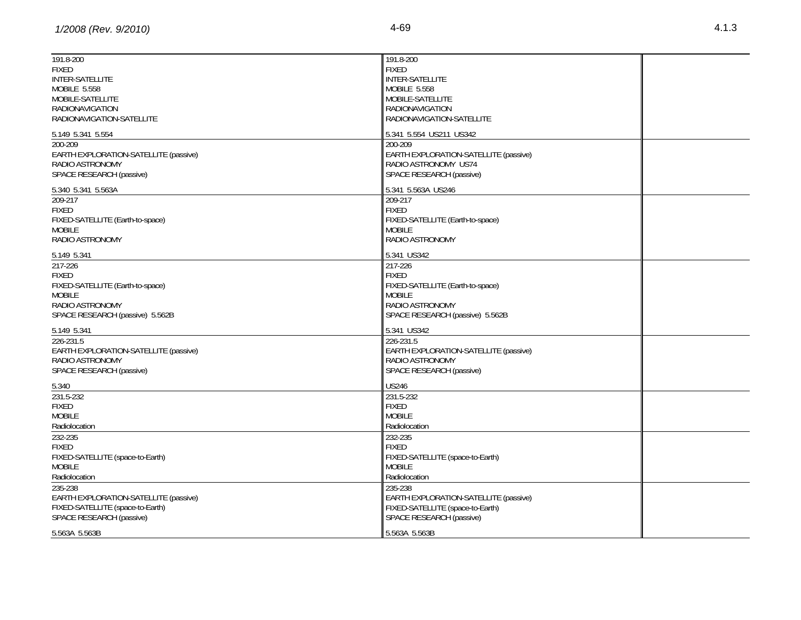| 191.8-200<br><b>FIXED</b><br><b>INTER-SATELLITE</b><br>MOBILE 5.558<br>MOBILE-SATELLITE<br><b>RADIONAVIGATION</b><br>RADIONAVIGATION-SATELLITE | 191.8-200<br><b>FIXED</b><br><b>INTER-SATELLITE</b><br>MOBILE 5.558<br>MOBILE-SATELLITE<br><b>RADIONAVIGATION</b><br>RADIONAVIGATION-SATELLITE |  |
|------------------------------------------------------------------------------------------------------------------------------------------------|------------------------------------------------------------------------------------------------------------------------------------------------|--|
| 5.149 5.341 5.554                                                                                                                              | 5.341 5.554 US211 US342                                                                                                                        |  |
| 200-209<br>EARTH EXPLORATION-SATELLITE (passive)<br>RADIO ASTRONOMY<br>SPACE RESEARCH (passive)                                                | 200-209<br>EARTH EXPLORATION-SATELLITE (passive)<br>RADIO ASTRONOMY US74<br>SPACE RESEARCH (passive)                                           |  |
| 5.340 5.341 5.563A                                                                                                                             | 5.341 5.563A US246                                                                                                                             |  |
| 209-217<br><b>FIXED</b><br>FIXED-SATELLITE (Earth-to-space)<br><b>MOBILE</b><br>RADIO ASTRONOMY                                                | 209-217<br><b>FIXED</b><br>FIXED-SATELLITE (Earth-to-space)<br><b>MOBILE</b><br>RADIO ASTRONOMY                                                |  |
| 5.149 5.341                                                                                                                                    | 5.341 US342                                                                                                                                    |  |
| 217-226<br><b>FIXED</b><br>FIXED-SATELLITE (Earth-to-space)<br><b>MOBILE</b><br>RADIO ASTRONOMY<br>SPACE RESEARCH (passive) 5.562B             | 217-226<br><b>FIXED</b><br>FIXED-SATELLITE (Earth-to-space)<br><b>MOBILE</b><br>RADIO ASTRONOMY<br>SPACE RESEARCH (passive) 5.562B             |  |
| 5.149 5.341                                                                                                                                    | 5.341 US342                                                                                                                                    |  |
| 226-231.5<br>EARTH EXPLORATION-SATELLITE (passive)<br>RADIO ASTRONOMY<br>SPACE RESEARCH (passive)                                              | 226-231.5<br>EARTH EXPLORATION-SATELLITE (passive)<br>RADIO ASTRONOMY<br>SPACE RESEARCH (passive)                                              |  |
| 5.340                                                                                                                                          | <b>US246</b>                                                                                                                                   |  |
| 231.5-232<br><b>FIXED</b><br><b>MOBILE</b><br>Radiolocation                                                                                    | 231.5-232<br><b>FIXED</b><br><b>MOBILE</b><br>Radiolocation                                                                                    |  |
| 232-235<br><b>FIXED</b><br>FIXED-SATELLITE (space-to-Earth)<br><b>MOBILE</b><br>Radiolocation                                                  | 232-235<br><b>FIXED</b><br>FIXED-SATELLITE (space-to-Earth)<br><b>MOBILE</b><br>Radiolocation                                                  |  |
| 235-238<br>EARTH EXPLORATION-SATELLITE (passive)<br>FIXED-SATELLITE (space-to-Earth)<br>SPACE RESEARCH (passive)                               | 235-238<br>EARTH EXPLORATION-SATELLITE (passive)<br>FIXED-SATELLITE (space-to-Earth)<br>SPACE RESEARCH (passive)                               |  |
| 5.563A 5.563B                                                                                                                                  | 5.563A 5.563B                                                                                                                                  |  |